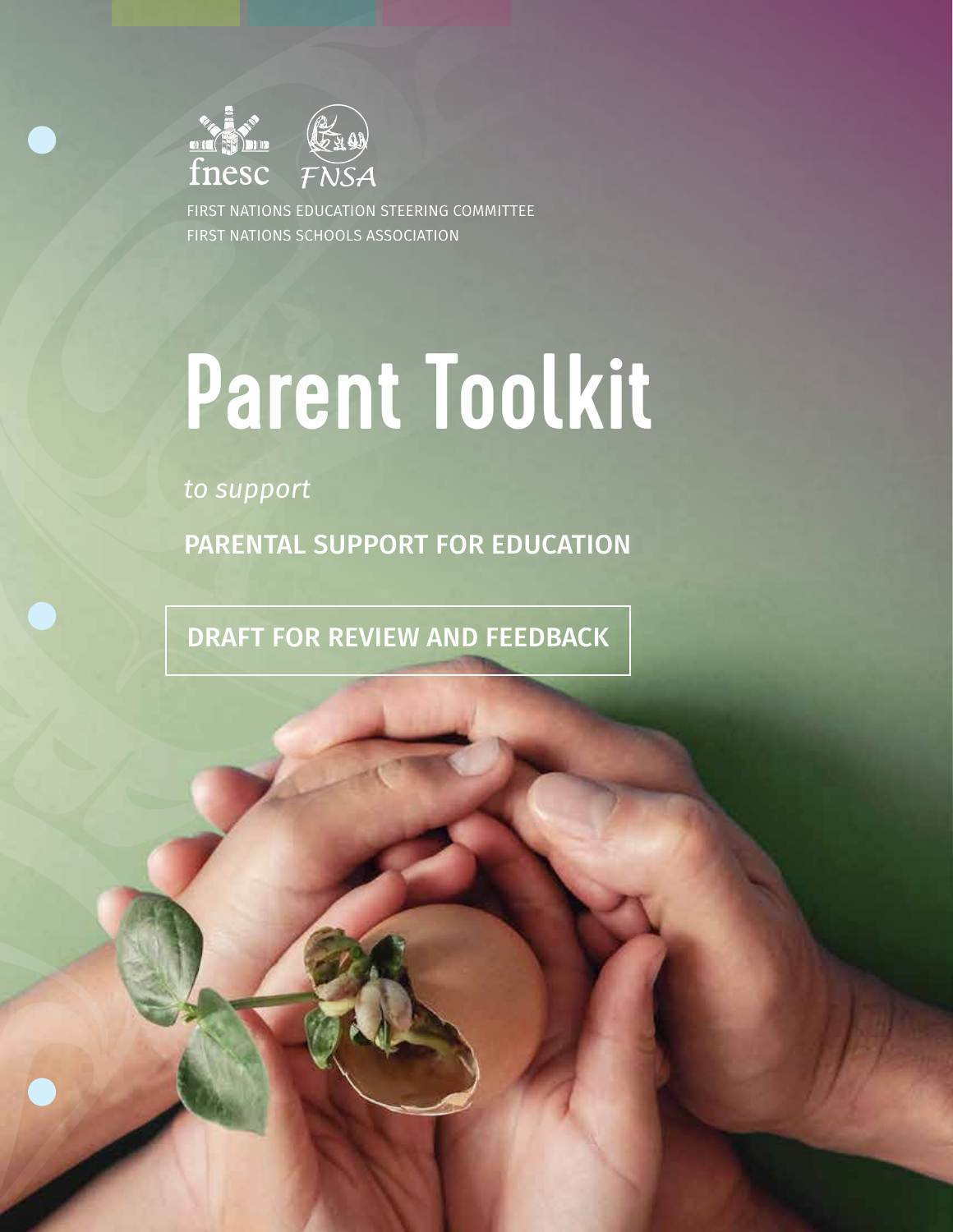

FIRST NATIONS EDUCATION STEERING COMMITTEE FIRST NATIONS SCHOOLS ASSOCIATION

# Parent Toolkit

*to support*

PARENTAL SUPPORT FOR EDUCATION

DRAFT FOR REVIEW AND FEEDBACK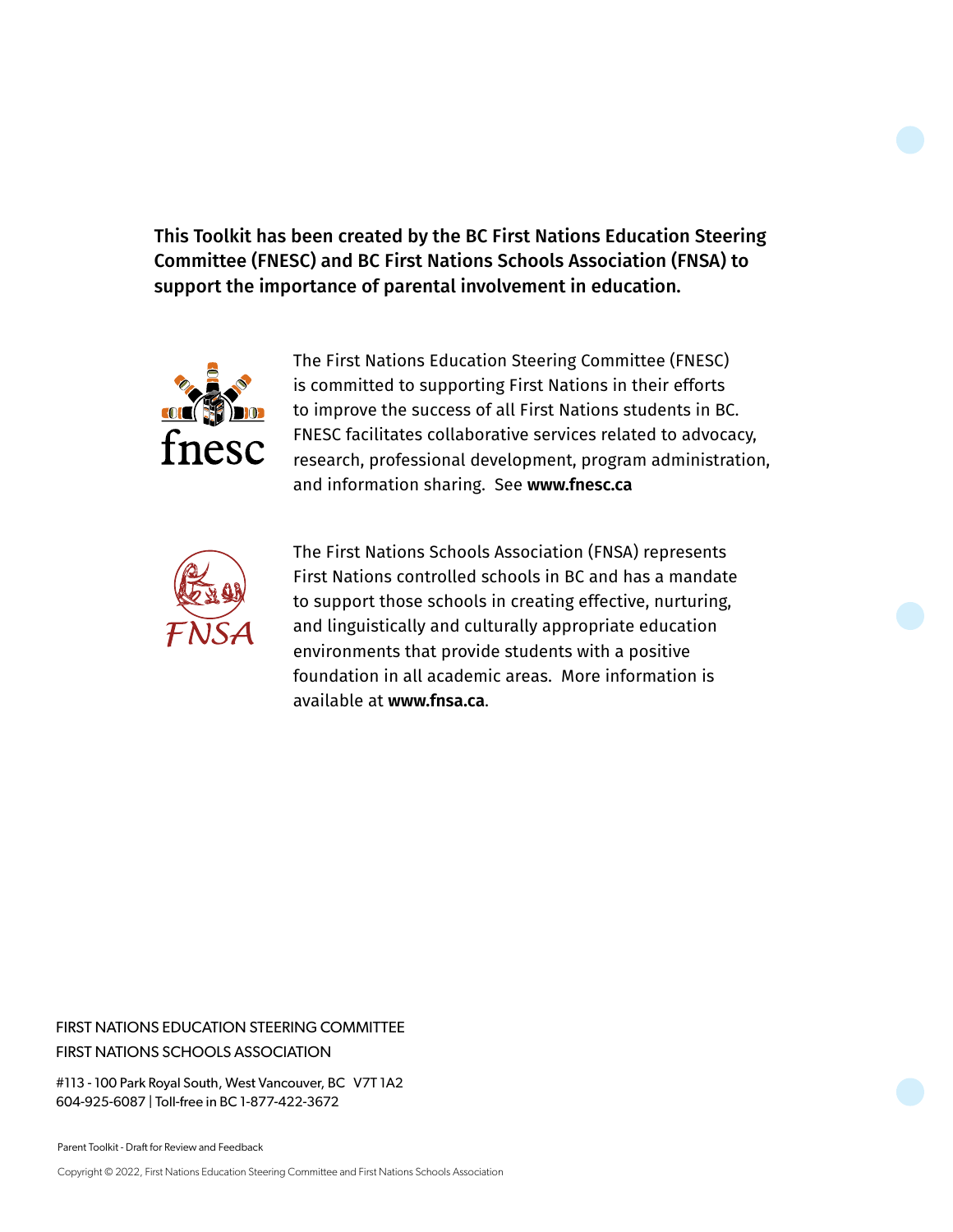This Toolkit has been created by the BC First Nations Education Steering Committee (FNESC) and BC First Nations Schools Association (FNSA) to support the importance of parental involvement in education.



The First Nations Education Steering Committee (FNESC) is committed to supporting First Nations in their efforts to improve the success of all First Nations students in BC. FNESC facilitates collaborative services related to advocacy, research, professional development, program administration, and information sharing. See **www.fnesc.ca**



The First Nations Schools Association (FNSA) represents First Nations controlled schools in BC and has a mandate to support those schools in creating effective, nurturing, and linguistically and culturally appropriate education environments that provide students with a positive foundation in all academic areas. More information is available at **www.fnsa.ca**.

FIRST NATIONS EDUCATION STEERING COMMITTEE FIRST NATIONS SCHOOLS ASSOCIATION

#113 - 100 Park Royal South, West Vancouver, BC V7T 1A2 604-925-6087 | Toll-free in BC 1-877-422-3672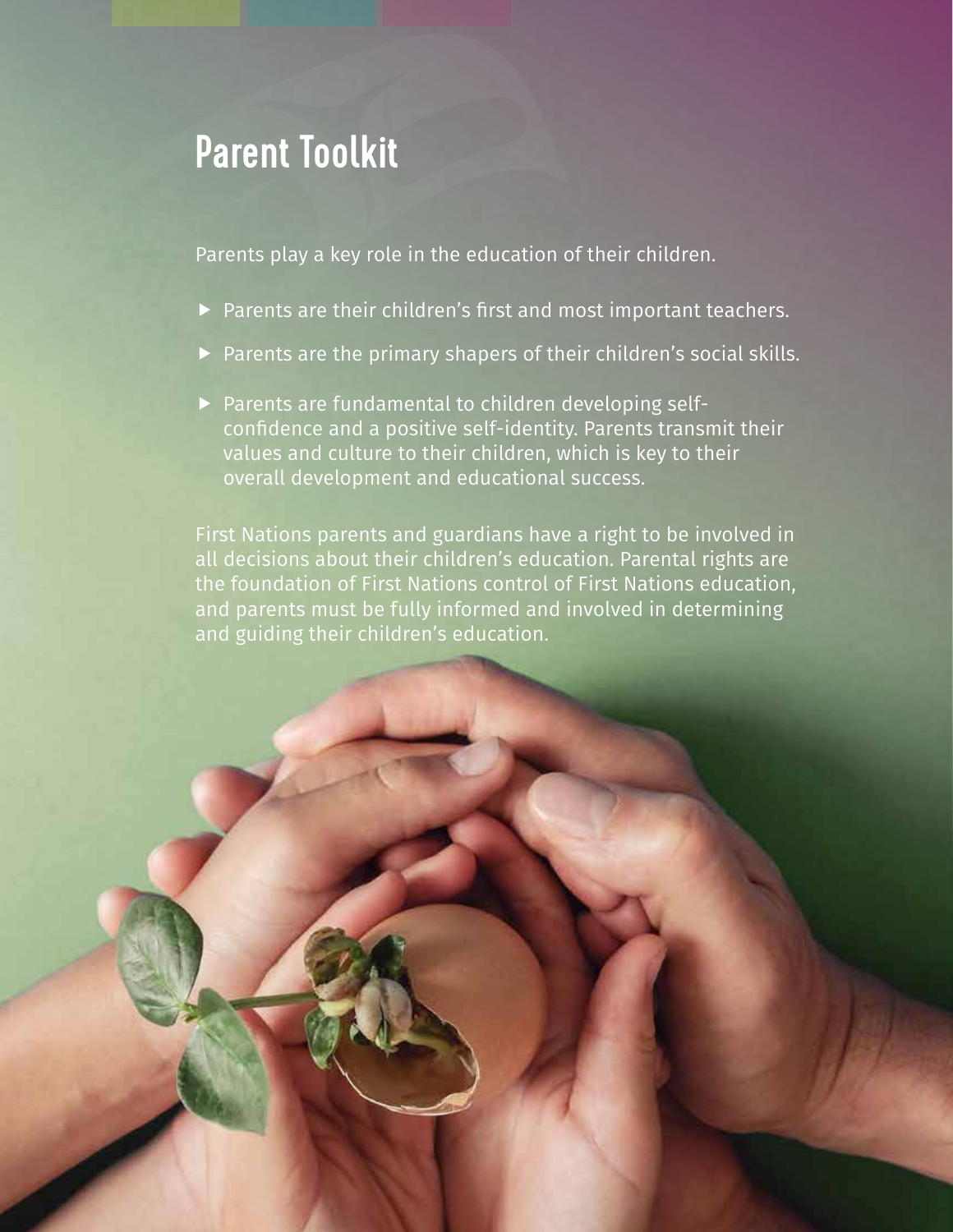# Parent Toolkit

Parents play a key role in the education of their children.

- $\blacktriangleright$  Parents are their children's first and most important teachers.
- $\triangleright$  Parents are the primary shapers of their children's social skills.
- $\triangleright$  Parents are fundamental to children developing selfconfidence and a positive self-identity. Parents transmit their values and culture to their children, which is key to their overall development and educational success.

First Nations parents and guardians have a right to be involved in all decisions about their children's education. Parental rights are the foundation of First Nations control of First Nations education, and parents must be fully informed and involved in determining and guiding their children's education.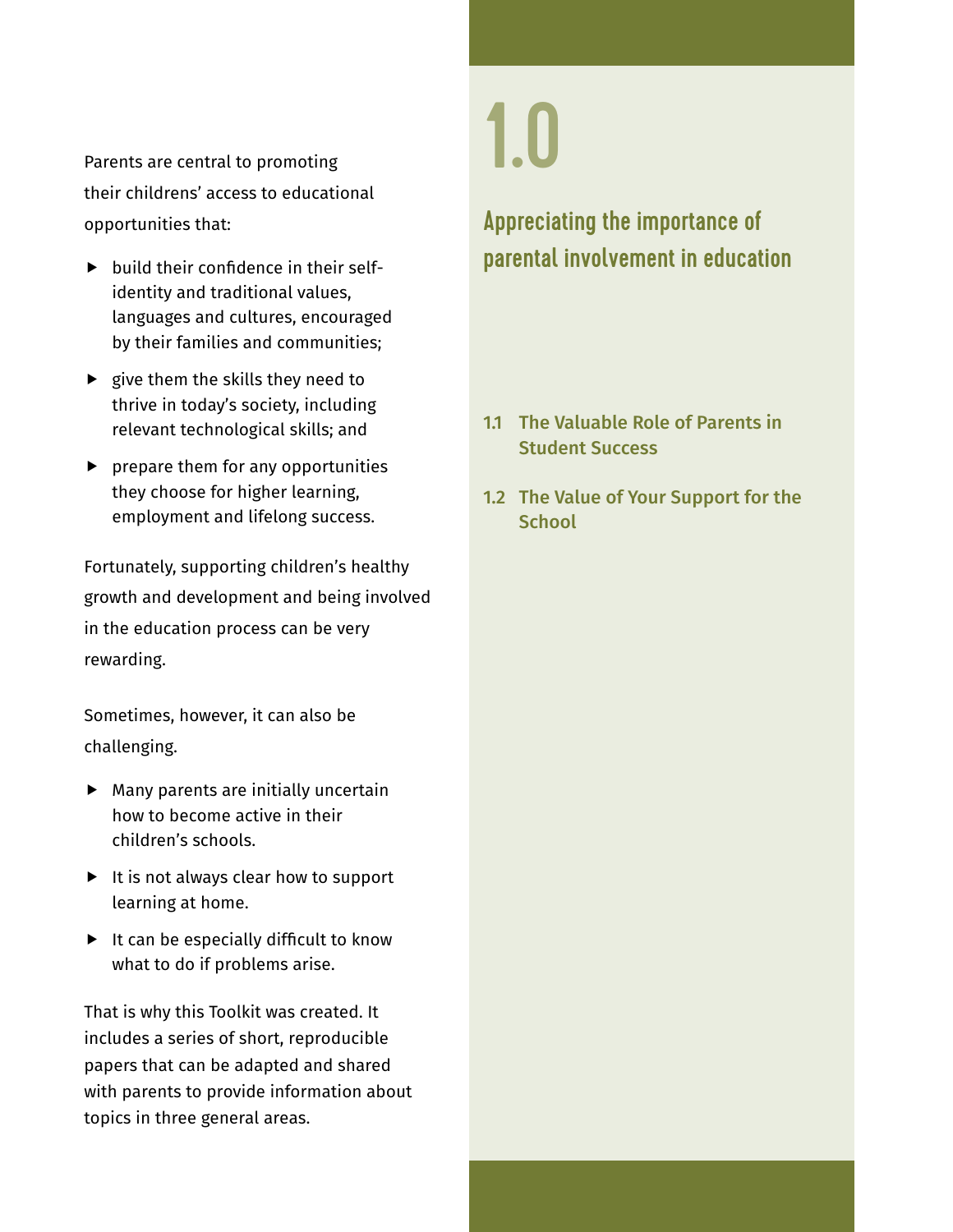Parents are central to promoting their childrens' access to educational opportunities that:

- $\blacktriangleright$  build their confidence in their selfidentity and traditional values, languages and cultures, encouraged by their families and communities;
- $\blacktriangleright$  give them the skills they need to thrive in today's society, including relevant technological skills; and
- $\blacktriangleright$  prepare them for any opportunities they choose for higher learning, employment and lifelong success.

Fortunately, supporting children's healthy growth and development and being involved in the education process can be very rewarding.

Sometimes, however, it can also be challenging.

- $\blacktriangleright$  Many parents are initially uncertain how to become active in their children's schools.
- $\blacktriangleright$  It is not always clear how to support learning at home.
- $\blacktriangleright$  It can be especially difficult to know what to do if problems arise.

That is why this Toolkit was created. It includes a series of short, reproducible papers that can be adapted and shared with parents to provide information about topics in three general areas.

# 1.0

Appreciating the importance of parental involvement in education

- 1.1 The Valuable Role of Parents in Student Success
- 1.2 The Value of Your Support for the **School**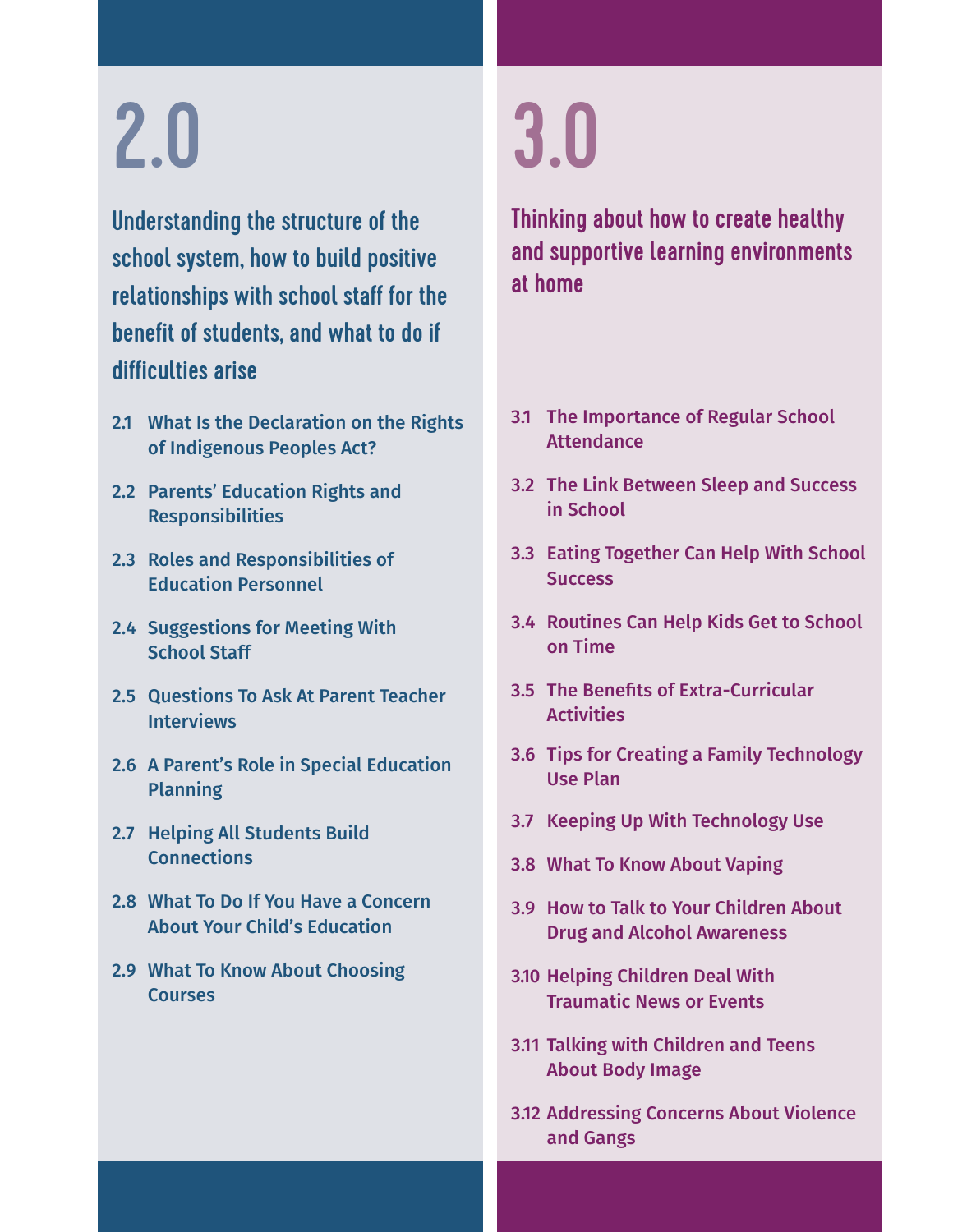# 2.0

Understanding the structure of the school system, how to build positive relationships with school staff for the benefit of students, and what to do if difficulties arise

- 2.1 What Is the Declaration on the Rights of Indigenous Peoples Act?
- 2.2 Parents' Education Rights and Responsibilities
- 2.3 Roles and Responsibilities of Education Personnel
- 2.4 Suggestions for Meeting With School Staff
- 2.5 Questions To Ask At Parent Teacher **Interviews**
- 2.6 A Parent's Role in Special Education Planning
- 2.7 Helping All Students Build **Connections**
- 2.8 What To Do If You Have a Concern About Your Child's Education
- 2.9 What To Know About Choosing **Courses**

# 3.0

Thinking about how to create healthy and supportive learning environments at home

- 3.1 The Importance of Regular School Attendance
- 3.2 The Link Between Sleep and Success in School
- 3.3 Eating Together Can Help With School **Success**
- 3.4 Routines Can Help Kids Get to School on Time
- 3.5 The Benefits of Extra-Curricular **Activities**
- 3.6 Tips for Creating a Family Technology Use Plan
- 3.7 Keeping Up With Technology Use
- 3.8 What To Know About Vaping
- 3.9 How to Talk to Your Children About Drug and Alcohol Awareness
- 3.10 Helping Children Deal With Traumatic News or Events
- 3.11 Talking with Children and Teens About Body Image
- 3.12 Addressing Concerns About Violence and Gangs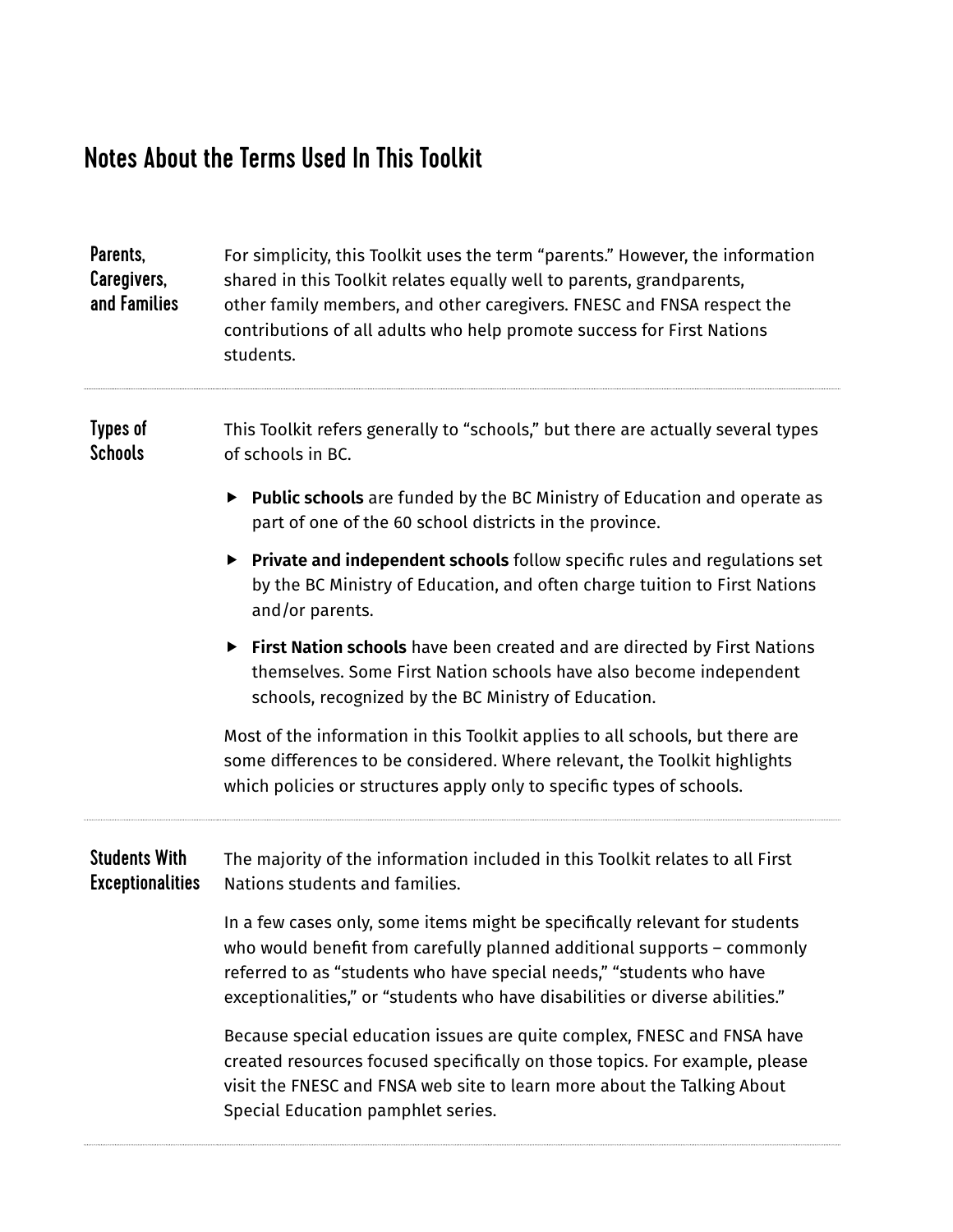### Notes About the Terms Used In This Toolkit

Parents, Caregivers, and Families For simplicity, this Toolkit uses the term "parents." However, the information shared in this Toolkit relates equally well to parents, grandparents, other family members, and other caregivers. FNESC and FNSA respect the contributions of all adults who help promote success for First Nations students. Types of **Schools** This Toolkit refers generally to "schools," but there are actually several types of schools in BC. **Public schools** are funded by the BC Ministry of Education and operate as part of one of the 60 school districts in the province. **Private and independent schools** follow specific rules and regulations set by the BC Ministry of Education, and often charge tuition to First Nations and/or parents. **First Nation schools** have been created and are directed by First Nations themselves. Some First Nation schools have also become independent schools, recognized by the BC Ministry of Education. Most of the information in this Toolkit applies to all schools, but there are some differences to be considered. Where relevant, the Toolkit highlights which policies or structures apply only to specific types of schools. Students With Exceptionalities The majority of the information included in this Toolkit relates to all First Nations students and families. In a few cases only, some items might be specifically relevant for students who would benefit from carefully planned additional supports – commonly referred to as "students who have special needs," "students who have exceptionalities," or "students who have disabilities or diverse abilities." Because special education issues are quite complex, FNESC and FNSA have created resources focused specifically on those topics. For example, please visit the FNESC and FNSA web site to learn more about the Talking About Special Education pamphlet series.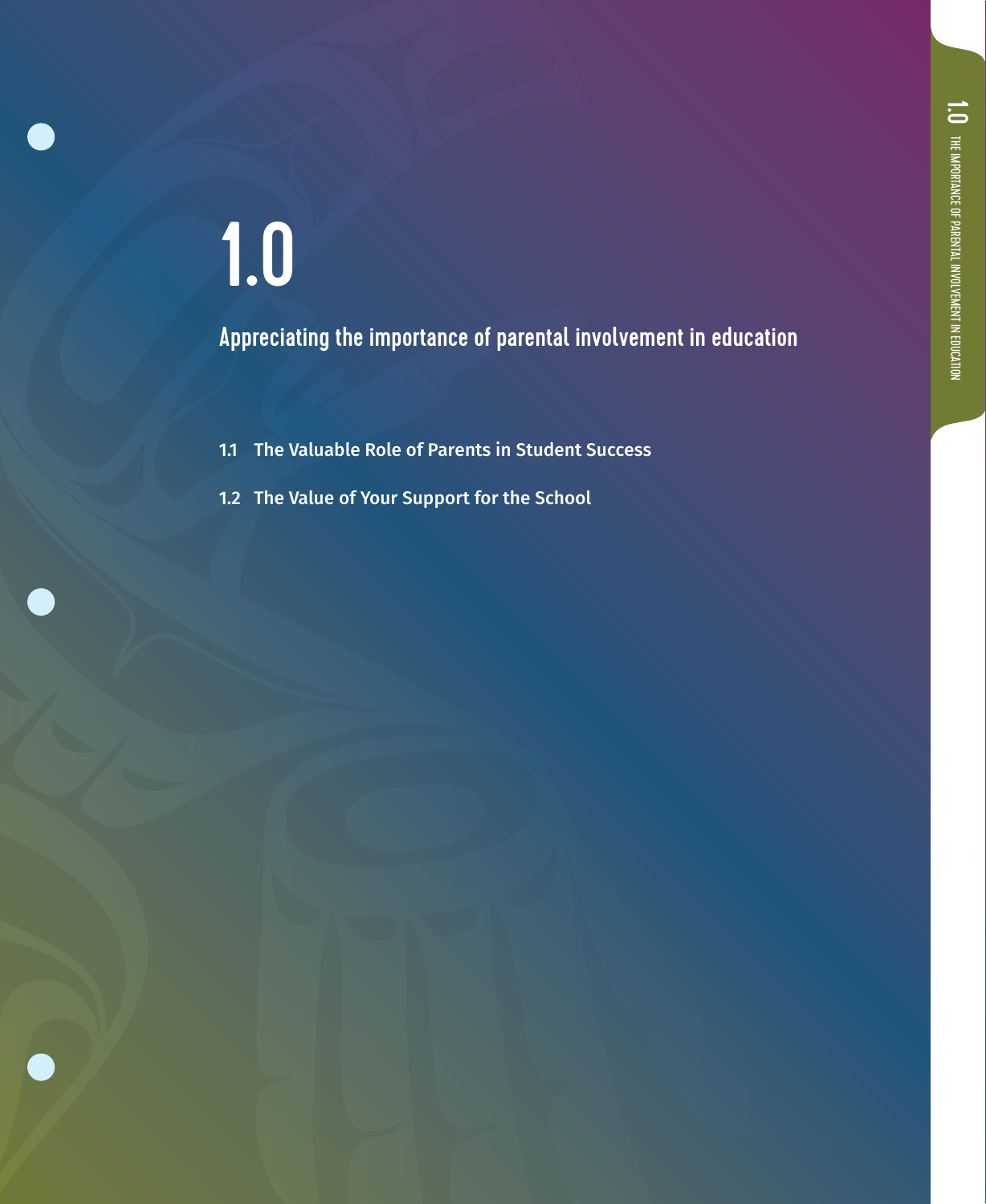# 1.0

Appreciating the importance of parental involvement in education

- 1.1 The Valuable Role of Parents in Student Success
- 1.2 The Value of Your Support for the School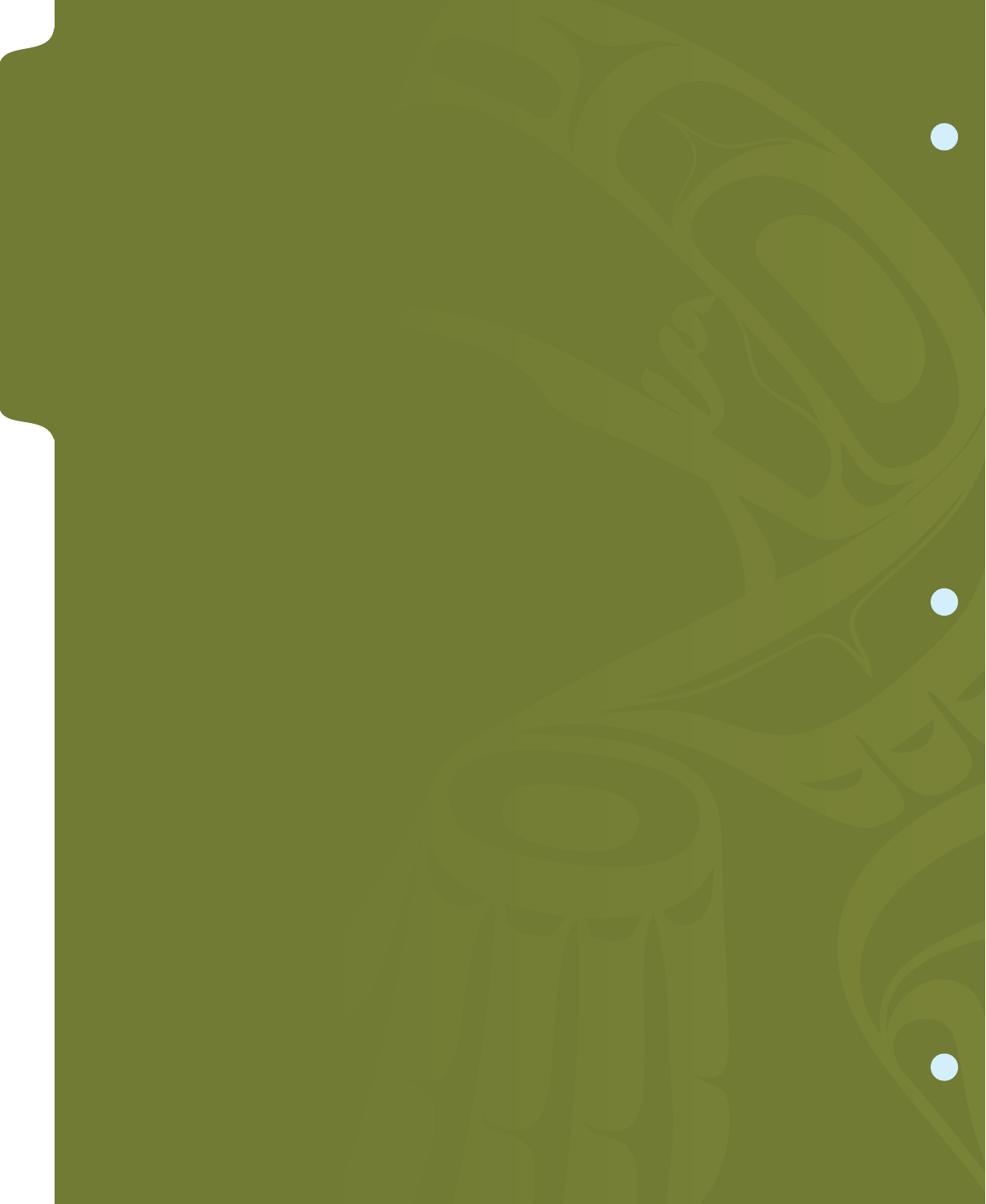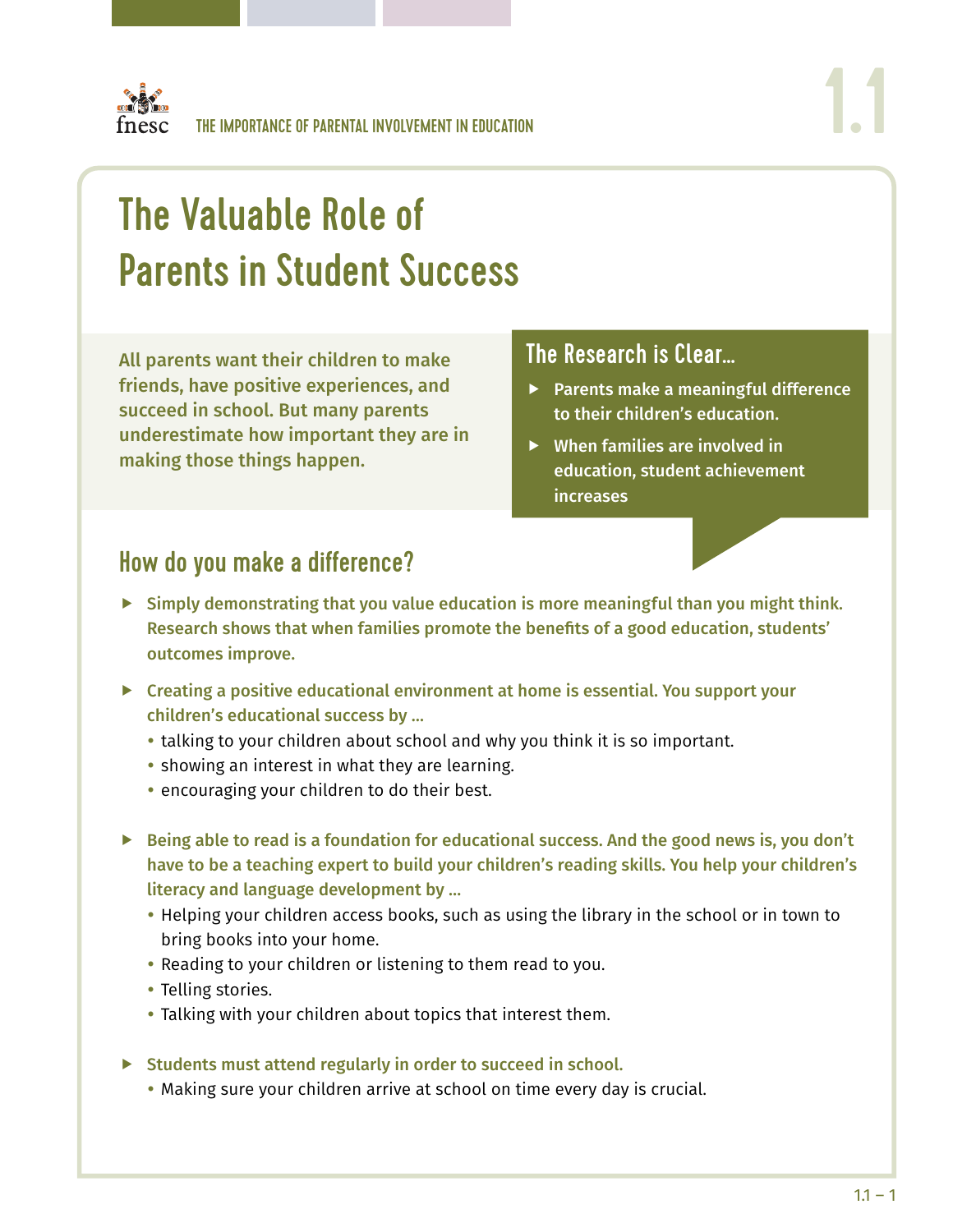



# The Valuable Role of Parents in Student Success

All parents want their children to make friends, have positive experiences, and succeed in school. But many parents underestimate how important they are in making those things happen.

#### The Research is Clear…

- $\blacktriangleright$  Parents make a meaningful difference to their children's education.
- $\blacktriangleright$  When families are involved in education, student achievement increases

### How do you make a difference?

- $\triangleright$  Simply demonstrating that you value education is more meaningful than you might think. Research shows that when families promote the benefits of a good education, students' outcomes improve.
- $\triangleright$  Creating a positive educational environment at home is essential. You support your children's educational success by …
	- talking to your children about school and why you think it is so important.
	- showing an interest in what they are learning.
	- encouraging your children to do their best.
- $\triangleright$  Being able to read is a foundation for educational success. And the good news is, you don't have to be a teaching expert to build your children's reading skills. You help your children's literacy and language development by …
	- Helping your children access books, such as using the library in the school or in town to bring books into your home.
	- Reading to your children or listening to them read to you.
	- Telling stories.
	- Talking with your children about topics that interest them.
- $\triangleright$  Students must attend regularly in order to succeed in school.
	- Making sure your children arrive at school on time every day is crucial.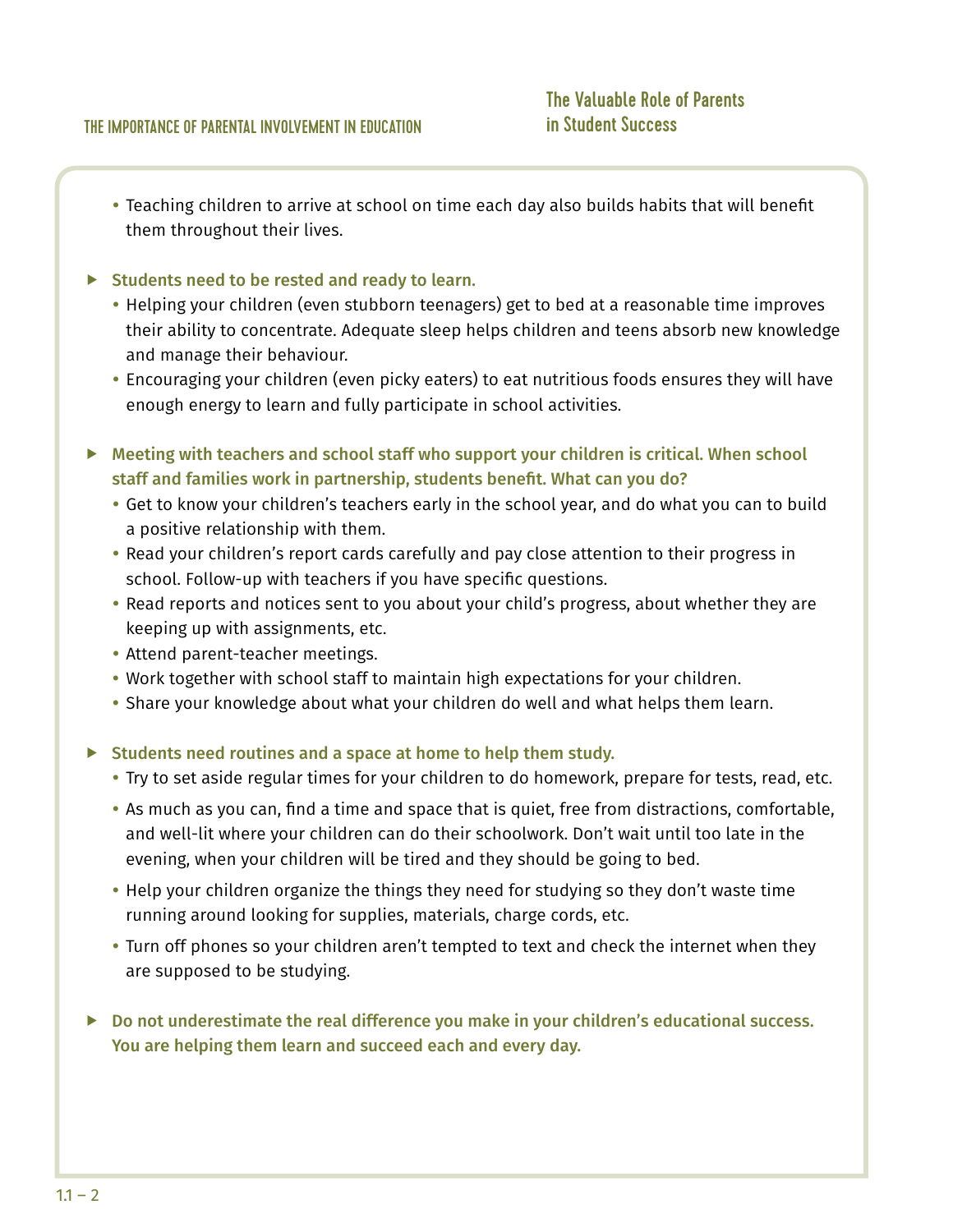- Teaching children to arrive at school on time each day also builds habits that will benefit them throughout their lives.
- $\blacktriangleright$  Students need to be rested and ready to learn.
	- Helping your children (even stubborn teenagers) get to bed at a reasonable time improves their ability to concentrate. Adequate sleep helps children and teens absorb new knowledge and manage their behaviour.
	- Encouraging your children (even picky eaters) to eat nutritious foods ensures they will have enough energy to learn and fully participate in school activities.
- $\blacktriangleright$  Meeting with teachers and school staff who support your children is critical. When school staff and families work in partnership, students benefit. What can you do?
	- Get to know your children's teachers early in the school year, and do what you can to build a positive relationship with them.
	- Read your children's report cards carefully and pay close attention to their progress in school. Follow-up with teachers if you have specific questions.
	- Read reports and notices sent to you about your child's progress, about whether they are keeping up with assignments, etc.
	- Attend parent-teacher meetings.
	- Work together with school staff to maintain high expectations for your children.
	- Share your knowledge about what your children do well and what helps them learn.
- $\triangleright$  Students need routines and a space at home to help them study.
	- Try to set aside regular times for your children to do homework, prepare for tests, read, etc.
	- As much as you can, find a time and space that is quiet, free from distractions, comfortable, and well-lit where your children can do their schoolwork. Don't wait until too late in the evening, when your children will be tired and they should be going to bed.
	- Help your children organize the things they need for studying so they don't waste time running around looking for supplies, materials, charge cords, etc.
	- Turn off phones so your children aren't tempted to text and check the internet when they are supposed to be studying.
- $\triangleright$  Do not underestimate the real difference you make in your children's educational success. You are helping them learn and succeed each and every day.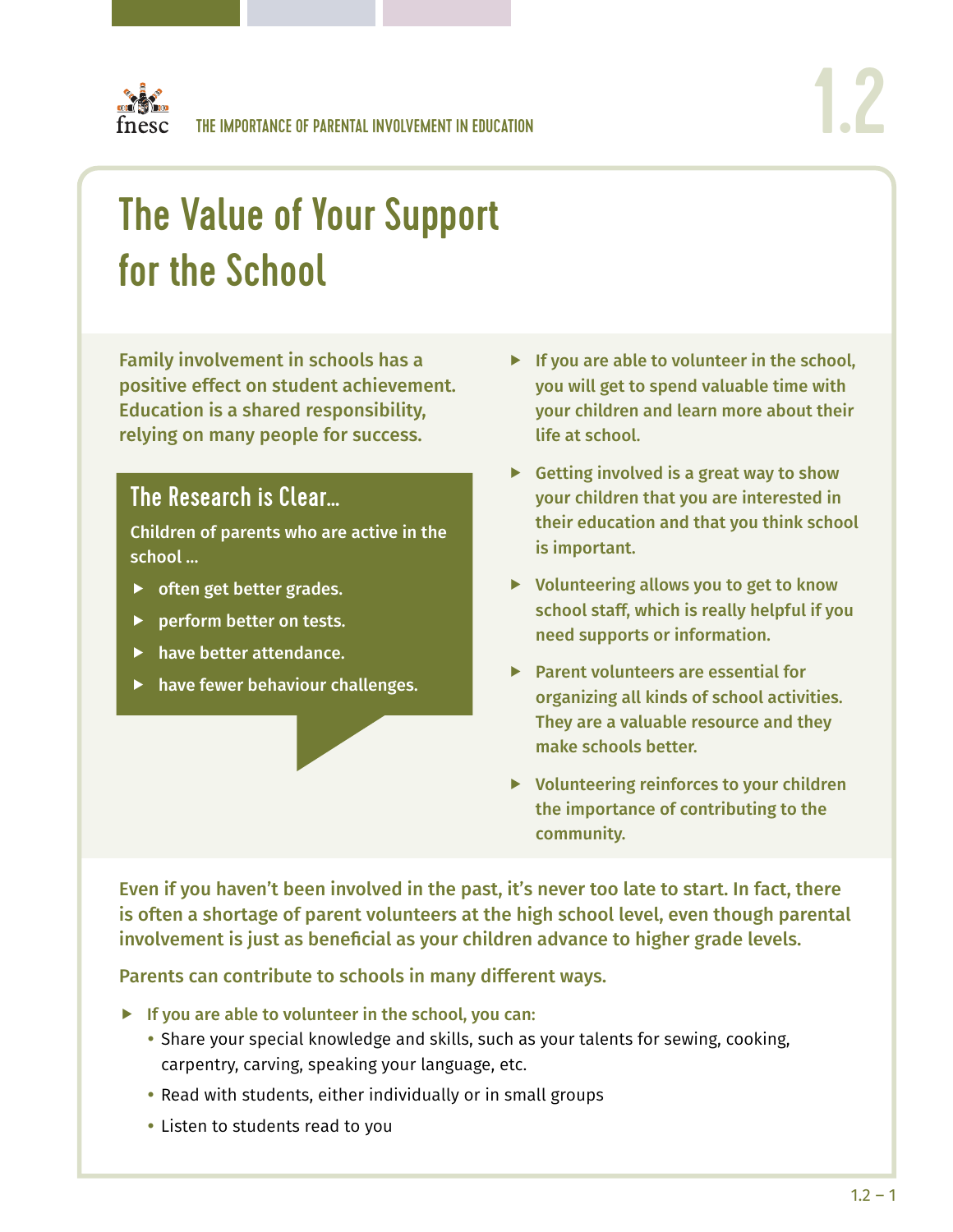

# The Value of Your Support for the School

Family involvement in schools has a positive effect on student achievement. Education is a shared responsibility, relying on many people for success.

### The Research is Clear…

Children of parents who are active in the school …

- $\blacktriangleright$  often get better grades.
- $\blacktriangleright$  perform better on tests.
- $\blacktriangleright$  have better attendance.
- $\blacktriangleright$  have fewer behaviour challenges.
- $\blacktriangleright$  If you are able to volunteer in the school, you will get to spend valuable time with your children and learn more about their life at school.
- $\triangleright$  Getting involved is a great way to show your children that you are interested in their education and that you think school is important.
- $\triangleright$  Volunteering allows you to get to know school staff, which is really helpful if you need supports or information.
- $\blacktriangleright$  Parent volunteers are essential for organizing all kinds of school activities. They are a valuable resource and they make schools better.
- $\triangleright$  Volunteering reinforces to your children the importance of contributing to the community.

Even if you haven't been involved in the past, it's never too late to start. In fact, there is often a shortage of parent volunteers at the high school level, even though parental involvement is just as beneficial as your children advance to higher grade levels.

Parents can contribute to schools in many different ways.

- $\blacktriangleright$  If you are able to volunteer in the school, you can:
	- Share your special knowledge and skills, such as your talents for sewing, cooking, carpentry, carving, speaking your language, etc.
	- Read with students, either individually or in small groups
	- Listen to students read to you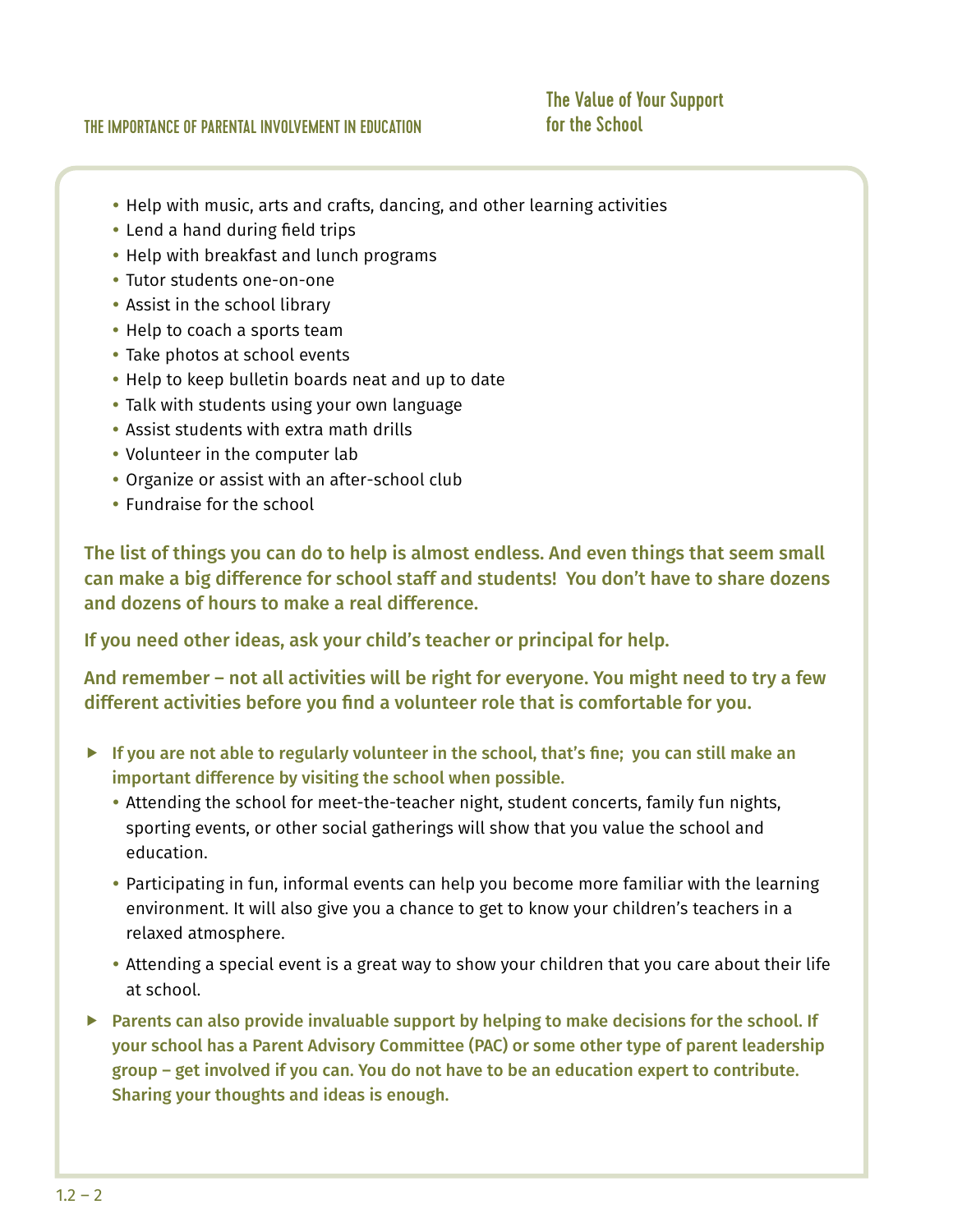- Help with music, arts and crafts, dancing, and other learning activities
- Lend a hand during field trips
- Help with breakfast and lunch programs
- Tutor students one-on-one
- Assist in the school library
- Help to coach a sports team
- Take photos at school events
- Help to keep bulletin boards neat and up to date
- Talk with students using your own language
- Assist students with extra math drills
- Volunteer in the computer lab
- Organize or assist with an after-school club
- Fundraise for the school

The list of things you can do to help is almost endless. And even things that seem small can make a big difference for school staff and students! You don't have to share dozens and dozens of hours to make a real difference.

If you need other ideas, ask your child's teacher or principal for help.

And remember – not all activities will be right for everyone. You might need to try a few different activities before you find a volunteer role that is comfortable for you.

- $\blacktriangleright$  If you are not able to regularly volunteer in the school, that's fine; you can still make an important difference by visiting the school when possible.
	- Attending the school for meet-the-teacher night, student concerts, family fun nights, sporting events, or other social gatherings will show that you value the school and education.
	- Participating in fun, informal events can help you become more familiar with the learning environment. It will also give you a chance to get to know your children's teachers in a relaxed atmosphere.
	- Attending a special event is a great way to show your children that you care about their life at school.
- $\blacktriangleright$  Parents can also provide invaluable support by helping to make decisions for the school. If your school has a Parent Advisory Committee (PAC) or some other type of parent leadership group – get involved if you can. You do not have to be an education expert to contribute. Sharing your thoughts and ideas is enough.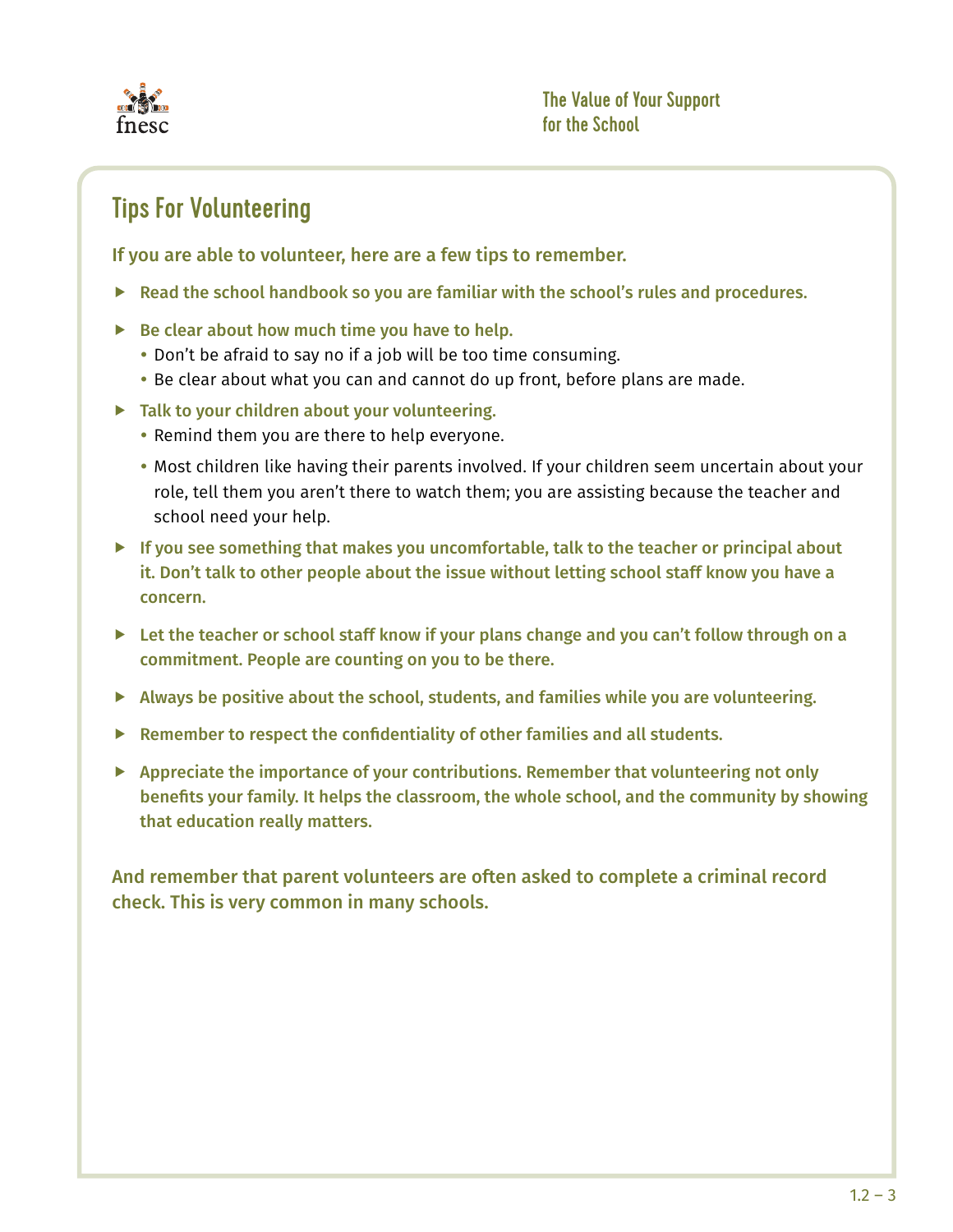

# Tips For Volunteering

If you are able to volunteer, here are a few tips to remember.

- $\blacktriangleright$  Read the school handbook so you are familiar with the school's rules and procedures.
- $\blacktriangleright$  Be clear about how much time you have to help.
	- Don't be afraid to say no if a job will be too time consuming.
	- Be clear about what you can and cannot do up front, before plans are made.
- $\blacktriangleright$  Talk to your children about your volunteering.
	- Remind them you are there to help everyone.
	- Most children like having their parents involved. If your children seem uncertain about your role, tell them you aren't there to watch them; you are assisting because the teacher and school need your help.
- $\blacktriangleright$  If you see something that makes you uncomfortable, talk to the teacher or principal about it. Don't talk to other people about the issue without letting school staff know you have a concern.
- $\blacktriangleright$  Let the teacher or school staff know if your plans change and you can't follow through on a commitment. People are counting on you to be there.
- $\blacktriangleright$  Always be positive about the school, students, and families while you are volunteering.
- $\blacktriangleright$  Remember to respect the confidentiality of other families and all students.
- $\blacktriangleright$  Appreciate the importance of your contributions. Remember that volunteering not only benefits your family. It helps the classroom, the whole school, and the community by showing that education really matters.

And remember that parent volunteers are often asked to complete a criminal record check. This is very common in many schools.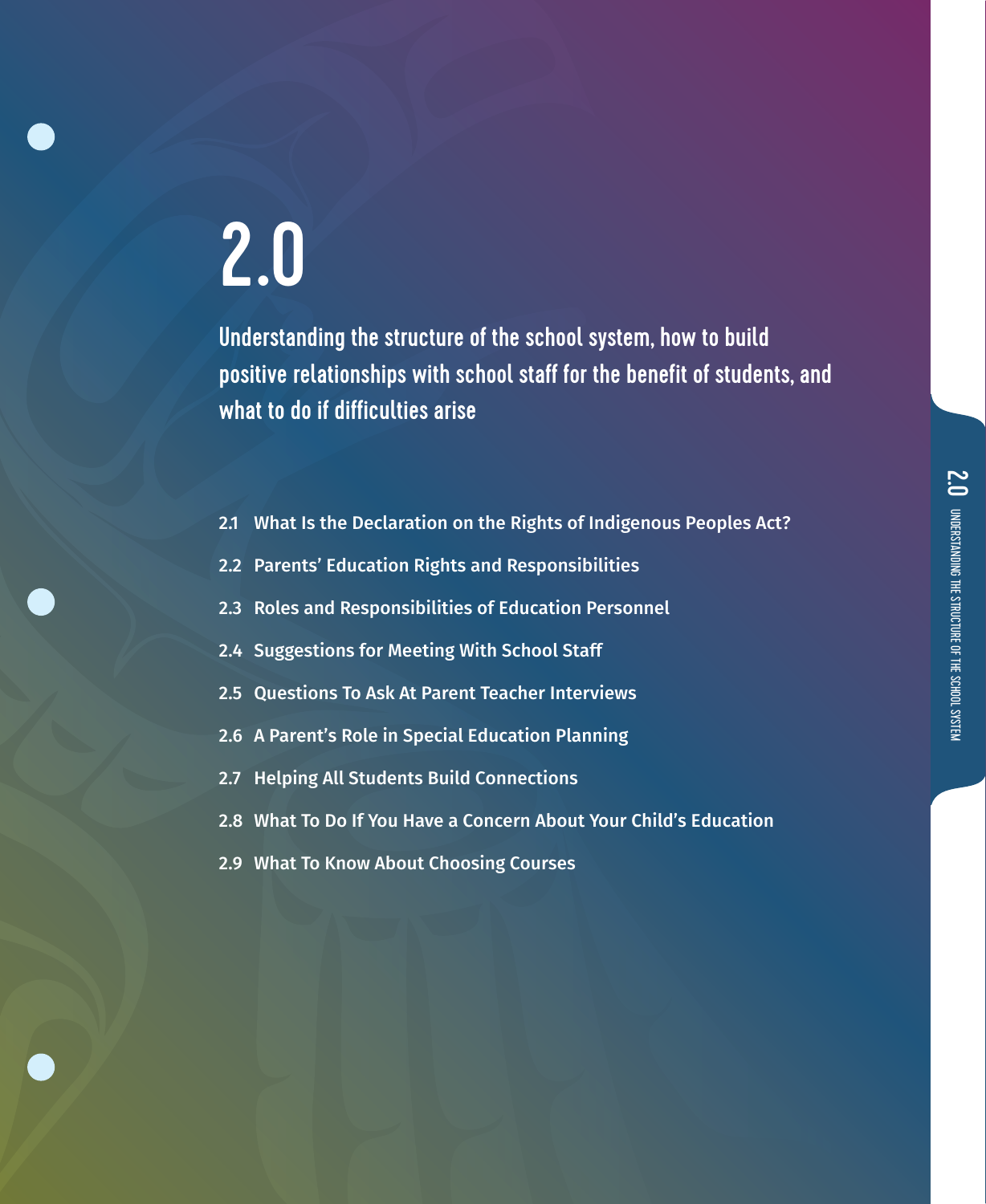# 2.0

Understanding the structure of the school system, how to build positive relationships with school staff for the benefit of students, and what to do if difficulties arise

- 2.1 What Is the Declaration on the Rights of Indigenous Peoples Act?
- 2.2 Parents' Education Rights and Responsibilities
- 2.3 Roles and Responsibilities of Education Personnel
- 2.4 Suggestions for Meeting With School Staff
- 2.5 Questions To Ask At Parent Teacher Interviews
- 2.6 A Parent's Role in Special Education Planning
- 2.7 Helping All Students Build Connections
- 2.8 What To Do If You Have a Concern About Your Child's Education
- 2.9 What To Know About Choosing Courses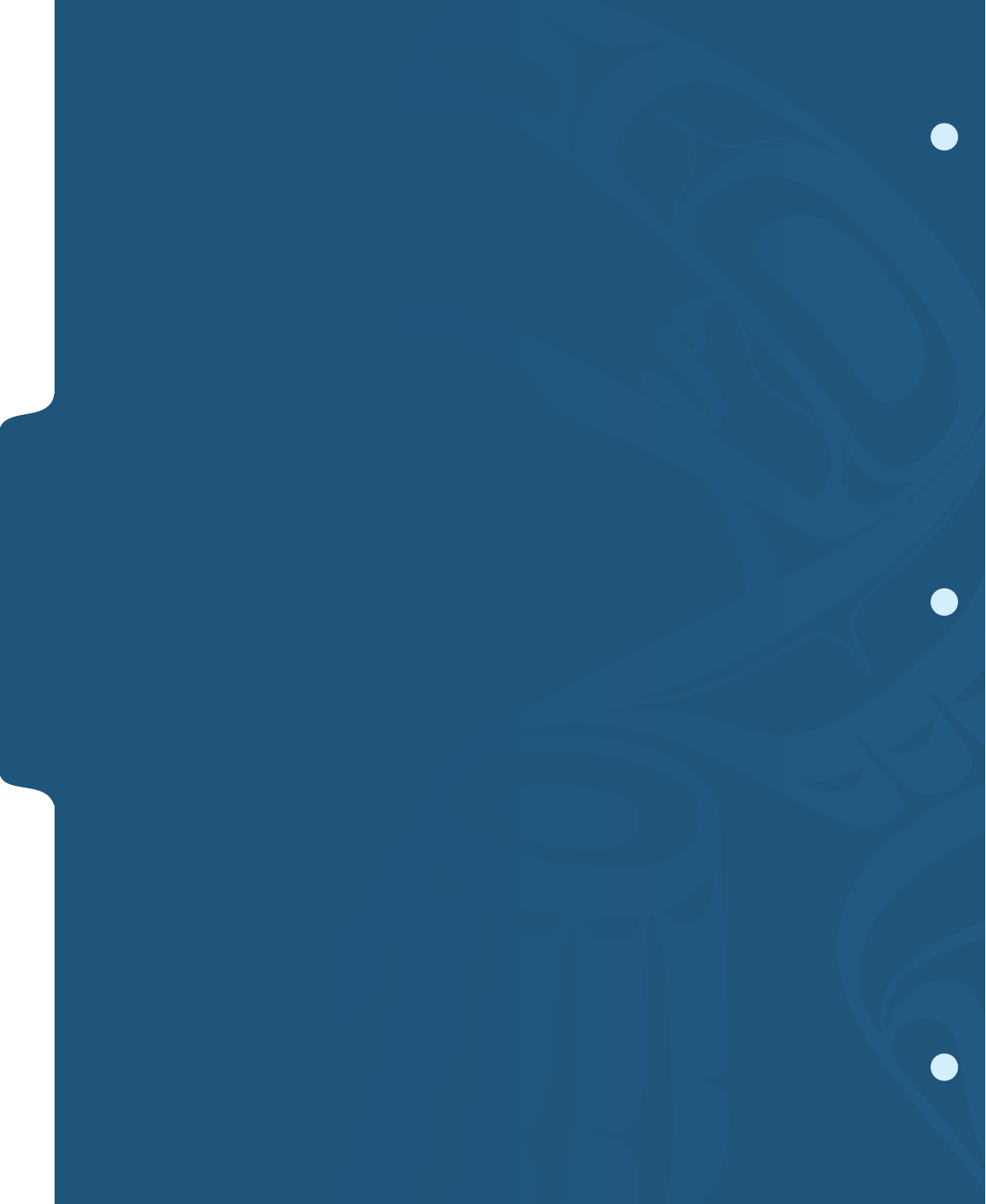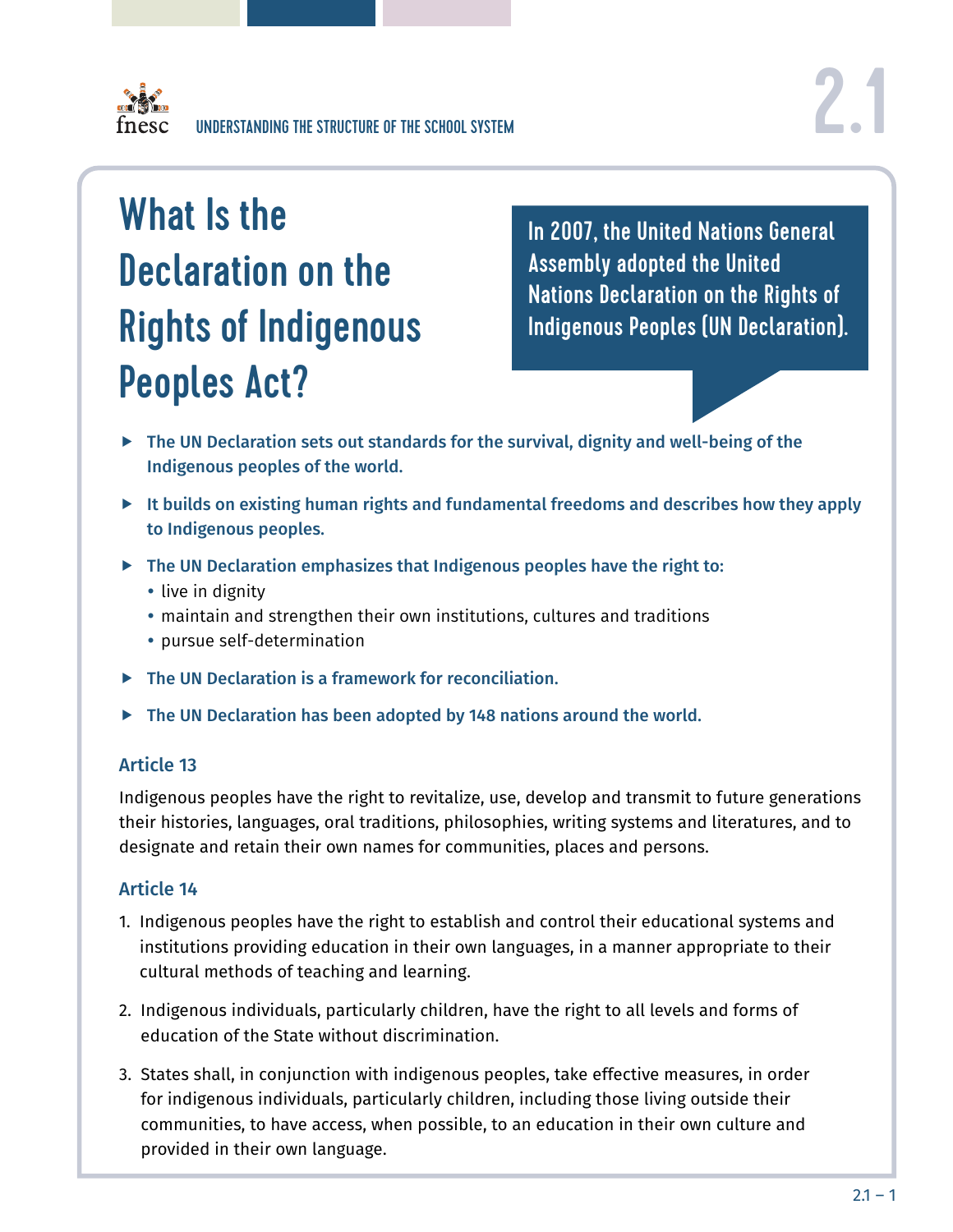

# What Is the Declaration on the Rights of Indigenous Peoples Act?

In 2007, the United Nations General Assembly adopted the United Nations Declaration on the Rights of Indigenous Peoples (UN Declaration).

- $\triangleright$  The UN Declaration sets out standards for the survival, dignity and well-being of the Indigenous peoples of the world.
- $\blacktriangleright$  It builds on existing human rights and fundamental freedoms and describes how they apply to Indigenous peoples.
- $\triangleright$  The UN Declaration emphasizes that Indigenous peoples have the right to:
	- live in dignity
	- maintain and strengthen their own institutions, cultures and traditions
	- pursue self-determination
- The UN Declaration is a framework for reconciliation.
- $\triangleright$  The UN Declaration has been adopted by 148 nations around the world.

#### Article 13

Indigenous peoples have the right to revitalize, use, develop and transmit to future generations their histories, languages, oral traditions, philosophies, writing systems and literatures, and to designate and retain their own names for communities, places and persons.

#### Article 14

- 1. Indigenous peoples have the right to establish and control their educational systems and institutions providing education in their own languages, in a manner appropriate to their cultural methods of teaching and learning.
- 2. Indigenous individuals, particularly children, have the right to all levels and forms of education of the State without discrimination.
- 3. States shall, in conjunction with indigenous peoples, take effective measures, in order for indigenous individuals, particularly children, including those living outside their communities, to have access, when possible, to an education in their own culture and provided in their own language.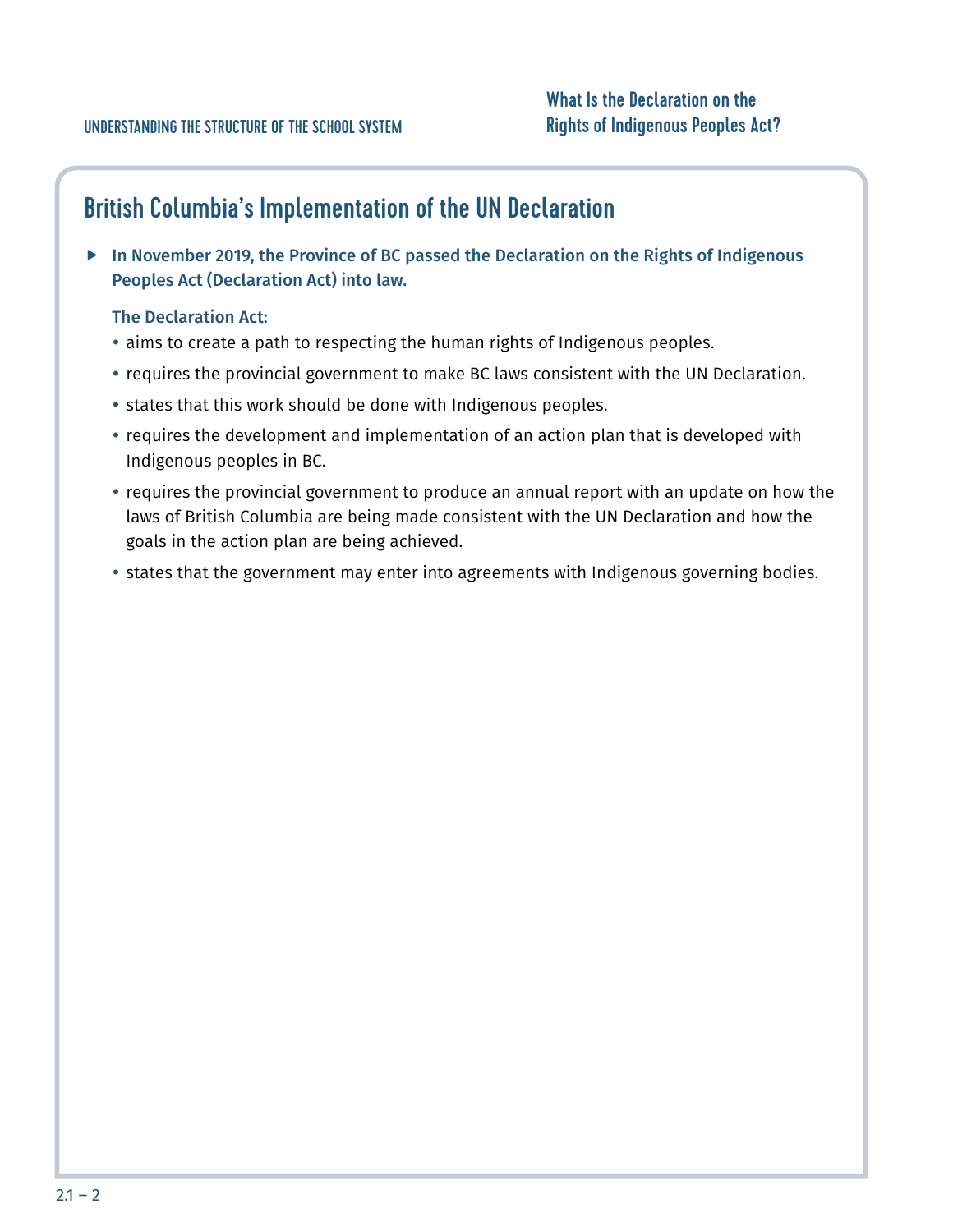# British Columbia's Implementation of the UN Declaration

 $\triangleright$  In November 2019, the Province of BC passed the Declaration on the Rights of Indigenous Peoples Act (Declaration Act) into law.

#### The Declaration Act:

- aims to create a path to respecting the human rights of Indigenous peoples.
- requires the provincial government to make BC laws consistent with the UN Declaration.
- states that this work should be done with Indigenous peoples.
- requires the development and implementation of an action plan that is developed with Indigenous peoples in BC.
- requires the provincial government to produce an annual report with an update on how the laws of British Columbia are being made consistent with the UN Declaration and how the goals in the action plan are being achieved.
- states that the government may enter into agreements with Indigenous governing bodies.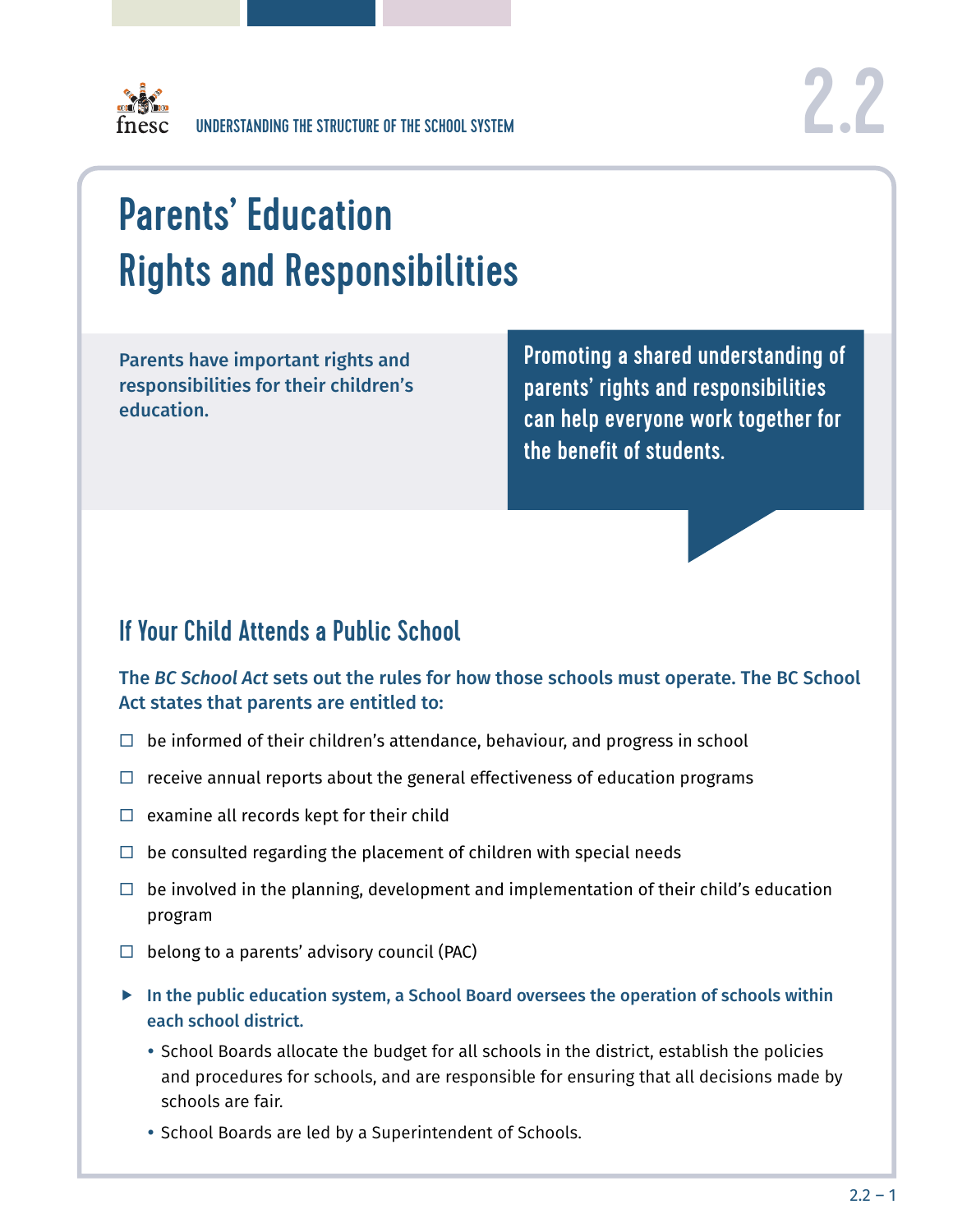

# Parents' Education Rights and Responsibilities

Parents have important rights and responsibilities for their children's education.

**Promoting a shared understanding of** parents' rights and responsibilities can help everyone work together for the benefit of students.

# If Your Child Attends a Public School

#### The *BC School Act* sets out the rules for how those schools must operate. The BC School Act states that parents are entitled to:

- $\Box$  be informed of their children's attendance, behaviour, and progress in school
- $\Box$  receive annual reports about the general effectiveness of education programs
- $\Box$  examine all records kept for their child
- $\Box$  be consulted regarding the placement of children with special needs
- $\Box$  be involved in the planning, development and implementation of their child's education program
- $\Box$  belong to a parents' advisory council (PAC)
- $\blacktriangleright$  In the public education system, a School Board oversees the operation of schools within each school district.
	- School Boards allocate the budget for all schools in the district, establish the policies and procedures for schools, and are responsible for ensuring that all decisions made by schools are fair.
	- School Boards are led by a Superintendent of Schools.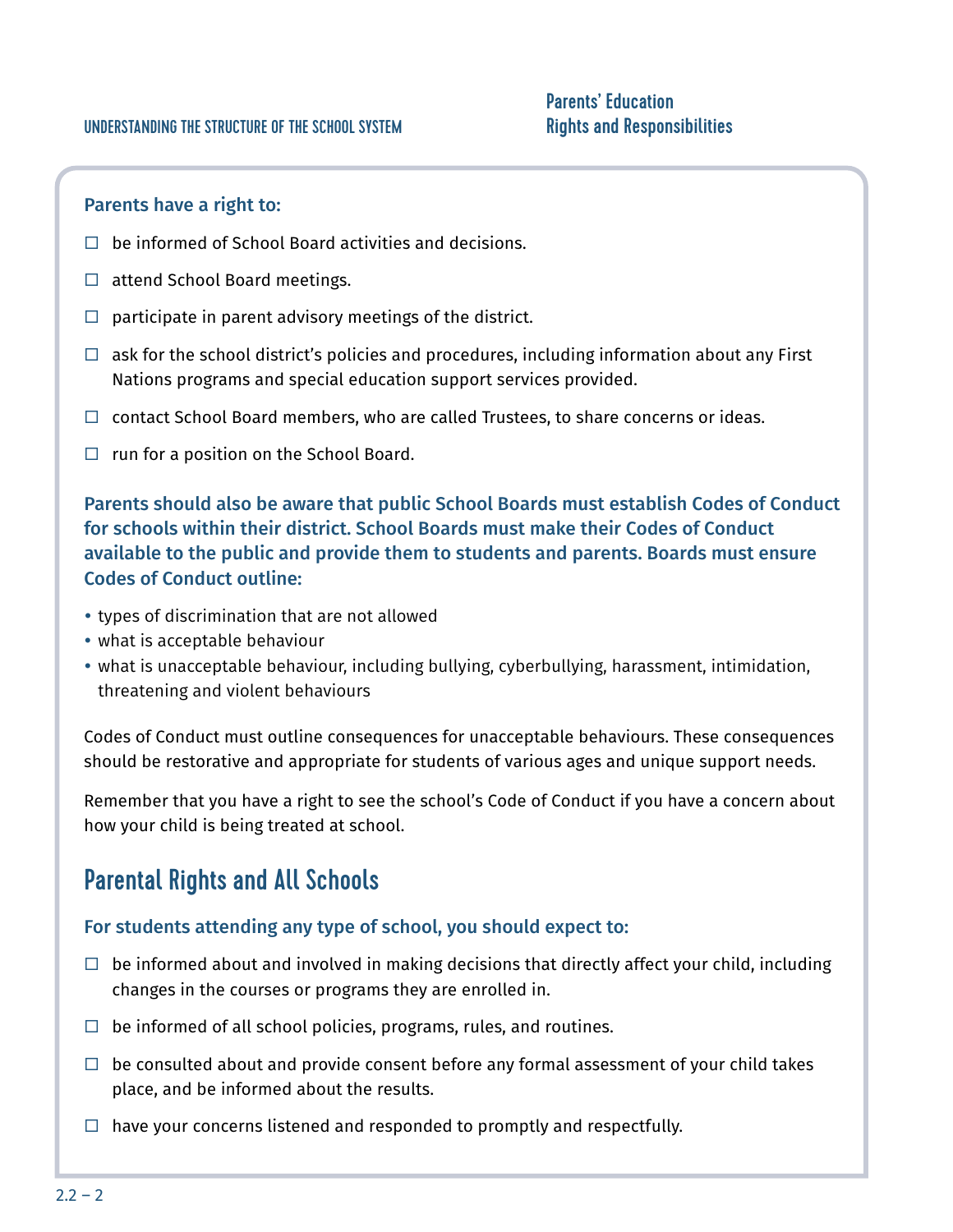#### Parents have a right to:

- $\Box$  be informed of School Board activities and decisions.
- $\Box$  attend School Board meetings.
- $\Box$  participate in parent advisory meetings of the district.
- $\Box$  ask for the school district's policies and procedures, including information about any First Nations programs and special education support services provided.
- $\Box$  contact School Board members, who are called Trustees, to share concerns or ideas.
- $\Box$  run for a position on the School Board.

Parents should also be aware that public School Boards must establish Codes of Conduct for schools within their district. School Boards must make their Codes of Conduct available to the public and provide them to students and parents. Boards must ensure Codes of Conduct outline:

- types of discrimination that are not allowed
- what is acceptable behaviour
- what is unacceptable behaviour, including bullying, cyberbullying, harassment, intimidation, threatening and violent behaviours

Codes of Conduct must outline consequences for unacceptable behaviours. These consequences should be restorative and appropriate for students of various ages and unique support needs.

Remember that you have a right to see the school's Code of Conduct if you have a concern about how your child is being treated at school.

## Parental Rights and All Schools

#### For students attending any type of school, you should expect to:

- $\Box$  be informed about and involved in making decisions that directly affect your child, including changes in the courses or programs they are enrolled in.
- $\Box$  be informed of all school policies, programs, rules, and routines.
- $\Box$  be consulted about and provide consent before any formal assessment of your child takes place, and be informed about the results.
- $\Box$  have your concerns listened and responded to promptly and respectfully.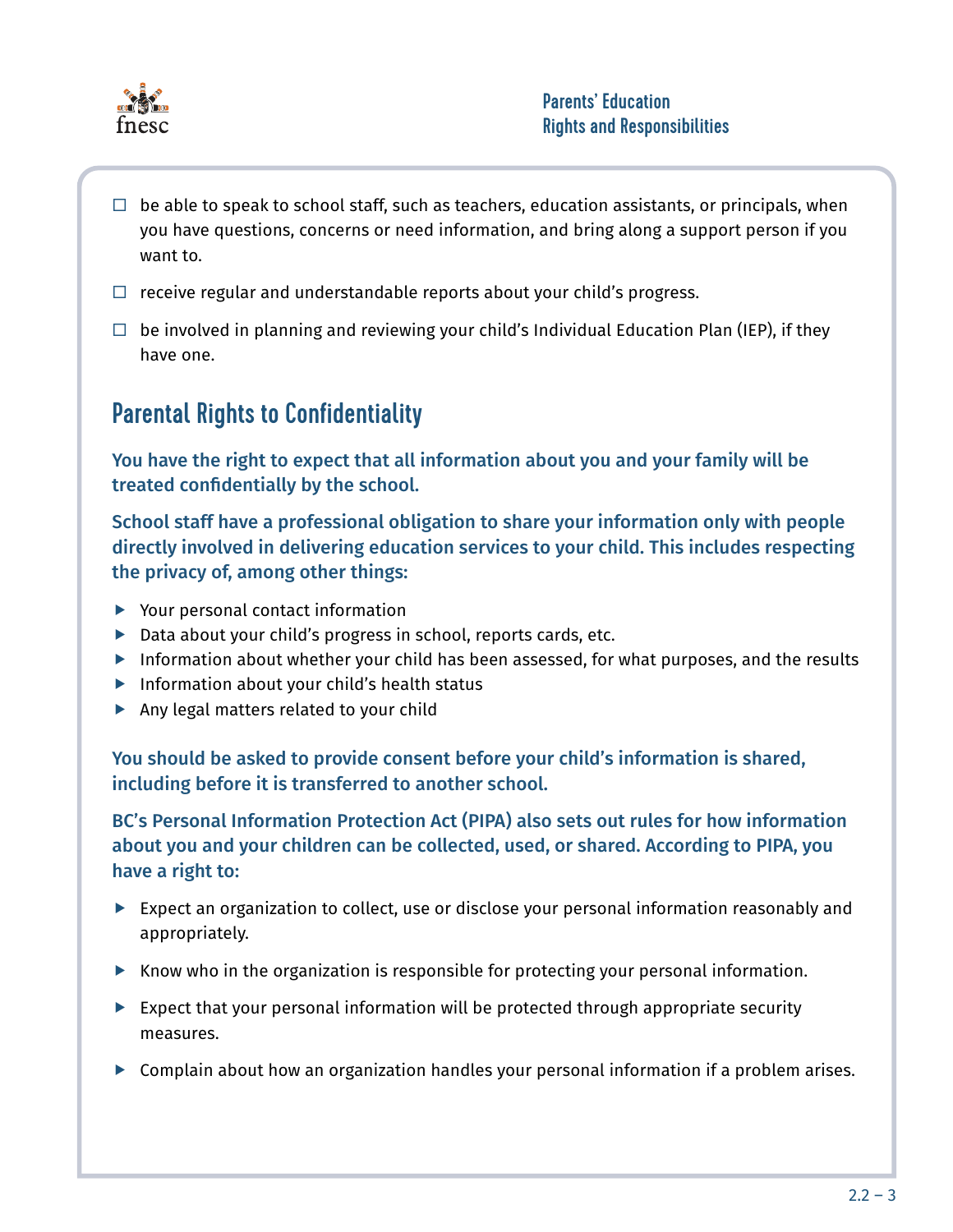

- $\Box$  be able to speak to school staff, such as teachers, education assistants, or principals, when you have questions, concerns or need information, and bring along a support person if you want to.
- $\Box$  receive regular and understandable reports about your child's progress.
- $\Box$  be involved in planning and reviewing your child's Individual Education Plan (IEP), if they have one.

## Parental Rights to Confidentiality

You have the right to expect that all information about you and your family will be treated confidentially by the school.

School staff have a professional obligation to share your information only with people directly involved in delivering education services to your child. This includes respecting the privacy of, among other things:

- Your personal contact information
- $\triangleright$  Data about your child's progress in school, reports cards, etc.
- $\blacktriangleright$  Information about whether your child has been assessed, for what purposes, and the results
- $\blacktriangleright$  Information about your child's health status
- $\blacktriangleright$  Any legal matters related to your child

You should be asked to provide consent before your child's information is shared, including before it is transferred to another school.

BC's Personal Information Protection Act (PIPA) also sets out rules for how information about you and your children can be collected, used, or shared. According to PIPA, you have a right to:

- $\blacktriangleright$  Expect an organization to collect, use or disclose your personal information reasonably and appropriately.
- $\blacktriangleright$  Know who in the organization is responsible for protecting your personal information.
- $\blacktriangleright$  Expect that your personal information will be protected through appropriate security measures.
- $\triangleright$  Complain about how an organization handles your personal information if a problem arises.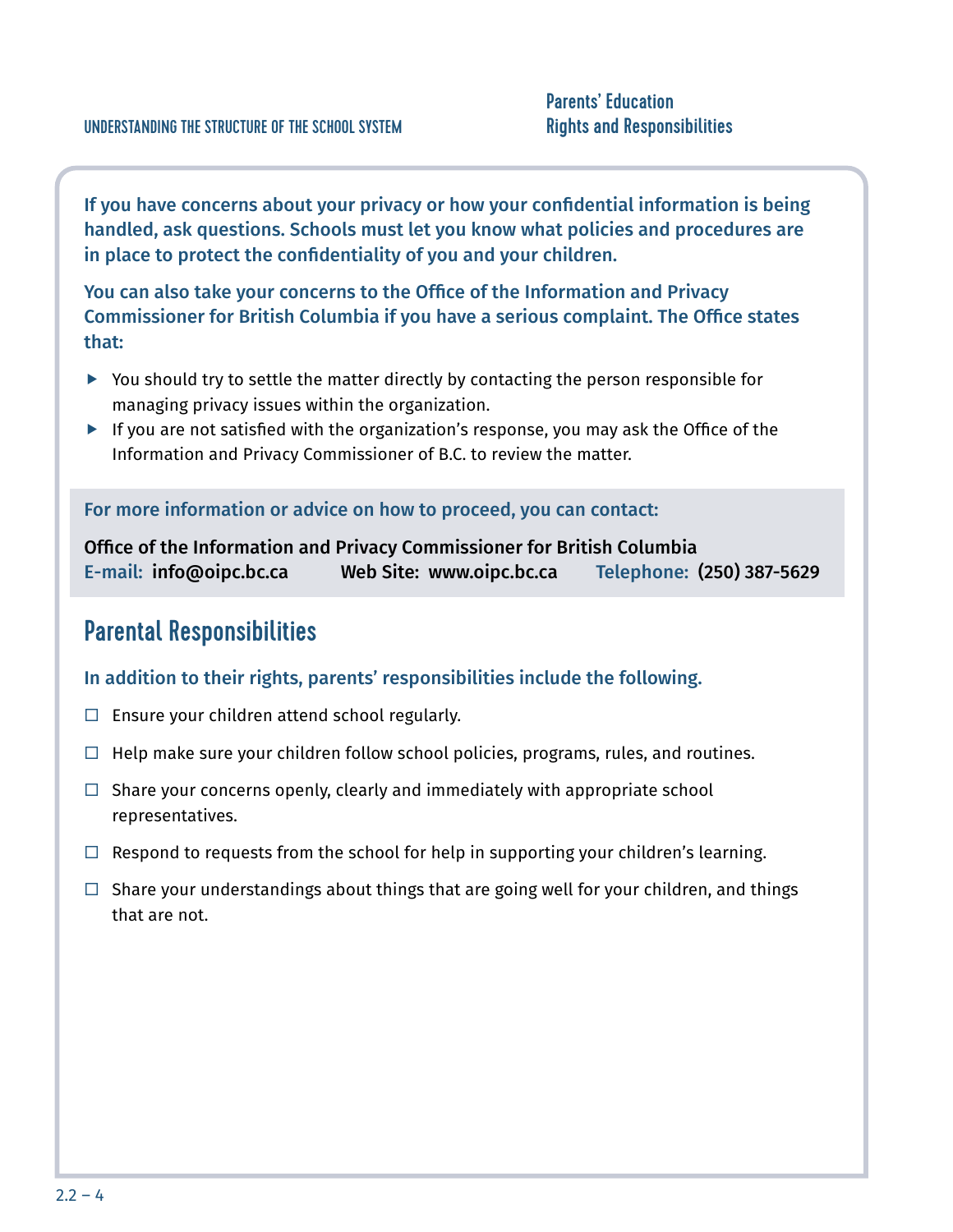If you have concerns about your privacy or how your confidential information is being handled, ask questions. Schools must let you know what policies and procedures are in place to protect the confidentiality of you and your children.

You can also take your concerns to the Office of the Information and Privacy Commissioner for British Columbia if you have a serious complaint. The Office states that:

- $\blacktriangleright$  You should try to settle the matter directly by contacting the person responsible for managing privacy issues within the organization.
- $\blacktriangleright$  If you are not satisfied with the organization's response, you may ask the Office of the Information and Privacy Commissioner of B.C. to review the matter.

#### For more information or advice on how to proceed, you can contact:

Office of the Information and Privacy Commissioner for British Columbia E-mail: info@oipc.bc.ca Web Site: www.oipc.bc.ca Telephone: (250) 387-5629

## Parental Responsibilities

#### In addition to their rights, parents' responsibilities include the following.

- $\Box$  Ensure your children attend school regularly.
- $\Box$  Help make sure your children follow school policies, programs, rules, and routines.
- $\Box$  Share your concerns openly, clearly and immediately with appropriate school representatives.
- $\Box$  Respond to requests from the school for help in supporting your children's learning.
- $\Box$  Share your understandings about things that are going well for your children, and things that are not.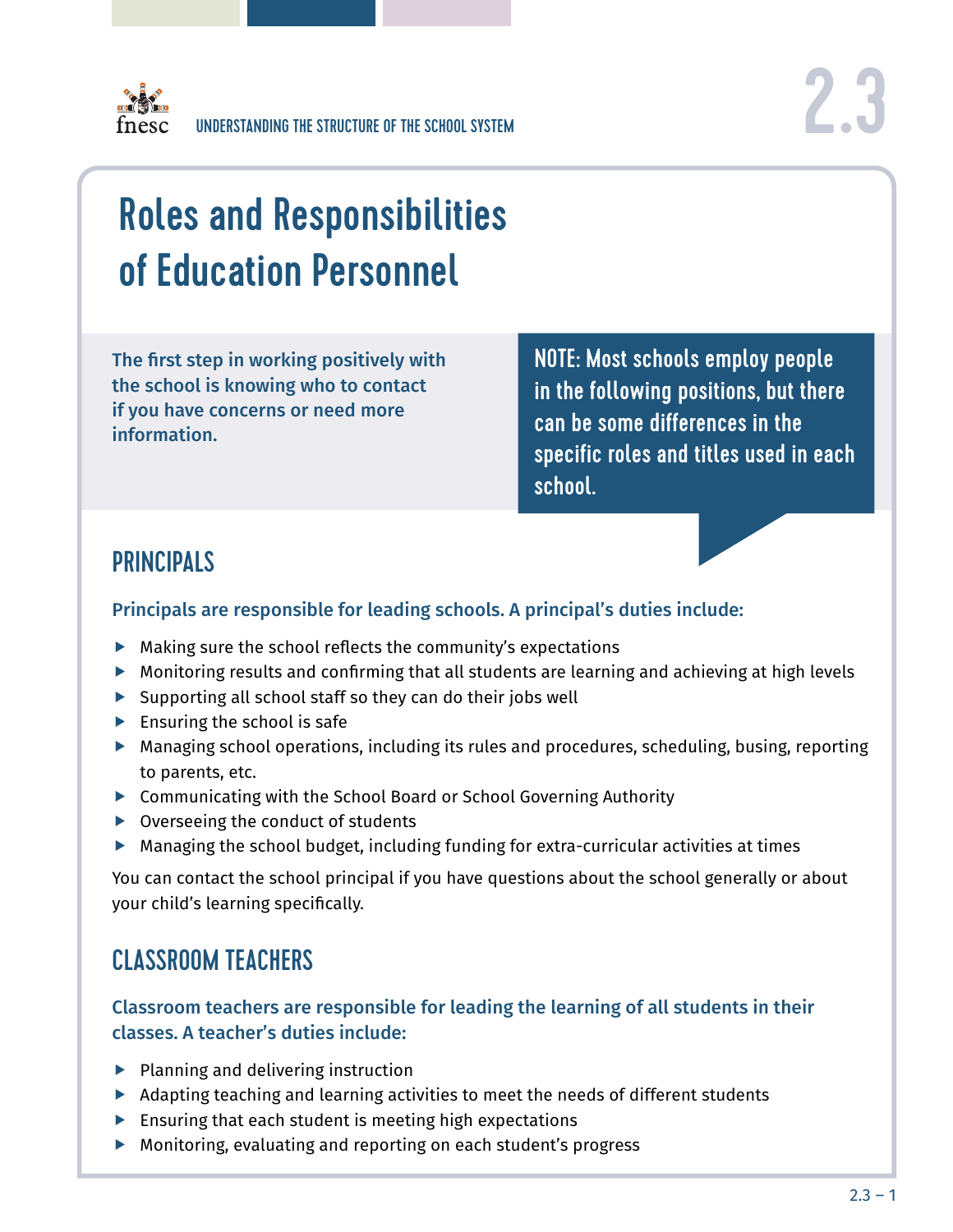

# Roles and Responsibilities of Education Personnel

The first step in working positively with the school is knowing who to contact if you have concerns or need more information.

NOTE: Most schools employ people in the following positions, but there can be some differences in the specific roles and titles used in each school.

## PRINCIPALS

#### Principals are responsible for leading schools. A principal's duties include:

- $\blacktriangleright$  Making sure the school reflects the community's expectations
- $\blacktriangleright$  Monitoring results and confirming that all students are learning and achieving at high levels
- $\blacktriangleright$  Supporting all school staff so they can do their jobs well
- $\blacktriangleright$  Ensuring the school is safe
- $\blacktriangleright$  Managing school operations, including its rules and procedures, scheduling, busing, reporting to parents, etc.
- $\triangleright$  Communicating with the School Board or School Governing Authority
- $\triangleright$  Overseeing the conduct of students
- $\blacktriangleright$  Managing the school budget, including funding for extra-curricular activities at times

You can contact the school principal if you have questions about the school generally or about your child's learning specifically.

# CLASSROOM TEACHERS

#### Classroom teachers are responsible for leading the learning of all students in their classes. A teacher's duties include:

- $\blacktriangleright$  Planning and delivering instruction
- $\blacktriangleright$  Adapting teaching and learning activities to meet the needs of different students
- $\blacktriangleright$  Ensuring that each student is meeting high expectations
- $\blacktriangleright$  Monitoring, evaluating and reporting on each student's progress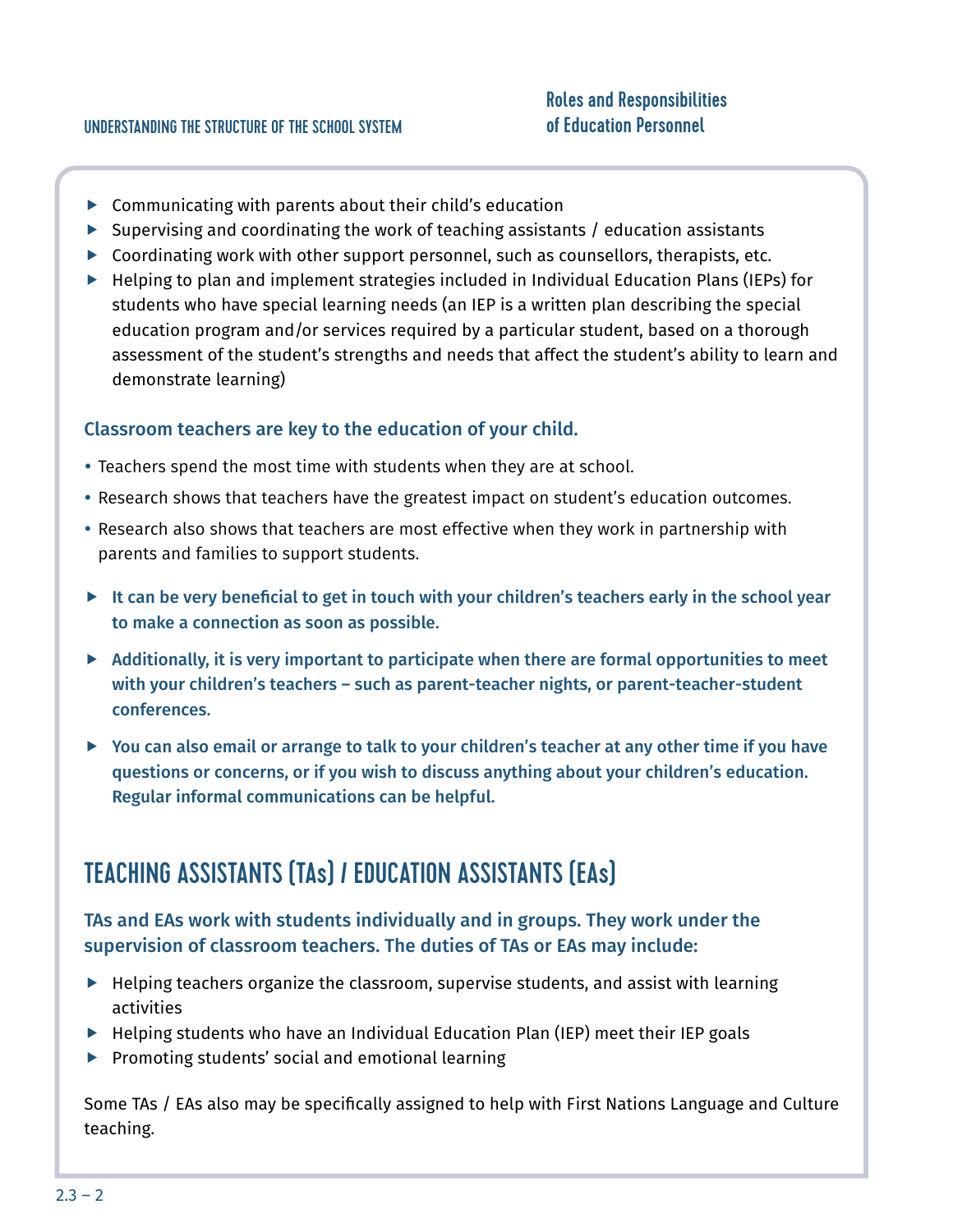- $\triangleright$  Communicating with parents about their child's education
- $\blacktriangleright$  Supervising and coordinating the work of teaching assistants / education assistants
- $\triangleright$  Coordinating work with other support personnel, such as counsellors, therapists, etc.
- $\blacktriangleright$  Helping to plan and implement strategies included in Individual Education Plans (IEPs) for students who have special learning needs (an IEP is a written plan describing the special education program and/or services required by a particular student, based on a thorough assessment of the student's strengths and needs that affect the student's ability to learn and demonstrate learning)

#### Classroom teachers are key to the education of your child.

- Teachers spend the most time with students when they are at school.
- Research shows that teachers have the greatest impact on student's education outcomes.
- Research also shows that teachers are most effective when they work in partnership with parents and families to support students.
- $\blacktriangleright$  It can be very beneficial to get in touch with your children's teachers early in the school year to make a connection as soon as possible.
- $\blacktriangleright$  Additionally, it is very important to participate when there are formal opportunities to meet with your children's teachers – such as parent-teacher nights, or parent-teacher-student conferences.
- $\triangleright$  You can also email or arrange to talk to your children's teacher at any other time if you have questions or concerns, or if you wish to discuss anything about your children's education. Regular informal communications can be helpful.

# TEACHING ASSISTANTS (TAs) / EDUCATION ASSISTANTS (EAs)

#### TAs and EAs work with students individually and in groups. They work under the supervision of classroom teachers. The duties of TAs or EAs may include:

- $\blacktriangleright$  Helping teachers organize the classroom, supervise students, and assist with learning activities
- $\blacktriangleright$  Helping students who have an Individual Education Plan (IEP) meet their IEP goals
- $\blacktriangleright$  Promoting students' social and emotional learning

Some TAs / EAs also may be specifically assigned to help with First Nations Language and Culture teaching.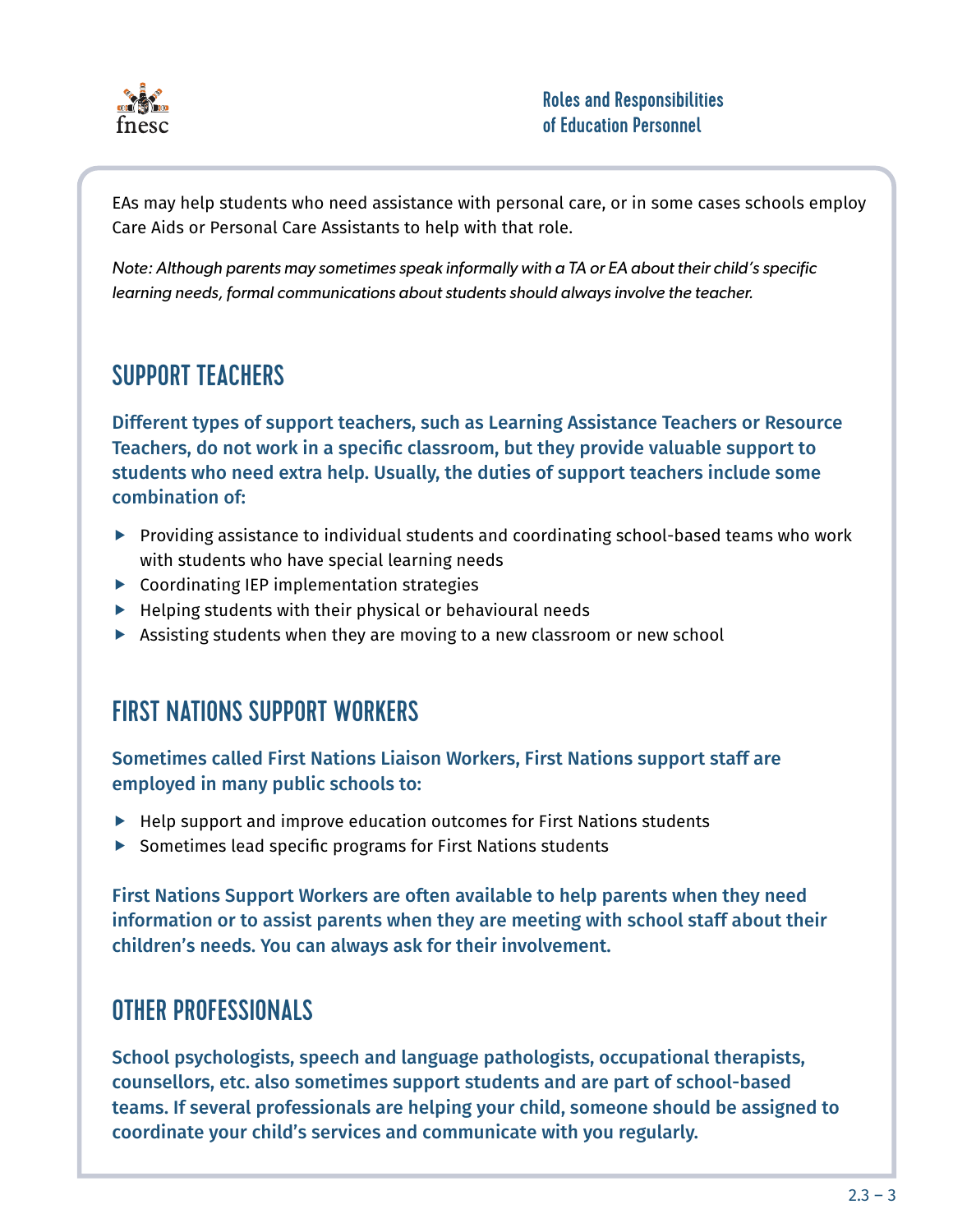

EAs may help students who need assistance with personal care, or in some cases schools employ Care Aids or Personal Care Assistants to help with that role.

*Note: Although parents may sometimes speak informally with a TA or EA about their child's specific learning needs, formal communications about students should always involve the teacher.*

# SUPPORT TEACHERS

Different types of support teachers, such as Learning Assistance Teachers or Resource Teachers, do not work in a specific classroom, but they provide valuable support to students who need extra help. Usually, the duties of support teachers include some combination of:

- $\blacktriangleright$  Providing assistance to individual students and coordinating school-based teams who work with students who have special learning needs
- $\triangleright$  Coordinating IEP implementation strategies
- $\blacktriangleright$  Helping students with their physical or behavioural needs
- $\blacktriangleright$  Assisting students when they are moving to a new classroom or new school

# FIRST NATIONS SUPPORT WORKERS

Sometimes called First Nations Liaison Workers, First Nations support staff are employed in many public schools to:

- $\blacktriangleright$  Help support and improve education outcomes for First Nations students
- $\blacktriangleright$  Sometimes lead specific programs for First Nations students

First Nations Support Workers are often available to help parents when they need information or to assist parents when they are meeting with school staff about their children's needs. You can always ask for their involvement.

# OTHER PROFESSIONALS

School psychologists, speech and language pathologists, occupational therapists, counsellors, etc. also sometimes support students and are part of school-based teams. If several professionals are helping your child, someone should be assigned to coordinate your child's services and communicate with you regularly.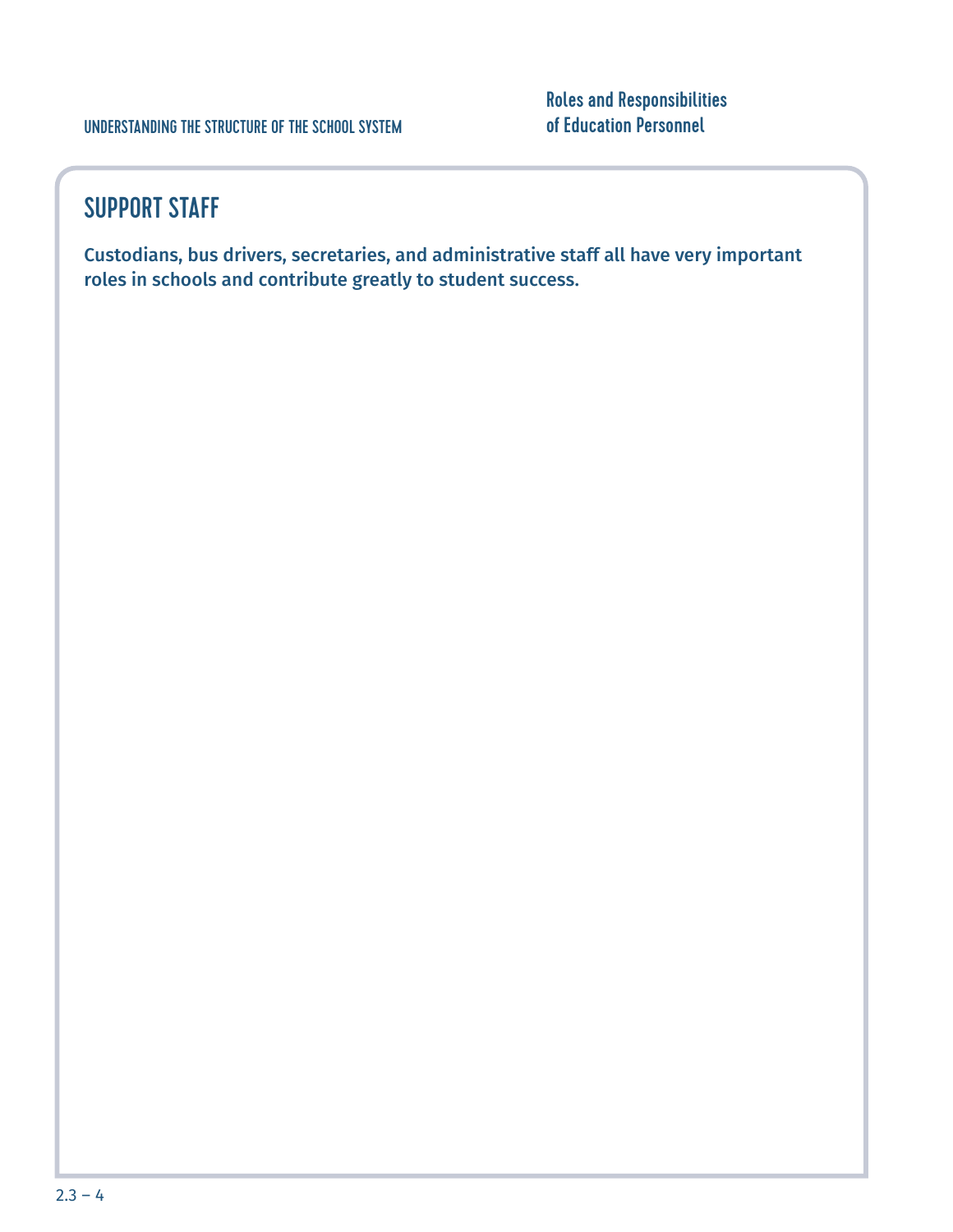# SUPPORT STAFF

Custodians, bus drivers, secretaries, and administrative staff all have very important roles in schools and contribute greatly to student success.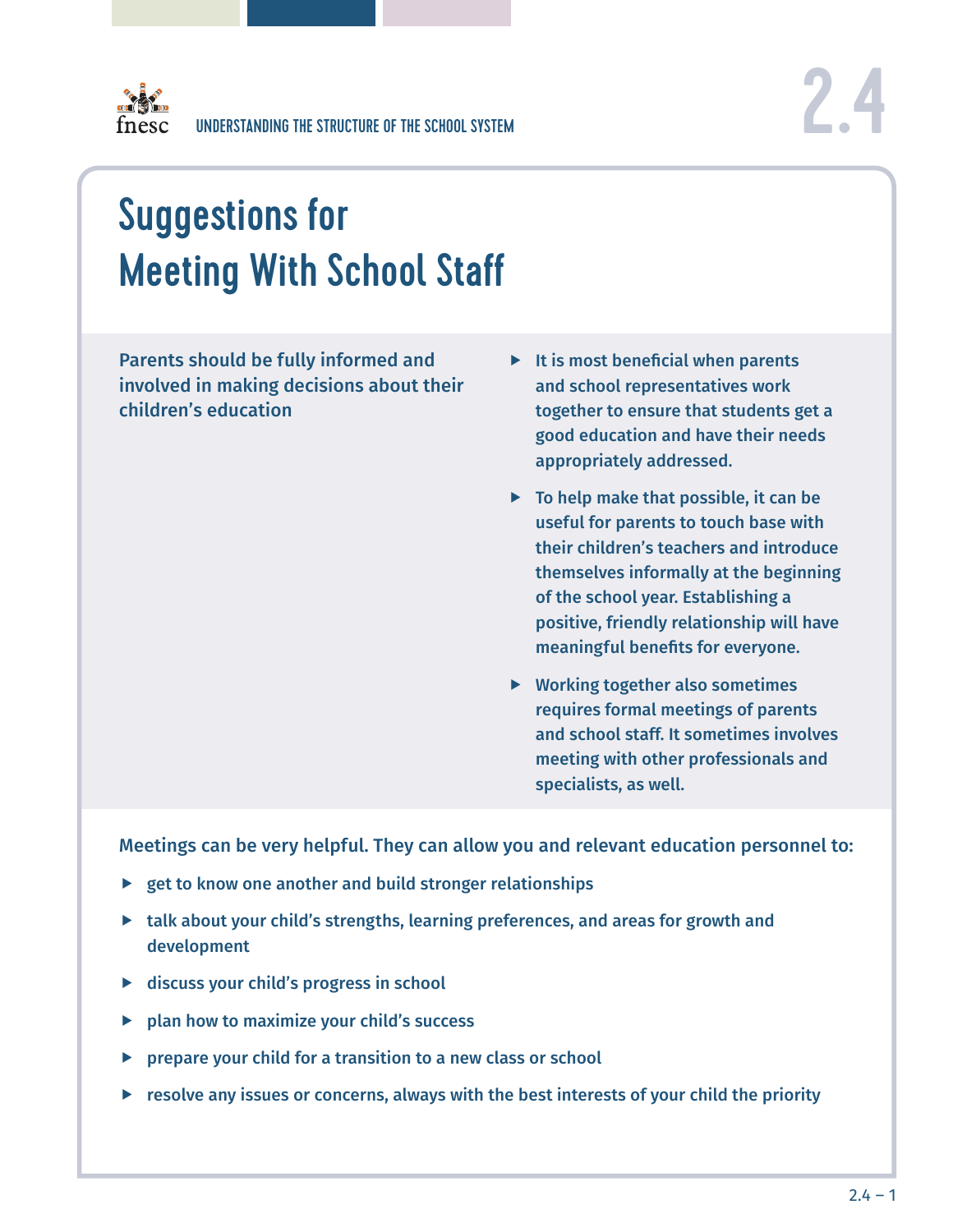

# Suggestions for Meeting With School Staff

Parents should be fully informed and involved in making decisions about their children's education

- $\blacktriangleright$  It is most beneficial when parents and school representatives work together to ensure that students get a good education and have their needs appropriately addressed.
- $\triangleright$  To help make that possible, it can be useful for parents to touch base with their children's teachers and introduce themselves informally at the beginning of the school year. Establishing a positive, friendly relationship will have meaningful benefits for everyone.
- $\blacktriangleright$  Working together also sometimes requires formal meetings of parents and school staff. It sometimes involves meeting with other professionals and specialists, as well.

Meetings can be very helpful. They can allow you and relevant education personnel to:

- $\blacktriangleright$  get to know one another and build stronger relationships
- $\blacktriangleright$  talk about your child's strengths, learning preferences, and areas for growth and development
- $\blacktriangleright$  discuss your child's progress in school
- $\blacktriangleright$  plan how to maximize your child's success
- prepare your child for a transition to a new class or school
- $\triangleright$  resolve any issues or concerns, always with the best interests of your child the priority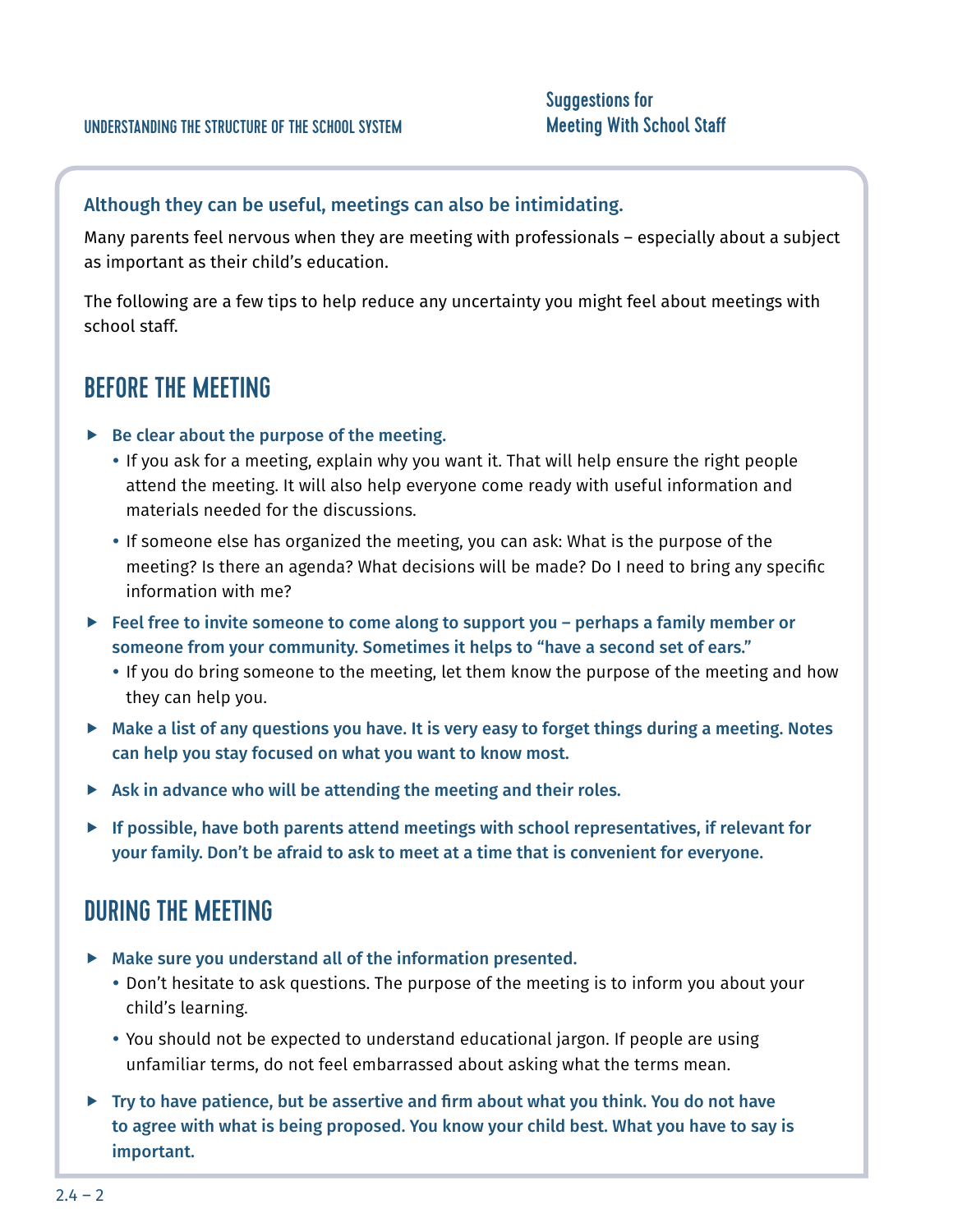#### Although they can be useful, meetings can also be intimidating.

Many parents feel nervous when they are meeting with professionals – especially about a subject as important as their child's education.

The following are a few tips to help reduce any uncertainty you might feel about meetings with school staff.

## BEFORE THE MEETING

- $\blacktriangleright$  Be clear about the purpose of the meeting.
	- If you ask for a meeting, explain why you want it. That will help ensure the right people attend the meeting. It will also help everyone come ready with useful information and materials needed for the discussions.
	- If someone else has organized the meeting, you can ask: What is the purpose of the meeting? Is there an agenda? What decisions will be made? Do I need to bring any specific information with me?
- $\blacktriangleright$  Feel free to invite someone to come along to support you perhaps a family member or someone from your community. Sometimes it helps to "have a second set of ears."
	- If you do bring someone to the meeting, let them know the purpose of the meeting and how they can help you.
- $\blacktriangleright$  Make a list of any questions you have. It is very easy to forget things during a meeting. Notes can help you stay focused on what you want to know most.
- $\triangleright$  Ask in advance who will be attending the meeting and their roles.
- $\blacktriangleright$  If possible, have both parents attend meetings with school representatives, if relevant for your family. Don't be afraid to ask to meet at a time that is convenient for everyone.

# DURING THE MEETING

- $\blacktriangleright$  Make sure you understand all of the information presented.
	- Don't hesitate to ask questions. The purpose of the meeting is to inform you about your child's learning.
	- You should not be expected to understand educational jargon. If people are using unfamiliar terms, do not feel embarrassed about asking what the terms mean.
- $\triangleright$  Try to have patience, but be assertive and firm about what you think. You do not have to agree with what is being proposed. You know your child best. What you have to say is important.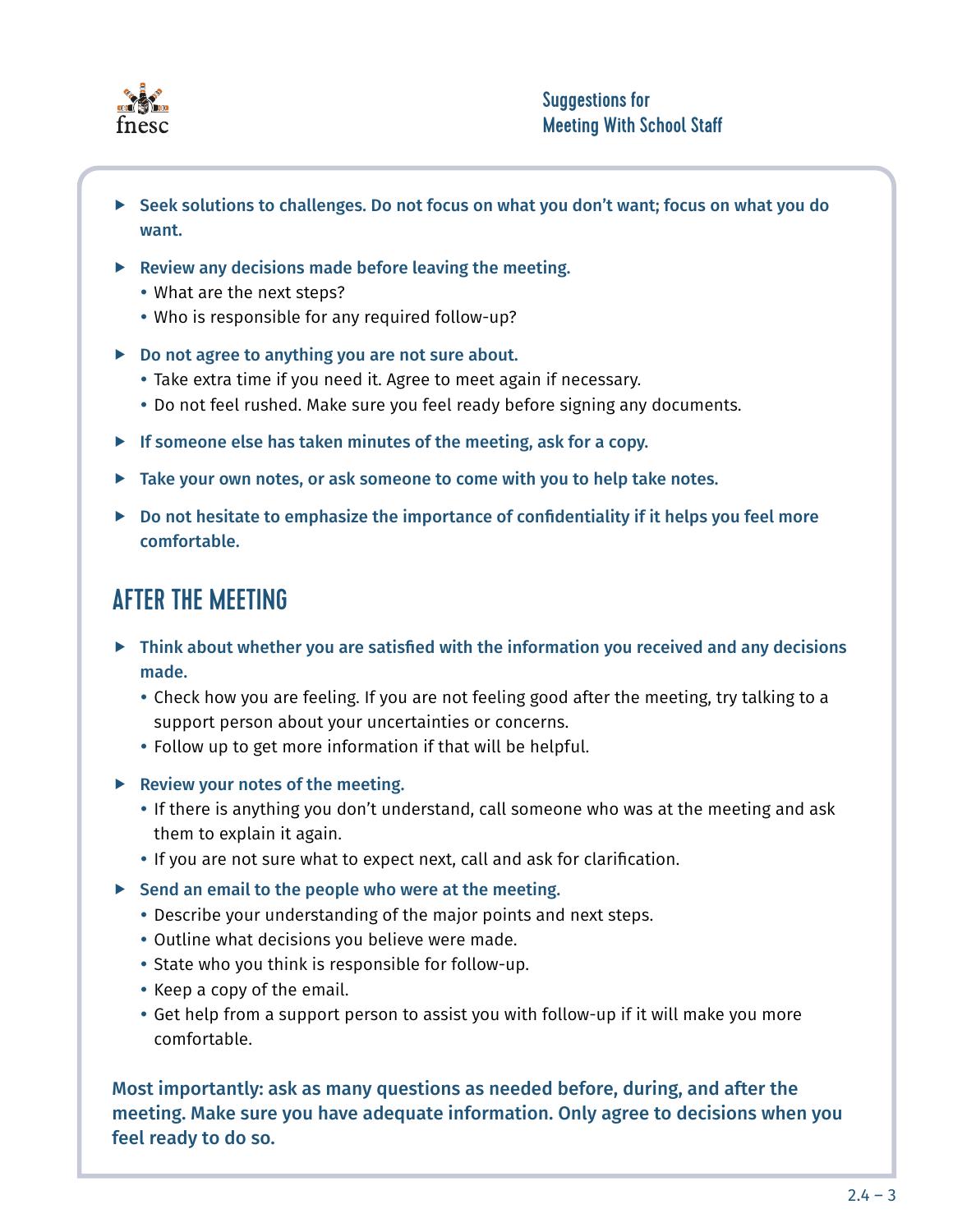

- ▶ Seek solutions to challenges. Do not focus on what you don't want; focus on what you do want.
- $\blacktriangleright$  Review any decisions made before leaving the meeting.
	- What are the next steps?
	- Who is responsible for any required follow-up?
- $\triangleright$  Do not agree to anything you are not sure about.
	- Take extra time if you need it. Agree to meet again if necessary.
	- Do not feel rushed. Make sure you feel ready before signing any documents.
- $\blacktriangleright$  If someone else has taken minutes of the meeting, ask for a copy.
- $\blacktriangleright$  Take your own notes, or ask someone to come with you to help take notes.
- $\triangleright$  Do not hesitate to emphasize the importance of confidentiality if it helps you feel more comfortable.

# AFTER THE MEETING

- $\triangleright$  Think about whether you are satisfied with the information you received and any decisions made.
	- Check how you are feeling. If you are not feeling good after the meeting, try talking to a support person about your uncertainties or concerns.
	- Follow up to get more information if that will be helpful.
- $\blacktriangleright$  Review your notes of the meeting.
	- If there is anything you don't understand, call someone who was at the meeting and ask them to explain it again.
	- If you are not sure what to expect next, call and ask for clarification.
- $\blacktriangleright$  Send an email to the people who were at the meeting.
	- Describe your understanding of the major points and next steps.
	- Outline what decisions you believe were made.
	- State who you think is responsible for follow-up.
	- Keep a copy of the email.
	- Get help from a support person to assist you with follow-up if it will make you more comfortable.

Most importantly: ask as many questions as needed before, during, and after the meeting. Make sure you have adequate information. Only agree to decisions when you feel ready to do so.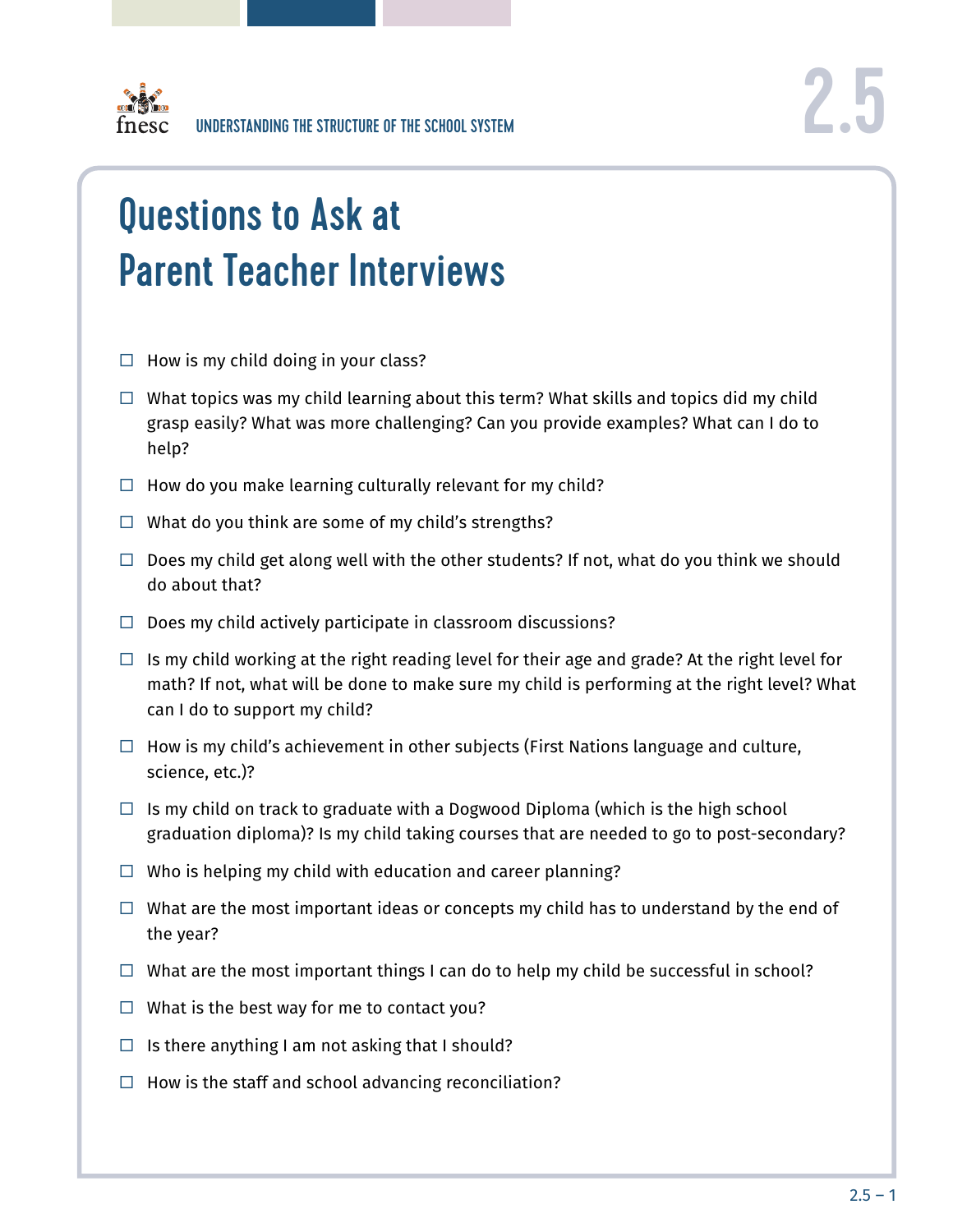

# Questions to Ask at Parent Teacher Interviews

- $\Box$  How is my child doing in your class?
- $\Box$  What topics was my child learning about this term? What skills and topics did my child grasp easily? What was more challenging? Can you provide examples? What can I do to help?
- $\Box$  How do you make learning culturally relevant for my child?
- $\Box$  What do you think are some of my child's strengths?
- $\Box$  Does my child get along well with the other students? If not, what do you think we should do about that?
- $\Box$  Does my child actively participate in classroom discussions?
- $\Box$  Is my child working at the right reading level for their age and grade? At the right level for math? If not, what will be done to make sure my child is performing at the right level? What can I do to support my child?
- $\Box$  How is my child's achievement in other subjects (First Nations language and culture, science, etc.)?
- $\Box$  Is my child on track to graduate with a Dogwood Diploma (which is the high school graduation diploma)? Is my child taking courses that are needed to go to post-secondary?
- $\Box$  Who is helping my child with education and career planning?
- $\Box$  What are the most important ideas or concepts my child has to understand by the end of the year?
- $\Box$  What are the most important things I can do to help my child be successful in school?
- $\Box$  What is the best way for me to contact you?
- $\Box$  Is there anything I am not asking that I should?
- $\Box$  How is the staff and school advancing reconciliation?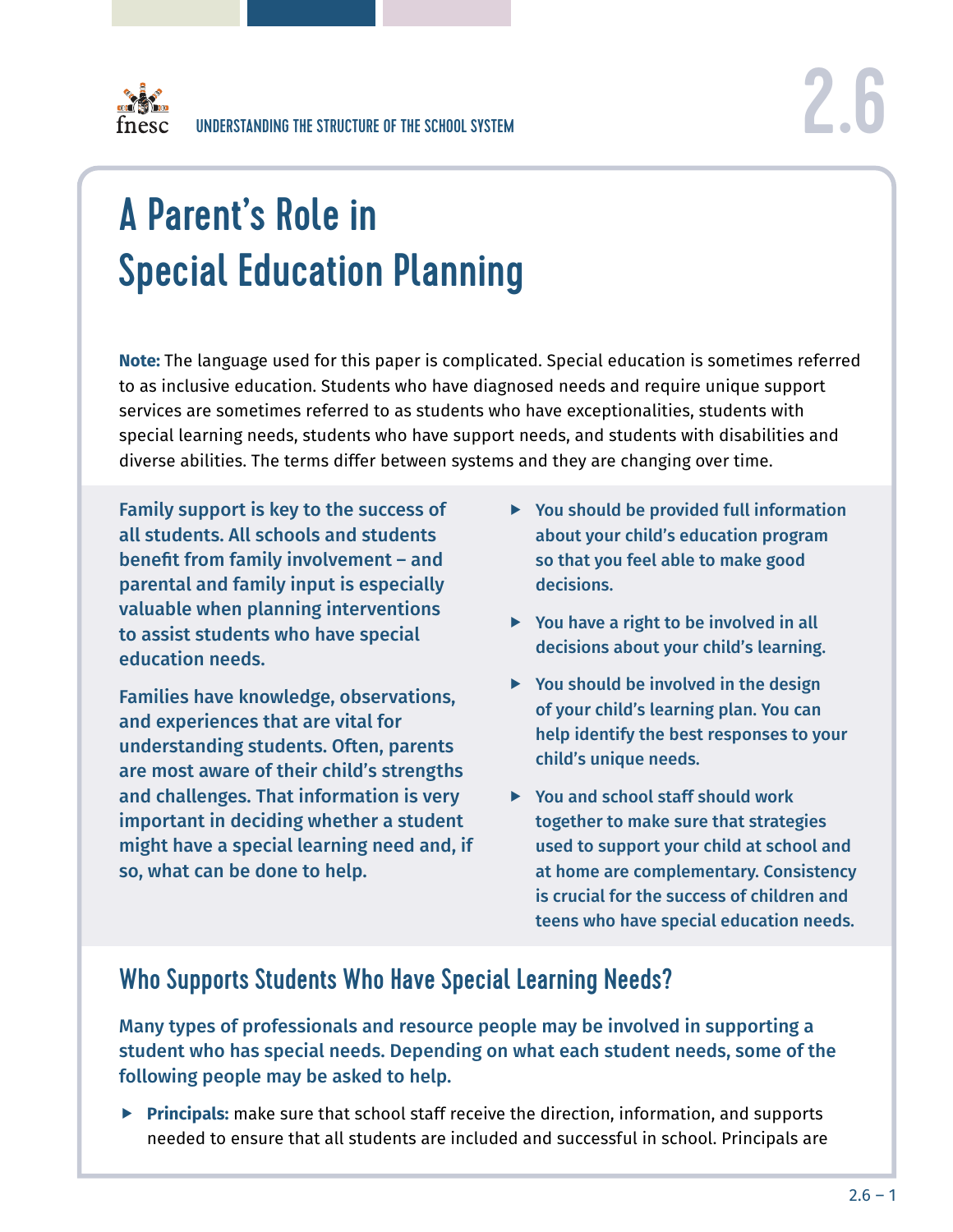

# A Parent's Role in Special Education Planning

**Note:** The language used for this paper is complicated. Special education is sometimes referred to as inclusive education. Students who have diagnosed needs and require unique support services are sometimes referred to as students who have exceptionalities, students with special learning needs, students who have support needs, and students with disabilities and diverse abilities. The terms differ between systems and they are changing over time.

Family support is key to the success of all students. All schools and students benefit from family involvement – and parental and family input is especially valuable when planning interventions to assist students who have special education needs.

Families have knowledge, observations, and experiences that are vital for understanding students. Often, parents are most aware of their child's strengths and challenges. That information is very important in deciding whether a student might have a special learning need and, if so, what can be done to help.

- $\blacktriangleright$  You should be provided full information about your child's education program so that you feel able to make good decisions.
- $\triangleright$  You have a right to be involved in all decisions about your child's learning.
- $\triangleright$  You should be involved in the design of your child's learning plan. You can help identify the best responses to your child's unique needs.
- $\blacktriangleright$  You and school staff should work together to make sure that strategies used to support your child at school and at home are complementary. Consistency is crucial for the success of children and teens who have special education needs.

# Who Supports Students Who Have Special Learning Needs?

Many types of professionals and resource people may be involved in supporting a student who has special needs. Depending on what each student needs, some of the following people may be asked to help.

**Principals:** make sure that school staff receive the direction, information, and supports needed to ensure that all students are included and successful in school. Principals are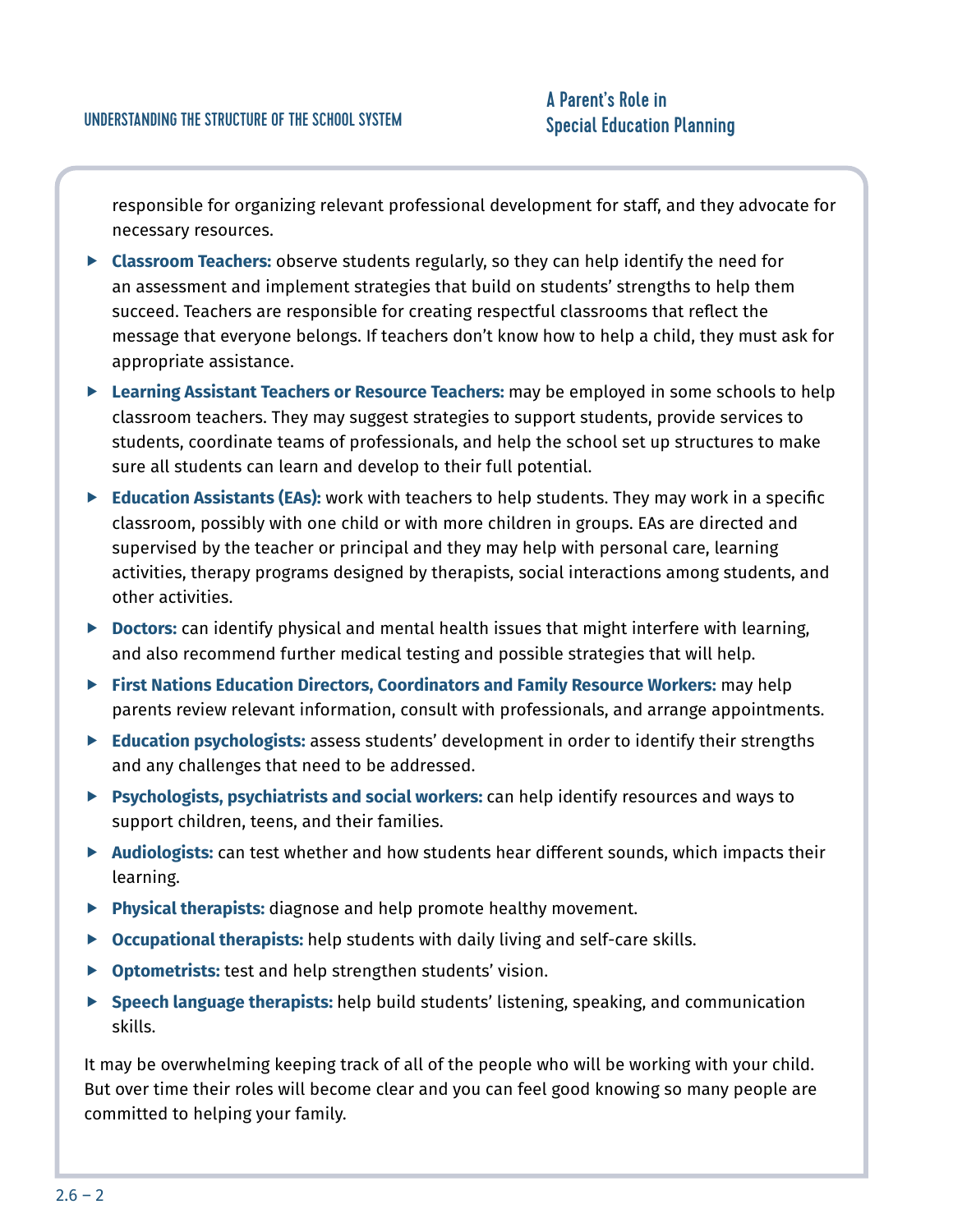responsible for organizing relevant professional development for staff, and they advocate for necessary resources.

- **F** Classroom Teachers: observe students regularly, so they can help identify the need for an assessment and implement strategies that build on students' strengths to help them succeed. Teachers are responsible for creating respectful classrooms that reflect the message that everyone belongs. If teachers don't know how to help a child, they must ask for appropriate assistance.
- **Example Assistant Teachers or Resource Teachers:** may be employed in some schools to help classroom teachers. They may suggest strategies to support students, provide services to students, coordinate teams of professionals, and help the school set up structures to make sure all students can learn and develop to their full potential.
- **F** Education Assistants (EAs): work with teachers to help students. They may work in a specific classroom, possibly with one child or with more children in groups. EAs are directed and supervised by the teacher or principal and they may help with personal care, learning activities, therapy programs designed by therapists, social interactions among students, and other activities.
- **Doctors:** can identify physical and mental health issues that might interfere with learning, and also recommend further medical testing and possible strategies that will help.
- **First Nations Education Directors, Coordinators and Family Resource Workers:** may help parents review relevant information, consult with professionals, and arrange appointments.
- **F** Education psychologists: assess students' development in order to identify their strengths and any challenges that need to be addressed.
- **Psychologists, psychiatrists and social workers:** can help identify resources and ways to support children, teens, and their families.
- **Audiologists:** can test whether and how students hear different sounds, which impacts their learning.
- **Physical therapists:** diagnose and help promote healthy movement.
- **F** Occupational therapists: help students with daily living and self-care skills.
- **Optometrists:** test and help strengthen students' vision.
- **F** Speech language therapists: help build students' listening, speaking, and communication skills.

It may be overwhelming keeping track of all of the people who will be working with your child. But over time their roles will become clear and you can feel good knowing so many people are committed to helping your family.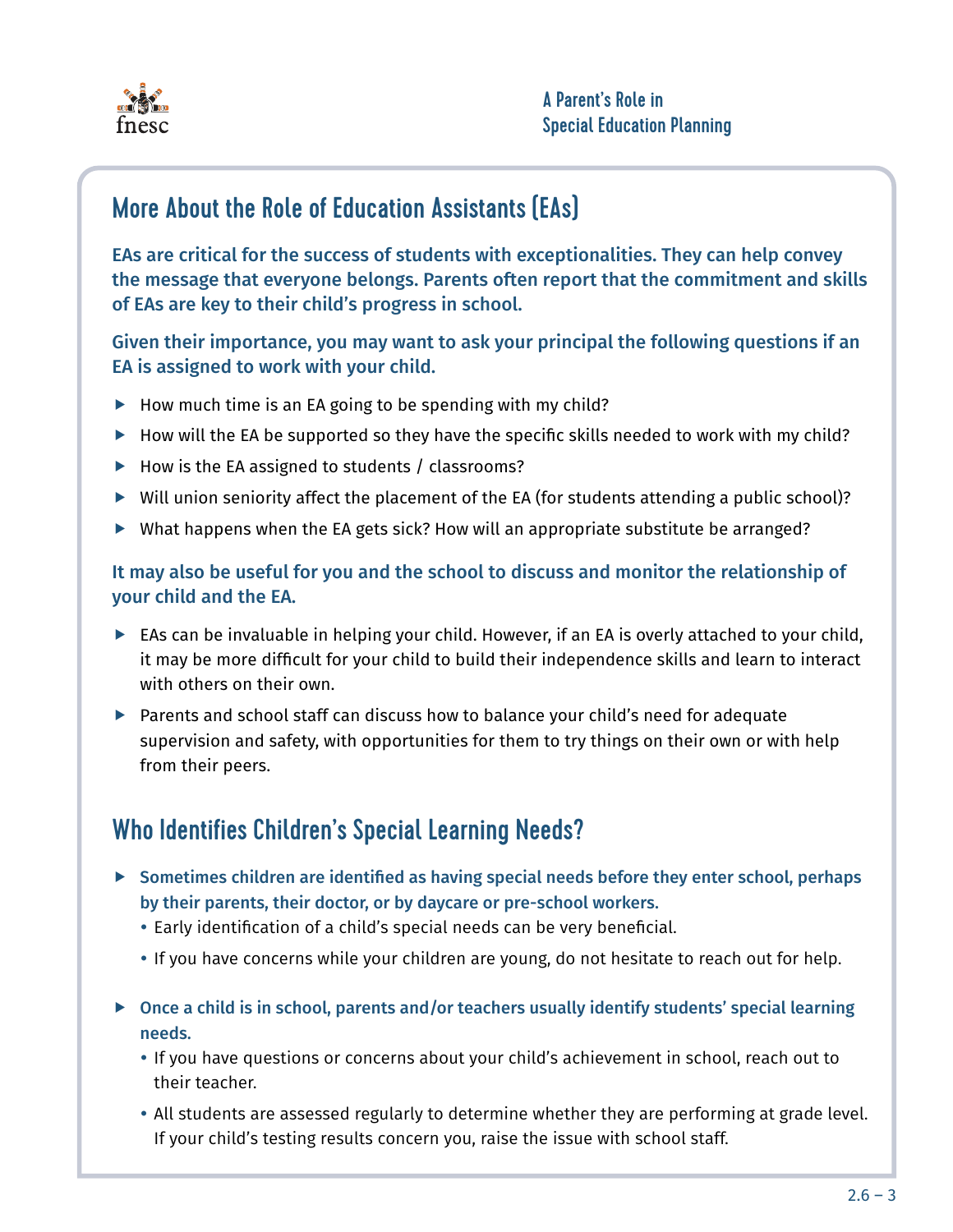

## More About the Role of Education Assistants (EAs)

EAs are critical for the success of students with exceptionalities. They can help convey the message that everyone belongs. Parents often report that the commitment and skills of EAs are key to their child's progress in school.

Given their importance, you may want to ask your principal the following questions if an EA is assigned to work with your child.

- $\blacktriangleright$  How much time is an EA going to be spending with my child?
- $\blacktriangleright$  How will the EA be supported so they have the specific skills needed to work with my child?
- $\blacktriangleright$  How is the EA assigned to students / classrooms?
- $\blacktriangleright$  Will union seniority affect the placement of the EA (for students attending a public school)?
- $\blacktriangleright$  What happens when the EA gets sick? How will an appropriate substitute be arranged?

It may also be useful for you and the school to discuss and monitor the relationship of your child and the EA.

- $\blacktriangleright$  EAs can be invaluable in helping your child. However, if an EA is overly attached to your child, it may be more difficult for your child to build their independence skills and learn to interact with others on their own.
- $\triangleright$  Parents and school staff can discuss how to balance your child's need for adequate supervision and safety, with opportunities for them to try things on their own or with help from their peers.

# Who Identifies Children's Special Learning Needs?

- $\triangleright$  Sometimes children are identified as having special needs before they enter school, perhaps by their parents, their doctor, or by daycare or pre-school workers.
	- Early identification of a child's special needs can be very beneficial.
	- If you have concerns while your children are young, do not hesitate to reach out for help.
- $\triangleright$  Once a child is in school, parents and/or teachers usually identify students' special learning needs.
	- If you have questions or concerns about your child's achievement in school, reach out to their teacher.
	- All students are assessed regularly to determine whether they are performing at grade level. If your child's testing results concern you, raise the issue with school staff.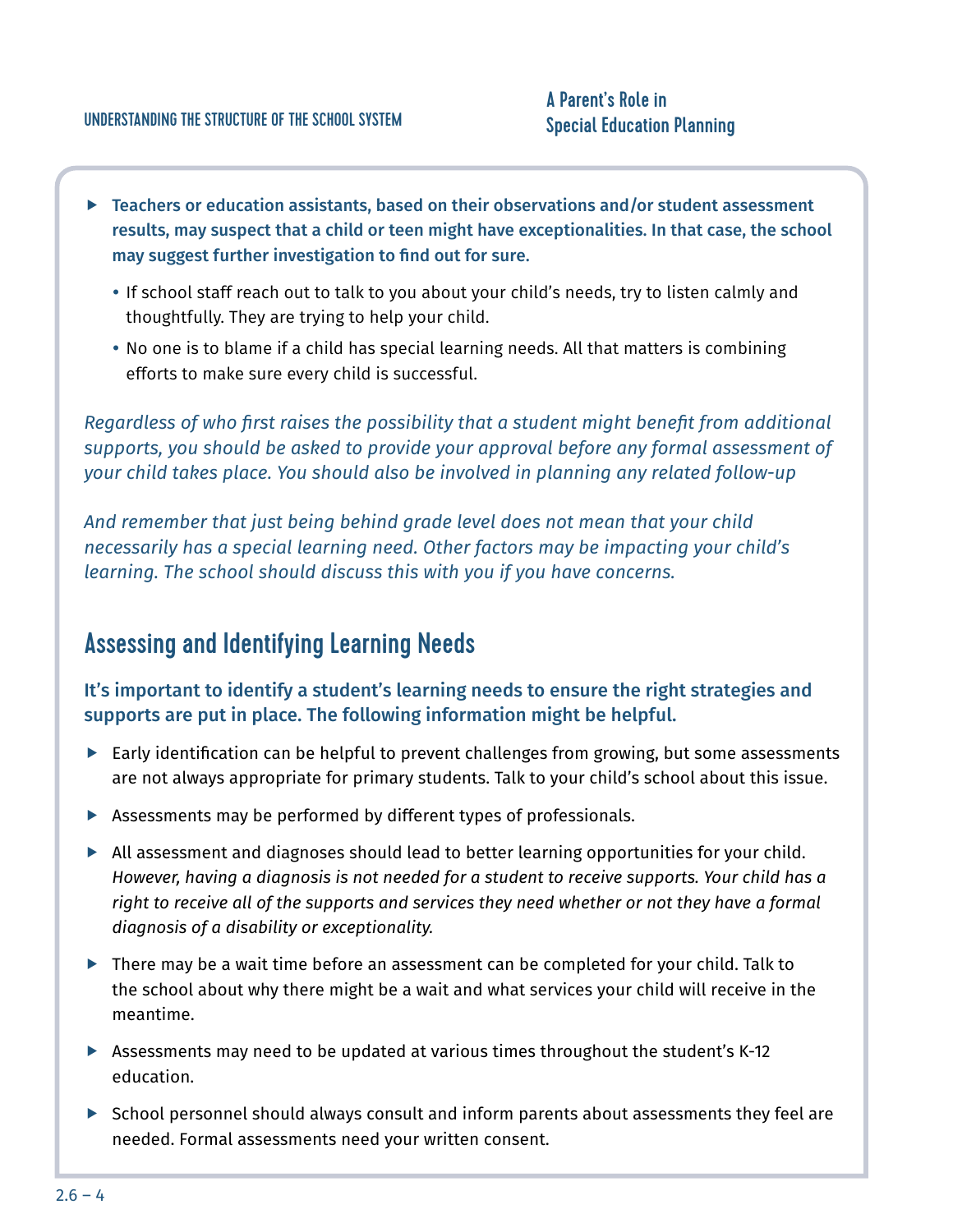- $\blacktriangleright$  Teachers or education assistants, based on their observations and/or student assessment results, may suspect that a child or teen might have exceptionalities. In that case, the school may suggest further investigation to find out for sure.
	- If school staff reach out to talk to you about your child's needs, try to listen calmly and thoughtfully. They are trying to help your child.
	- No one is to blame if a child has special learning needs. All that matters is combining efforts to make sure every child is successful.

*Regardless of who first raises the possibility that a student might benefit from additional supports, you should be asked to provide your approval before any formal assessment of your child takes place. You should also be involved in planning any related follow-up*

*And remember that just being behind grade level does not mean that your child necessarily has a special learning need. Other factors may be impacting your child's learning. The school should discuss this with you if you have concerns.*

# Assessing and Identifying Learning Needs

It's important to identify a student's learning needs to ensure the right strategies and supports are put in place. The following information might be helpful.

- $\blacktriangleright$  Early identification can be helpful to prevent challenges from growing, but some assessments are not always appropriate for primary students. Talk to your child's school about this issue.
- $\blacktriangleright$  Assessments may be performed by different types of professionals.
- $\blacktriangleright$  All assessment and diagnoses should lead to better learning opportunities for your child. *However, having a diagnosis is not needed for a student to receive supports. Your child has a right to receive all of the supports and services they need whether or not they have a formal diagnosis of a disability or exceptionality.*
- $\triangleright$  There may be a wait time before an assessment can be completed for your child. Talk to the school about why there might be a wait and what services your child will receive in the meantime.
- $\blacktriangleright$  Assessments may need to be updated at various times throughout the student's K-12 education.
- $\triangleright$  School personnel should always consult and inform parents about assessments they feel are needed. Formal assessments need your written consent.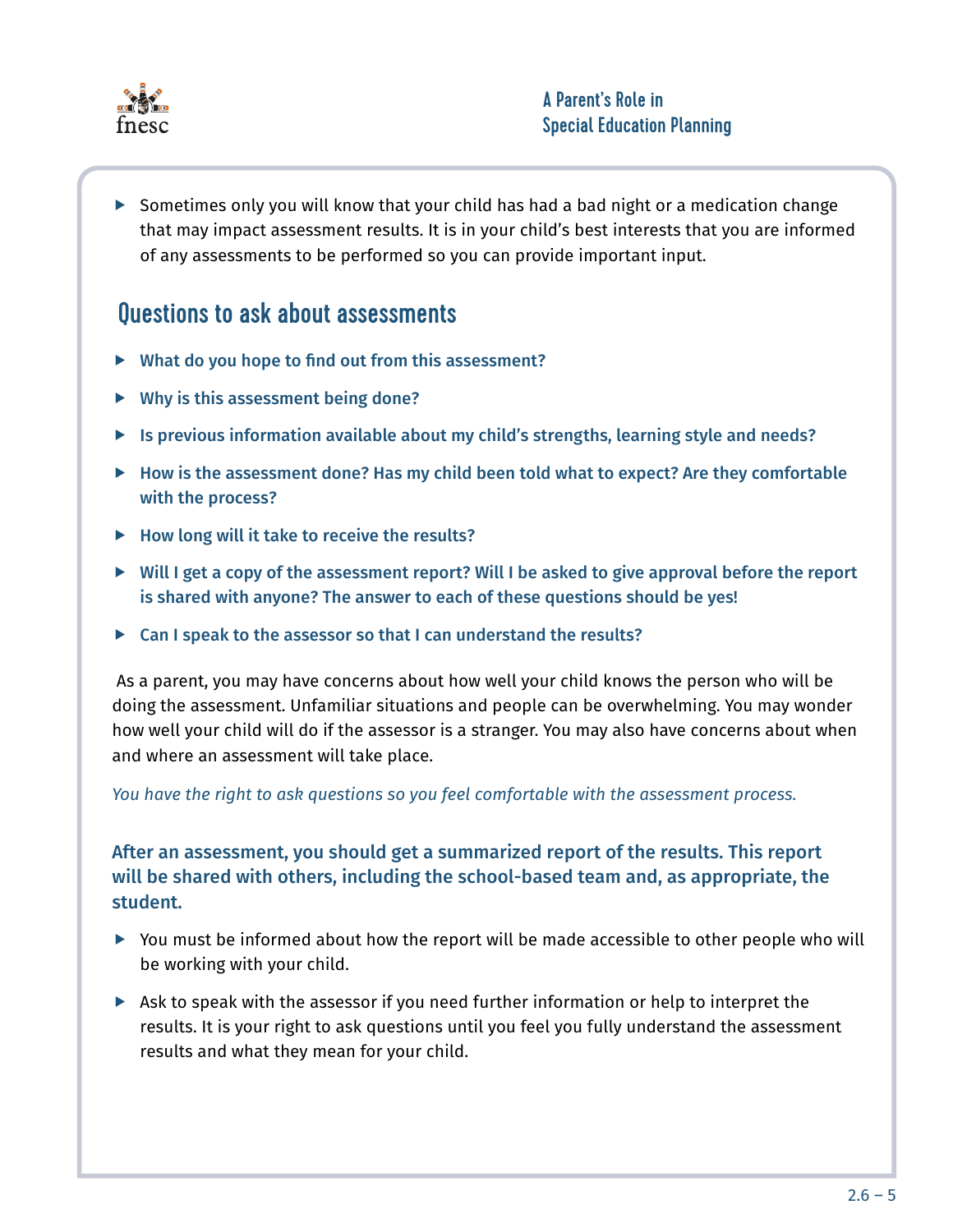

 $\triangleright$  Sometimes only you will know that your child has had a bad night or a medication change that may impact assessment results. It is in your child's best interests that you are informed of any assessments to be performed so you can provide important input.

#### Questions to ask about assessments

- $\blacktriangleright$  What do you hope to find out from this assessment?
- $\blacktriangleright$  Why is this assessment being done?
- $\blacktriangleright$  Is previous information available about my child's strengths, learning style and needs?
- $\blacktriangleright$  How is the assessment done? Has my child been told what to expect? Are they comfortable with the process?
- $\blacktriangleright$  How long will it take to receive the results?
- $\triangleright$  Will I get a copy of the assessment report? Will I be asked to give approval before the report is shared with anyone? The answer to each of these questions should be yes!
- $\triangleright$  Can I speak to the assessor so that I can understand the results?

 As a parent, you may have concerns about how well your child knows the person who will be doing the assessment. Unfamiliar situations and people can be overwhelming. You may wonder how well your child will do if the assessor is a stranger. You may also have concerns about when and where an assessment will take place.

*You have the right to ask questions so you feel comfortable with the assessment process.*

After an assessment, you should get a summarized report of the results. This report will be shared with others, including the school-based team and, as appropriate, the student.

- $\triangleright$  You must be informed about how the report will be made accessible to other people who will be working with your child.
- $\blacktriangleright$  Ask to speak with the assessor if you need further information or help to interpret the results. It is your right to ask questions until you feel you fully understand the assessment results and what they mean for your child.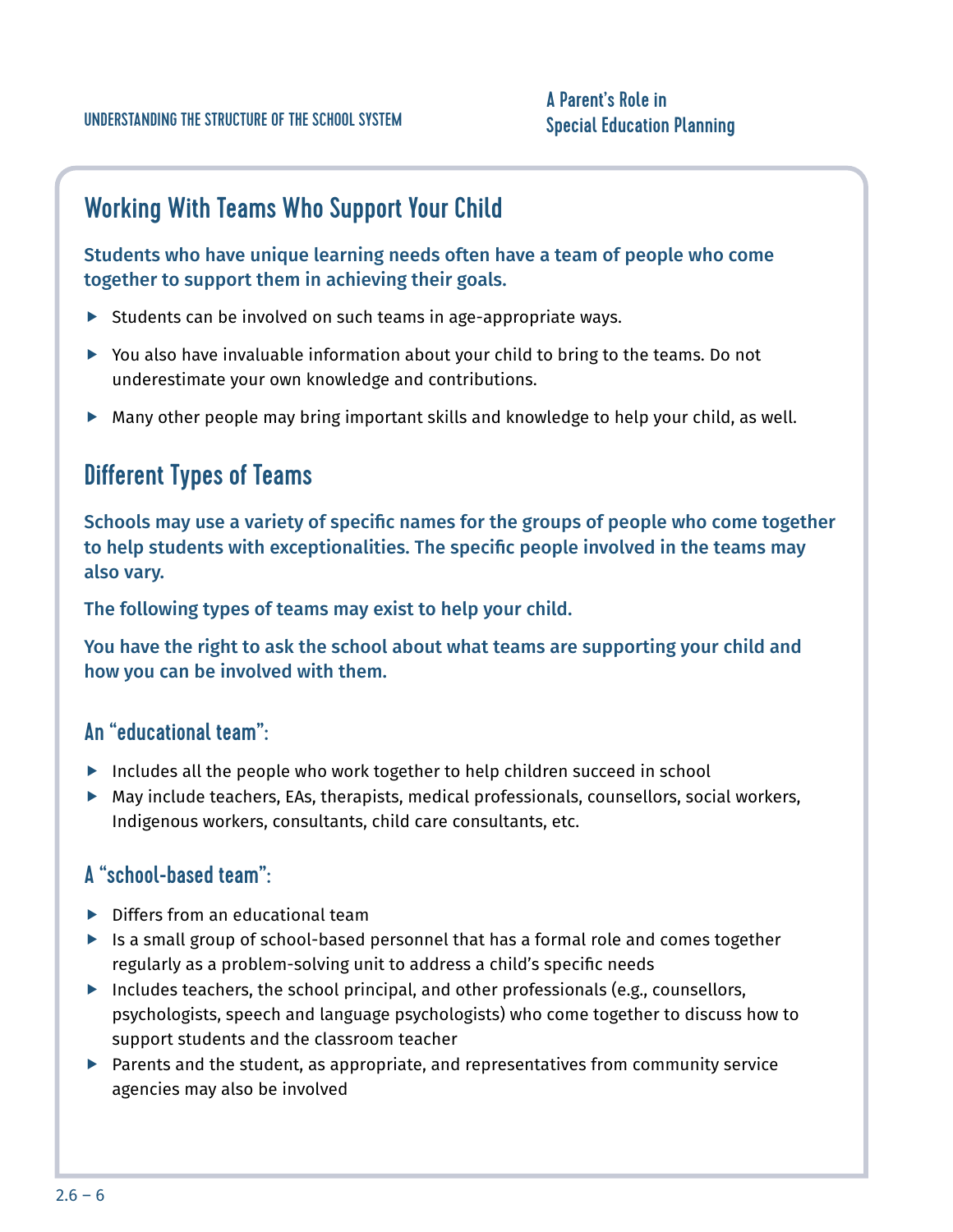# Working With Teams Who Support Your Child

Students who have unique learning needs often have a team of people who come together to support them in achieving their goals.

- $\triangleright$  Students can be involved on such teams in age-appropriate ways.
- $\triangleright$  You also have invaluable information about your child to bring to the teams. Do not underestimate your own knowledge and contributions.
- $\blacktriangleright$  Many other people may bring important skills and knowledge to help your child, as well.

# Different Types of Teams

Schools may use a variety of specific names for the groups of people who come together to help students with exceptionalities. The specific people involved in the teams may also vary.

The following types of teams may exist to help your child.

You have the right to ask the school about what teams are supporting your child and how you can be involved with them.

#### An "educational team":

- $\blacktriangleright$  Includes all the people who work together to help children succeed in school
- $\blacktriangleright$  May include teachers, EAs, therapists, medical professionals, counsellors, social workers, Indigenous workers, consultants, child care consultants, etc.

#### A "school-based team":

- $\blacktriangleright$  Differs from an educational team
- $\blacktriangleright$  Is a small group of school-based personnel that has a formal role and comes together regularly as a problem-solving unit to address a child's specific needs
- $\blacktriangleright$  Includes teachers, the school principal, and other professionals (e.g., counsellors, psychologists, speech and language psychologists) who come together to discuss how to support students and the classroom teacher
- $\blacktriangleright$  Parents and the student, as appropriate, and representatives from community service agencies may also be involved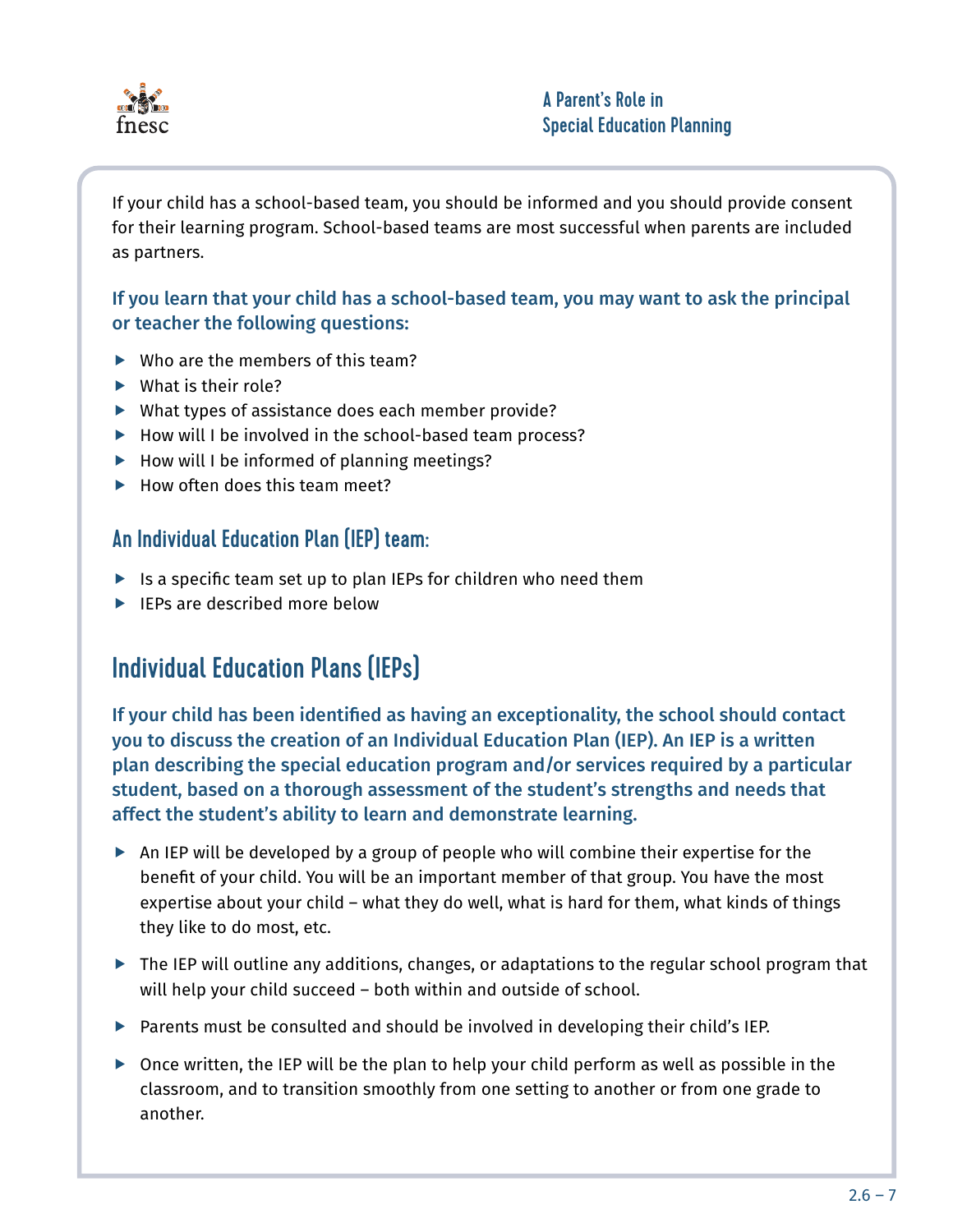

If your child has a school-based team, you should be informed and you should provide consent for their learning program. School-based teams are most successful when parents are included as partners.

If you learn that your child has a school-based team, you may want to ask the principal or teacher the following questions:

- $\blacktriangleright$  Who are the members of this team?
- $\blacktriangleright$  What is their role?
- $\blacktriangleright$  What types of assistance does each member provide?
- $\blacktriangleright$  How will I be involved in the school-based team process?
- $\blacktriangleright$  How will I be informed of planning meetings?
- $\blacktriangleright$  How often does this team meet?

#### An Individual Education Plan (IEP) team:

- $\blacktriangleright$  Is a specific team set up to plan IEPs for children who need them
- $\blacktriangleright$  IEPs are described more below

# Individual Education Plans (IEPs)

If your child has been identified as having an exceptionality, the school should contact you to discuss the creation of an Individual Education Plan (IEP). An IEP is a written plan describing the special education program and/or services required by a particular student, based on a thorough assessment of the student's strengths and needs that affect the student's ability to learn and demonstrate learning.

- $\triangleright$  An IEP will be developed by a group of people who will combine their expertise for the benefit of your child. You will be an important member of that group. You have the most expertise about your child – what they do well, what is hard for them, what kinds of things they like to do most, etc.
- $\blacktriangleright$  The IEP will outline any additions, changes, or adaptations to the regular school program that will help your child succeed – both within and outside of school.
- $\blacktriangleright$  Parents must be consulted and should be involved in developing their child's IEP.
- $\triangleright$  Once written, the IEP will be the plan to help your child perform as well as possible in the classroom, and to transition smoothly from one setting to another or from one grade to another.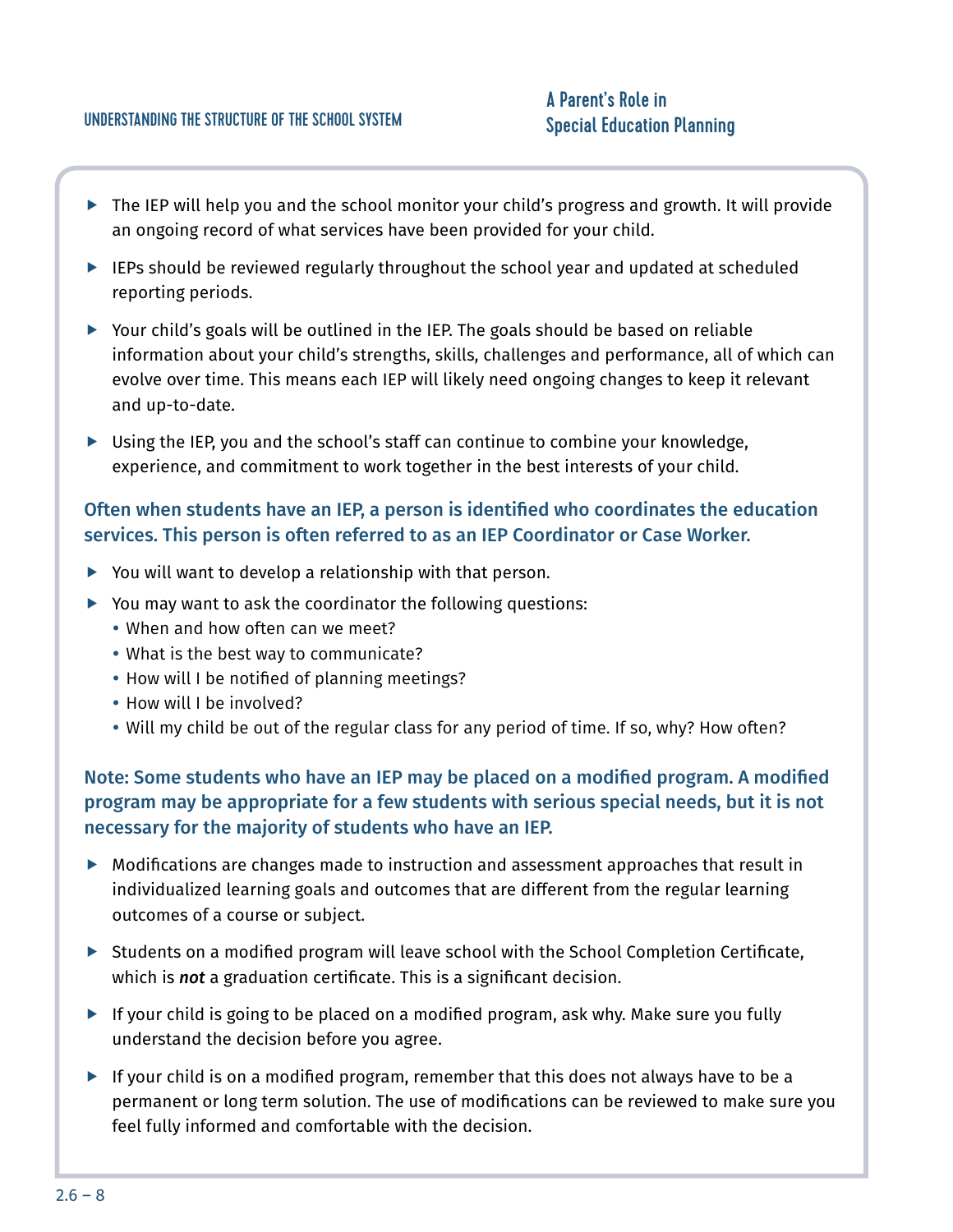- $\blacktriangleright$  The IEP will help you and the school monitor your child's progress and growth. It will provide an ongoing record of what services have been provided for your child.
- $\blacktriangleright$  IEPs should be reviewed regularly throughout the school year and updated at scheduled reporting periods.
- $\triangleright$  Your child's goals will be outlined in the IEP. The goals should be based on reliable information about your child's strengths, skills, challenges and performance, all of which can evolve over time. This means each IEP will likely need ongoing changes to keep it relevant and up-to-date.
- $\triangleright$  Using the IEP, you and the school's staff can continue to combine your knowledge, experience, and commitment to work together in the best interests of your child.

#### Often when students have an IEP, a person is identified who coordinates the education services. This person is often referred to as an IEP Coordinator or Case Worker.

- $\blacktriangleright$  You will want to develop a relationship with that person.
- $\blacktriangleright$  You may want to ask the coordinator the following questions:
	- When and how often can we meet?
	- What is the best way to communicate?
	- How will I be notified of planning meetings?
	- How will I be involved?
	- Will my child be out of the regular class for any period of time. If so, why? How often?

#### Note: Some students who have an IEP may be placed on a modified program. A modified program may be appropriate for a few students with serious special needs, but it is not necessary for the majority of students who have an IEP.

- $\blacktriangleright$  Modifications are changes made to instruction and assessment approaches that result in individualized learning goals and outcomes that are different from the regular learning outcomes of a course or subject.
- $\triangleright$  Students on a modified program will leave school with the School Completion Certificate, which is *not* a graduation certificate. This is a significant decision.
- $\blacktriangleright$  If your child is going to be placed on a modified program, ask why. Make sure you fully understand the decision before you agree.
- $\blacktriangleright$  If your child is on a modified program, remember that this does not always have to be a permanent or long term solution. The use of modifications can be reviewed to make sure you feel fully informed and comfortable with the decision.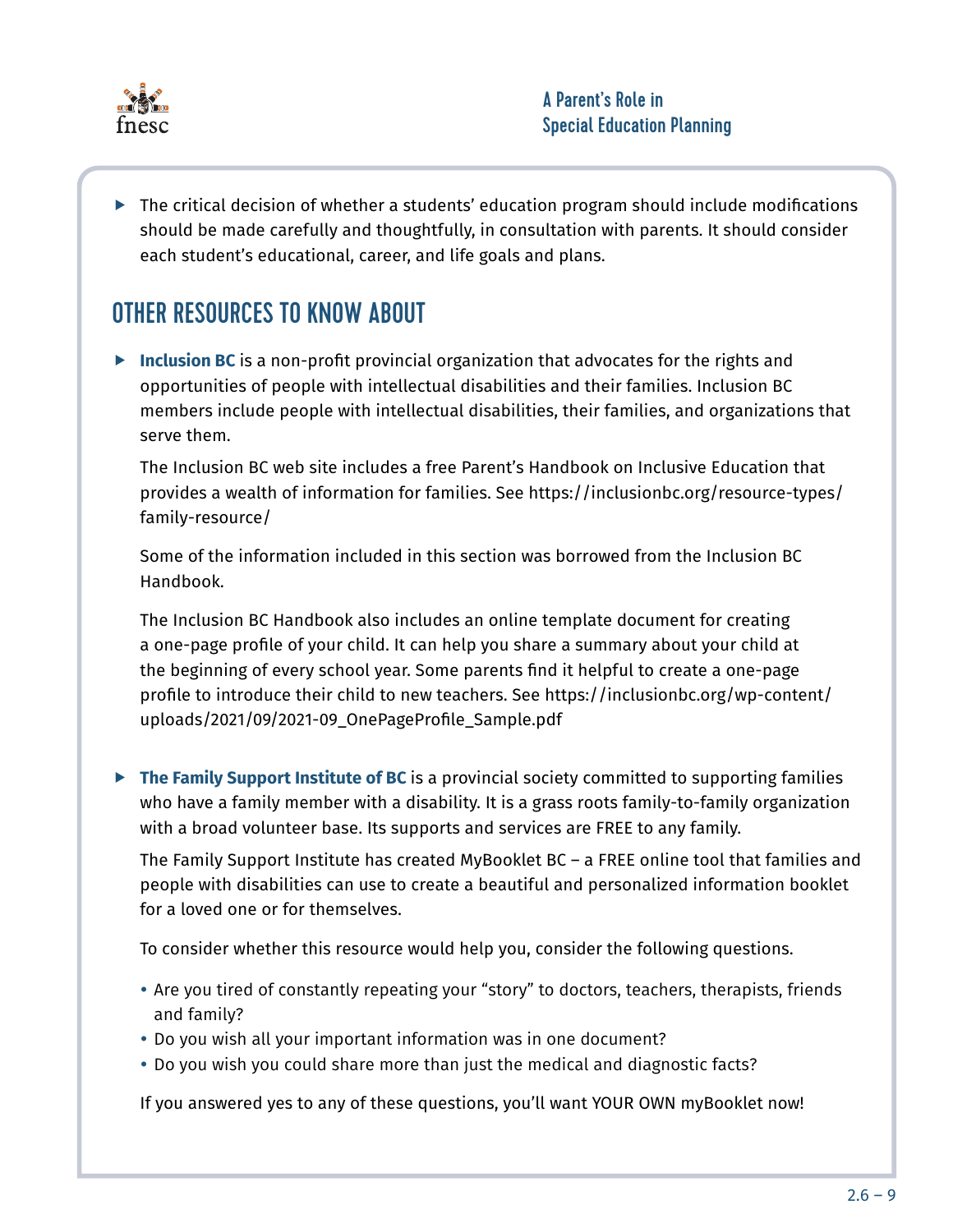

 $\blacktriangleright$  The critical decision of whether a students' education program should include modifications should be made carefully and thoughtfully, in consultation with parents. It should consider each student's educational, career, and life goals and plans.

# OTHER RESOURCES TO KNOW ABOUT

**F** Inclusion BC is a non-profit provincial organization that advocates for the rights and opportunities of people with intellectual disabilities and their families. Inclusion BC members include people with intellectual disabilities, their families, and organizations that serve them.

The Inclusion BC web site includes a free Parent's Handbook on Inclusive Education that provides a wealth of information for families. See https://inclusionbc.org/resource-types/ family-resource/

Some of the information included in this section was borrowed from the Inclusion BC Handbook.

The Inclusion BC Handbook also includes an online template document for creating a one-page profile of your child. It can help you share a summary about your child at the beginning of every school year. Some parents find it helpful to create a one-page profile to introduce their child to new teachers. See https://inclusionbc.org/wp-content/ uploads/2021/09/2021-09\_OnePageProfile\_Sample.pdf

**Fig. 2** The Family Support Institute of BC is a provincial society committed to supporting families who have a family member with a disability. It is a grass roots family-to-family organization with a broad volunteer base. Its supports and services are FREE to any family.

The Family Support Institute has created MyBooklet BC – a FREE online tool that families and people with disabilities can use to create a beautiful and personalized information booklet for a loved one or for themselves.

To consider whether this resource would help you, consider the following questions.

- Are you tired of constantly repeating your "story" to doctors, teachers, therapists, friends and family?
- Do you wish all your important information was in one document?
- Do you wish you could share more than just the medical and diagnostic facts?

If you answered yes to any of these questions, you'll want YOUR OWN myBooklet now!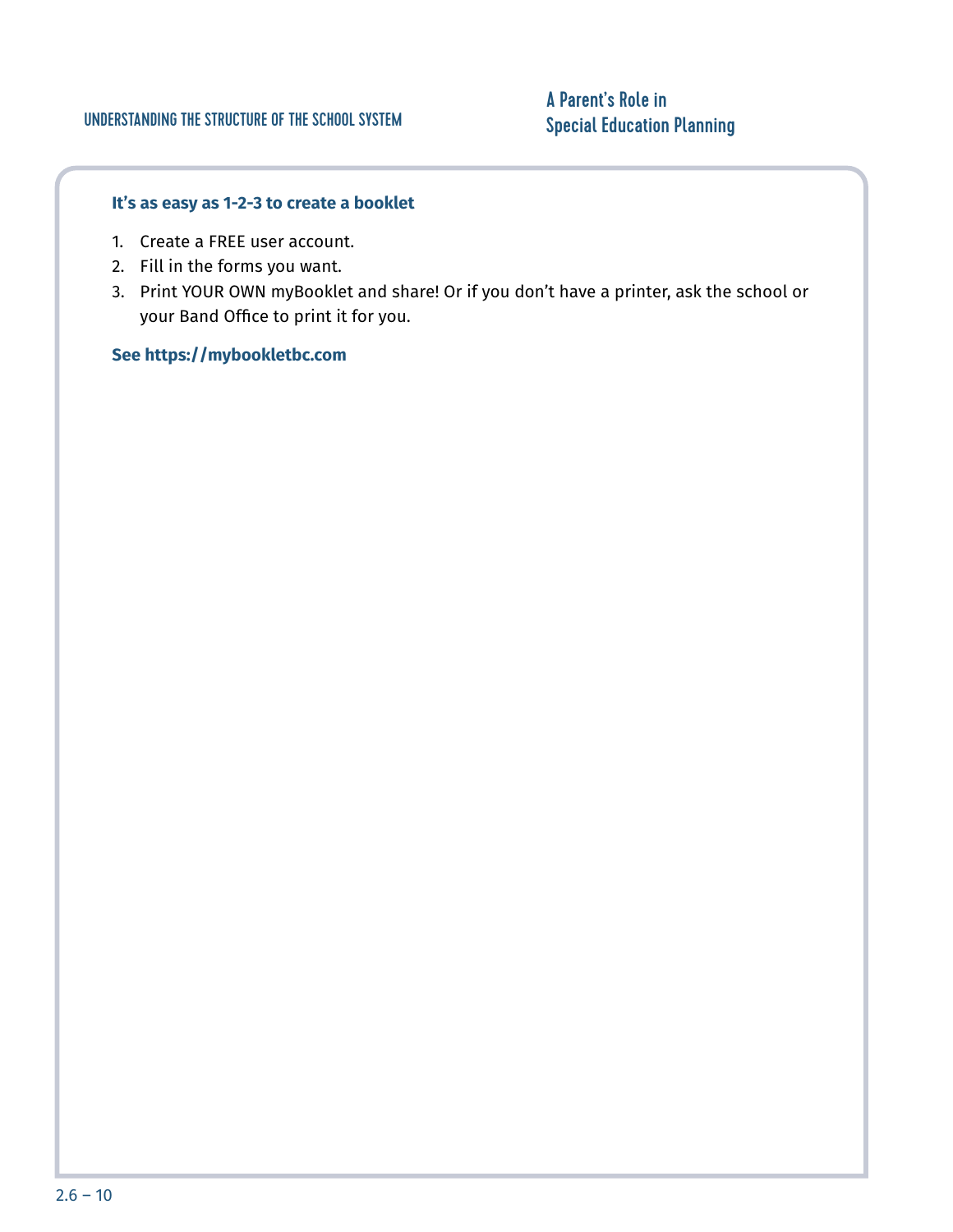#### **It's as easy as 1-2-3 to create a booklet**

- 1. Create a FREE user account.
- 2. Fill in the forms you want.
- 3. Print YOUR OWN myBooklet and share! Or if you don't have a printer, ask the school or your Band Office to print it for you.

#### **See https://mybookletbc.com**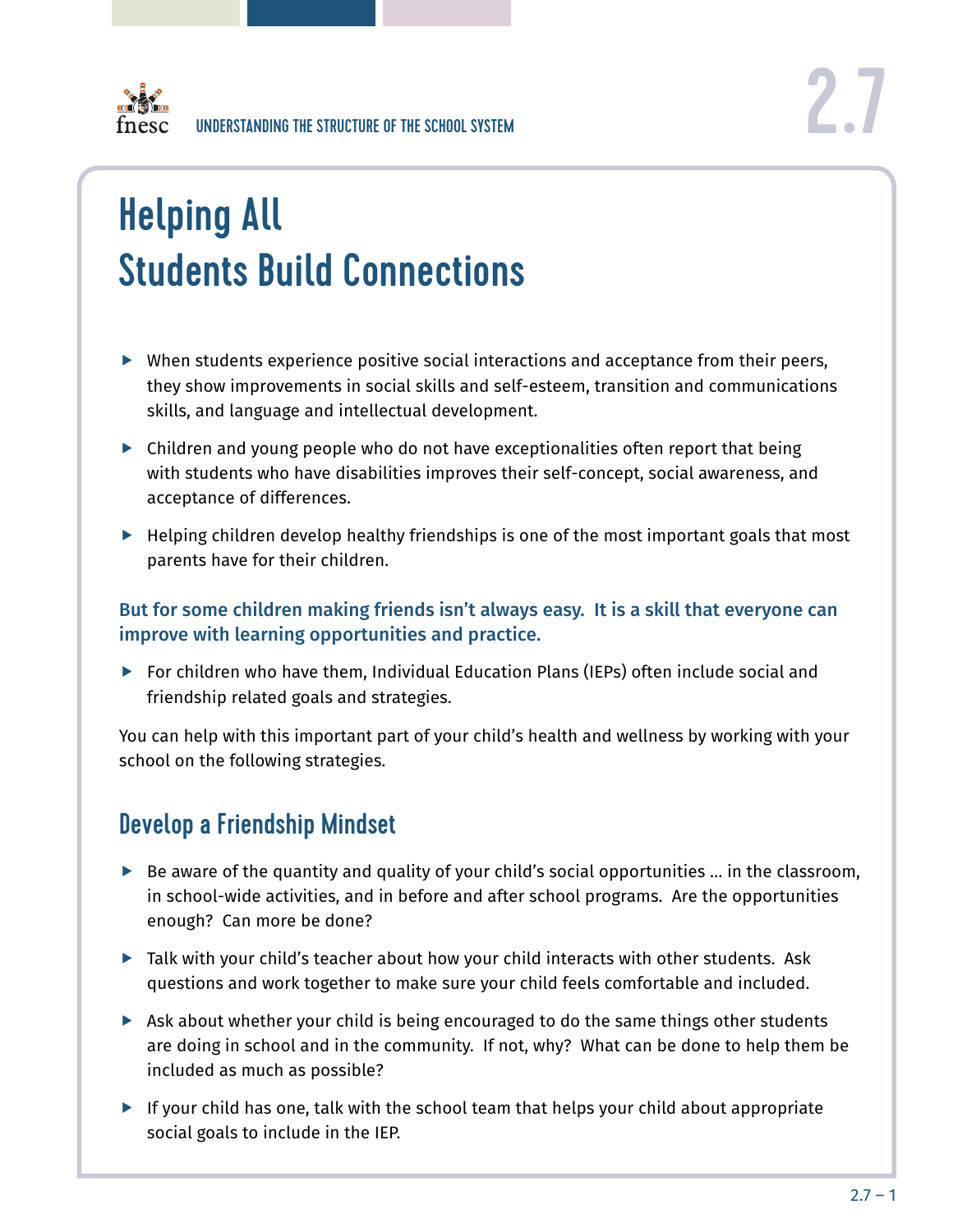

# Helping All Students Build Connections

- $\blacktriangleright$  When students experience positive social interactions and acceptance from their peers, they show improvements in social skills and self-esteem, transition and communications skills, and language and intellectual development.
- $\triangleright$  Children and young people who do not have exceptionalities often report that being with students who have disabilities improves their self-concept, social awareness, and acceptance of differences.
- $\blacktriangleright$  Helping children develop healthy friendships is one of the most important goals that most parents have for their children.

#### But for some children making friends isn't always easy. It is a skill that everyone can improve with learning opportunities and practice.

For children who have them, Individual Education Plans (IEPs) often include social and friendship related goals and strategies.

You can help with this important part of your child's health and wellness by working with your school on the following strategies.

# Develop a Friendship Mindset

- $\blacktriangleright$  Be aware of the quantity and quality of your child's social opportunities ... in the classroom, in school-wide activities, and in before and after school programs. Are the opportunities enough? Can more be done?
- $\blacktriangleright$  Talk with your child's teacher about how your child interacts with other students. Ask questions and work together to make sure your child feels comfortable and included.
- $\triangleright$  Ask about whether your child is being encouraged to do the same things other students are doing in school and in the community. If not, why? What can be done to help them be included as much as possible?
- $\blacktriangleright$  If your child has one, talk with the school team that helps your child about appropriate social goals to include in the IEP.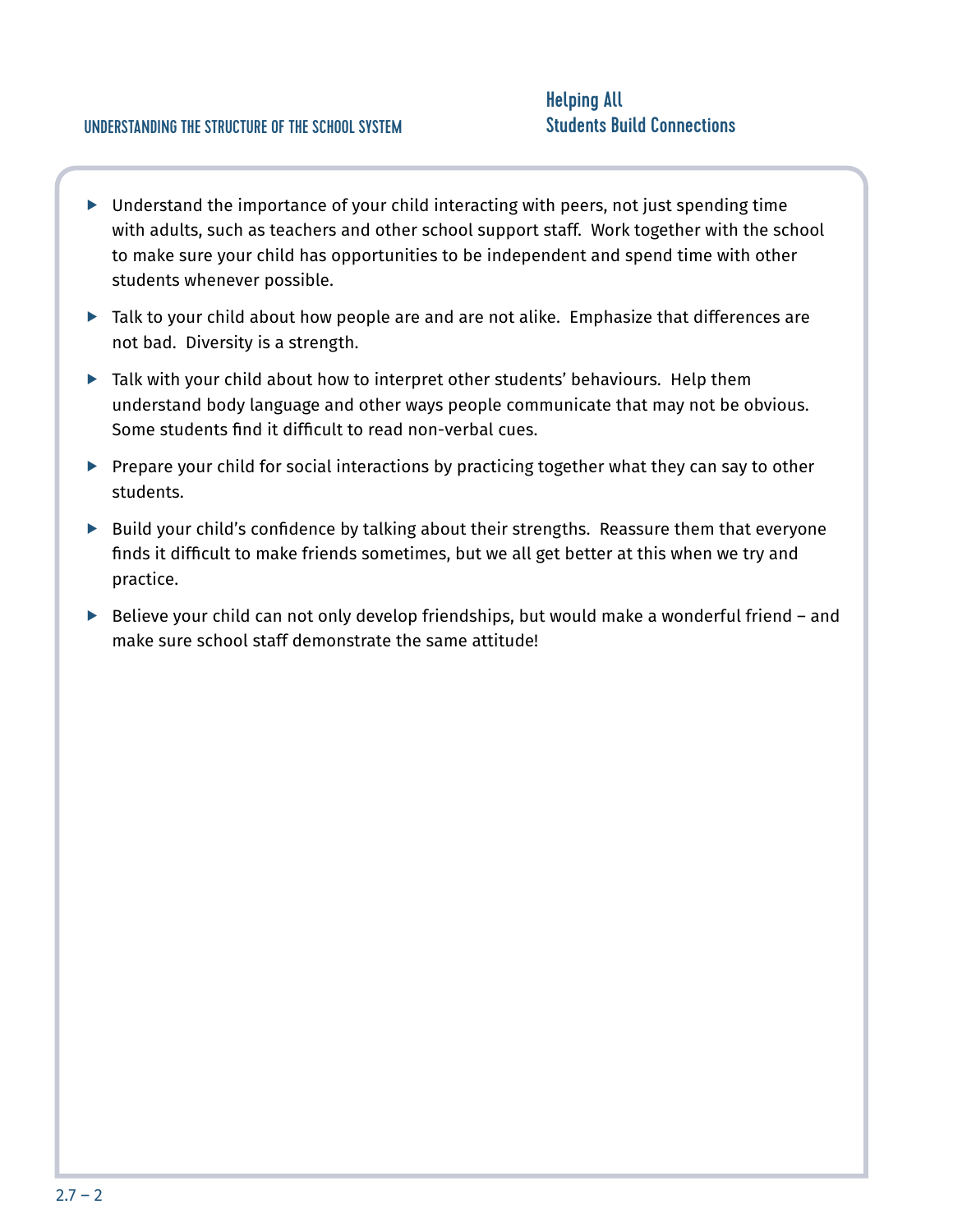- $\blacktriangleright$  Understand the importance of your child interacting with peers, not just spending time with adults, such as teachers and other school support staff. Work together with the school to make sure your child has opportunities to be independent and spend time with other students whenever possible.
- $\blacktriangleright$  Talk to your child about how people are and are not alike. Emphasize that differences are not bad. Diversity is a strength.
- $\blacktriangleright$  Talk with your child about how to interpret other students' behaviours. Help them understand body language and other ways people communicate that may not be obvious. Some students find it difficult to read non-verbal cues.
- $\blacktriangleright$  Prepare your child for social interactions by practicing together what they can say to other students.
- $\blacktriangleright$  Build your child's confidence by talking about their strengths. Reassure them that everyone finds it difficult to make friends sometimes, but we all get better at this when we try and practice.
- $\blacktriangleright$  Believe your child can not only develop friendships, but would make a wonderful friend and make sure school staff demonstrate the same attitude!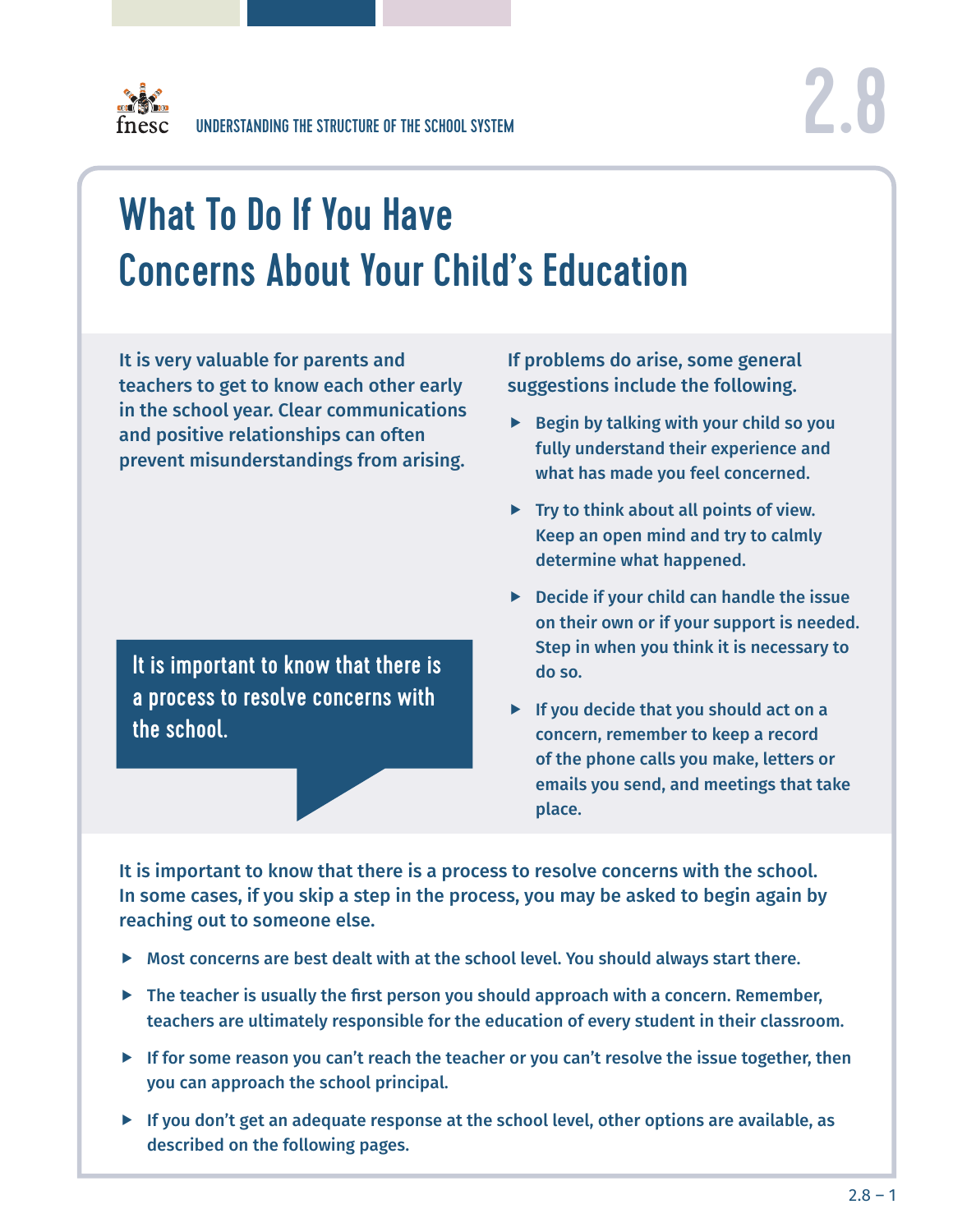

# What To Do If You Have Concerns About Your Child's Education

It is very valuable for parents and teachers to get to know each other early in the school year. Clear communications and positive relationships can often prevent misunderstandings from arising.

It is important to know that there is a process to resolve concerns with the school.

If problems do arise, some general suggestions include the following.

- $\blacktriangleright$  Begin by talking with your child so you fully understand their experience and what has made you feel concerned.
- $\blacktriangleright$  Try to think about all points of view. Keep an open mind and try to calmly determine what happened.
- $\blacktriangleright$  Decide if your child can handle the issue on their own or if your support is needed. Step in when you think it is necessary to do so.
- $\blacktriangleright$  If you decide that you should act on a concern, remember to keep a record of the phone calls you make, letters or emails you send, and meetings that take place.

It is important to know that there is a process to resolve concerns with the school. In some cases, if you skip a step in the process, you may be asked to begin again by reaching out to someone else.

- Most concerns are best dealt with at the school level. You should always start there.
- $\triangleright$  The teacher is usually the first person you should approach with a concern. Remember, teachers are ultimately responsible for the education of every student in their classroom.
- $\blacktriangleright$  If for some reason you can't reach the teacher or you can't resolve the issue together, then you can approach the school principal.
- $\blacktriangleright$  If you don't get an adequate response at the school level, other options are available, as described on the following pages.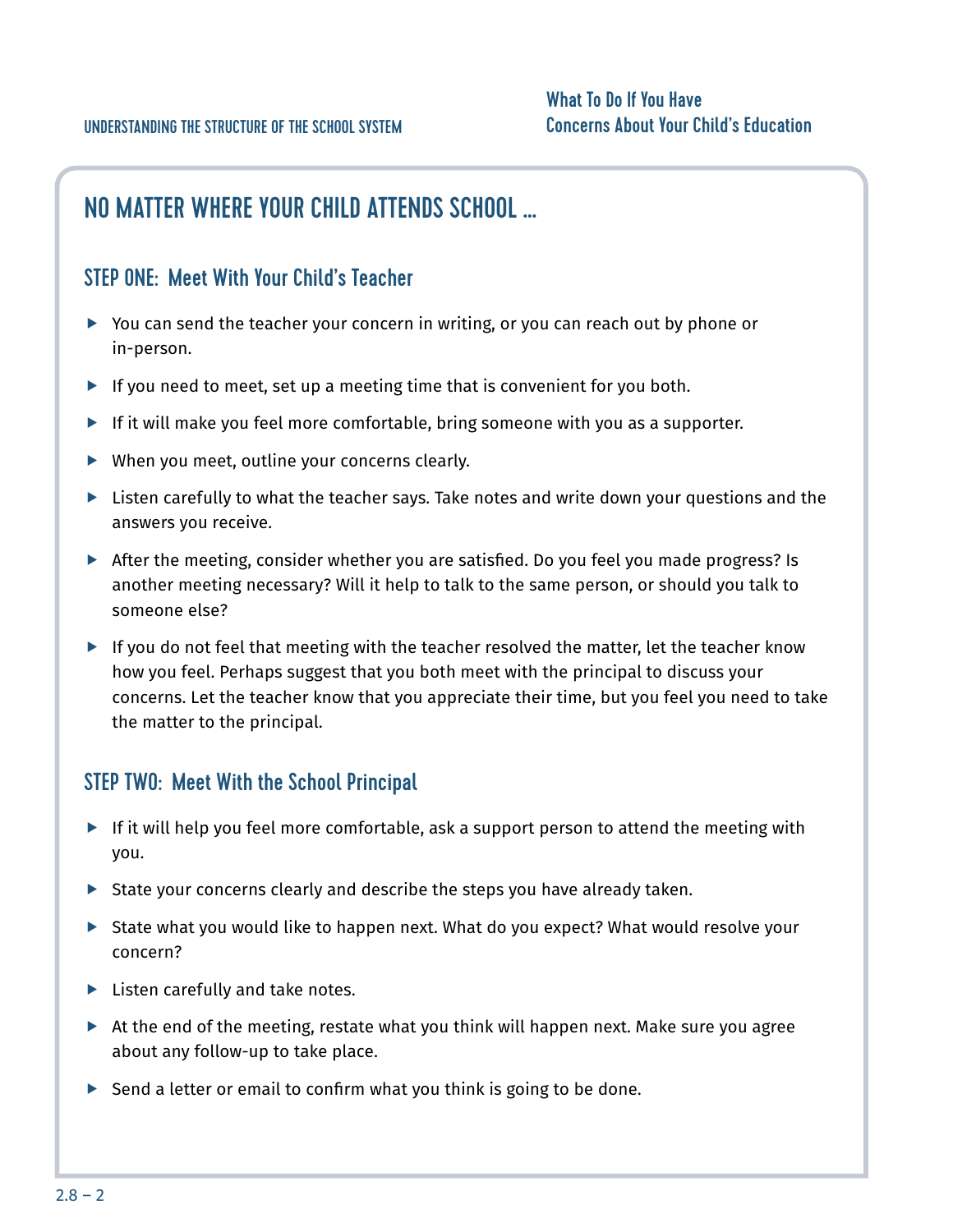# NO MATTER WHERE YOUR CHILD ATTENDS SCHOOL …

#### STEP ONE: Meet With Your Child's Teacher

- $\triangleright$  You can send the teacher your concern in writing, or you can reach out by phone or in-person.
- $\blacktriangleright$  If you need to meet, set up a meeting time that is convenient for you both.
- $\blacktriangleright$  If it will make you feel more comfortable, bring someone with you as a supporter.
- $\blacktriangleright$  When you meet, outline your concerns clearly.
- $\blacktriangleright$  Listen carefully to what the teacher says. Take notes and write down your questions and the answers you receive.
- $\triangleright$  After the meeting, consider whether you are satisfied. Do you feel you made progress? Is another meeting necessary? Will it help to talk to the same person, or should you talk to someone else?
- $\blacktriangleright$  If you do not feel that meeting with the teacher resolved the matter, let the teacher know how you feel. Perhaps suggest that you both meet with the principal to discuss your concerns. Let the teacher know that you appreciate their time, but you feel you need to take the matter to the principal.

#### STEP TWO: Meet With the School Principal

- $\blacktriangleright$  If it will help you feel more comfortable, ask a support person to attend the meeting with you.
- $\blacktriangleright$  State your concerns clearly and describe the steps you have already taken.
- $\triangleright$  State what you would like to happen next. What do you expect? What would resolve your concern?
- $\blacktriangleright$  Listen carefully and take notes.
- $\blacktriangleright$  At the end of the meeting, restate what you think will happen next. Make sure you agree about any follow-up to take place.
- $\triangleright$  Send a letter or email to confirm what you think is going to be done.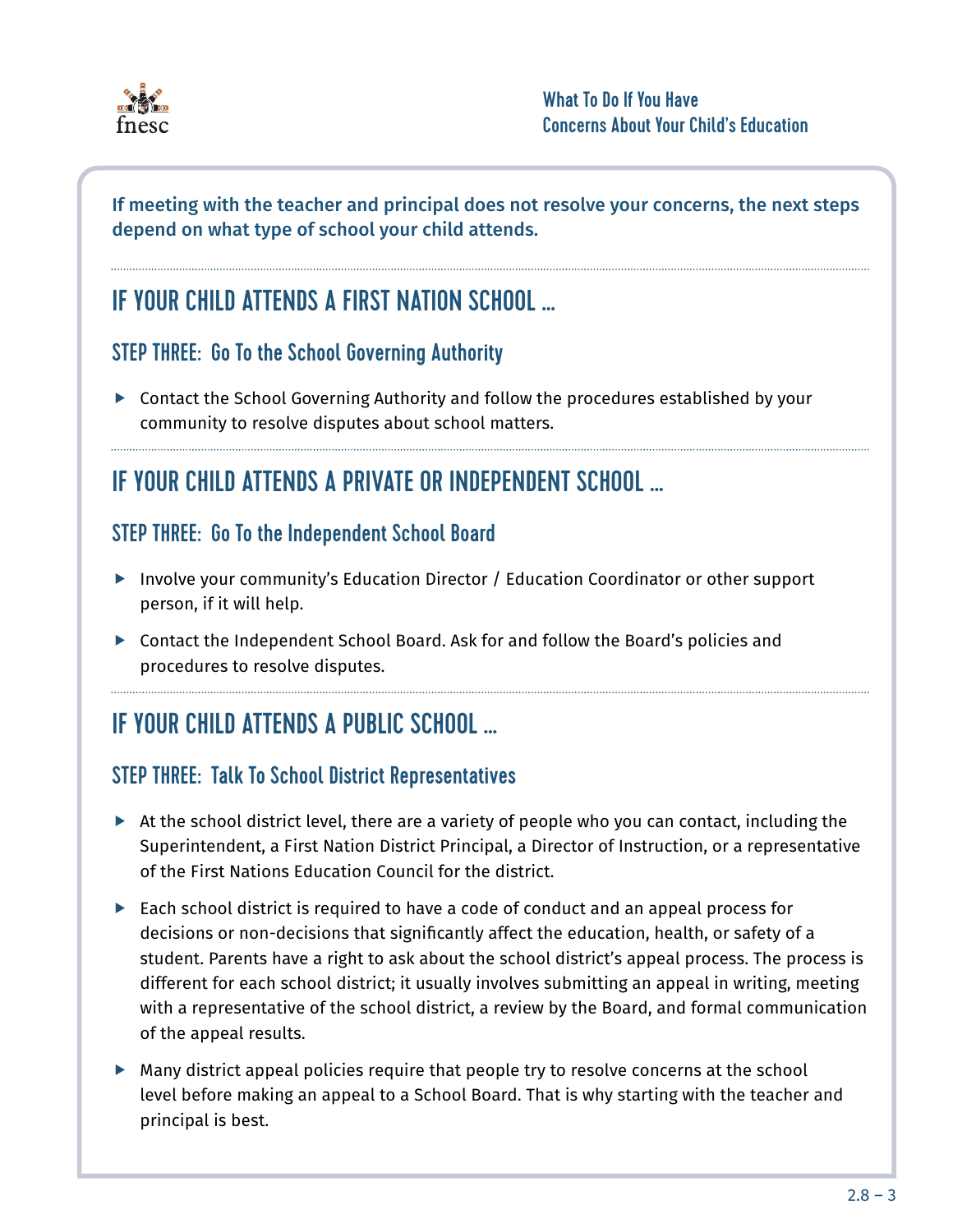

#### If meeting with the teacher and principal does not resolve your concerns, the next steps depend on what type of school your child attends.

# IF YOUR CHILD ATTENDS A FIRST NATION SCHOOL …

#### STEP THREE: Go To the School Governing Authority

 $\triangleright$  Contact the School Governing Authority and follow the procedures established by your community to resolve disputes about school matters.

# IF YOUR CHILD ATTENDS A PRIVATE OR INDEPENDENT SCHOOL …

#### STEP THREE: Go To the Independent School Board

- $\blacktriangleright$  Involve your community's Education Director / Education Coordinator or other support person, if it will help.
- $\triangleright$  Contact the Independent School Board. Ask for and follow the Board's policies and procedures to resolve disputes.

# IF YOUR CHILD ATTENDS A PUBLIC SCHOOL …

#### STEP THREE: Talk To School District Representatives

- $\blacktriangleright$  At the school district level, there are a variety of people who you can contact, including the Superintendent, a First Nation District Principal, a Director of Instruction, or a representative of the First Nations Education Council for the district.
- $\blacktriangleright$  Each school district is required to have a code of conduct and an appeal process for decisions or non-decisions that significantly affect the education, health, or safety of a student. Parents have a right to ask about the school district's appeal process. The process is different for each school district; it usually involves submitting an appeal in writing, meeting with a representative of the school district, a review by the Board, and formal communication of the appeal results.
- $\blacktriangleright$  Many district appeal policies require that people try to resolve concerns at the school level before making an appeal to a School Board. That is why starting with the teacher and principal is best.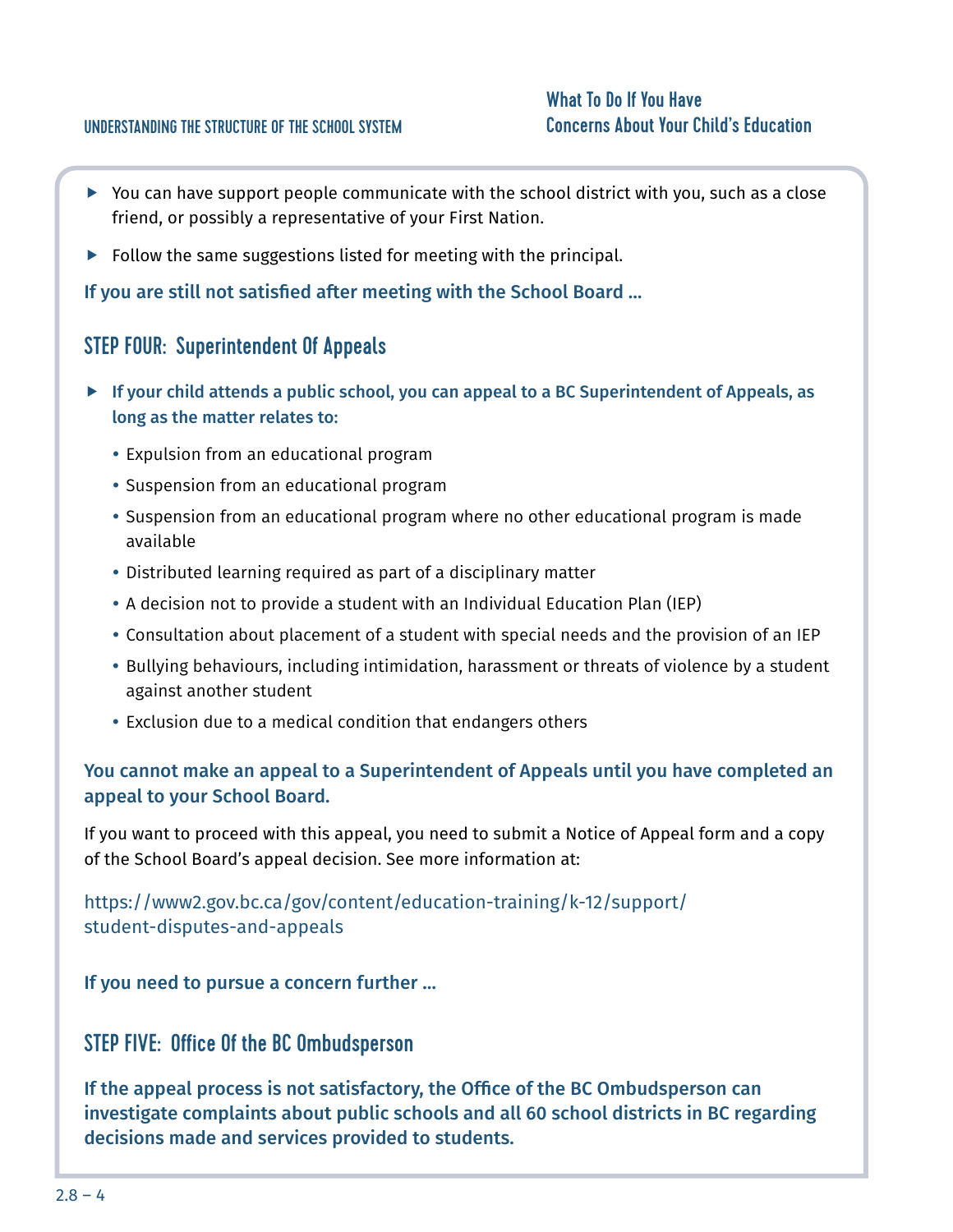- $\triangleright$  You can have support people communicate with the school district with you, such as a close friend, or possibly a representative of your First Nation.
- $\blacktriangleright$  Follow the same suggestions listed for meeting with the principal.

If you are still not satisfied after meeting with the School Board …

#### STEP FOUR: Superintendent Of Appeals

- $\blacktriangleright$  If your child attends a public school, you can appeal to a BC Superintendent of Appeals, as long as the matter relates to:
	- Expulsion from an educational program
	- Suspension from an educational program
	- y Suspension from an educational program where no other educational program is made available
	- Distributed learning required as part of a disciplinary matter
	- A decision not to provide a student with an Individual Education Plan (IEP)
	- Consultation about placement of a student with special needs and the provision of an IEP
	- Bullying behaviours, including intimidation, harassment or threats of violence by a student against another student
	- Exclusion due to a medical condition that endangers others

#### You cannot make an appeal to a Superintendent of Appeals until you have completed an appeal to your School Board.

If you want to proceed with this appeal, you need to submit a Notice of Appeal form and a copy of the School Board's appeal decision. See more information at:

[https://www2.gov.bc.ca/gov/content/education-training/k-12/support/](https://www2.gov.bc.ca/gov/content/education-training/k-12/support/student-disputes-and-appeals ) [student-disputes-and-appeals](https://www2.gov.bc.ca/gov/content/education-training/k-12/support/student-disputes-and-appeals )

If you need to pursue a concern further …

#### STEP FIVE: Office Of the BC Ombudsperson

If the appeal process is not satisfactory, the Office of the BC Ombudsperson can investigate complaints about public schools and all 60 school districts in BC regarding decisions made and services provided to students.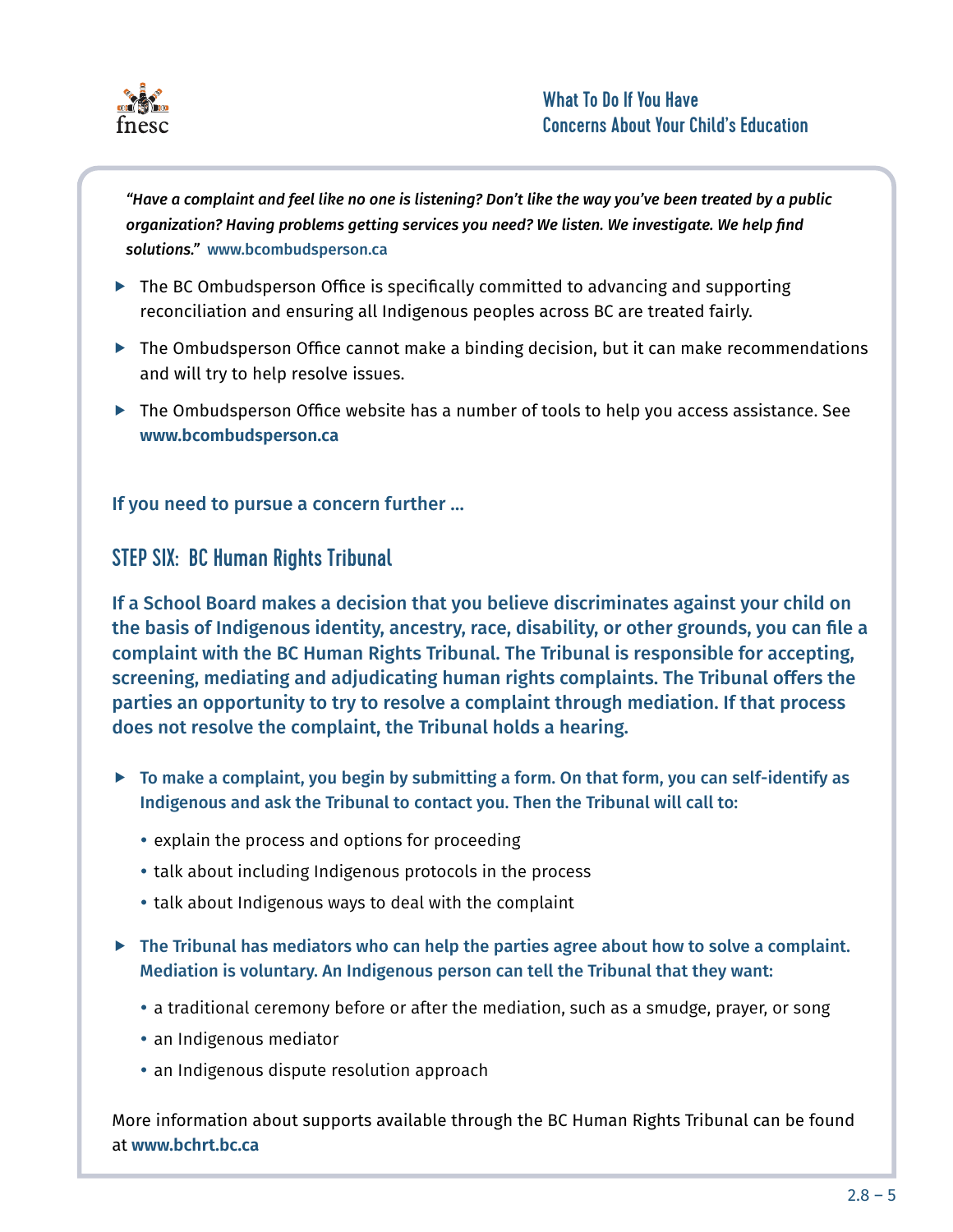

*"Have a complaint and feel like no one is listening? Don't like the way you've been treated by a public organization? Having problems getting services you need? We listen. We investigate. We help find solutions."* [www.bcombudsperson.ca](http://www.bcombudsperson.ca)

- $\blacktriangleright$  The BC Ombudsperson Office is specifically committed to advancing and supporting reconciliation and ensuring all Indigenous peoples across BC are treated fairly.
- $\blacktriangleright$  The Ombudsperson Office cannot make a binding decision, but it can make recommendations and will try to help resolve issues.
- $\blacktriangleright$  The Ombudsperson Office website has a number of tools to help you access assistance. See **[www.bcombudsperson.ca](http://www.bcombudsperson.ca)**

#### If you need to pursue a concern further …

#### STEP SIX: BC Human Rights Tribunal

If a School Board makes a decision that you believe discriminates against your child on the basis of Indigenous identity, ancestry, race, disability, or other grounds, you can file a complaint with the BC Human Rights Tribunal. The Tribunal is responsible for accepting, screening, mediating and adjudicating human rights complaints. The Tribunal offers the parties an opportunity to try to resolve a complaint through mediation. If that process does not resolve the complaint, the Tribunal holds a hearing.

- $\triangleright$  To make a complaint, you begin by submitting a form. On that form, you can self-identify as Indigenous and ask the Tribunal to contact you. Then the Tribunal will call to:
	- explain the process and options for proceeding
	- talk about including Indigenous protocols in the process
	- talk about Indigenous ways to deal with the complaint
- $\blacktriangleright$  The Tribunal has mediators who can help the parties agree about how to solve a complaint. Mediation is voluntary. An Indigenous person can tell the Tribunal that they want:
	- a traditional ceremony before or after the mediation, such as a smudge, prayer, or song
	- an Indigenous mediator
	- an Indigenous dispute resolution approach

More information about supports available through the BC Human Rights Tribunal can be found at **www.bchrt.bc.ca**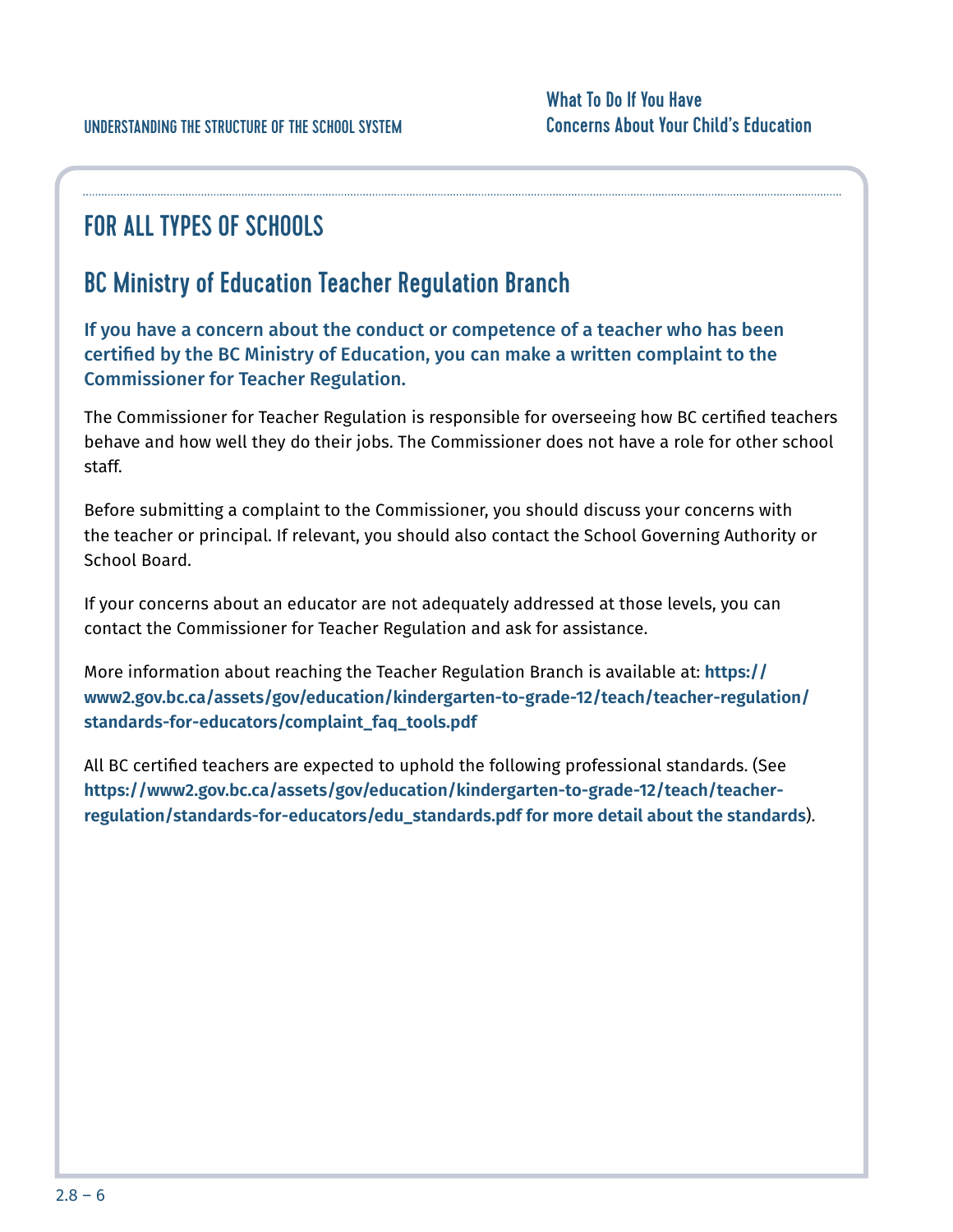# FOR ALL TYPES OF SCHOOLS

# BC Ministry of Education Teacher Regulation Branch

If you have a concern about the conduct or competence of a teacher who has been certified by the BC Ministry of Education, you can make a written complaint to the Commissioner for Teacher Regulation.

The Commissioner for Teacher Regulation is responsible for overseeing how BC certified teachers behave and how well they do their jobs. The Commissioner does not have a role for other school staff.

Before submitting a complaint to the Commissioner, you should discuss your concerns with the teacher or principal. If relevant, you should also contact the School Governing Authority or School Board.

If your concerns about an educator are not adequately addressed at those levels, you can contact the Commissioner for Teacher Regulation and ask for assistance.

More information about reaching the Teacher Regulation Branch is available at: **https:// www2.gov.bc.ca/assets/gov/education/kindergarten-to-grade-12/teach/teacher-regulation/ standards-for-educators/complaint\_faq\_tools.pdf**

All BC certified teachers are expected to uphold the following professional standards. (See https://www2.gov.bc.ca/assets/gov/education/kindergarten-to-grade-12/teach/teacher**regulation/standards-for-educators/edu\_standards.pdf for more detail about the standards**).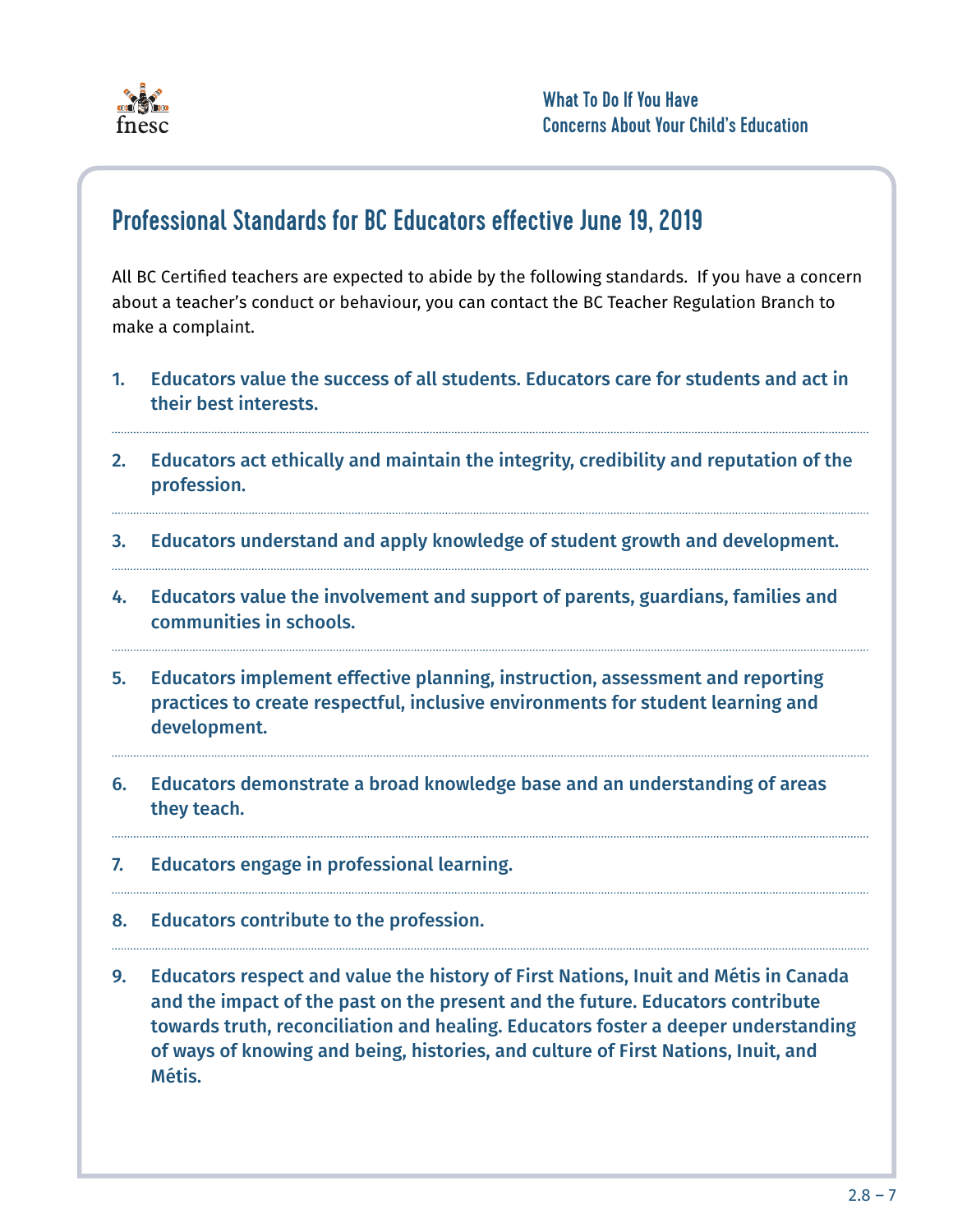

. . . . . . . . . . . . . . .

# Professional Standards for BC Educators effective June 19, 2019

All BC Certified teachers are expected to abide by the following standards. If you have a concern about a teacher's conduct or behaviour, you can contact the BC Teacher Regulation Branch to make a complaint.

- 1. Educators value the success of all students. Educators care for students and act in their best interests.
- 2. Educators act ethically and maintain the integrity, credibility and reputation of the profession.
- 3. Educators understand and apply knowledge of student growth and development.
- 4. Educators value the involvement and support of parents, guardians, families and communities in schools.
- 5. Educators implement effective planning, instruction, assessment and reporting practices to create respectful, inclusive environments for student learning and development.
- 6. Educators demonstrate a broad knowledge base and an understanding of areas they teach.
- 7. Educators engage in professional learning.
- 8. Educators contribute to the profession.
- 9. Educators respect and value the history of First Nations, Inuit and Métis in Canada and the impact of the past on the present and the future. Educators contribute towards truth, reconciliation and healing. Educators foster a deeper understanding of ways of knowing and being, histories, and culture of First Nations, Inuit, and Métis.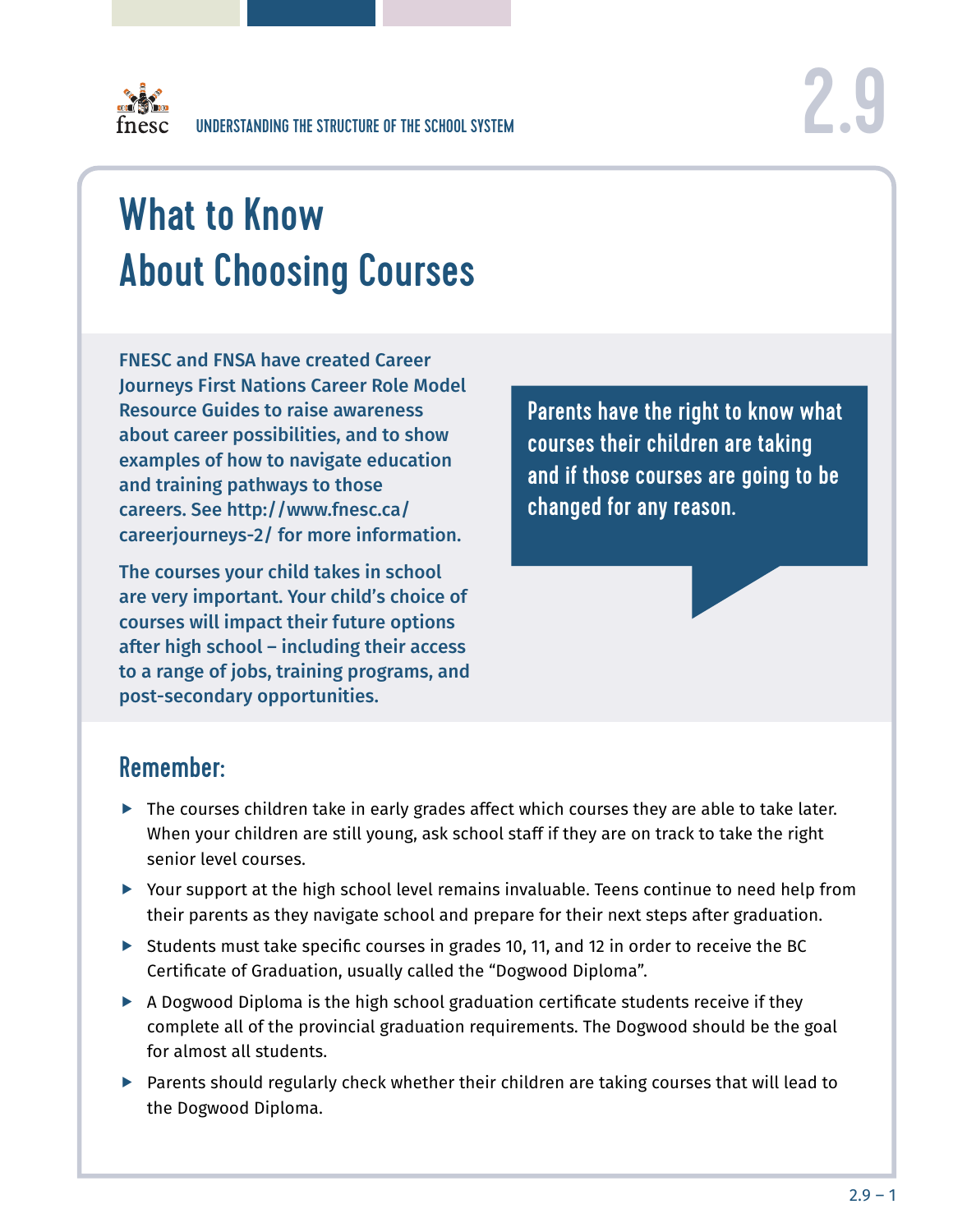

# What to Know About Choosing Courses

FNESC and FNSA have created Career Journeys First Nations Career Role Model Resource Guides to raise awareness about career possibilities, and to show examples of how to navigate education and training pathways to those careers. See http://www.fnesc.ca/ careerjourneys-2/ for more information.

The courses your child takes in school are very important. Your child's choice of courses will impact their future options after high school – including their access to a range of jobs, training programs, and post-secondary opportunities.

Parents have the right to know what courses their children are taking and if those courses are going to be changed for any reason.

# Remember:

- $\blacktriangleright$  The courses children take in early grades affect which courses they are able to take later. When your children are still young, ask school staff if they are on track to take the right senior level courses.
- $\blacktriangleright$  Your support at the high school level remains invaluable. Teens continue to need help from their parents as they navigate school and prepare for their next steps after graduation.
- $\triangleright$  Students must take specific courses in grades 10, 11, and 12 in order to receive the BC Certificate of Graduation, usually called the "Dogwood Diploma".
- $\triangleright$  A Dogwood Diploma is the high school graduation certificate students receive if they complete all of the provincial graduation requirements. The Dogwood should be the goal for almost all students.
- $\blacktriangleright$  Parents should regularly check whether their children are taking courses that will lead to the Dogwood Diploma.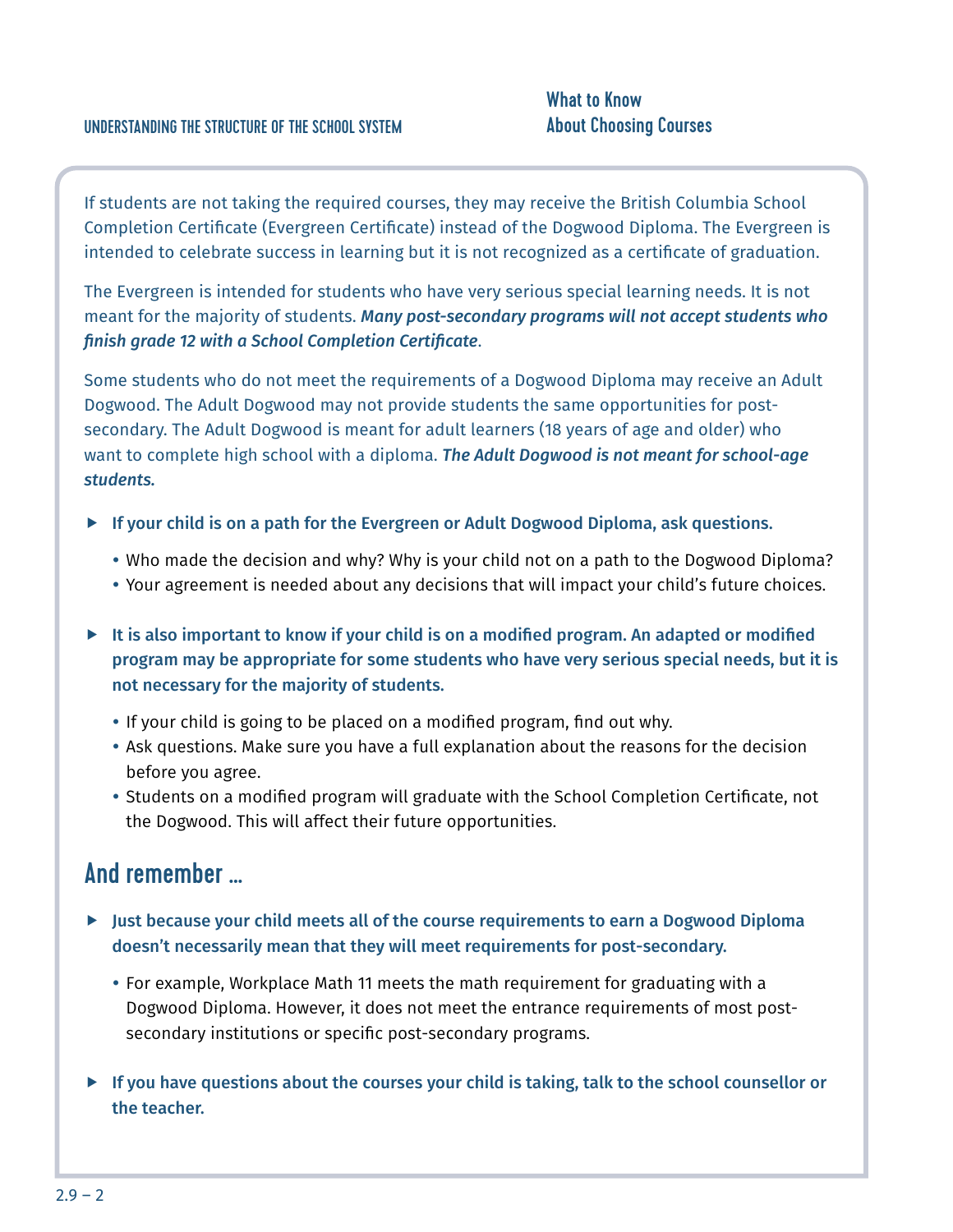If students are not taking the required courses, they may receive the British Columbia School Completion Certificate (Evergreen Certificate) instead of the Dogwood Diploma. The Evergreen is intended to celebrate success in learning but it is not recognized as a certificate of graduation.

The Evergreen is intended for students who have very serious special learning needs. It is not meant for the majority of students. *Many post-secondary programs will not accept students who finish grade 12 with a School Completion Certificate*.

Some students who do not meet the requirements of a Dogwood Diploma may receive an Adult Dogwood. The Adult Dogwood may not provide students the same opportunities for postsecondary. The Adult Dogwood is meant for adult learners (18 years of age and older) who want to complete high school with a diploma. *The Adult Dogwood is not meant for school-age students.* 

- $\blacktriangleright$  If your child is on a path for the Evergreen or Adult Dogwood Diploma, ask questions.
	- Who made the decision and why? Why is your child not on a path to the Dogwood Diploma?
	- y Your agreement is needed about any decisions that will impact your child's future choices.

 $\blacktriangleright$  It is also important to know if your child is on a modified program. An adapted or modified program may be appropriate for some students who have very serious special needs, but it is not necessary for the majority of students.

- If your child is going to be placed on a modified program, find out why.
- Ask questions. Make sure you have a full explanation about the reasons for the decision before you agree.
- Students on a modified program will graduate with the School Completion Certificate, not the Dogwood. This will affect their future opportunities.

# And remember …

- $\blacktriangleright$  Just because your child meets all of the course requirements to earn a Dogwood Diploma doesn't necessarily mean that they will meet requirements for post-secondary.
	- For example, Workplace Math 11 meets the math requirement for graduating with a Dogwood Diploma. However, it does not meet the entrance requirements of most postsecondary institutions or specific post-secondary programs.
- $\blacktriangleright$  If you have questions about the courses your child is taking, talk to the school counsellor or the teacher.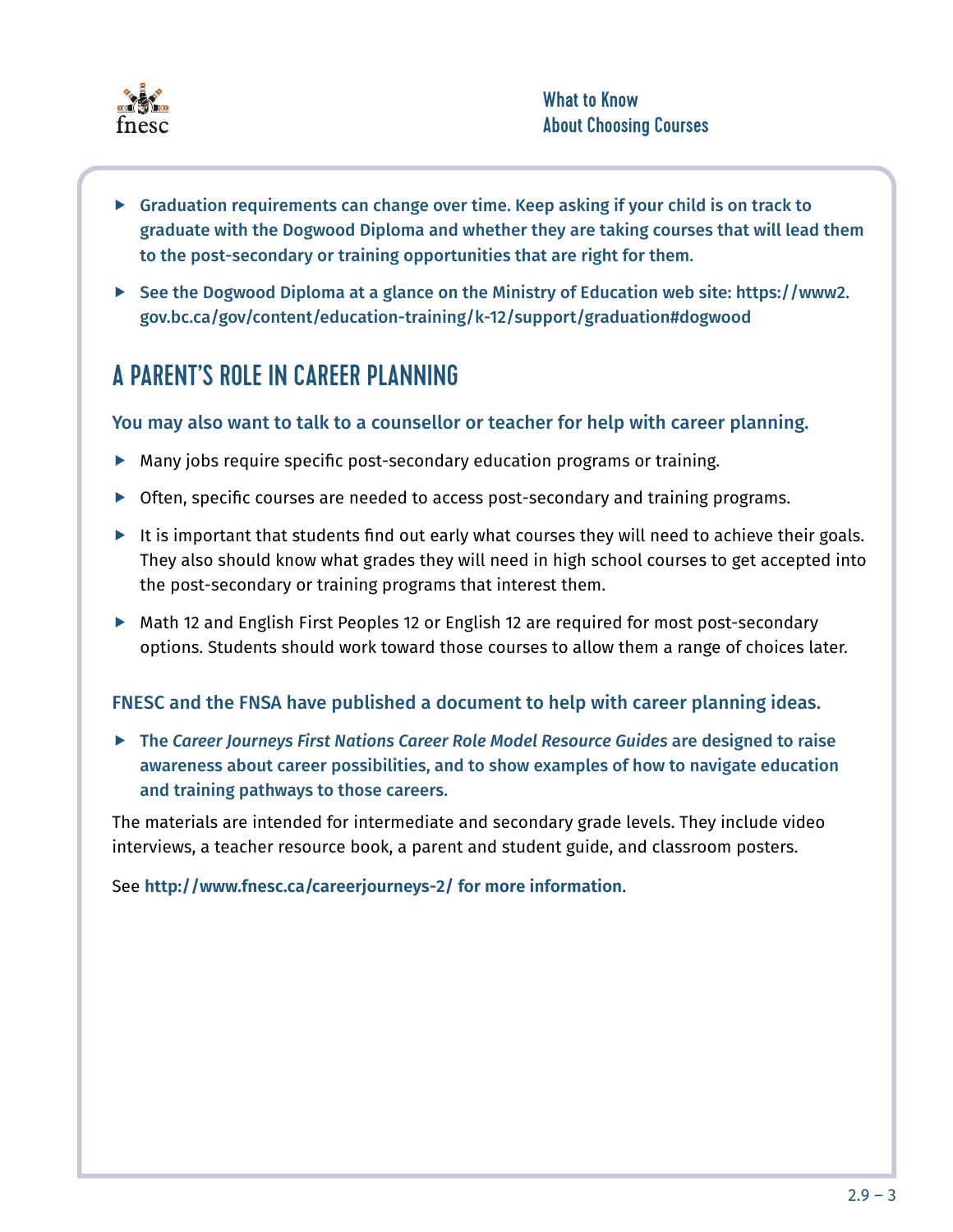

- $\triangleright$  Graduation requirements can change over time. Keep asking if your child is on track to graduate with the Dogwood Diploma and whether they are taking courses that will lead them to the post-secondary or training opportunities that are right for them.
- $\triangleright$  See the Dogwood Diploma at a glance on the Ministry of Education web site: https://www2. gov.bc.ca/gov/content/education-training/k-12/support/graduation#dogwood

# A PARENT'S ROLE IN CAREER PLANNING

#### You may also want to talk to a counsellor or teacher for help with career planning.

- $\blacktriangleright$  Many jobs require specific post-secondary education programs or training.
- $\triangleright$  Often, specific courses are needed to access post-secondary and training programs.
- $\blacktriangleright$  It is important that students find out early what courses they will need to achieve their goals. They also should know what grades they will need in high school courses to get accepted into the post-secondary or training programs that interest them.
- ▶ Math 12 and English First Peoples 12 or English 12 are required for most post-secondary options. Students should work toward those courses to allow them a range of choices later.

#### FNESC and the FNSA have published a document to help with career planning ideas.

**Fig. 2** The Career Journeys First Nations Career Role Model Resource Guides are designed to raise awareness about career possibilities, and to show examples of how to navigate education and training pathways to those careers.

The materials are intended for intermediate and secondary grade levels. They include video interviews, a teacher resource book, a parent and student guide, and classroom posters.

See **http://www.fnesc.ca/careerjourneys-2/ for more information**.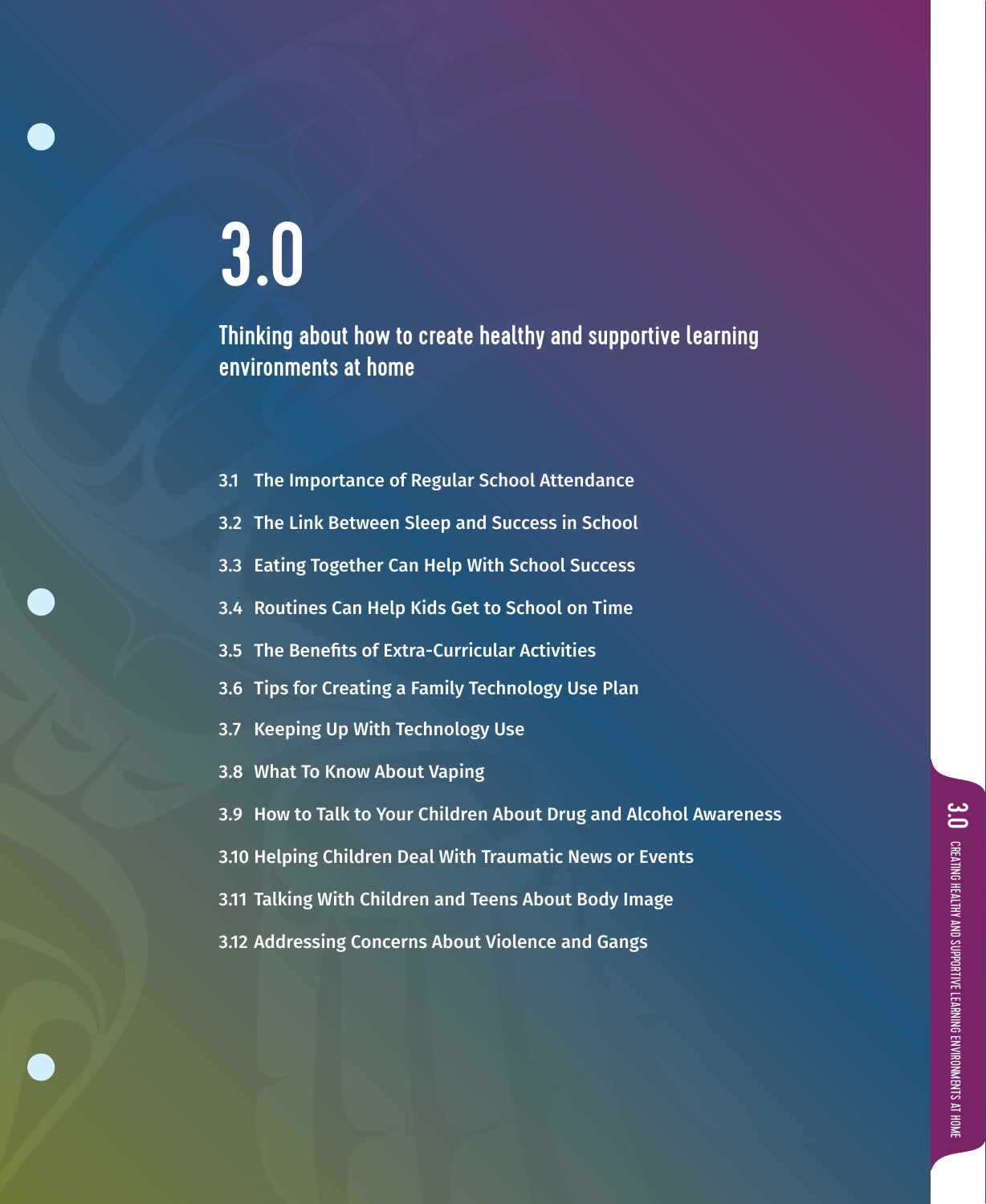# 3.0

Thinking about how to create healthy and supportive learning environments at home

| 3.1 The Importance of Regular School Attendance                   |
|-------------------------------------------------------------------|
| 3.2 The Link Between Sleep and Success in School                  |
| 3.3 Eating Together Can Help With School Success                  |
| 3.4 Routines Can Help Kids Get to School on Time                  |
| 3.5 The Benefits of Extra-Curricular Activities                   |
| 3.6 Tips for Creating a Family Technology Use Plan                |
| 3.7 Keeping Up With Technology Use                                |
| 3.8 What To Know About Vaping                                     |
| 3.9 How to Talk to Your Children About Drug and Alcohol Awareness |
| 3.10 Helping Children Deal With Traumatic News or Events          |
| 3.11 Talking With Children and Teens About Body Image             |
| 3.12 Addressing Concerns About Violence and Gangs                 |
|                                                                   |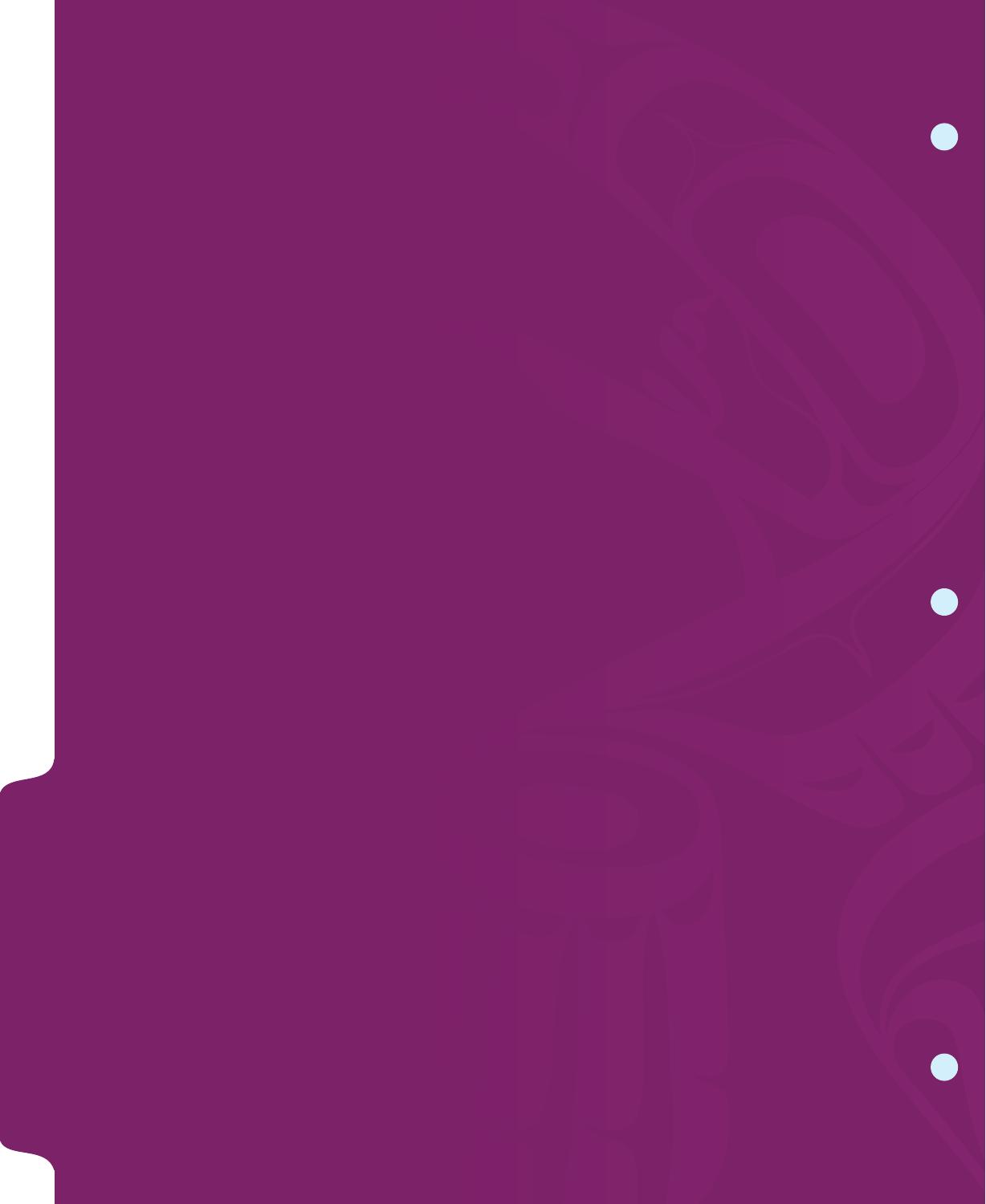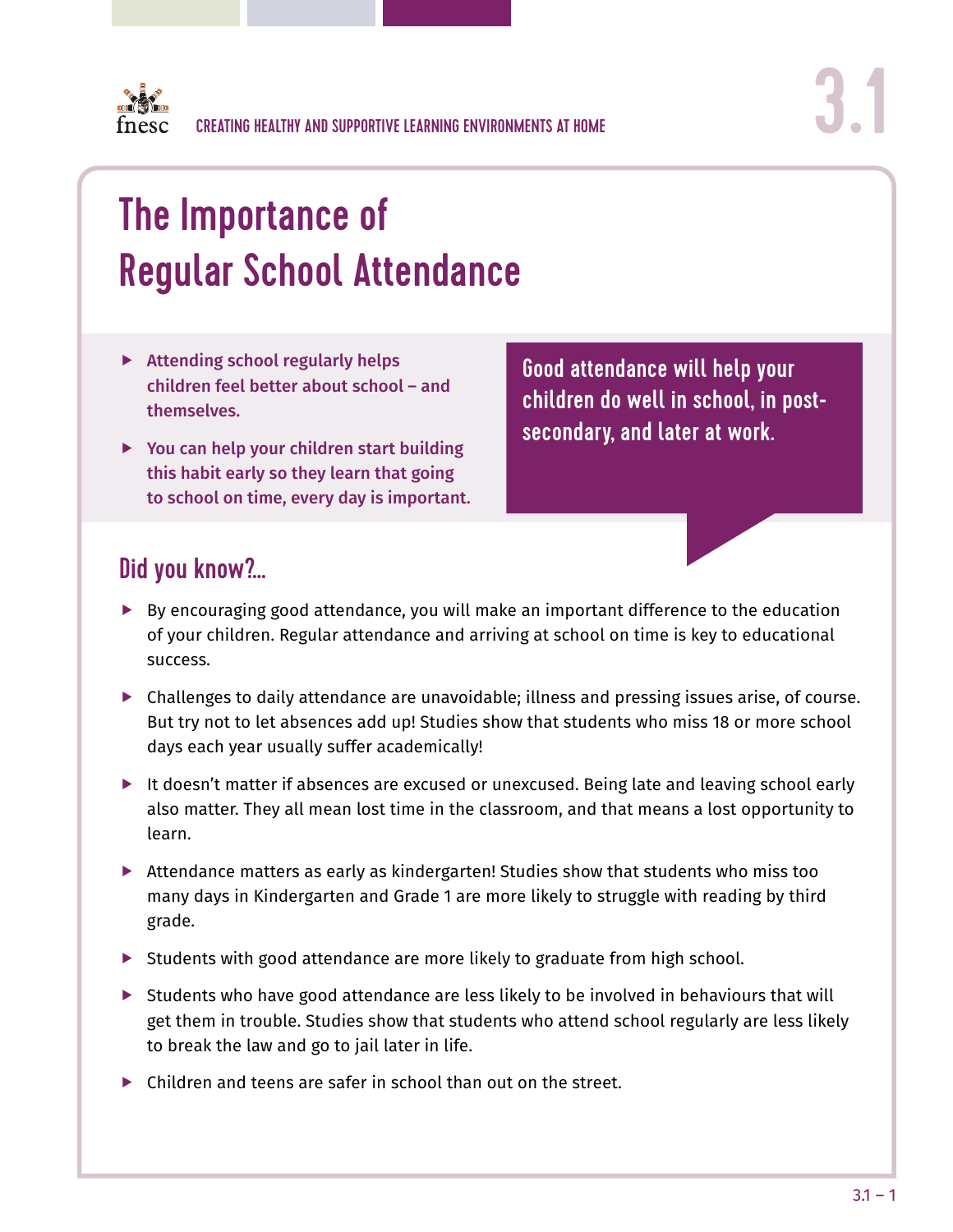

# The Importance of Regular School Attendance

- $\blacktriangleright$  Attending school regularly helps children feel better about school – and themselves.
- $\triangleright$  You can help your children start building this habit early so they learn that going to school on time, every day is important.

Good attendance will help your children do well in school, in postsecondary, and later at work.

# Did you know?…

- $\blacktriangleright$  By encouraging good attendance, you will make an important difference to the education of your children. Regular attendance and arriving at school on time is key to educational success.
- $\triangleright$  Challenges to daily attendance are unavoidable; illness and pressing issues arise, of course. But try not to let absences add up! Studies show that students who miss 18 or more school days each year usually suffer academically!
- $\blacktriangleright$  It doesn't matter if absences are excused or unexcused. Being late and leaving school early also matter. They all mean lost time in the classroom, and that means a lost opportunity to learn.
- $\blacktriangleright$  Attendance matters as early as kindergarten! Studies show that students who miss too many days in Kindergarten and Grade 1 are more likely to struggle with reading by third grade.
- $\triangleright$  Students with good attendance are more likely to graduate from high school.
- $\triangleright$  Students who have good attendance are less likely to be involved in behaviours that will get them in trouble. Studies show that students who attend school regularly are less likely to break the law and go to jail later in life.
- $\blacktriangleright$  Children and teens are safer in school than out on the street.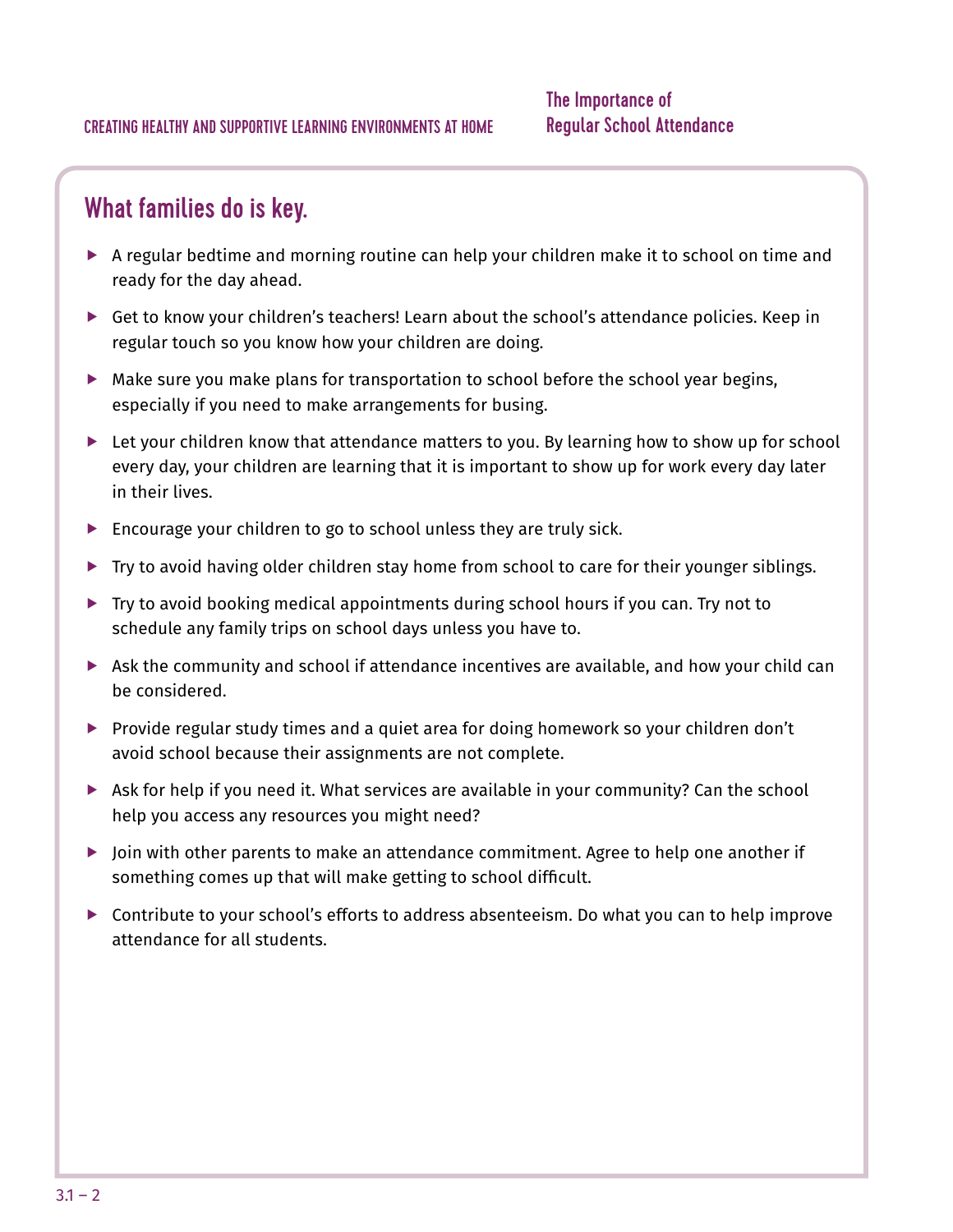# What families do is key.

- $\blacktriangleright$  A regular bedtime and morning routine can help your children make it to school on time and ready for the day ahead.
- $\triangleright$  Get to know your children's teachers! Learn about the school's attendance policies. Keep in regular touch so you know how your children are doing.
- $\blacktriangleright$  Make sure you make plans for transportation to school before the school year begins, especially if you need to make arrangements for busing.
- $\blacktriangleright$  Let your children know that attendance matters to you. By learning how to show up for school every day, your children are learning that it is important to show up for work every day later in their lives.
- $\blacktriangleright$  Encourage your children to go to school unless they are truly sick.
- $\blacktriangleright$  Try to avoid having older children stay home from school to care for their younger siblings.
- $\blacktriangleright$  Try to avoid booking medical appointments during school hours if you can. Try not to schedule any family trips on school days unless you have to.
- $\blacktriangleright$  Ask the community and school if attendance incentives are available, and how your child can be considered.
- $\blacktriangleright$  Provide regular study times and a quiet area for doing homework so your children don't avoid school because their assignments are not complete.
- $\triangleright$  Ask for help if you need it. What services are available in your community? Can the school help you access any resources you might need?
- $\blacktriangleright$  Join with other parents to make an attendance commitment. Agree to help one another if something comes up that will make getting to school difficult.
- $\triangleright$  Contribute to your school's efforts to address absenteeism. Do what you can to help improve attendance for all students.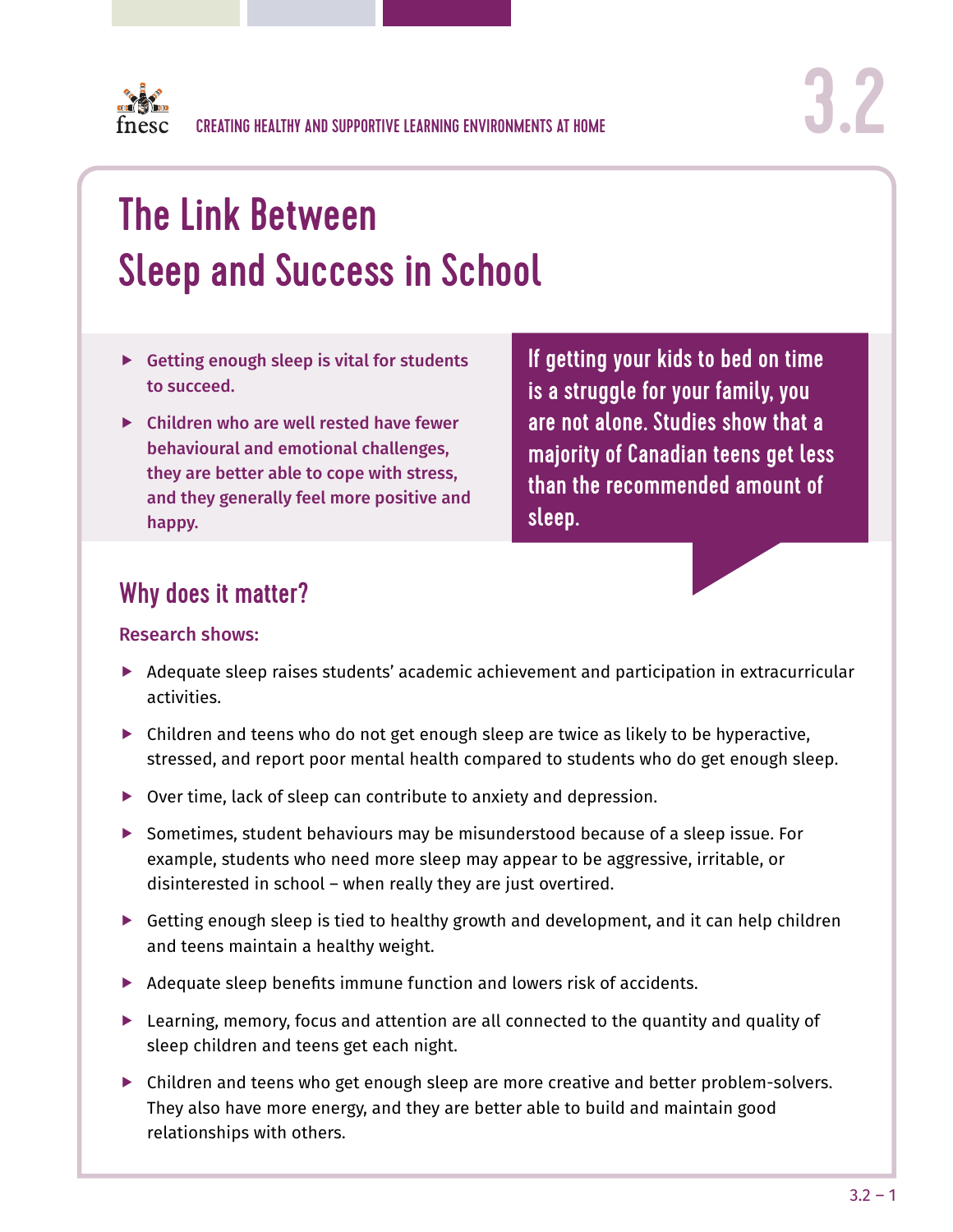

# The Link Between Sleep and Success in School

- $\blacktriangleright$  Getting enough sleep is vital for students to succeed.
- $\triangleright$  Children who are well rested have fewer behavioural and emotional challenges, they are better able to cope with stress, and they generally feel more positive and happy.

If getting your kids to bed on time is a struggle for your family, you are not alone. Studies show that a majority of Canadian teens get less than the recommended amount of sleep.

# Why does it matter?

#### Research shows:

- $\blacktriangleright$  Adequate sleep raises students' academic achievement and participation in extracurricular activities.
- $\blacktriangleright$  Children and teens who do not get enough sleep are twice as likely to be hyperactive, stressed, and report poor mental health compared to students who do get enough sleep.
- $\triangleright$  Over time, lack of sleep can contribute to anxiety and depression.
- $\triangleright$  Sometimes, student behaviours may be misunderstood because of a sleep issue. For example, students who need more sleep may appear to be aggressive, irritable, or disinterested in school – when really they are just overtired.
- $\blacktriangleright$  Getting enough sleep is tied to healthy growth and development, and it can help children and teens maintain a healthy weight.
- $\blacktriangleright$  Adequate sleep benefits immune function and lowers risk of accidents.
- $\blacktriangleright$  Learning, memory, focus and attention are all connected to the quantity and quality of sleep children and teens get each night.
- $\triangleright$  Children and teens who get enough sleep are more creative and better problem-solvers. They also have more energy, and they are better able to build and maintain good relationships with others.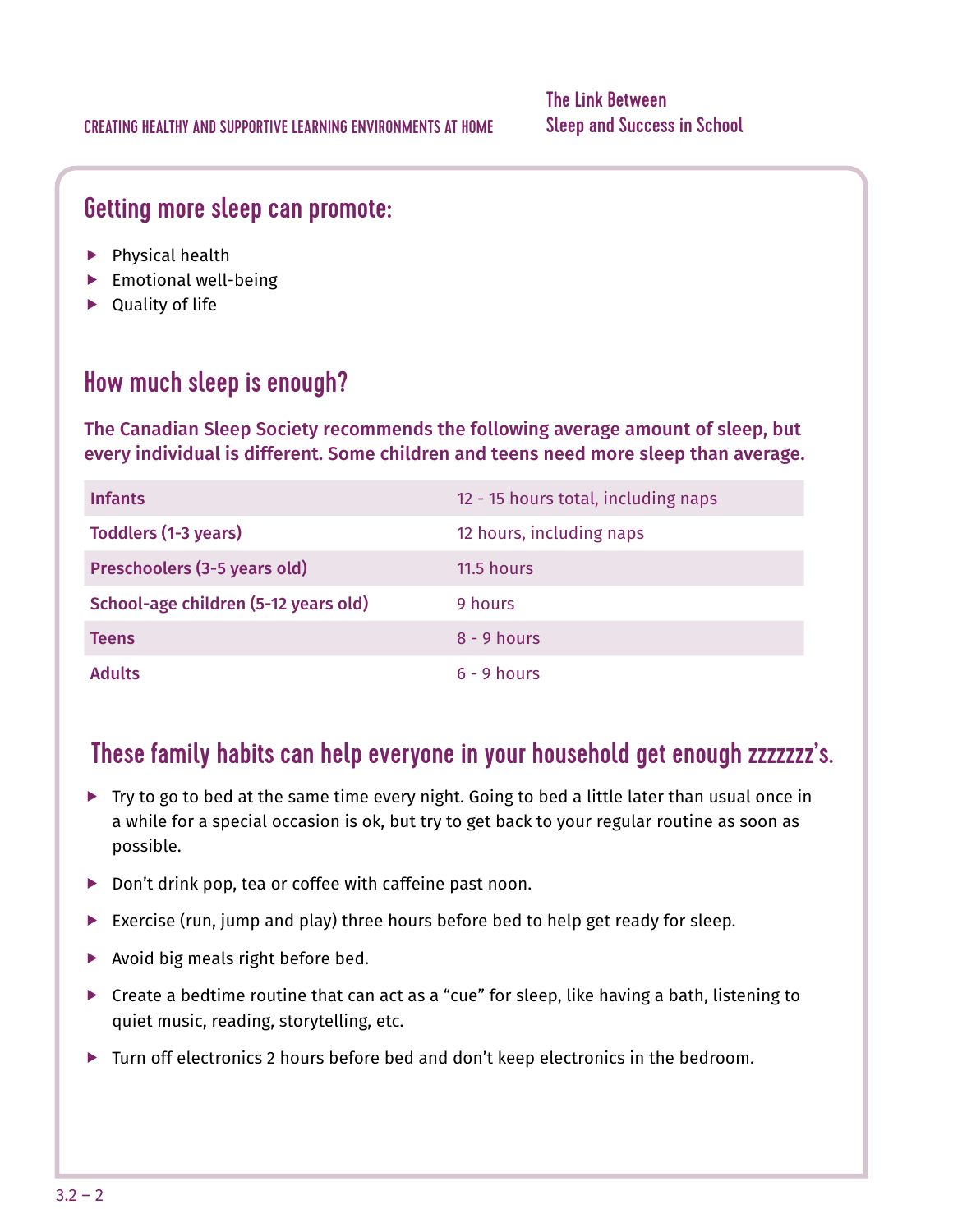### Getting more sleep can promote:

- $\blacktriangleright$  Physical health
- $\blacktriangleright$  Emotional well-being
- $\blacktriangleright$  Quality of life

# How much sleep is enough?

The Canadian Sleep Society recommends the following average amount of sleep, but every individual is different. Some children and teens need more sleep than average.

| <b>Infants</b>                       | 12 - 15 hours total, including naps |
|--------------------------------------|-------------------------------------|
| Toddlers (1-3 years)                 | 12 hours, including naps            |
| Preschoolers (3-5 years old)         | 11.5 hours                          |
| School-age children (5-12 years old) | 9 hours                             |
| <b>Teens</b>                         | $8 - 9$ hours                       |
| <b>Adults</b>                        | $6 - 9$ hours                       |

# These family habits can help everyone in your household get enough zzzzzzz's.

- $\blacktriangleright$  Try to go to bed at the same time every night. Going to bed a little later than usual once in a while for a special occasion is ok, but try to get back to your regular routine as soon as possible.
- $\blacktriangleright$  Don't drink pop, tea or coffee with caffeine past noon.
- Exercise (run, jump and play) three hours before bed to help get ready for sleep.
- $\blacktriangleright$  Avoid big meals right before bed.
- $\blacktriangleright$  Create a bedtime routine that can act as a "cue" for sleep, like having a bath, listening to quiet music, reading, storytelling, etc.
- $\blacktriangleright$  Turn off electronics 2 hours before bed and don't keep electronics in the bedroom.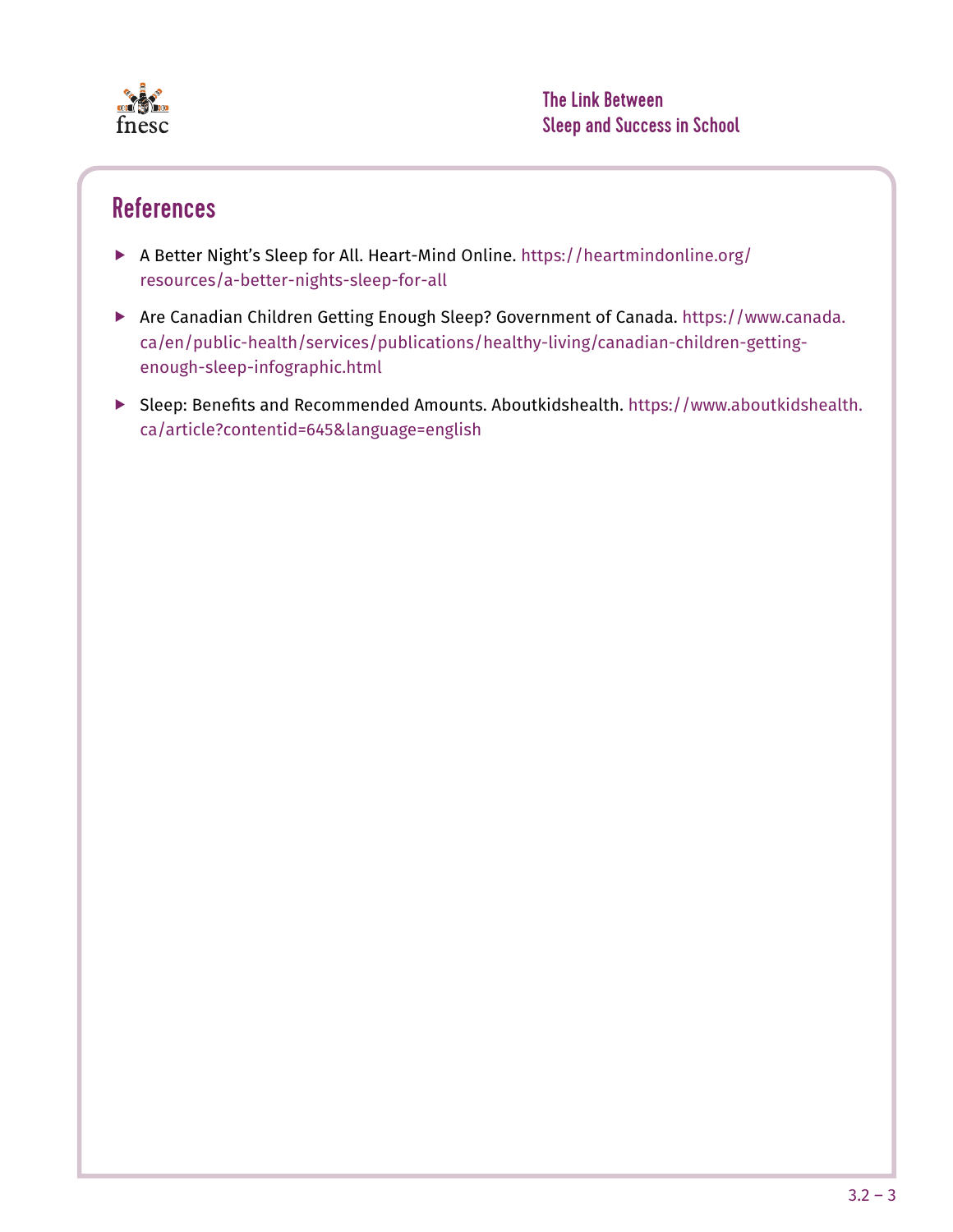

#### References

- ▶ A Better Night's Sleep for All. Heart-Mind Online. https://heartmindonline.org/ resources/a-better-nights-sleep-for-all
- ▶ Are Canadian Children Getting Enough Sleep? Government of Canada. https://www.canada. ca/en/public-health/services/publications/healthy-living/canadian-children-gettingenough-sleep-infographic.html
- ▶ Sleep: Benefits and Recommended Amounts. Aboutkidshealth. https://www.aboutkidshealth. ca/article?contentid=645&language=english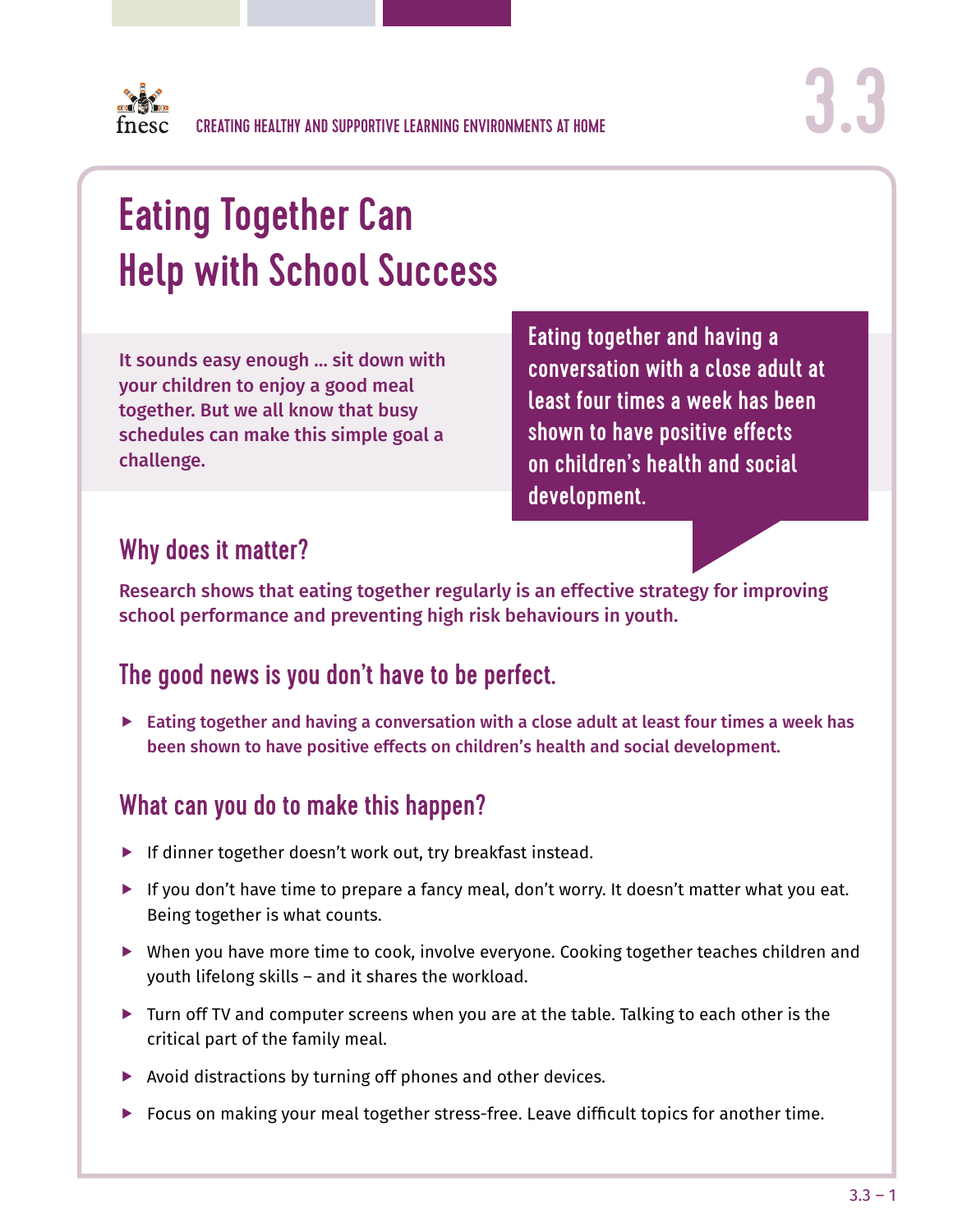

# Eating Together Can Help with School Success

It sounds easy enough … sit down with your children to enjoy a good meal together. But we all know that busy schedules can make this simple goal a challenge.

Eating together and having a conversation with a close adult at least four times a week has been shown to have positive effects on children's health and social development.

### Why does it matter?

Research shows that eating together regularly is an effective strategy for improving school performance and preventing high risk behaviours in youth.

### The good news is you don't have to be perfect.

 $\blacktriangleright$  Eating together and having a conversation with a close adult at least four times a week has been shown to have positive effects on children's health and social development.

# What can you do to make this happen?

- $\blacktriangleright$  If dinner together doesn't work out, try breakfast instead.
- If you don't have time to prepare a fancy meal, don't worry. It doesn't matter what you eat. Being together is what counts.
- $\blacktriangleright$  When you have more time to cook, involve everyone. Cooking together teaches children and youth lifelong skills – and it shares the workload.
- Furn off TV and computer screens when you are at the table. Talking to each other is the critical part of the family meal.
- $\blacktriangleright$  Avoid distractions by turning off phones and other devices.
- $\blacktriangleright$  Focus on making your meal together stress-free. Leave difficult topics for another time.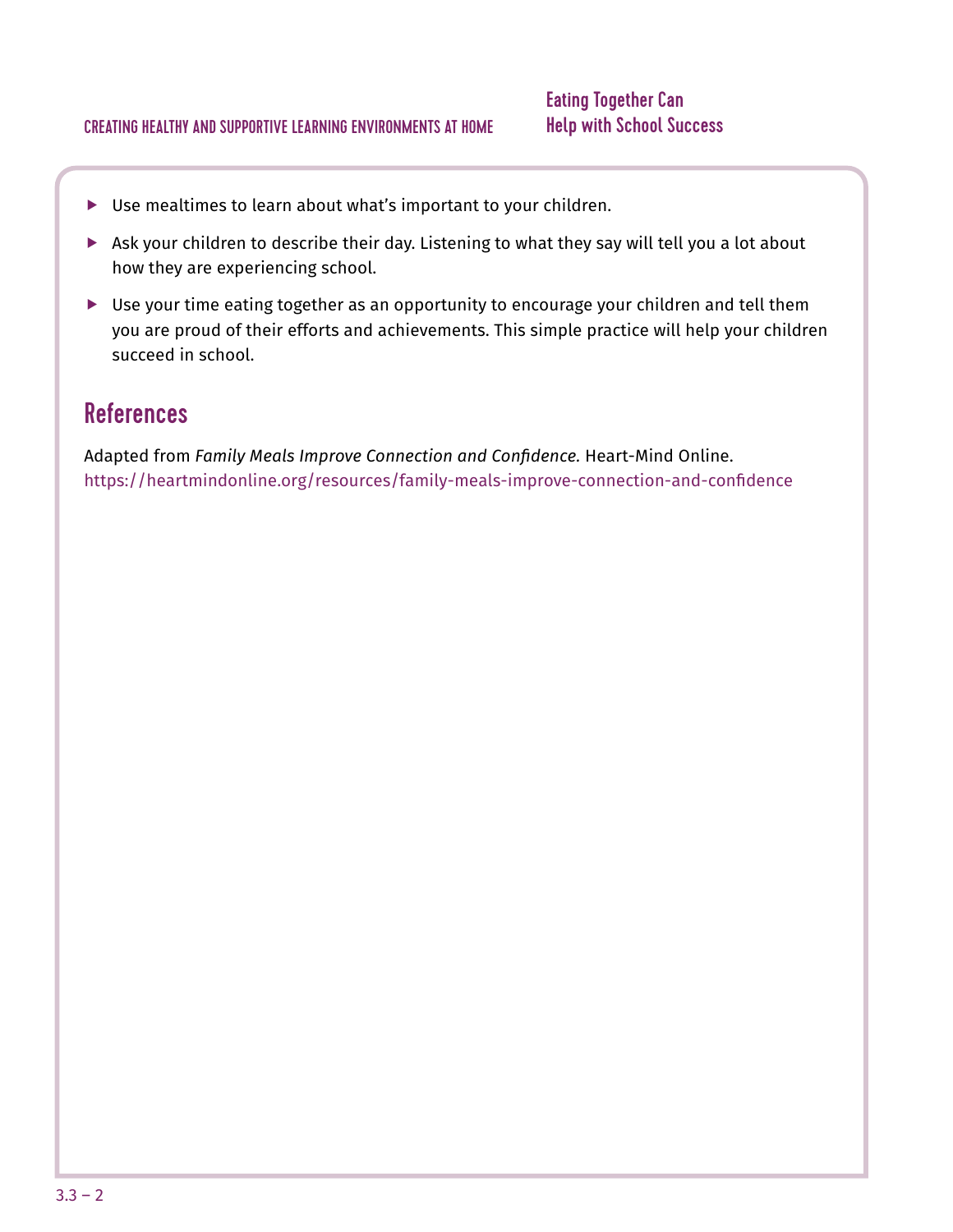- $\blacktriangleright$  Use mealtimes to learn about what's important to your children.
- $\blacktriangleright$  Ask your children to describe their day. Listening to what they say will tell you a lot about how they are experiencing school.
- $\blacktriangleright$  Use your time eating together as an opportunity to encourage your children and tell them you are proud of their efforts and achievements. This simple practice will help your children succeed in school.

#### References

Adapted from *Family Meals Improve Connection and Confidence.* Heart-Mind Online. https://heartmindonline.org/resources/family-meals-improve-connection-and-confidence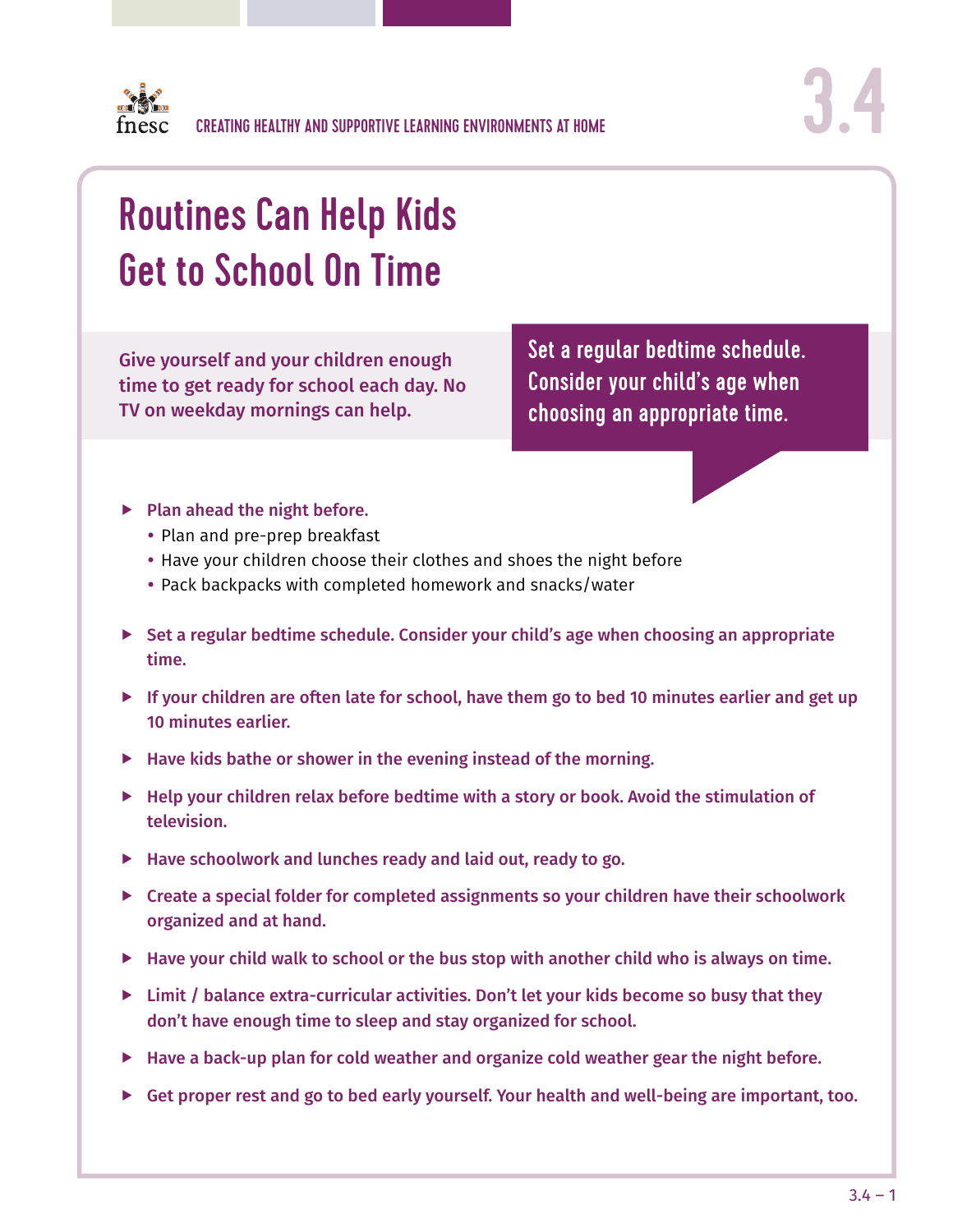

# Routines Can Help Kids Get to School On Time

Give yourself and your children enough time to get ready for school each day. No TV on weekday mornings can help.

Set a regular bedtime schedule. Consider your child's age when choosing an appropriate time.

- $\blacktriangleright$  Plan ahead the night before.
	- Plan and pre-prep breakfast
	- Have your children choose their clothes and shoes the night before
	- Pack backpacks with completed homework and snacks/water
- $\triangleright$  Set a regular bedtime schedule. Consider your child's age when choosing an appropriate time.
- $\blacktriangleright$  If your children are often late for school, have them go to bed 10 minutes earlier and get up 10 minutes earlier.
- $\blacktriangleright$  Have kids bathe or shower in the evening instead of the morning.
- $\blacktriangleright$  Help your children relax before bedtime with a story or book. Avoid the stimulation of television.
- $\blacktriangleright$  Have schoolwork and lunches ready and laid out, ready to go.
- $\triangleright$  Create a special folder for completed assignments so your children have their schoolwork organized and at hand.
- $\blacktriangleright$  Have your child walk to school or the bus stop with another child who is always on time.
- $\triangleright$  Limit / balance extra-curricular activities. Don't let your kids become so busy that they don't have enough time to sleep and stay organized for school.
- $\blacktriangleright$  Have a back-up plan for cold weather and organize cold weather gear the night before.
- $\triangleright$  Get proper rest and go to bed early yourself. Your health and well-being are important, too.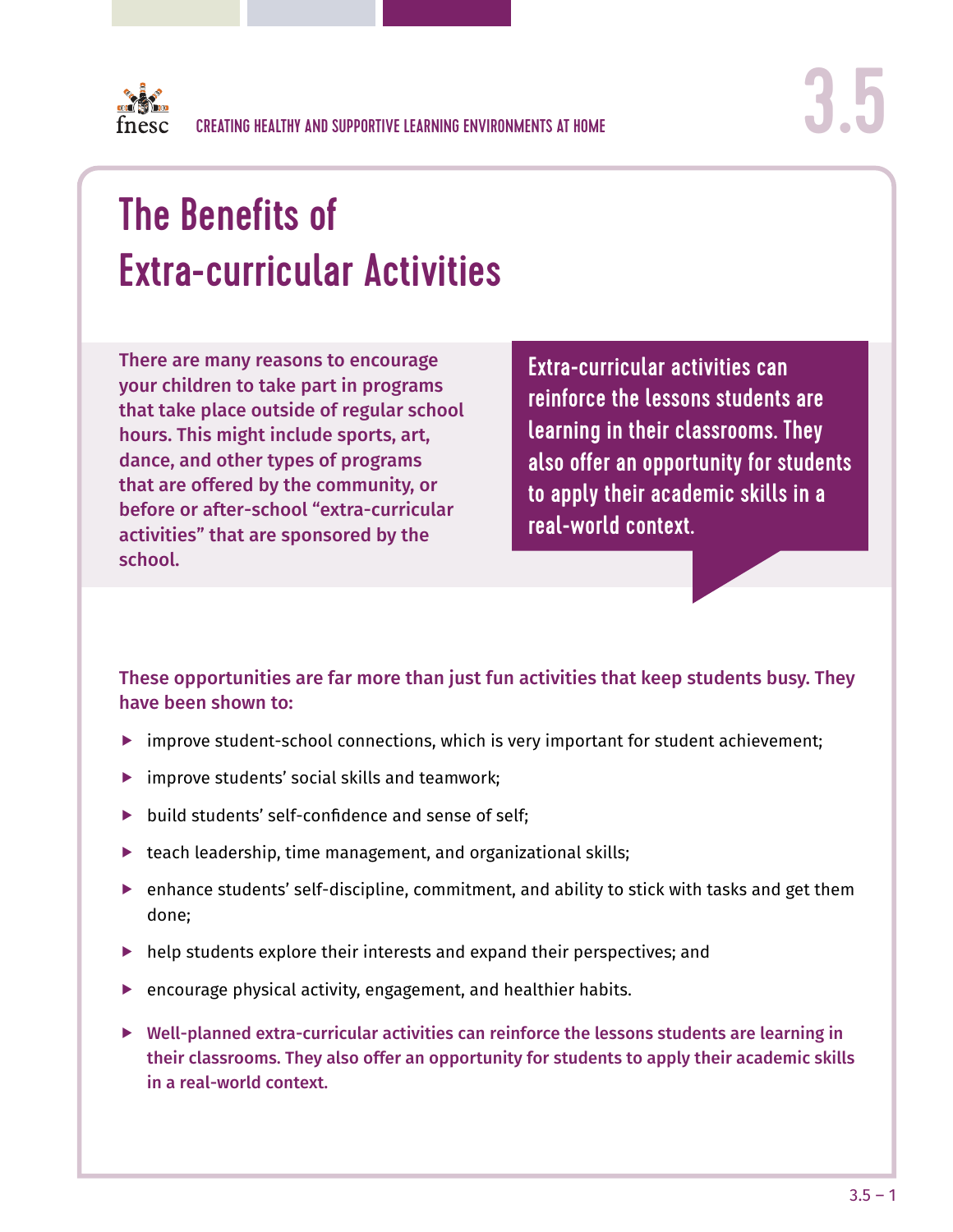

# The Benefits of Extra-curricular Activities

There are many reasons to encourage your children to take part in programs that take place outside of regular school hours. This might include sports, art, dance, and other types of programs that are offered by the community, or before or after-school "extra-curricular activities" that are sponsored by the school.

Extra-curricular activities can reinforce the lessons students are learning in their classrooms. They also offer an opportunity for students to apply their academic skills in a real-world context.

#### These opportunities are far more than just fun activities that keep students busy. They have been shown to:

- $\blacktriangleright$  improve student-school connections, which is very important for student achievement;
- $\blacktriangleright$  improve students' social skills and teamwork;
- $\blacktriangleright$  build students' self-confidence and sense of self;
- $\blacktriangleright$  teach leadership, time management, and organizational skills;
- $\blacktriangleright$  enhance students' self-discipline, commitment, and ability to stick with tasks and get them done;
- $\blacktriangleright$  help students explore their interests and expand their perspectives; and
- $\blacktriangleright$  encourage physical activity, engagement, and healthier habits.
- $\blacktriangleright$  Well-planned extra-curricular activities can reinforce the lessons students are learning in their classrooms. They also offer an opportunity for students to apply their academic skills in a real-world context.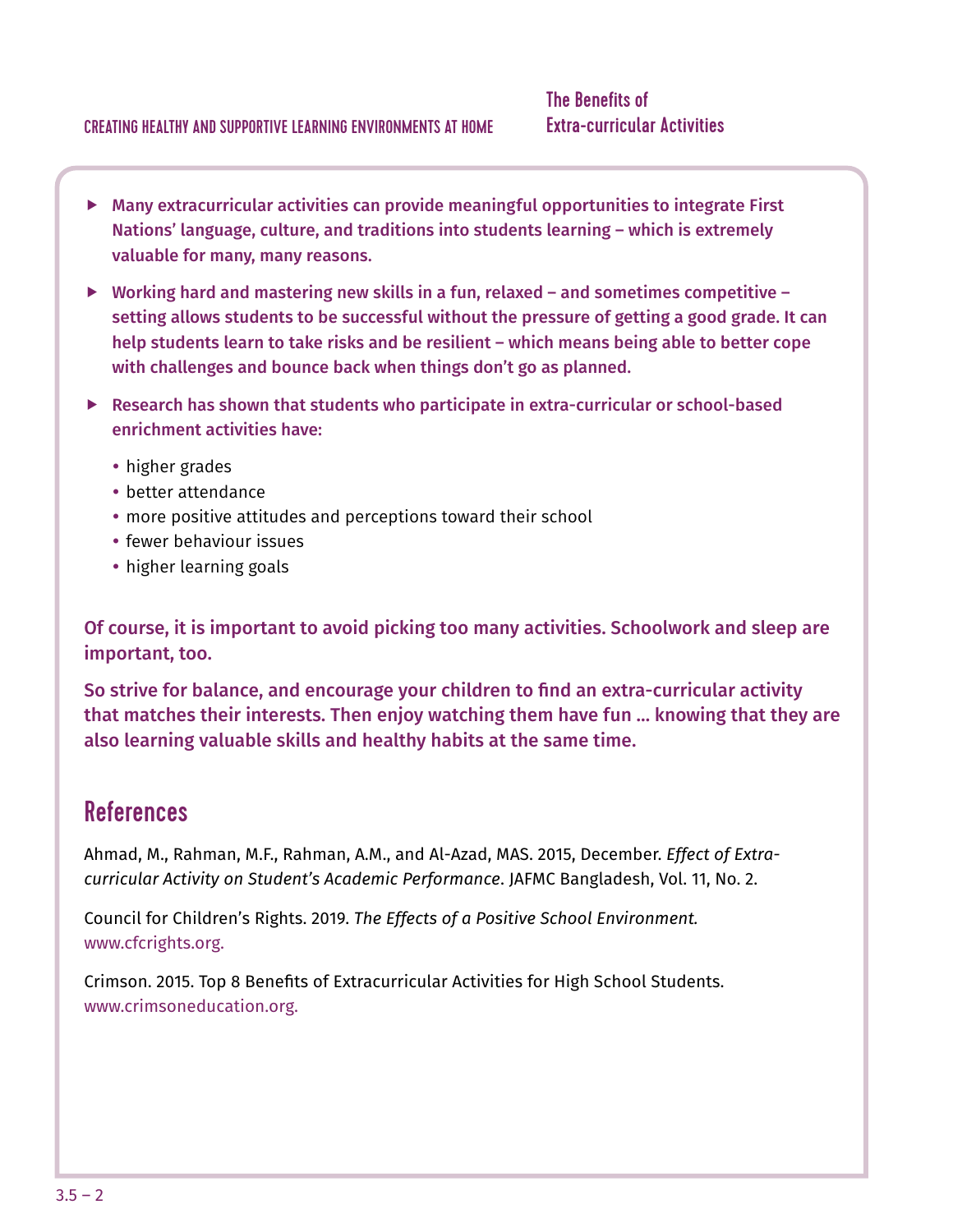- $\blacktriangleright$  Many extracurricular activities can provide meaningful opportunities to integrate First Nations' language, culture, and traditions into students learning – which is extremely valuable for many, many reasons.
- $\blacktriangleright$  Working hard and mastering new skills in a fun, relaxed and sometimes competitive setting allows students to be successful without the pressure of getting a good grade. It can help students learn to take risks and be resilient – which means being able to better cope with challenges and bounce back when things don't go as planned.
- $\blacktriangleright$  Research has shown that students who participate in extra-curricular or school-based enrichment activities have:
	- higher grades
	- better attendance
	- more positive attitudes and perceptions toward their school
	- fewer behaviour issues
	- higher learning goals

Of course, it is important to avoid picking too many activities. Schoolwork and sleep are important, too.

So strive for balance, and encourage your children to find an extra-curricular activity that matches their interests. Then enjoy watching them have fun … knowing that they are also learning valuable skills and healthy habits at the same time.

#### References

Ahmad, M., Rahman, M.F., Rahman, A.M., and Al-Azad, MAS. 2015, December. *Effect of Extracurricular Activity on Student's Academic Performance*. JAFMC Bangladesh, Vol. 11, No. 2.

Council for Children's Rights. 2019. *The Effects of a Positive School Environment.* www.cfcrights.org.

Crimson. 2015. Top 8 Benefits of Extracurricular Activities for High School Students. www.crimsoneducation.org.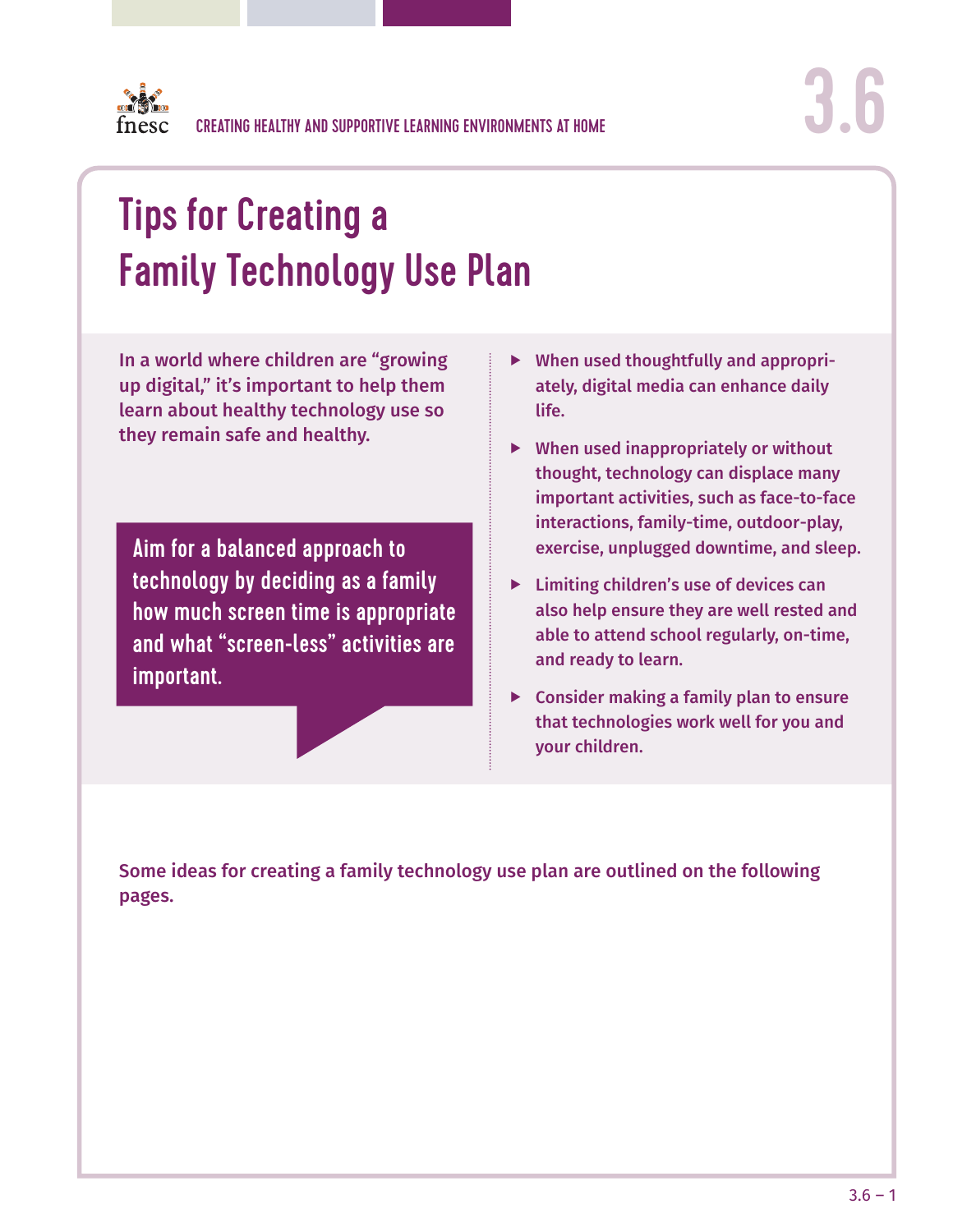

# Tips for Creating a Family Technology Use Plan

In a world where children are "growing up digital," it's important to help them learn about healthy technology use so they remain safe and healthy.

Aim for a balanced approach to technology by deciding as a family how much screen time is appropriate and what "screen-less" activities are important.

- $\blacktriangleright$  When used thoughtfully and appropriately, digital media can enhance daily life.
- $\blacktriangleright$  When used inappropriately or without thought, technology can displace many important activities, such as face-to-face interactions, family-time, outdoor-play, exercise, unplugged downtime, and sleep.
- $\blacktriangleright$  Limiting children's use of devices can also help ensure they are well rested and able to attend school regularly, on-time, and ready to learn.
- $\blacktriangleright$  Consider making a family plan to ensure that technologies work well for you and your children.

Some ideas for creating a family technology use plan are outlined on the following pages.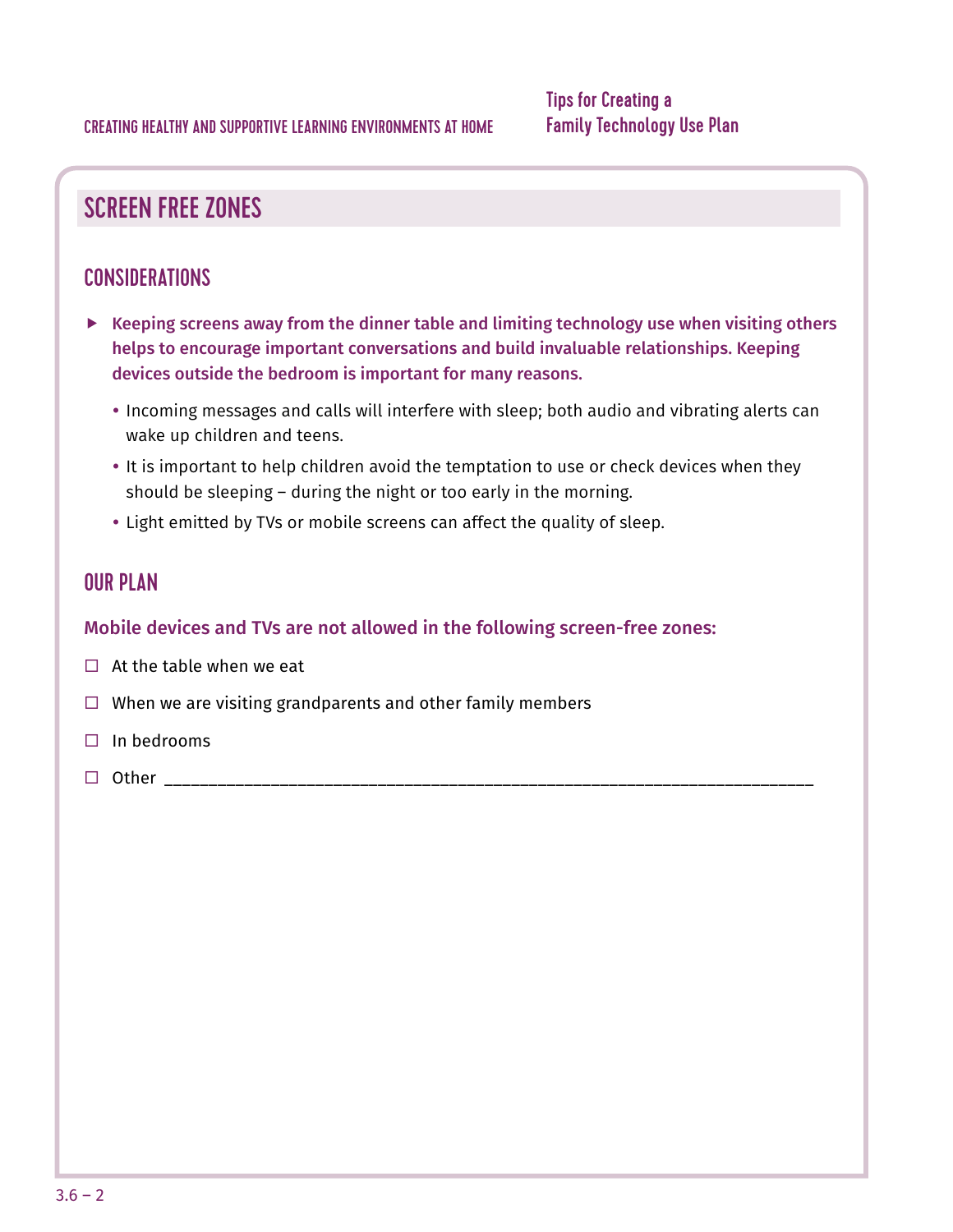### SCREEN FREE ZONES

#### **CONSIDERATIONS**

- $\blacktriangleright$  Keeping screens away from the dinner table and limiting technology use when visiting others helps to encourage important conversations and build invaluable relationships. Keeping devices outside the bedroom is important for many reasons.
	- Incoming messages and calls will interfere with sleep; both audio and vibrating alerts can wake up children and teens.
	- It is important to help children avoid the temptation to use or check devices when they should be sleeping – during the night or too early in the morning.
	- Light emitted by TVs or mobile screens can affect the quality of sleep.

#### OUR PLAN

Mobile devices and TVs are not allowed in the following screen-free zones:

- $\Box$  At the table when we eat
- $\Box$  When we are visiting grandparents and other family members
- $\Box$  In bedrooms
- $\Box$  Other  $\Box$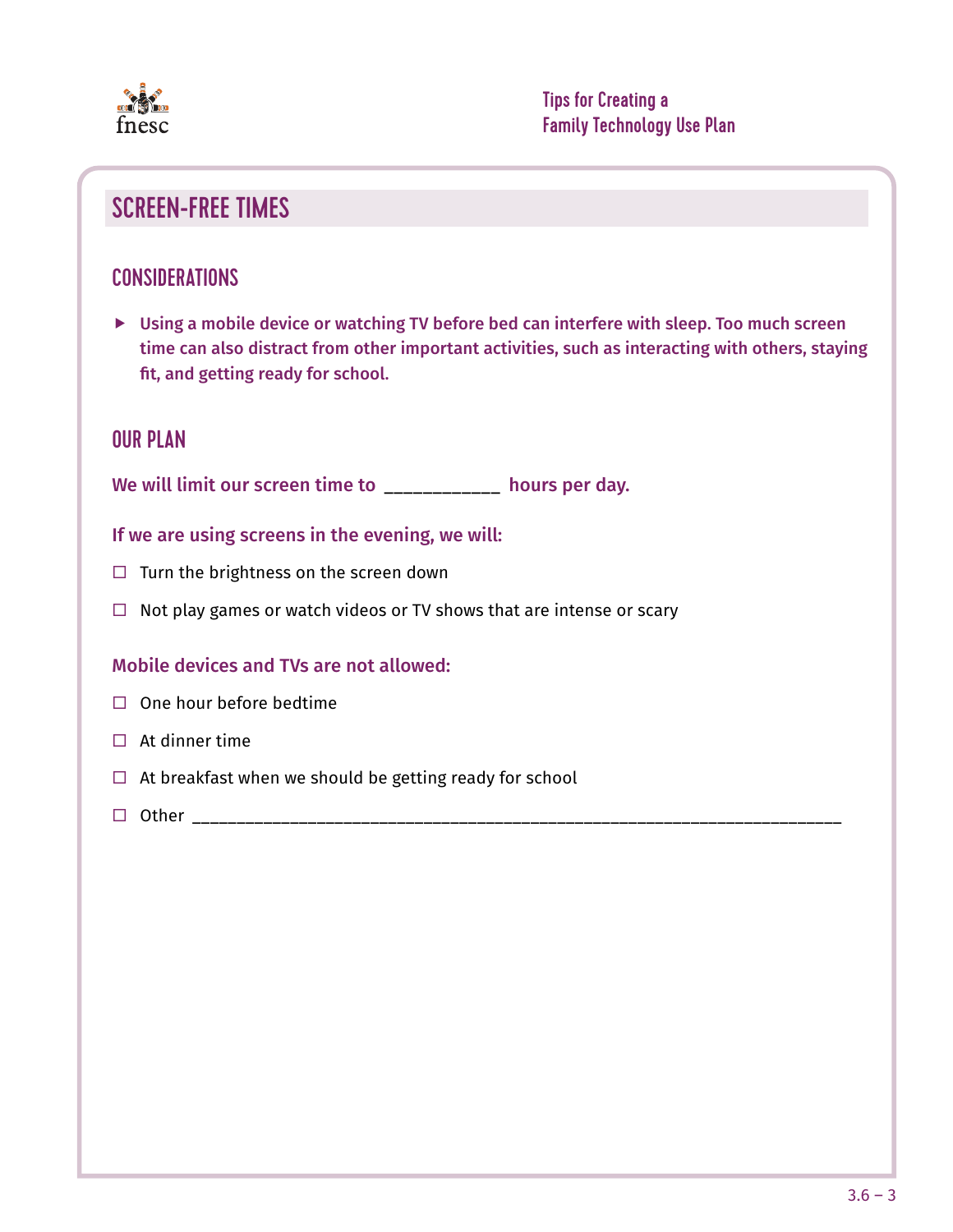

## SCREEN-FREE TIMES

#### **CONSIDERATIONS**

 $\blacktriangleright$  Using a mobile device or watching TV before bed can interfere with sleep. Too much screen time can also distract from other important activities, such as interacting with others, staying fit, and getting ready for school.

#### OUR PLAN

We will limit our screen time to \_\_\_\_\_\_\_\_\_\_\_\_ hours per day.

#### If we are using screens in the evening, we will:

- $\Box$  Turn the brightness on the screen down
- $\Box$  Not play games or watch videos or TV shows that are intense or scary

#### Mobile devices and TVs are not allowed:

- $\Box$  One hour before bedtime
- $\Box$  At dinner time
- $\Box$  At breakfast when we should be getting ready for school
- $\Box$  Other  $\Box$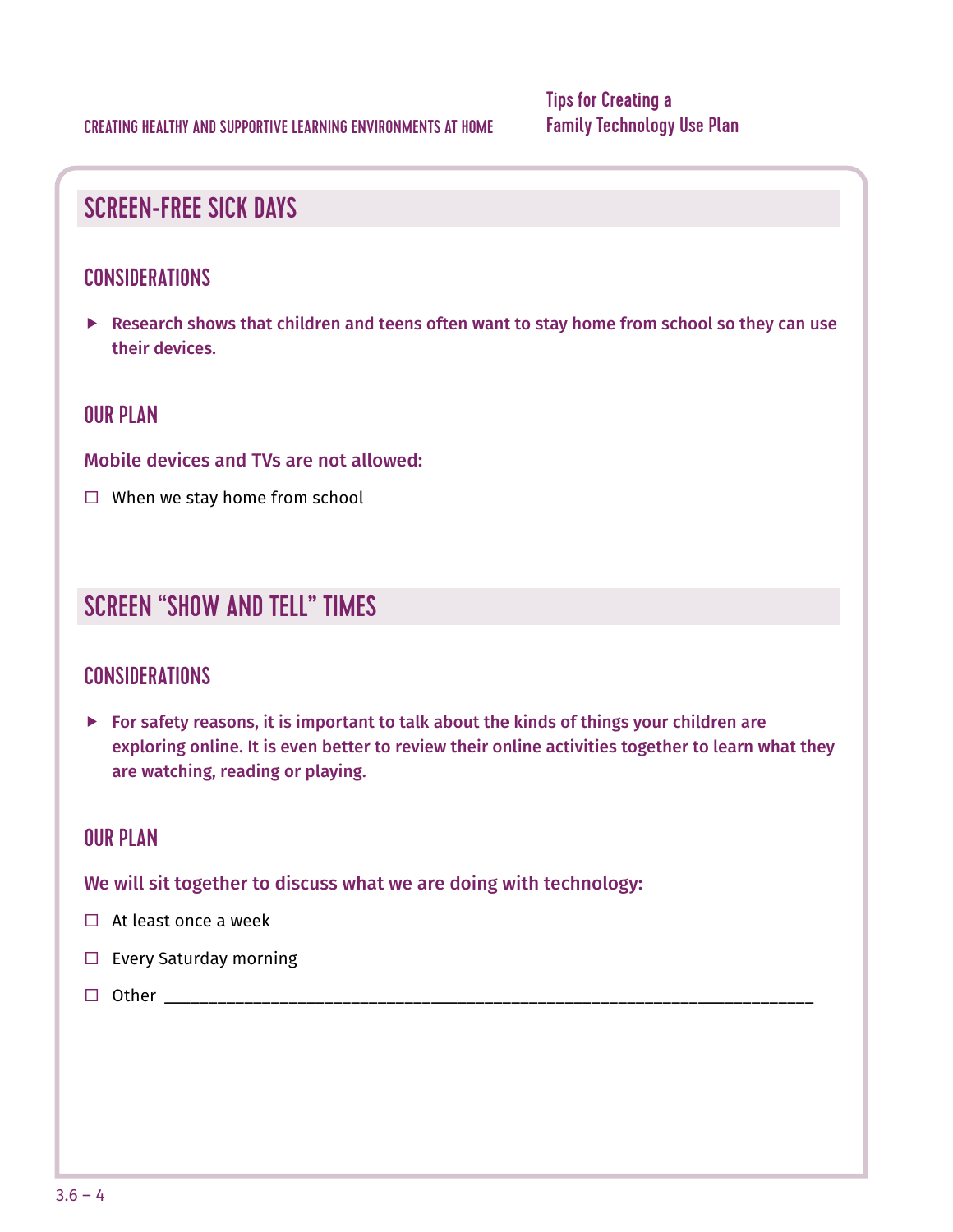## SCREEN-FREE SICK DAYS

#### **CONSIDERATIONS**

 $\blacktriangleright$  Research shows that children and teens often want to stay home from school so they can use their devices.

#### OUR PLAN

#### Mobile devices and TVs are not allowed:

 $\Box$  When we stay home from school

## SCREEN "SHOW AND TELL" TIMES

#### CONSIDERATIONS

 $\blacktriangleright$  For safety reasons, it is important to talk about the kinds of things your children are exploring online. It is even better to review their online activities together to learn what they are watching, reading or playing.

#### OUR PLAN

#### We will sit together to discuss what we are doing with technology:

- $\Box$  At least once a week
- $\Box$  Every Saturday morning
- Other \_\_\_\_\_\_\_\_\_\_\_\_\_\_\_\_\_\_\_\_\_\_\_\_\_\_\_\_\_\_\_\_\_\_\_\_\_\_\_\_\_\_\_\_\_\_\_\_\_\_\_\_\_\_\_\_\_\_\_\_\_\_\_\_\_\_\_\_\_\_\_\_\_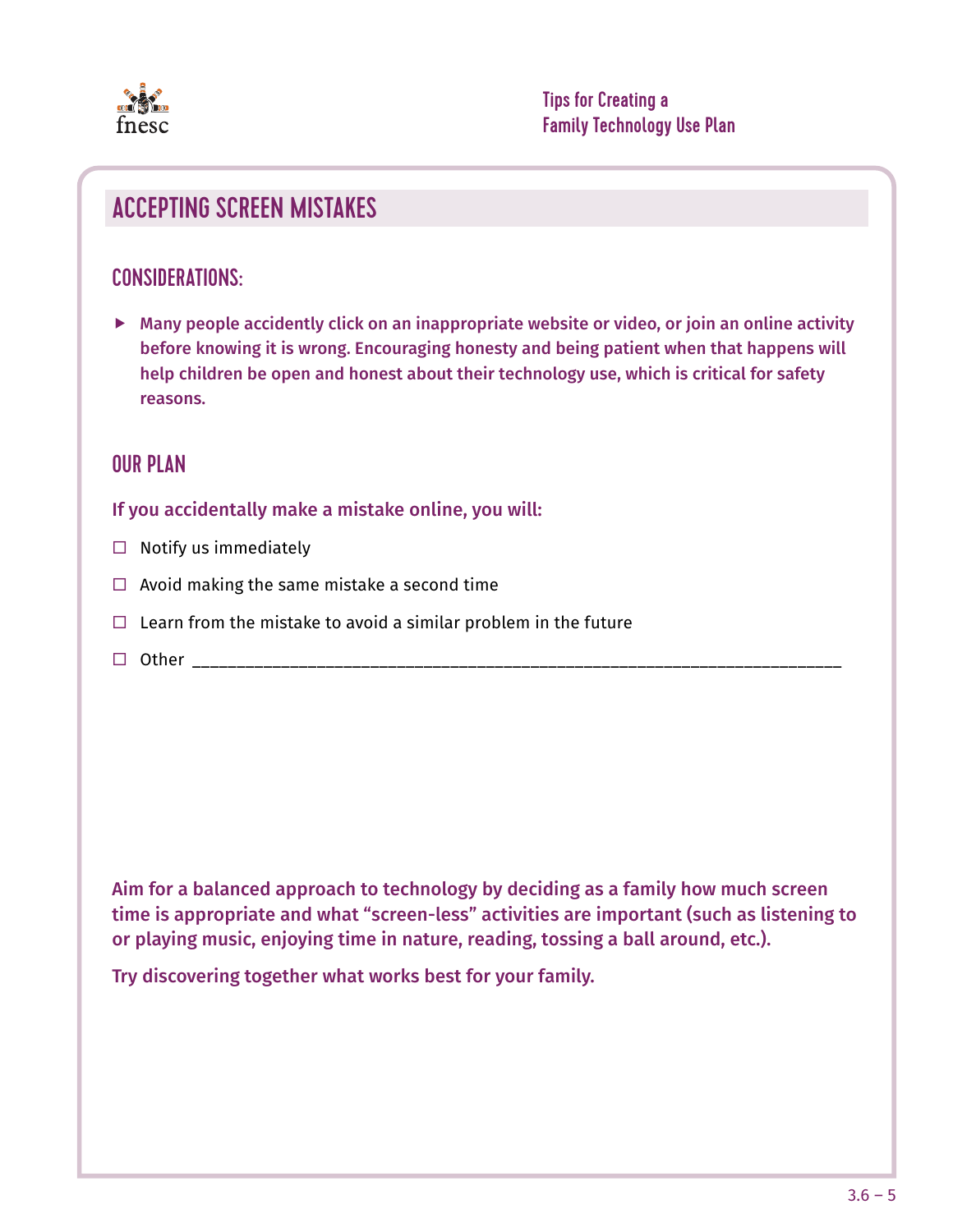

### ACCEPTING SCREEN MISTAKES

#### CONSIDERATIONS:

 $\blacktriangleright$  Many people accidently click on an inappropriate website or video, or join an online activity before knowing it is wrong. Encouraging honesty and being patient when that happens will help children be open and honest about their technology use, which is critical for safety reasons.

#### OUR PLAN

If you accidentally make a mistake online, you will:

- $\Box$  Notify us immediately
- $\Box$  Avoid making the same mistake a second time
- $\Box$  Learn from the mistake to avoid a similar problem in the future
- Other \_\_\_\_\_\_\_\_\_\_\_\_\_\_\_\_\_\_\_\_\_\_\_\_\_\_\_\_\_\_\_\_\_\_\_\_\_\_\_\_\_\_\_\_\_\_\_\_\_\_\_\_\_\_\_\_\_\_\_\_\_\_\_\_\_\_\_\_\_\_\_\_\_

Aim for a balanced approach to technology by deciding as a family how much screen time is appropriate and what "screen-less" activities are important (such as listening to or playing music, enjoying time in nature, reading, tossing a ball around, etc.).

Try discovering together what works best for your family.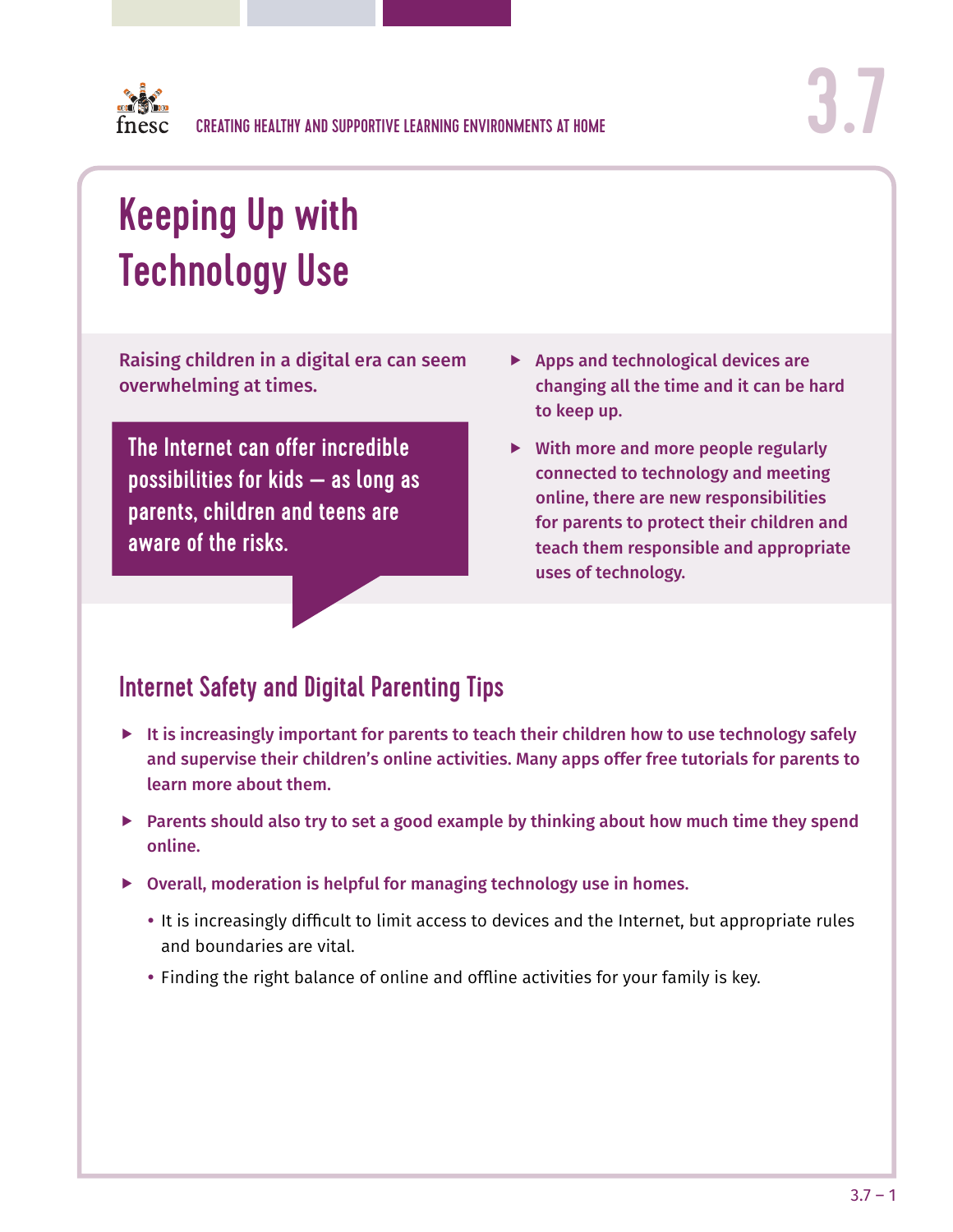

# Keeping Up with Technology Use

Raising children in a digital era can seem overwhelming at times.

The Internet can offer incredible possibilities for kids — as long as parents, children and teens are aware of the risks.

- $\blacktriangleright$  Apps and technological devices are changing all the time and it can be hard to keep up.
- $\blacktriangleright$  With more and more people regularly connected to technology and meeting online, there are new responsibilities for parents to protect their children and teach them responsible and appropriate uses of technology.

# Internet Safety and Digital Parenting Tips

- $\blacktriangleright$  It is increasingly important for parents to teach their children how to use technology safely and supervise their children's online activities. Many apps offer free tutorials for parents to learn more about them.
- $\blacktriangleright$  Parents should also try to set a good example by thinking about how much time they spend online.
- $\triangleright$  Overall, moderation is helpful for managing technology use in homes.
	- It is increasingly difficult to limit access to devices and the Internet, but appropriate rules and boundaries are vital.
	- Finding the right balance of online and offline activities for your family is key.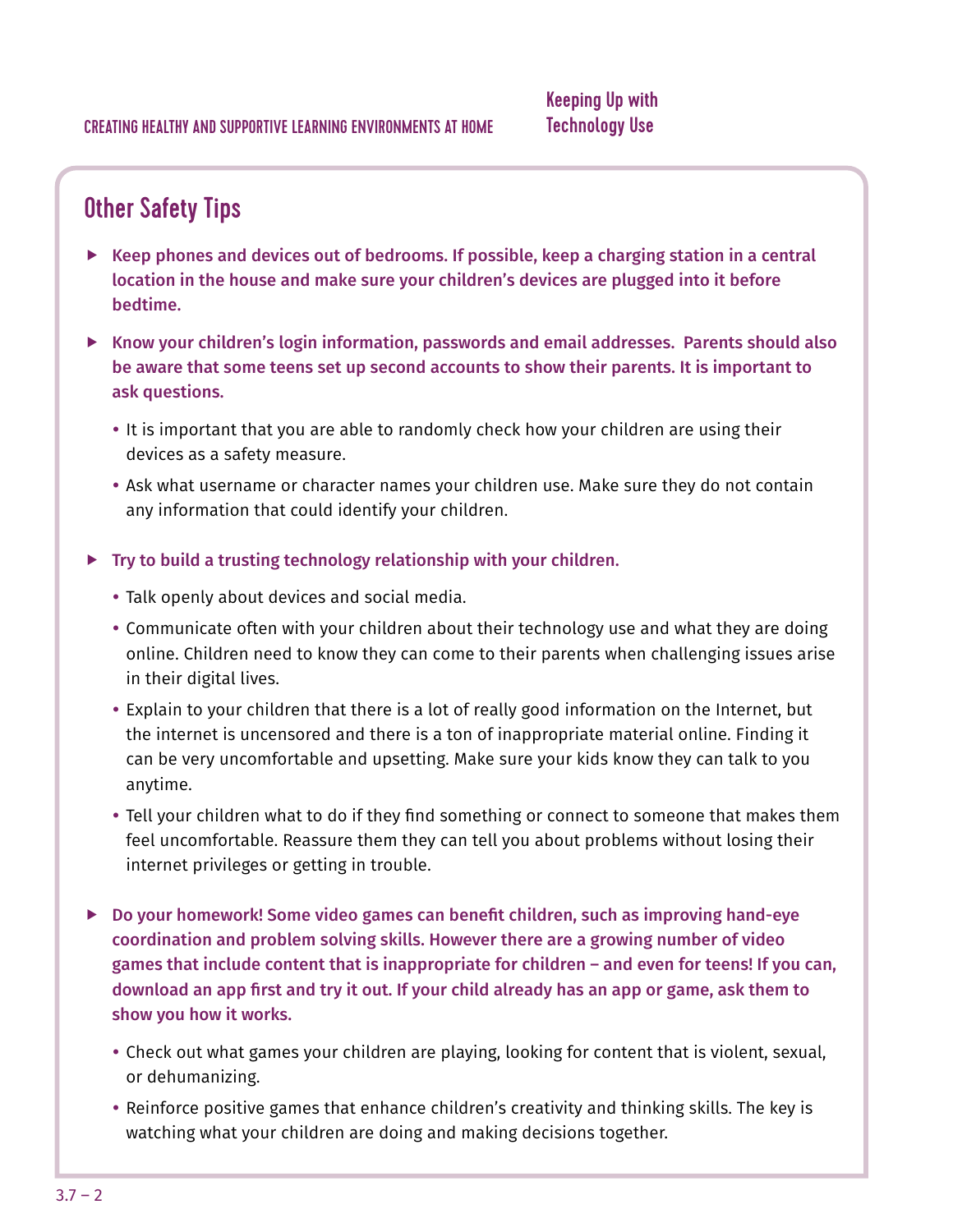# Other Safety Tips

- $\blacktriangleright$  Keep phones and devices out of bedrooms. If possible, keep a charging station in a central location in the house and make sure your children's devices are plugged into it before bedtime.
- $\triangleright$  Know your children's login information, passwords and email addresses. Parents should also be aware that some teens set up second accounts to show their parents. It is important to ask questions.
	- It is important that you are able to randomly check how your children are using their devices as a safety measure.
	- Ask what username or character names your children use. Make sure they do not contain any information that could identify your children.
- $\triangleright$  Try to build a trusting technology relationship with your children.
	- Talk openly about devices and social media.
	- Communicate often with your children about their technology use and what they are doing online. Children need to know they can come to their parents when challenging issues arise in their digital lives.
	- Explain to your children that there is a lot of really good information on the Internet, but the internet is uncensored and there is a ton of inappropriate material online. Finding it can be very uncomfortable and upsetting. Make sure your kids know they can talk to you anytime.
	- Tell your children what to do if they find something or connect to someone that makes them feel uncomfortable. Reassure them they can tell you about problems without losing their internet privileges or getting in trouble.
- ▶ Do your homework! Some video games can benefit children, such as improving hand-eye coordination and problem solving skills. However there are a growing number of video games that include content that is inappropriate for children – and even for teens! If you can, download an app first and try it out. If your child already has an app or game, ask them to show you how it works.
	- Check out what games your children are playing, looking for content that is violent, sexual, or dehumanizing.
	- Reinforce positive games that enhance children's creativity and thinking skills. The key is watching what your children are doing and making decisions together.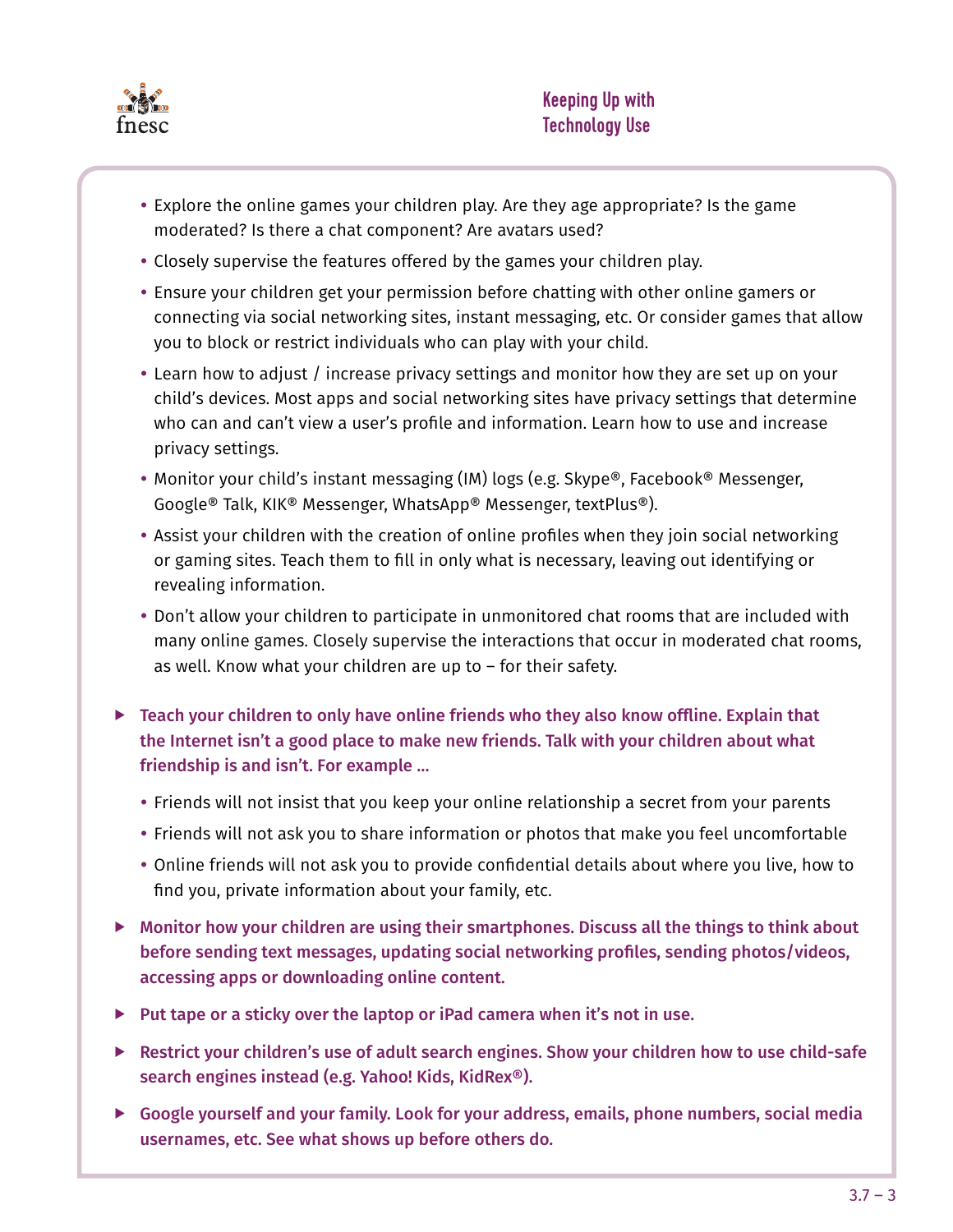

- Explore the online games your children play. Are they age appropriate? Is the game moderated? Is there a chat component? Are avatars used?
- Closely supervise the features offered by the games your children play.
- Ensure your children get your permission before chatting with other online gamers or connecting via social networking sites, instant messaging, etc. Or consider games that allow you to block or restrict individuals who can play with your child.
- Learn how to adjust / increase privacy settings and monitor how they are set up on your child's devices. Most apps and social networking sites have privacy settings that determine who can and can't view a user's profile and information. Learn how to use and increase privacy settings.
- Monitor your child's instant messaging (IM) logs (e.g. Skype®, Facebook® Messenger, Google® Talk, KIK® Messenger, WhatsApp® Messenger, textPlus®).
- Assist your children with the creation of online profiles when they join social networking or gaming sites. Teach them to fill in only what is necessary, leaving out identifying or revealing information.
- Don't allow your children to participate in unmonitored chat rooms that are included with many online games. Closely supervise the interactions that occur in moderated chat rooms, as well. Know what your children are up to – for their safety.
- $\blacktriangleright$  Teach your children to only have online friends who they also know offline. Explain that the Internet isn't a good place to make new friends. Talk with your children about what friendship is and isn't. For example …
	- Friends will not insist that you keep your online relationship a secret from your parents
	- Friends will not ask you to share information or photos that make you feel uncomfortable
	- Online friends will not ask you to provide confidential details about where you live, how to find you, private information about your family, etc.
- $\blacktriangleright$  Monitor how your children are using their smartphones. Discuss all the things to think about before sending text messages, updating social networking profiles, sending photos/videos, accessing apps or downloading online content.
- $\blacktriangleright$  Put tape or a sticky over the laptop or iPad camera when it's not in use.
- $\blacktriangleright$  Restrict your children's use of adult search engines. Show your children how to use child-safe search engines instead (e.g. Yahoo! Kids, KidRex®).
- $\triangleright$  Google yourself and your family. Look for your address, emails, phone numbers, social media usernames, etc. See what shows up before others do.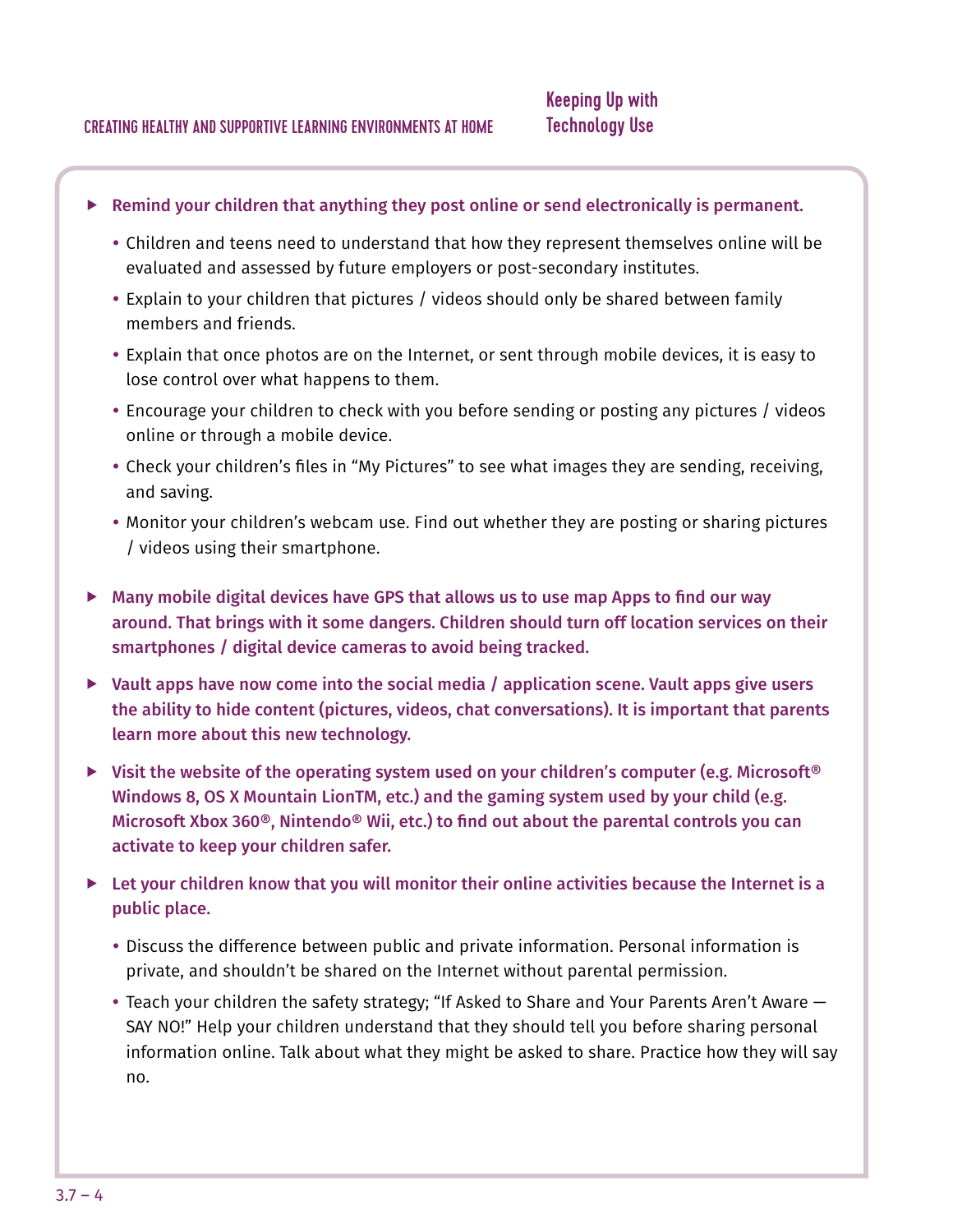#### $\blacktriangleright$  Remind your children that anything they post online or send electronically is permanent.

- Children and teens need to understand that how they represent themselves online will be evaluated and assessed by future employers or post-secondary institutes.
- Explain to your children that pictures / videos should only be shared between family members and friends.
- Explain that once photos are on the Internet, or sent through mobile devices, it is easy to lose control over what happens to them.
- Encourage your children to check with you before sending or posting any pictures / videos online or through a mobile device.
- Check your children's files in "My Pictures" to see what images they are sending, receiving, and saving.
- Monitor your children's webcam use. Find out whether they are posting or sharing pictures / videos using their smartphone.
- $\blacktriangleright$  Many mobile digital devices have GPS that allows us to use map Apps to find our way around. That brings with it some dangers. Children should turn off location services on their smartphones / digital device cameras to avoid being tracked.
- $\triangleright$  Vault apps have now come into the social media / application scene. Vault apps give users the ability to hide content (pictures, videos, chat conversations). It is important that parents learn more about this new technology.
- $\blacktriangleright$  Visit the website of the operating system used on your children's computer (e.g. Microsoft® Windows 8, OS X Mountain LionTM, etc.) and the gaming system used by your child (e.g. Microsoft Xbox 360®, Nintendo® Wii, etc.) to find out about the parental controls you can activate to keep your children safer.
- $\blacktriangleright$  Let your children know that you will monitor their online activities because the Internet is a public place.
	- Discuss the difference between public and private information. Personal information is private, and shouldn't be shared on the Internet without parental permission.
	- Teach your children the safety strategy; "If Asked to Share and Your Parents Aren't Aware  $-$ SAY NO!" Help your children understand that they should tell you before sharing personal information online. Talk about what they might be asked to share. Practice how they will say no.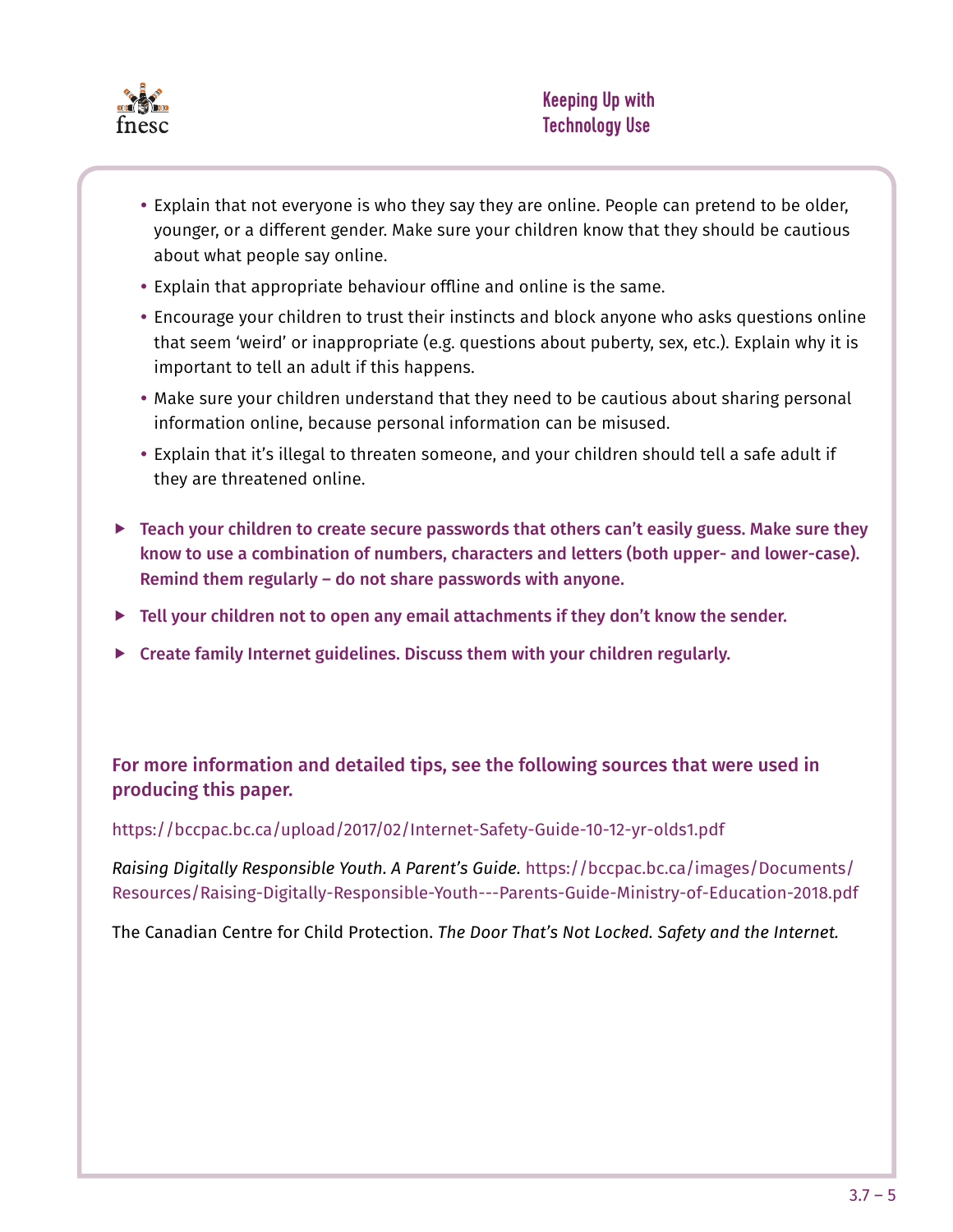

- Explain that not everyone is who they say they are online. People can pretend to be older, younger, or a different gender. Make sure your children know that they should be cautious about what people say online.
- Explain that appropriate behaviour offline and online is the same.
- Encourage your children to trust their instincts and block anyone who asks questions online that seem 'weird' or inappropriate (e.g. questions about puberty, sex, etc.). Explain why it is important to tell an adult if this happens.
- Make sure your children understand that they need to be cautious about sharing personal information online, because personal information can be misused.
- Explain that it's illegal to threaten someone, and your children should tell a safe adult if they are threatened online.
- $\blacktriangleright$  Teach your children to create secure passwords that others can't easily guess. Make sure they know to use a combination of numbers, characters and letters (both upper- and lower-case). Remind them regularly – do not share passwords with anyone.
- $\blacktriangleright$  Tell your children not to open any email attachments if they don't know the sender.
- $\triangleright$  Create family Internet guidelines. Discuss them with your children regularly.

For more information and detailed tips, see the following sources that were used in producing this paper.

https://bccpac.bc.ca/upload/2017/02/Internet-Safety-Guide-10-12-yr-olds1.pdf

*Raising Digitally Responsible Youth. A Parent's Guide.* https://bccpac.bc.ca/images/Documents/ Resources/Raising-Digitally-Responsible-Youth---Parents-Guide-Ministry-of-Education-2018.pdf

The Canadian Centre for Child Protection. *The Door That's Not Locked. Safety and the Internet.*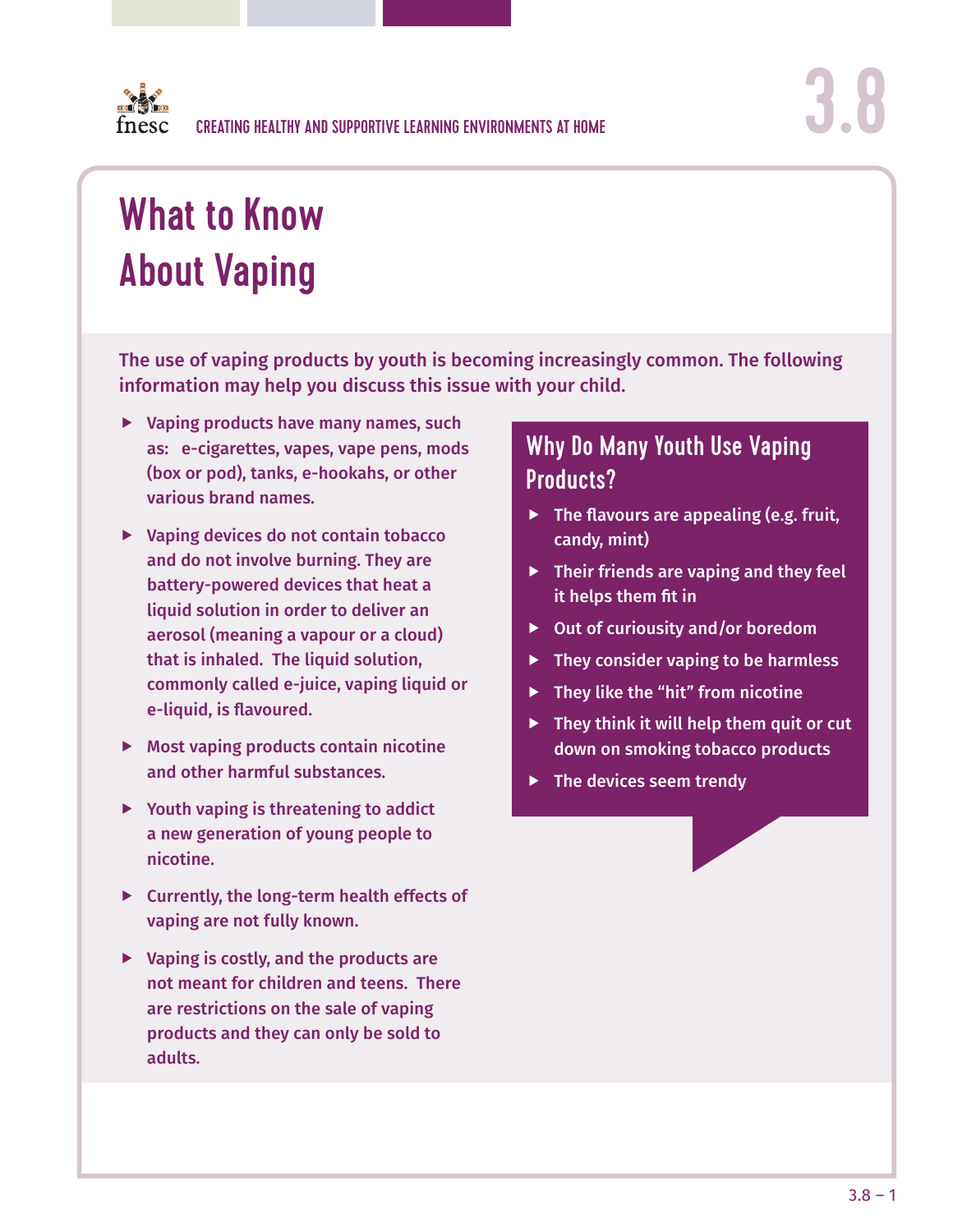

# What to Know About Vaping

The use of vaping products by youth is becoming increasingly common. The following information may help you discuss this issue with your child.

- $\blacktriangleright$  Vaping products have many names, such as: e-cigarettes, vapes, vape pens, mods (box or pod), tanks, e-hookahs, or other various brand names.
- $\blacktriangleright$  Vaping devices do not contain tobacco and do not involve burning. They are battery-powered devices that heat a liquid solution in order to deliver an aerosol (meaning a vapour or a cloud) that is inhaled. The liquid solution, commonly called e-juice, vaping liquid or e-liquid, is flavoured.
- $\blacktriangleright$  Most vaping products contain nicotine and other harmful substances.
- $\blacktriangleright$  Youth vaping is threatening to addict a new generation of young people to nicotine.
- $\blacktriangleright$  Currently, the long-term health effects of vaping are not fully known.
- $\blacktriangleright$  Vaping is costly, and the products are not meant for children and teens. There are restrictions on the sale of vaping products and they can only be sold to adults.

## Why Do Many Youth Use Vaping Products?

- $\blacktriangleright$  The flavours are appealing (e.g. fruit, candy, mint)
- $\blacktriangleright$  Their friends are vaping and they feel it helps them fit in
- $\triangleright$  Out of curiousity and/or boredom
- $\blacktriangleright$  They consider vaping to be harmless
- $\blacktriangleright$  They like the "hit" from nicotine
- $\blacktriangleright$  They think it will help them quit or cut down on smoking tobacco products
- $\blacktriangleright$  The devices seem trendy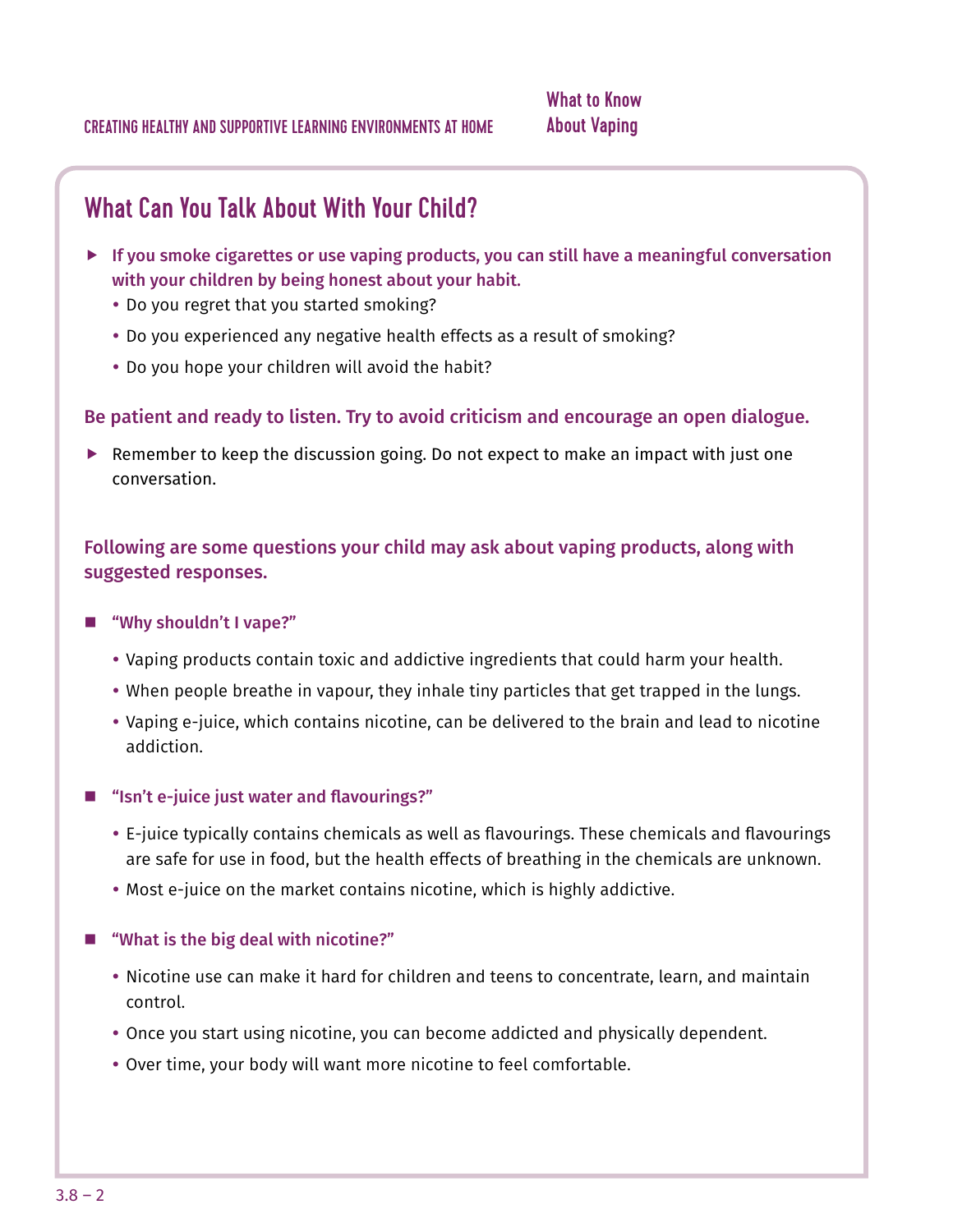# What Can You Talk About With Your Child?

- $\blacktriangleright$  If you smoke cigarettes or use vaping products, you can still have a meaningful conversation with your children by being honest about your habit.
	- Do you regret that you started smoking?
	- Do you experienced any negative health effects as a result of smoking?
	- Do you hope your children will avoid the habit?

#### Be patient and ready to listen. Try to avoid criticism and encourage an open dialogue.

 $\blacktriangleright$  Remember to keep the discussion going. Do not expect to make an impact with just one conversation.

Following are some questions your child may ask about vaping products, along with suggested responses.

- "Why shouldn't I vape?"
	- Vaping products contain toxic and addictive ingredients that could harm your health.
	- When people breathe in vapour, they inhale tiny particles that get trapped in the lungs.
	- Vaping e-juice, which contains nicotine, can be delivered to the brain and lead to nicotine addiction.
- "Isn't e-juice just water and flavourings?"
	- y E-juice typically contains chemicals as well as flavourings. These chemicals and flavourings are safe for use in food, but the health effects of breathing in the chemicals are unknown.
	- Most e-juice on the market contains nicotine, which is highly addictive.

#### ■ "What is the big deal with nicotine?"

- Nicotine use can make it hard for children and teens to concentrate, learn, and maintain control.
- Once you start using nicotine, you can become addicted and physically dependent.
- Over time, your body will want more nicotine to feel comfortable.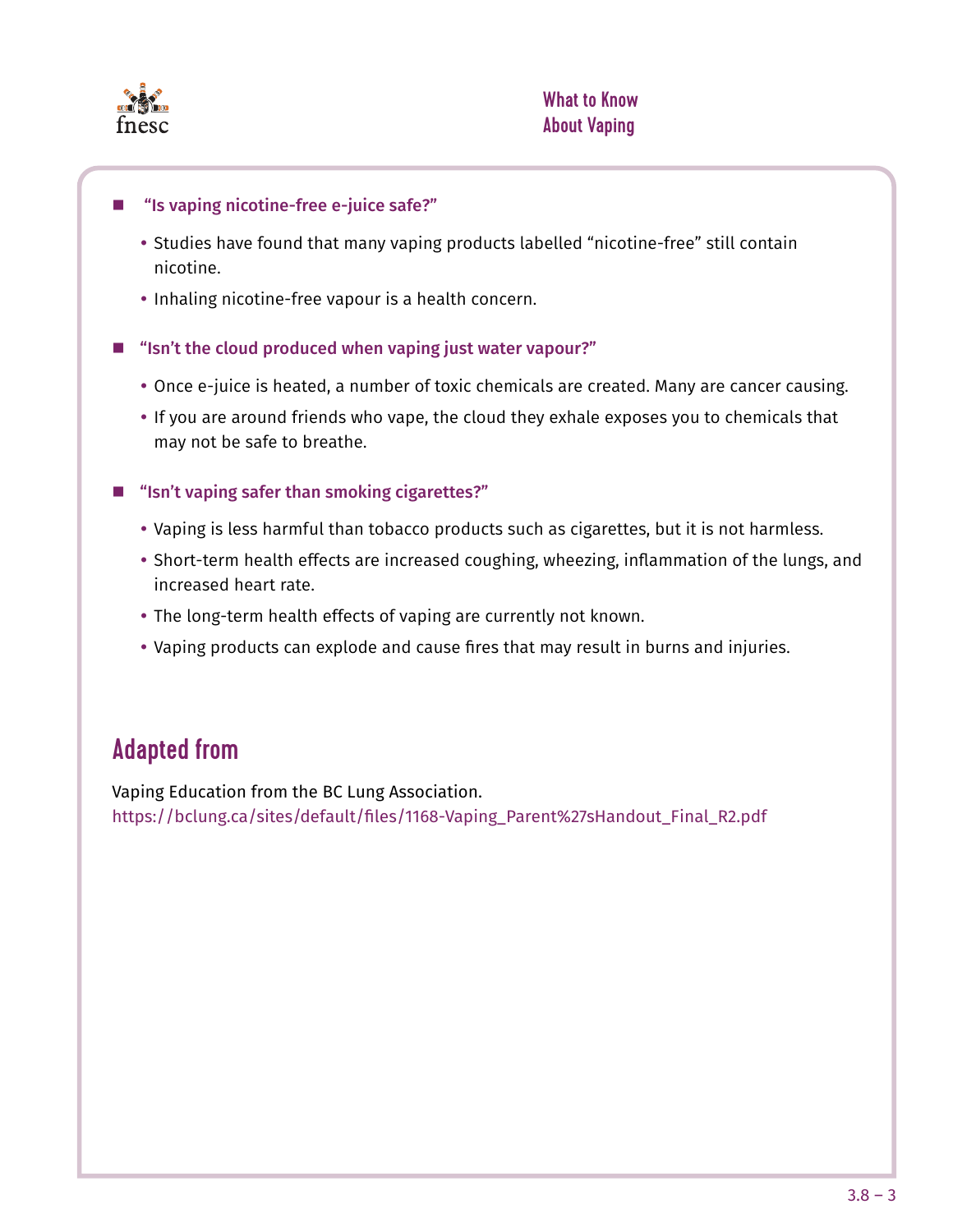

#### ■ "Is vaping nicotine-free e-juice safe?"

- Studies have found that many vaping products labelled "nicotine-free" still contain nicotine.
- Inhaling nicotine-free vapour is a health concern.

#### ■ "Isn't the cloud produced when vaping just water vapour?"

- Once e-juice is heated, a number of toxic chemicals are created. Many are cancer causing.
- If you are around friends who vape, the cloud they exhale exposes you to chemicals that may not be safe to breathe.

#### ■ "Isn't vaping safer than smoking cigarettes?"

- Vaping is less harmful than tobacco products such as cigarettes, but it is not harmless.
- Short-term health effects are increased coughing, wheezing, inflammation of the lungs, and increased heart rate.
- The long-term health effects of vaping are currently not known.
- Vaping products can explode and cause fires that may result in burns and injuries.

## Adapted from

Vaping Education from the BC Lung Association. https://bclung.ca/sites/default/files/1168-Vaping\_Parent%27sHandout\_Final\_R2.pdf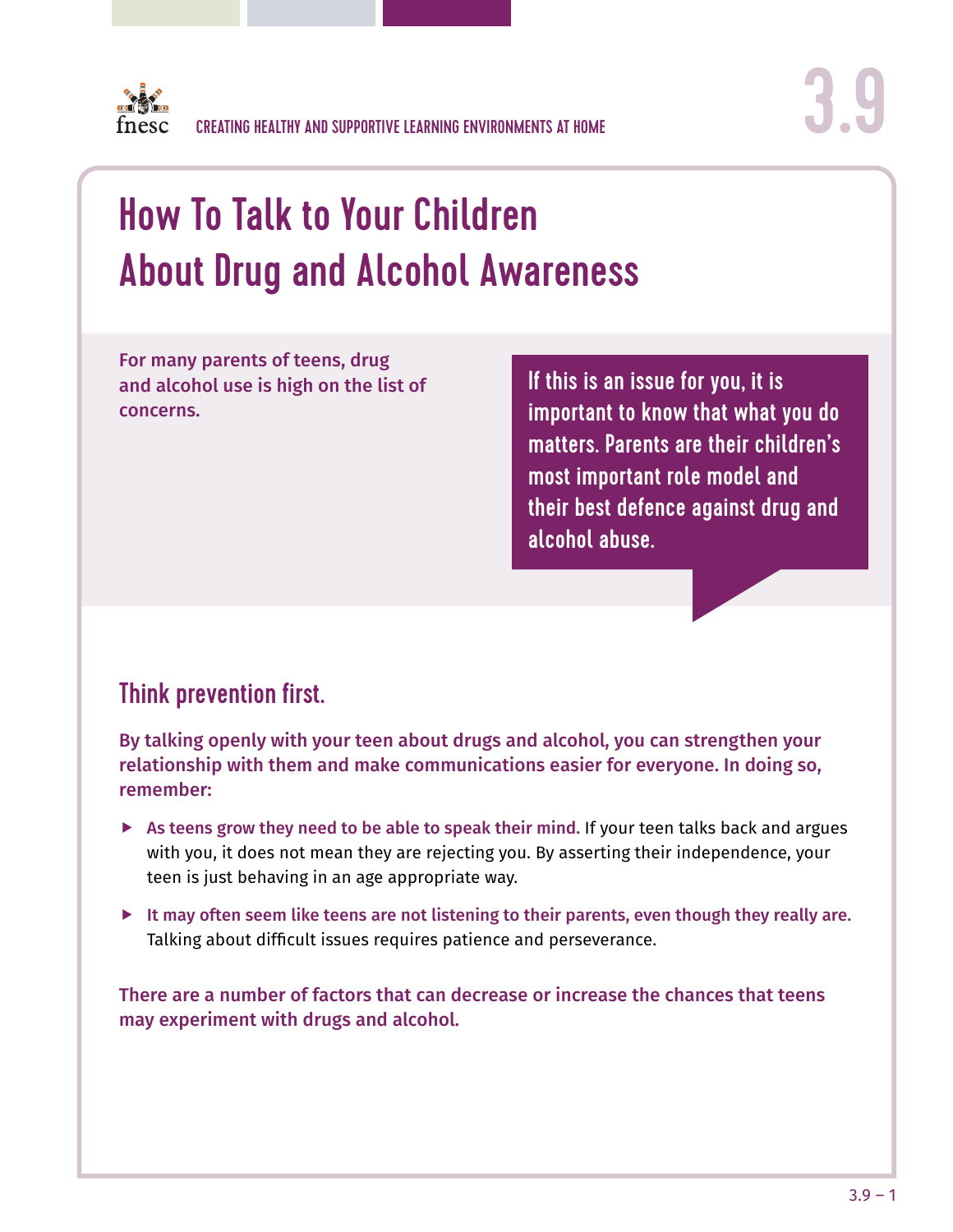

# How To Talk to Your Children About Drug and Alcohol Awareness

For many parents of teens, drug and alcohol use is high on the list of concerns.

If this is an issue for you, it is important to know that what you do matters. Parents are their children's most important role model and their best defence against drug and alcohol abuse.

## Think prevention first.

By talking openly with your teen about drugs and alcohol, you can strengthen your relationship with them and make communications easier for everyone. In doing so, remember:

- $\triangleright$  As teens grow they need to be able to speak their mind. If your teen talks back and argues with you, it does not mean they are rejecting you. By asserting their independence, your teen is just behaving in an age appropriate way.
- $\blacktriangleright$  It may often seem like teens are not listening to their parents, even though they really are. Talking about difficult issues requires patience and perseverance.

There are a number of factors that can decrease or increase the chances that teens may experiment with drugs and alcohol.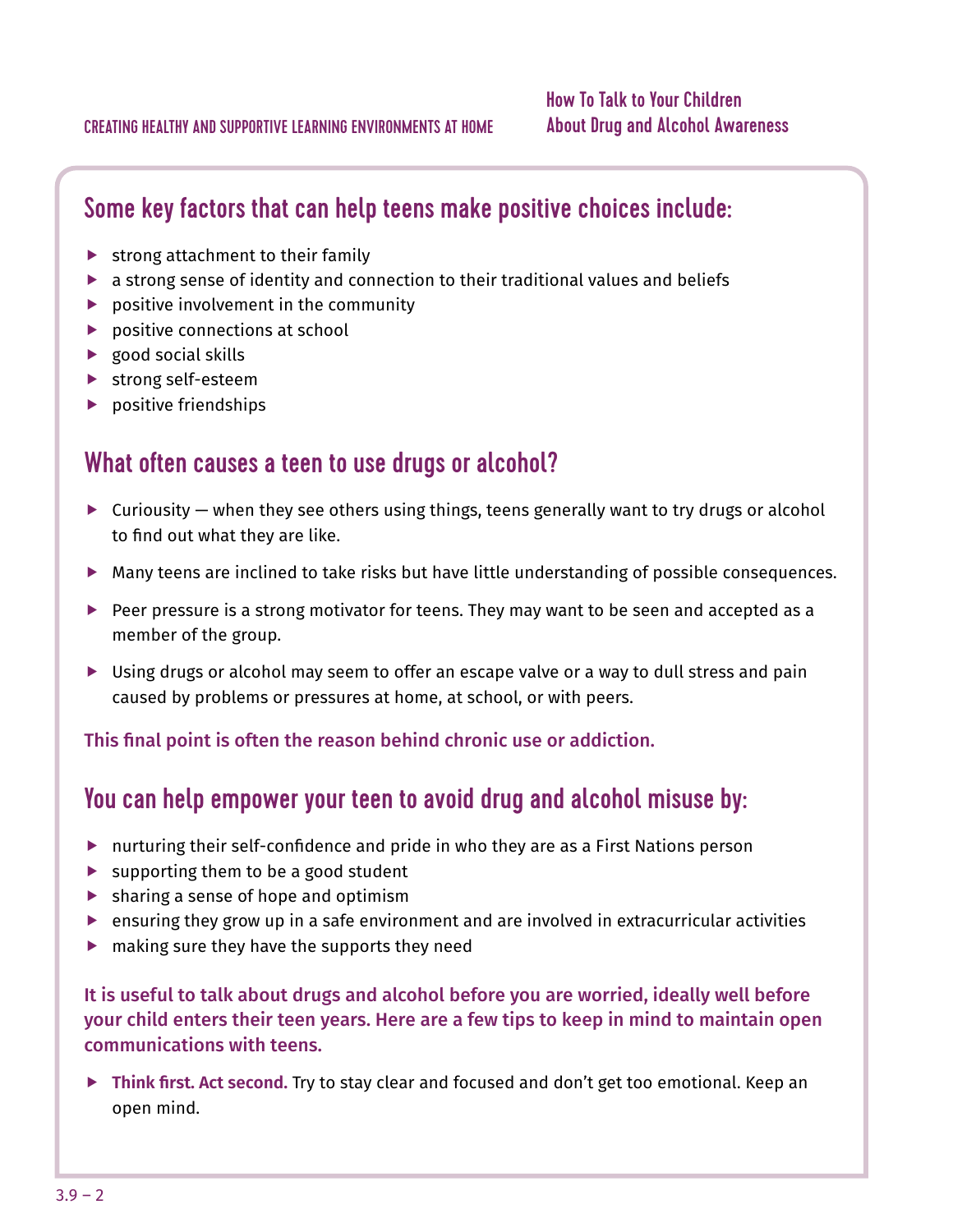# Some key factors that can help teens make positive choices include:

- $\blacktriangleright$  strong attachment to their family
- $\blacktriangleright$  a strong sense of identity and connection to their traditional values and beliefs
- $\blacktriangleright$  positive involvement in the community
- $\triangleright$  positive connections at school
- $\blacktriangleright$  good social skills
- $\blacktriangleright$  strong self-esteem
- $\blacktriangleright$  positive friendships

## What often causes a teen to use drugs or alcohol?

- $\blacktriangleright$  Curiousity when they see others using things, teens generally want to try drugs or alcohol to find out what they are like.
- $\blacktriangleright$  Many teens are inclined to take risks but have little understanding of possible consequences.
- $\blacktriangleright$  Peer pressure is a strong motivator for teens. They may want to be seen and accepted as a member of the group.
- $\triangleright$  Using drugs or alcohol may seem to offer an escape valve or a way to dull stress and pain caused by problems or pressures at home, at school, or with peers.

This final point is often the reason behind chronic use or addiction.

## You can help empower your teen to avoid drug and alcohol misuse by:

- $\blacktriangleright$  nurturing their self-confidence and pride in who they are as a First Nations person
- $\blacktriangleright$  supporting them to be a good student
- $\blacktriangleright$  sharing a sense of hope and optimism
- $\blacktriangleright$  ensuring they grow up in a safe environment and are involved in extracurricular activities
- $\blacktriangleright$  making sure they have the supports they need

It is useful to talk about drugs and alcohol before you are worried, ideally well before your child enters their teen years. Here are a few tips to keep in mind to maintain open communications with teens.

**Filtum Finally Think first. Act second.** Try to stay clear and focused and don't get too emotional. Keep an open mind.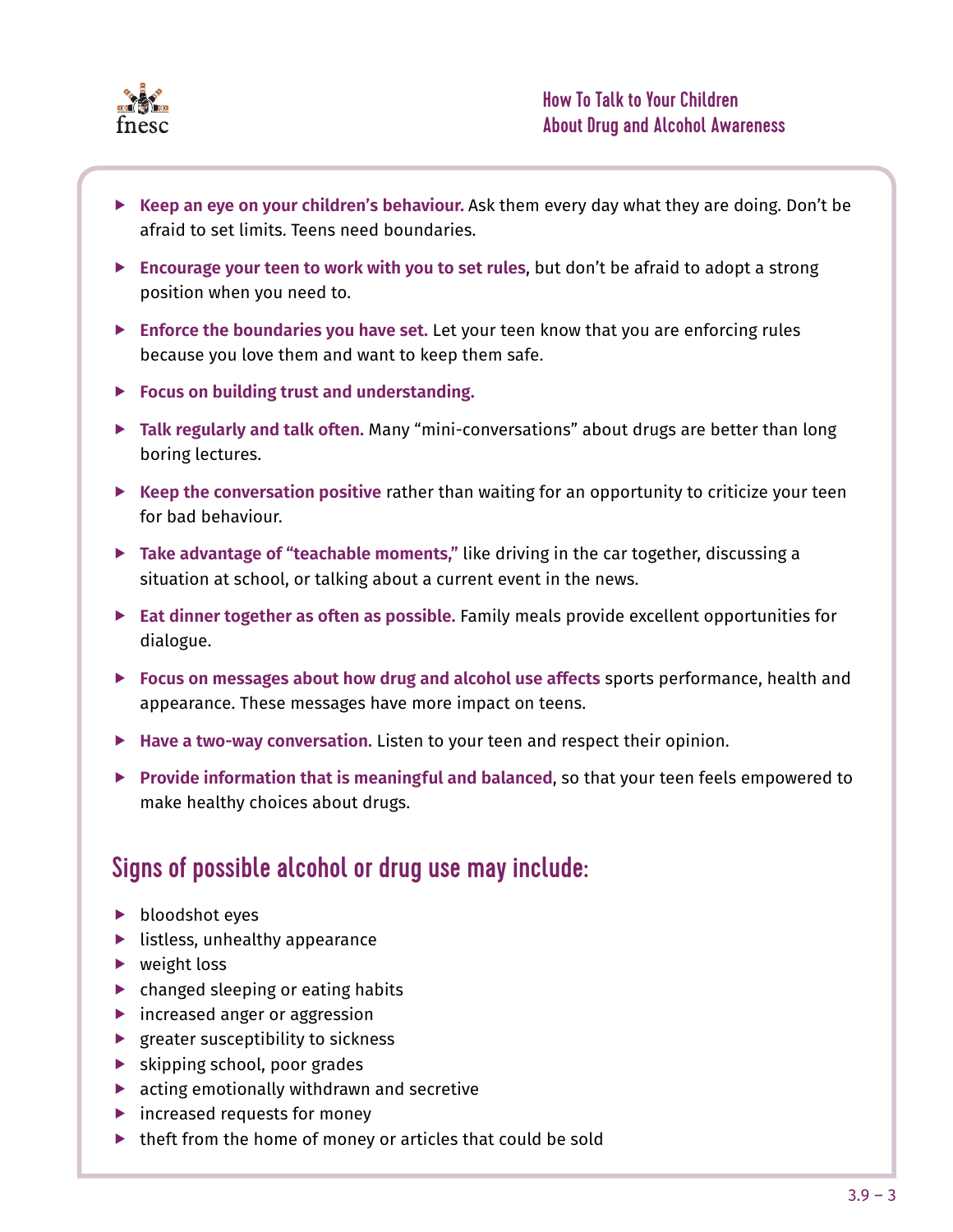

- **Keep an eye on your children's behaviour.** Ask them every day what they are doing. Don't be afraid to set limits. Teens need boundaries.
- **EXECUTE:** Encourage your teen to work with you to set rules, but don't be afraid to adopt a strong position when you need to.
- **FIF ENFORCE THE BOUNDARY STATE:** Let your teen know that you are enforcing rules because you love them and want to keep them safe.
- **Focus on building trust and understanding.**
- **Falk regularly and talk often.** Many "mini-conversations" about drugs are better than long boring lectures.
- **EXECT** Keep the conversation positive rather than waiting for an opportunity to criticize your teen for bad behaviour.
- **FRIME:** Take advantage of "teachable moments," like driving in the car together, discussing a situation at school, or talking about a current event in the news.
- **Fat dinner together as often as possible.** Family meals provide excellent opportunities for dialogue.
- **Figure 3** Focus on messages about how drug and alcohol use affects sports performance, health and appearance. These messages have more impact on teens.
- **F** Have a two-way conversation. Listen to your teen and respect their opinion.
- **Provide information that is meaningful and balanced, so that your teen feels empowered to** make healthy choices about drugs.

# Signs of possible alcohol or drug use may include:

- $\blacktriangleright$  bloodshot eyes
- $\blacktriangleright$  listless, unhealthy appearance
- $\blacktriangleright$  weight loss
- $\blacktriangleright$  changed sleeping or eating habits
- $\blacktriangleright$  increased anger or aggression
- $\blacktriangleright$  greater susceptibility to sickness
- $\blacktriangleright$  skipping school, poor grades
- $\blacktriangleright$  acting emotionally withdrawn and secretive
- $\blacktriangleright$  increased requests for money
- $\blacktriangleright$  theft from the home of money or articles that could be sold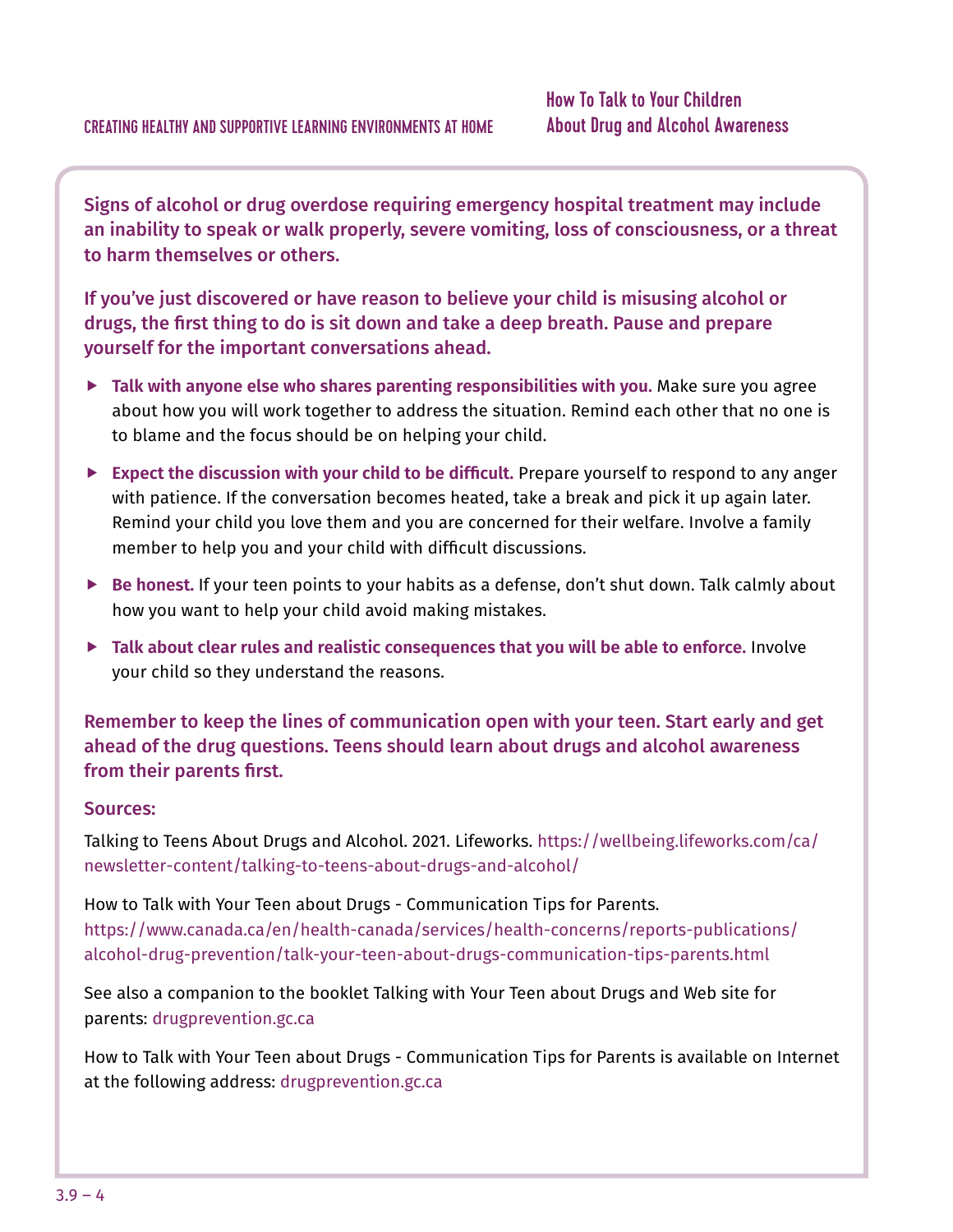Signs of alcohol or drug overdose requiring emergency hospital treatment may include an inability to speak or walk properly, severe vomiting, loss of consciousness, or a threat to harm themselves or others.

If you've just discovered or have reason to believe your child is misusing alcohol or drugs, the first thing to do is sit down and take a deep breath. Pause and prepare yourself for the important conversations ahead.

- **Fight** Talk with anyone else who shares parenting responsibilities with you. Make sure you agree about how you will work together to address the situation. Remind each other that no one is to blame and the focus should be on helping your child.
- **Expect the discussion with your child to be difficult.** Prepare yourself to respond to any anger with patience. If the conversation becomes heated, take a break and pick it up again later. Remind your child you love them and you are concerned for their welfare. Involve a family member to help you and your child with difficult discussions.
- ▶ Be honest. If your teen points to your habits as a defense, don't shut down. Talk calmly about how you want to help your child avoid making mistakes.
- $\blacktriangleright$  Talk about clear rules and realistic consequences that you will be able to enforce. Involve your child so they understand the reasons.

Remember to keep the lines of communication open with your teen. Start early and get ahead of the drug questions. Teens should learn about drugs and alcohol awareness from their parents first.

#### Sources:

Talking to Teens About Drugs and Alcohol. 2021. Lifeworks. https://wellbeing.lifeworks.com/ca/ newsletter-content/talking-to-teens-about-drugs-and-alcohol/

How to Talk with Your Teen about Drugs - Communication Tips for Parents. https://www.canada.ca/en/health-canada/services/health-concerns/reports-publications/ alcohol-drug-prevention/talk-your-teen-about-drugs-communication-tips-parents.html

See also a companion to the booklet Talking with Your Teen about Drugs and Web site for parents: drugprevention.gc.ca

How to Talk with Your Teen about Drugs - Communication Tips for Parents is available on Internet at the following address: drugprevention.gc.ca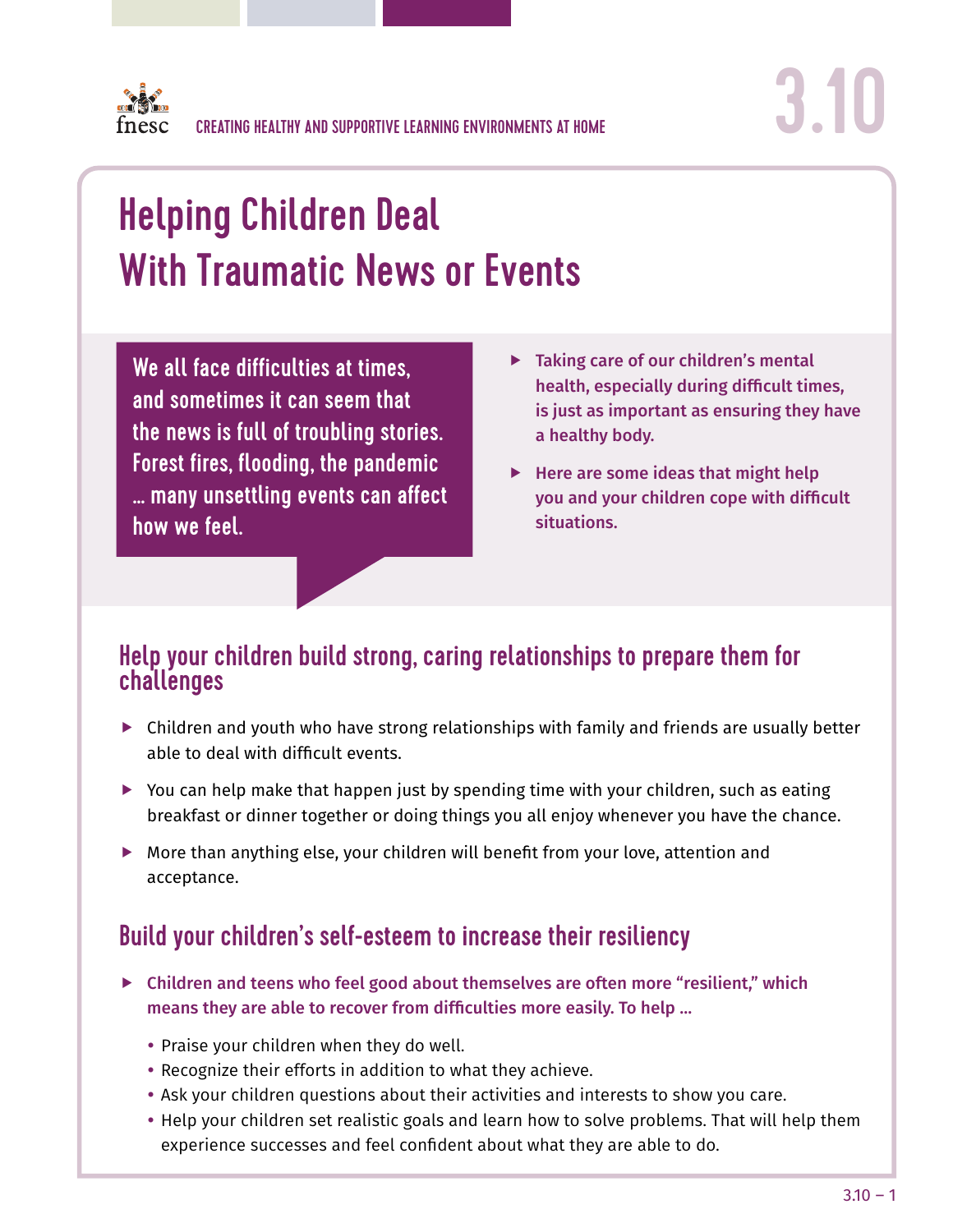

# Helping Children Deal With Traumatic News or Events

We all face difficulties at times, sometimes it can seem that the news and sometimes it can seem that the news is full of troubling stories. Forest fires, flooding, the pandemic … many unsettling events can affect how we feel.

- $\blacktriangleright$  Taking care of our children's mental health, especially during difficult times, is just as important as ensuring they have a healthy body.
- $\blacktriangleright$  Here are some ideas that might help you and your children cope with difficult situations.

### Help your children build strong, caring relationships to prepare them for challenges

- $\triangleright$  Children and youth who have strong relationships with family and friends are usually better able to deal with difficult events.
- $\triangleright$  You can help make that happen just by spending time with your children, such as eating breakfast or dinner together or doing things you all enjoy whenever you have the chance.
- $\blacktriangleright$  More than anything else, your children will benefit from your love, attention and acceptance.

# Build your children's self-esteem to increase their resiliency

- $\triangleright$  Children and teens who feel good about themselves are often more "resilient," which means they are able to recover from difficulties more easily. To help ...
	- Praise your children when they do well.
	- Recognize their efforts in addition to what they achieve.
	- Ask your children questions about their activities and interests to show you care.
	- Help your children set realistic goals and learn how to solve problems. That will help them experience successes and feel confident about what they are able to do.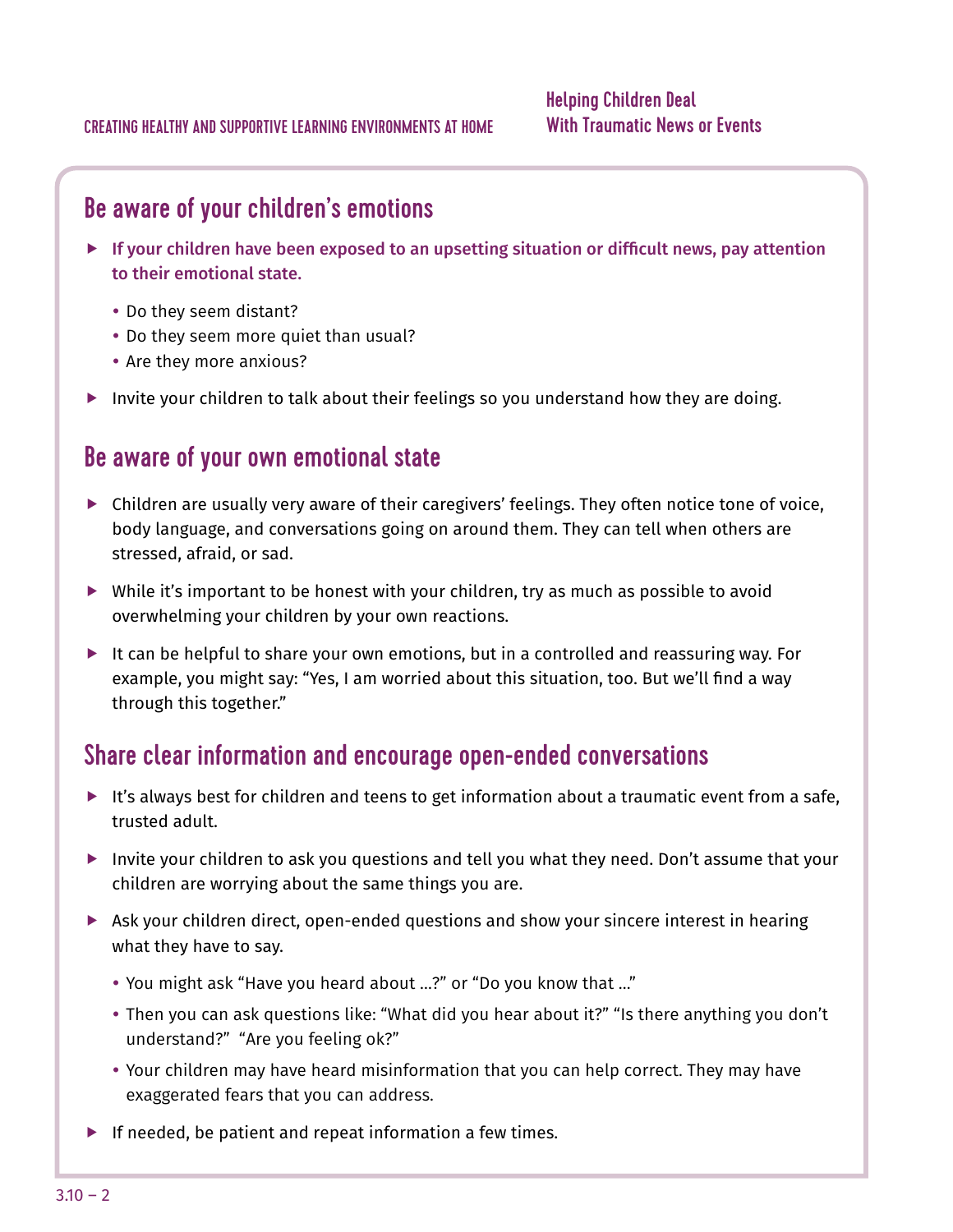## Be aware of your children's emotions

- $\blacktriangleright$  If your children have been exposed to an upsetting situation or difficult news, pay attention to their emotional state.
	- Do they seem distant?
	- Do they seem more quiet than usual?
	- Are they more anxious?
- $\blacktriangleright$  Invite your children to talk about their feelings so you understand how they are doing.

## Be aware of your own emotional state

- $\triangleright$  Children are usually very aware of their caregivers' feelings. They often notice tone of voice, body language, and conversations going on around them. They can tell when others are stressed, afraid, or sad.
- $\triangleright$  While it's important to be honest with your children, try as much as possible to avoid overwhelming your children by your own reactions.
- $\blacktriangleright$  It can be helpful to share your own emotions, but in a controlled and reassuring way. For example, you might say: "Yes, I am worried about this situation, too. But we'll find a way through this together."

### Share clear information and encourage open-ended conversations

- $\blacktriangleright$  It's always best for children and teens to get information about a traumatic event from a safe, trusted adult.
- $\blacktriangleright$  Invite your children to ask you questions and tell you what they need. Don't assume that your children are worrying about the same things you are.
- $\blacktriangleright$  Ask your children direct, open-ended questions and show your sincere interest in hearing what they have to say.
	- y You might ask "Have you heard about …?" or "Do you know that …"
	- Then you can ask questions like: "What did you hear about it?" "Is there anything you don't understand?" "Are you feeling ok?"
	- Your children may have heard misinformation that you can help correct. They may have exaggerated fears that you can address.
- $\blacktriangleright$  If needed, be patient and repeat information a few times.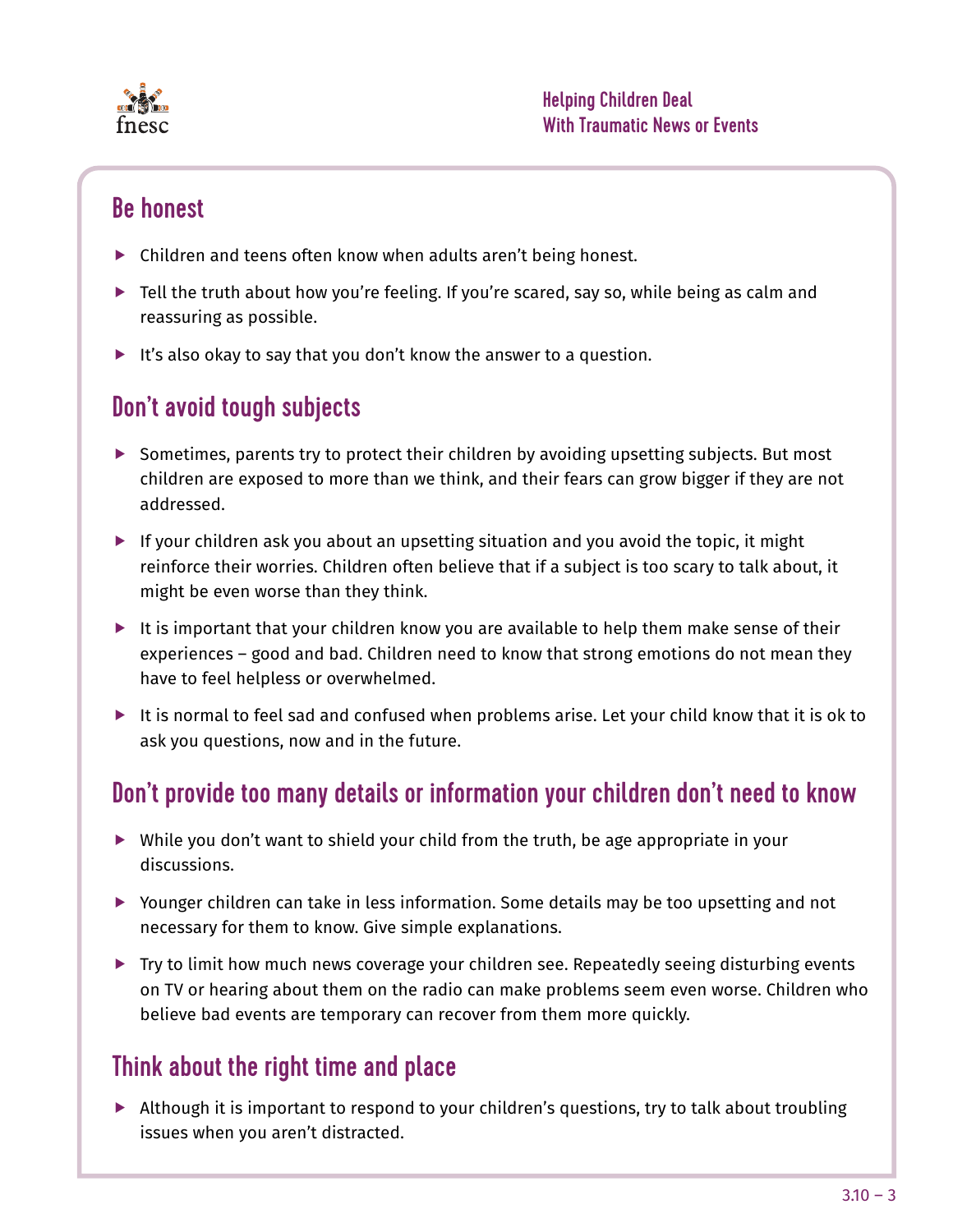

#### Be honest

- $\triangleright$  Children and teens often know when adults aren't being honest.
- $\blacktriangleright$  Tell the truth about how you're feeling. If you're scared, say so, while being as calm and reassuring as possible.
- $\blacktriangleright$  It's also okay to say that you don't know the answer to a question.

# Don't avoid tough subjects

- $\triangleright$  Sometimes, parents try to protect their children by avoiding upsetting subjects. But most children are exposed to more than we think, and their fears can grow bigger if they are not addressed.
- $\blacktriangleright$  If your children ask you about an upsetting situation and you avoid the topic, it might reinforce their worries. Children often believe that if a subject is too scary to talk about, it might be even worse than they think.
- $\blacktriangleright$  It is important that your children know you are available to help them make sense of their experiences – good and bad. Children need to know that strong emotions do not mean they have to feel helpless or overwhelmed.
- $\blacktriangleright$  It is normal to feel sad and confused when problems arise. Let your child know that it is ok to ask you questions, now and in the future.

# Don't provide too many details or information your children don't need to know

- $\blacktriangleright$  While you don't want to shield your child from the truth, be age appropriate in your discussions.
- $\triangleright$  Younger children can take in less information. Some details may be too upsetting and not necessary for them to know. Give simple explanations.
- $\blacktriangleright$  Try to limit how much news coverage your children see. Repeatedly seeing disturbing events on TV or hearing about them on the radio can make problems seem even worse. Children who believe bad events are temporary can recover from them more quickly.

# Think about the right time and place

 $\blacktriangleright$  Although it is important to respond to your children's questions, try to talk about troubling issues when you aren't distracted.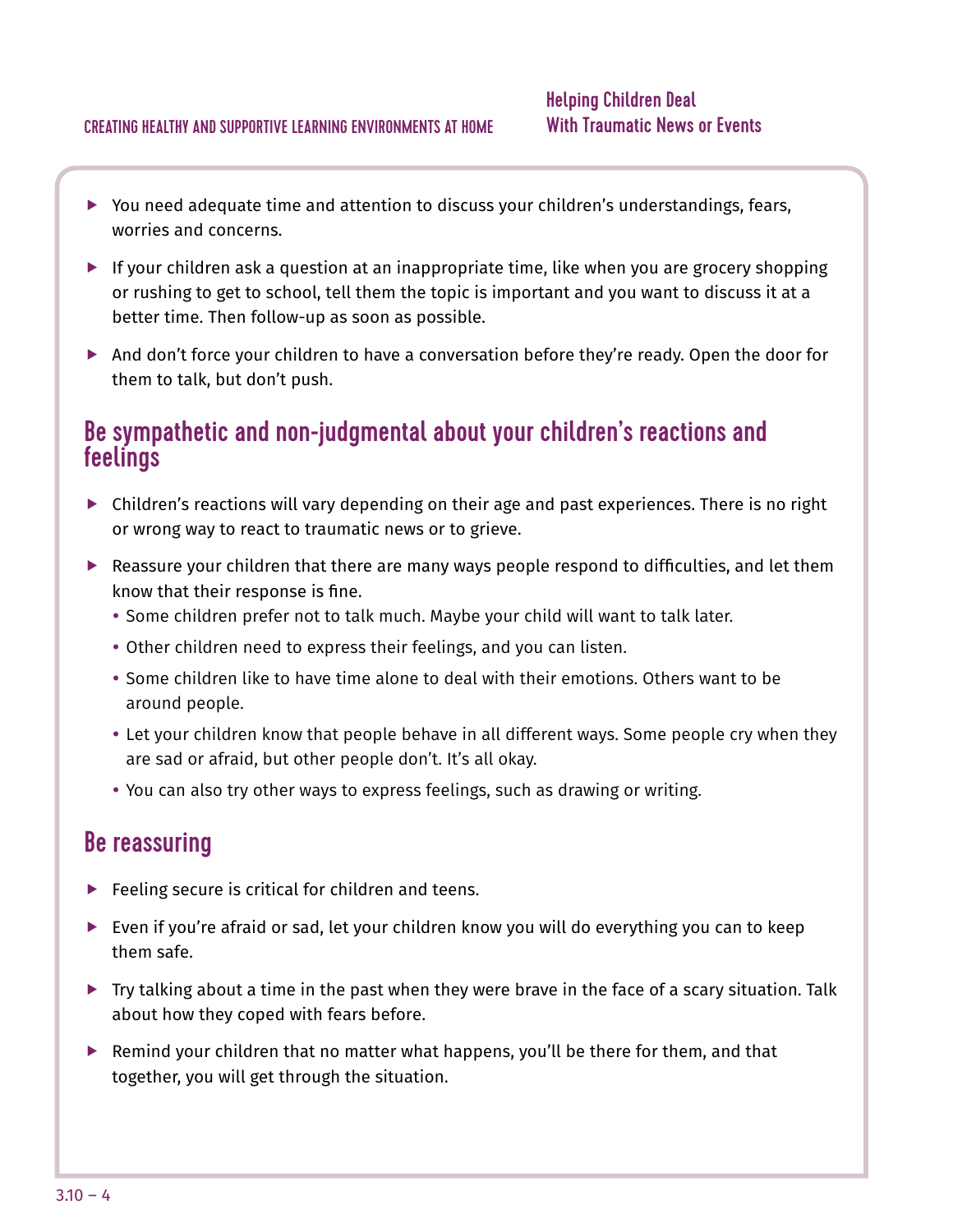- ▶ You need adequate time and attention to discuss your children's understandings, fears, worries and concerns.
- $\blacktriangleright$  If your children ask a question at an inappropriate time, like when you are grocery shopping or rushing to get to school, tell them the topic is important and you want to discuss it at a better time. Then follow-up as soon as possible.
- And don't force your children to have a conversation before they're ready. Open the door for them to talk, but don't push.

#### Be sympathetic and non-judgmental about your children's reactions and feelings

- $\triangleright$  Children's reactions will vary depending on their age and past experiences. There is no right or wrong way to react to traumatic news or to grieve.
- $\blacktriangleright$  Reassure your children that there are many ways people respond to difficulties, and let them know that their response is fine.
	- Some children prefer not to talk much. Maybe your child will want to talk later.
	- Other children need to express their feelings, and you can listen.
	- Some children like to have time alone to deal with their emotions. Others want to be around people.
	- Let your children know that people behave in all different ways. Some people cry when they are sad or afraid, but other people don't. It's all okay.
	- You can also try other ways to express feelings, such as drawing or writing.

### Be reassuring

- $\blacktriangleright$  Feeling secure is critical for children and teens.
- $\triangleright$  Even if you're afraid or sad, let your children know you will do everything you can to keep them safe.
- $\blacktriangleright$  Try talking about a time in the past when they were brave in the face of a scary situation. Talk about how they coped with fears before.
- $\blacktriangleright$  Remind your children that no matter what happens, you'll be there for them, and that together, you will get through the situation.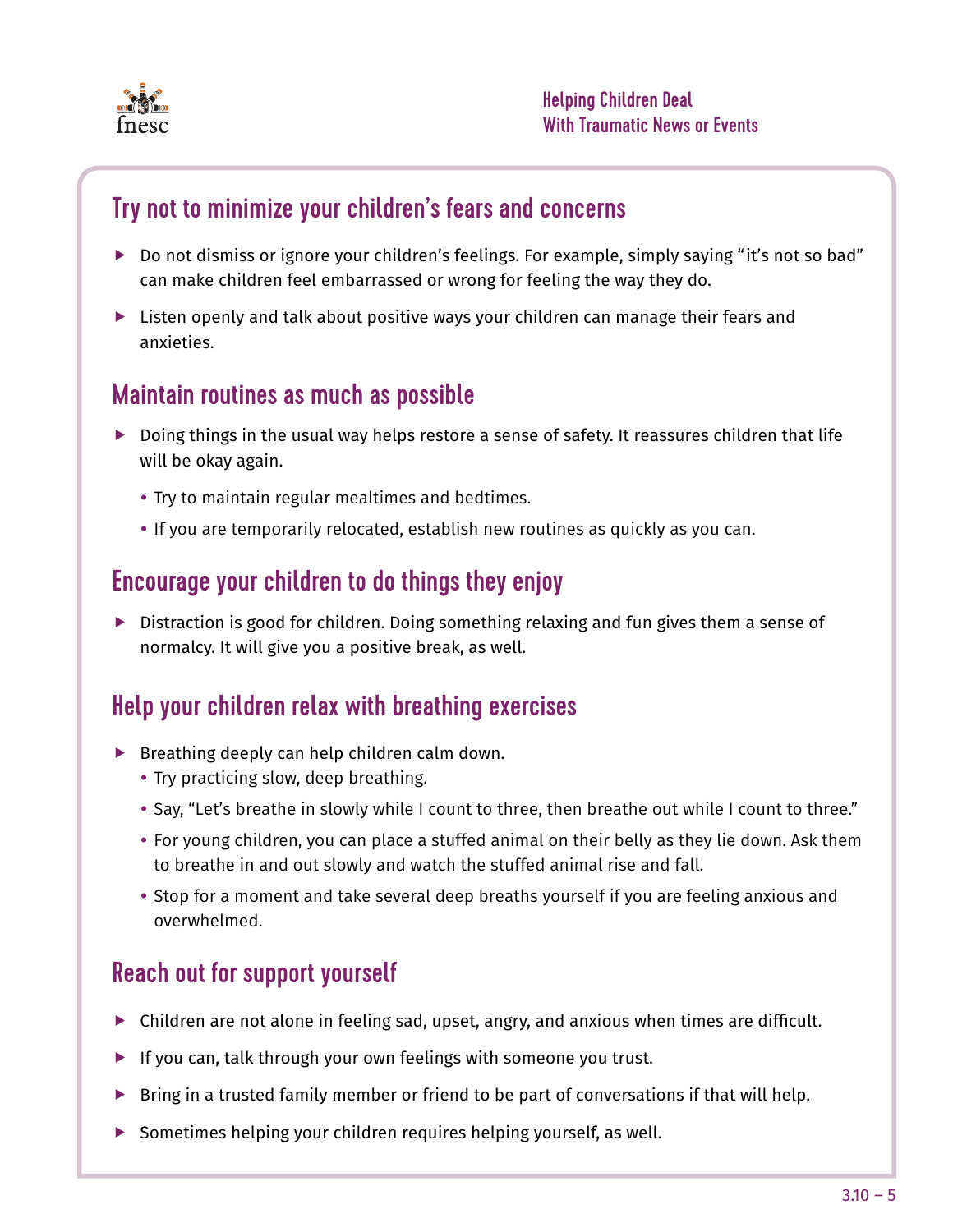

# Try not to minimize your children's fears and concerns

- $\blacktriangleright$  Do not dismiss or ignore your children's feelings. For example, simply saying "it's not so bad" can make children feel embarrassed or wrong for feeling the way they do.
- $\blacktriangleright$  Listen openly and talk about positive ways your children can manage their fears and anxieties.

### Maintain routines as much as possible

- $\blacktriangleright$  Doing things in the usual way helps restore a sense of safety. It reassures children that life will be okay again.
	- Try to maintain regular mealtimes and bedtimes.
	- If you are temporarily relocated, establish new routines as quickly as you can.

### Encourage your children to do things they enjoy

 $\blacktriangleright$  Distraction is good for children. Doing something relaxing and fun gives them a sense of normalcy. It will give you a positive break, as well.

## Help your children relax with breathing exercises

- $\blacktriangleright$  Breathing deeply can help children calm down.
	- Try practicing slow, deep breathing.
	- Say, "Let's breathe in slowly while I count to three, then breathe out while I count to three."
	- For young children, you can place a stuffed animal on their belly as they lie down. Ask them to breathe in and out slowly and watch the stuffed animal rise and fall.
	- Stop for a moment and take several deep breaths yourself if you are feeling anxious and overwhelmed.

## Reach out for support yourself

- $\triangleright$  Children are not alone in feeling sad, upset, angry, and anxious when times are difficult.
- $\blacktriangleright$  If you can, talk through your own feelings with someone you trust.
- $\blacktriangleright$  Bring in a trusted family member or friend to be part of conversations if that will help.
- $\triangleright$  Sometimes helping your children requires helping yourself, as well.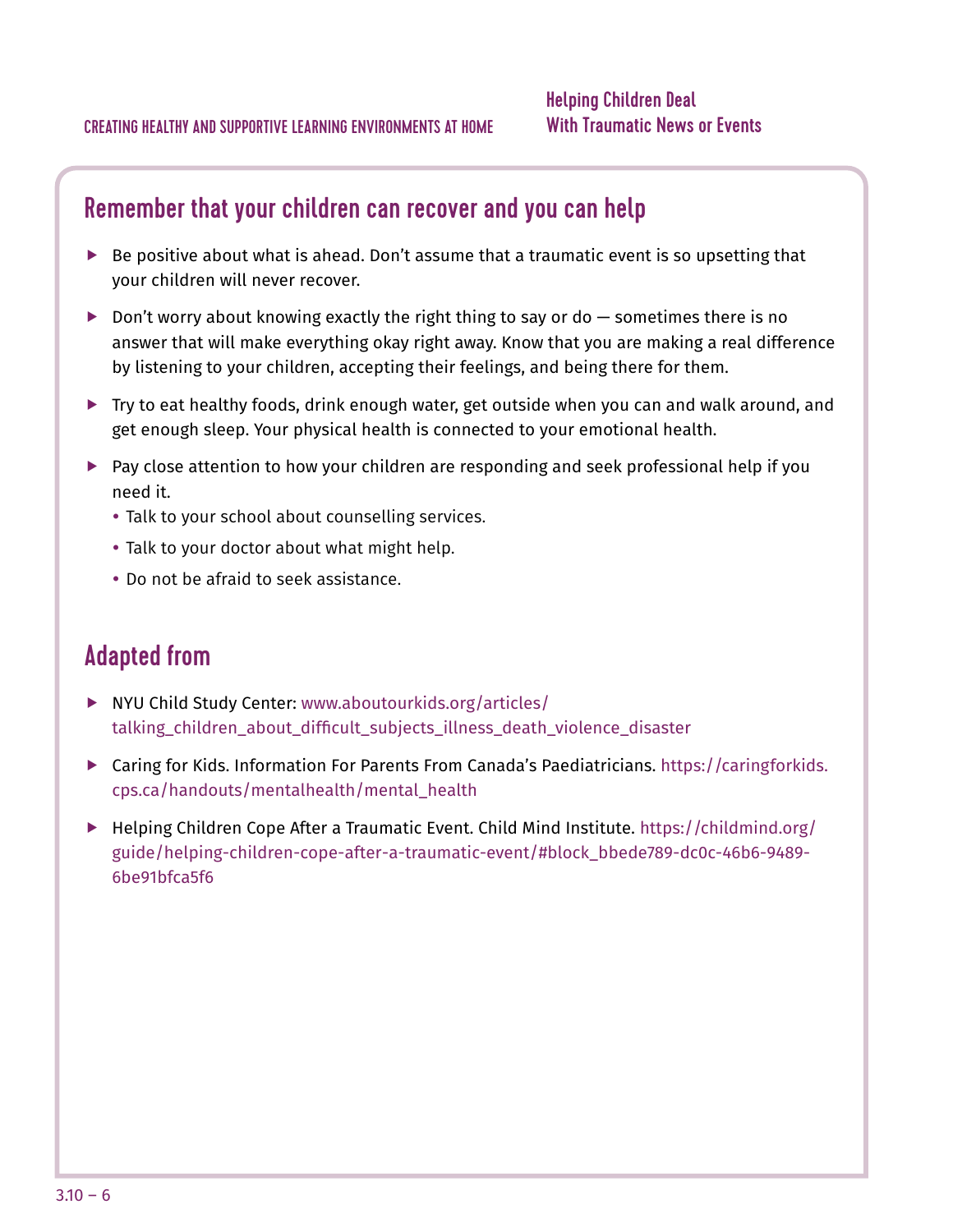## Remember that your children can recover and you can help

- $\blacktriangleright$  Be positive about what is ahead. Don't assume that a traumatic event is so upsetting that your children will never recover.
- $\triangleright$  Don't worry about knowing exactly the right thing to say or do  $-$  sometimes there is no answer that will make everything okay right away. Know that you are making a real difference by listening to your children, accepting their feelings, and being there for them.
- $\blacktriangleright$  Try to eat healthy foods, drink enough water, get outside when you can and walk around, and get enough sleep. Your physical health is connected to your emotional health.
- $\blacktriangleright$  Pay close attention to how your children are responding and seek professional help if you need it.
	- Talk to your school about counselling services.
	- Talk to your doctor about what might help.
	- Do not be afraid to seek assistance.

# Adapted from

- $\triangleright$  NYU Child Study Center: www.aboutourkids.org/articles/ talking children about difficult subjects illness death violence disaster
- ▶ Caring for Kids. Information For Parents From Canada's Paediatricians. https://caringforkids. cps.ca/handouts/mentalhealth/mental\_health
- $\blacktriangleright$  Helping Children Cope After a Traumatic Event. Child Mind Institute. https://childmind.org/ guide/helping-children-cope-after-a-traumatic-event/#block\_bbede789-dc0c-46b6-9489- 6be91bfca5f6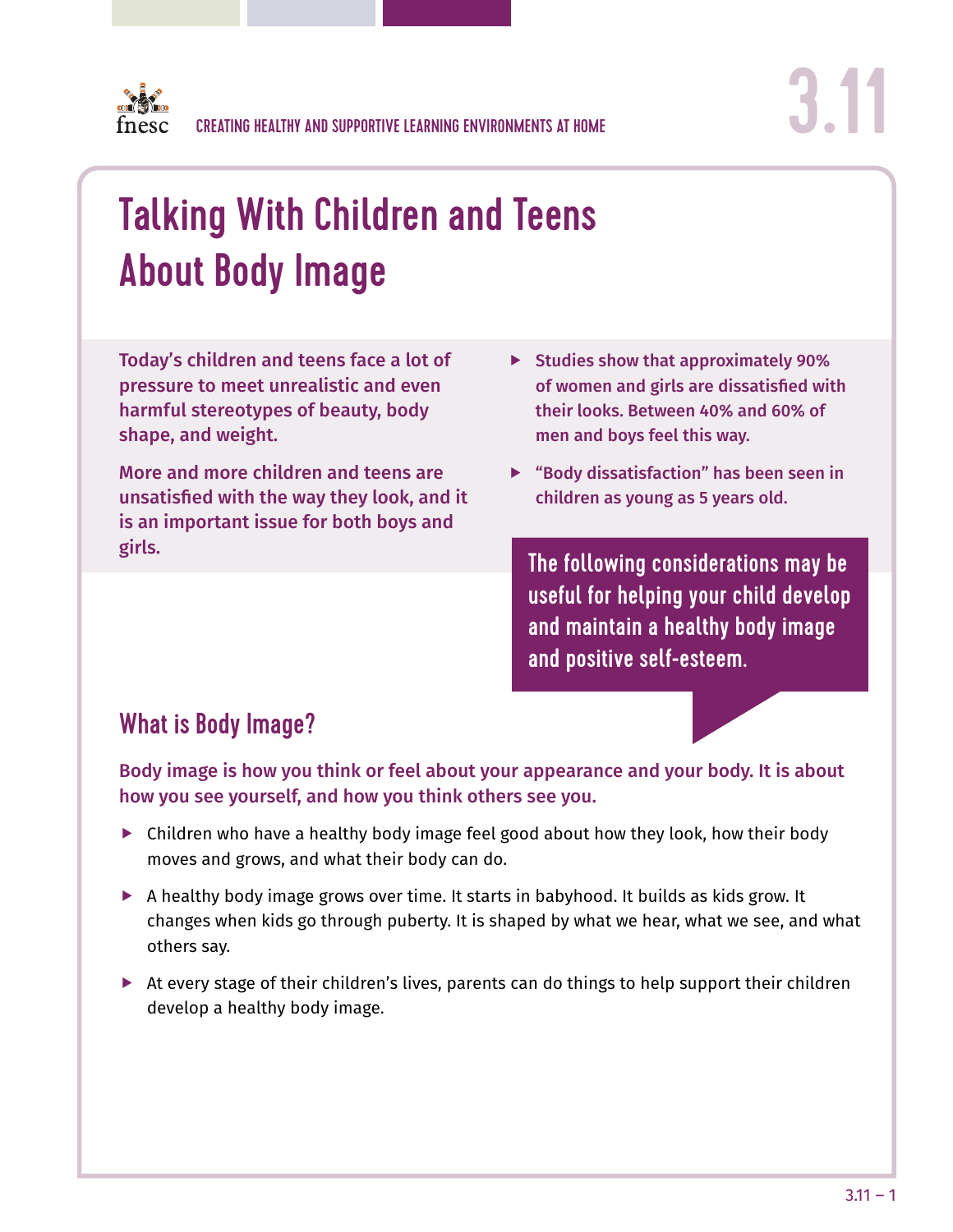

# Talking With Children and Teens About Body Image

Today's children and teens face a lot of pressure to meet unrealistic and even harmful stereotypes of beauty, body shape, and weight.

More and more children and teens are unsatisfied with the way they look, and it is an important issue for both boys and girls.

- $\blacktriangleright$  Studies show that approximately 90% of women and girls are dissatisfied with their looks. Between 40% and 60% of men and boys feel this way.
- $\blacktriangleright$  "Body dissatisfaction" has been seen in children as young as 5 years old.

The following considerations may be useful for helping your child develop and maintain a healthy body image and positive self-esteem.

# What is Body Image?

Body image is how you think or feel about your appearance and your body. It is about how you see yourself, and how you think others see you.

- $\triangleright$  Children who have a healthy body image feel good about how they look, how their body moves and grows, and what their body can do.
- $\triangleright$  A healthy body image grows over time. It starts in babyhood. It builds as kids grow. It changes when kids go through puberty. It is shaped by what we hear, what we see, and what others say.
- $\blacktriangleright$  At every stage of their children's lives, parents can do things to help support their children develop a healthy body image.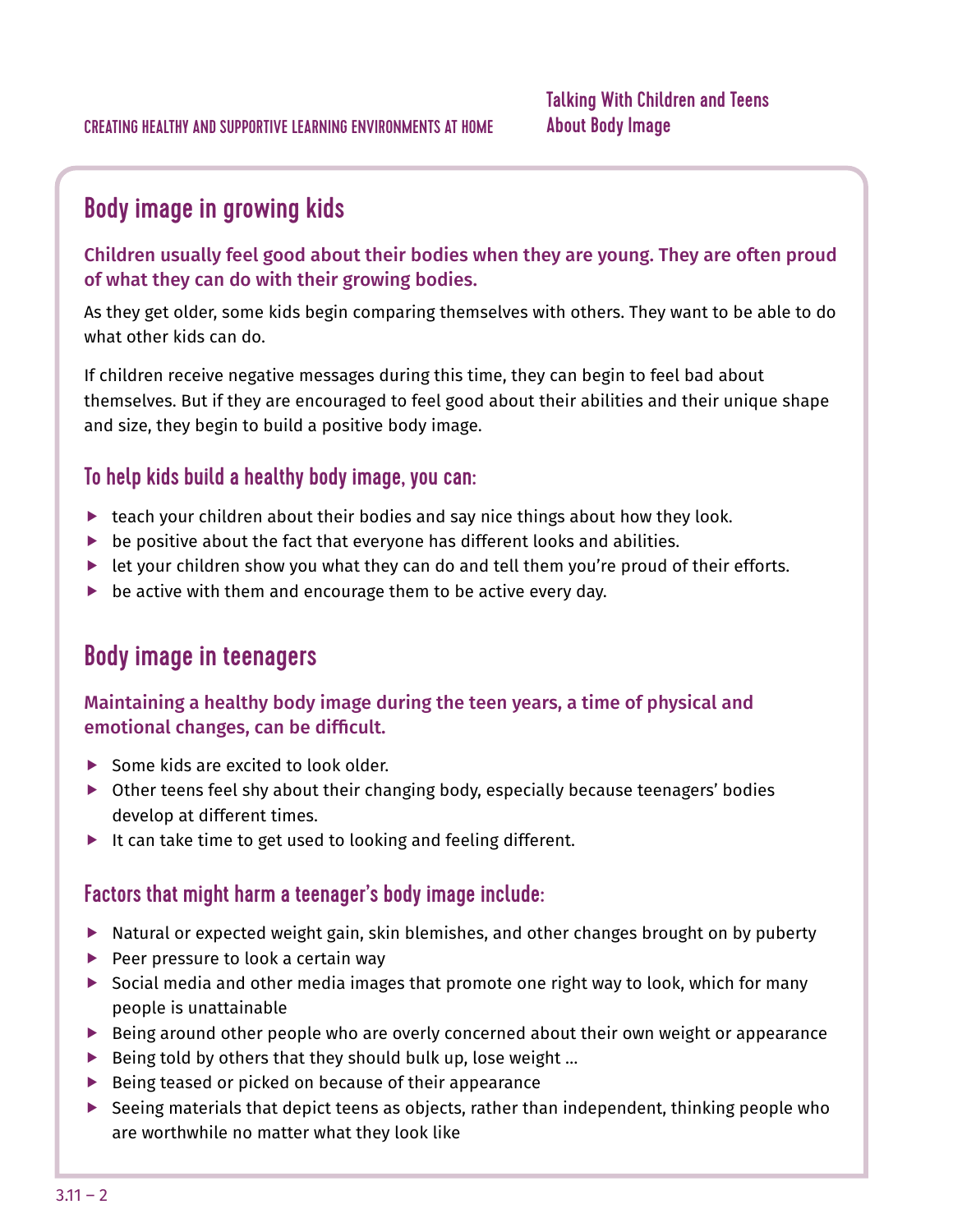# Body image in growing kids

Children usually feel good about their bodies when they are young. They are often proud of what they can do with their growing bodies.

As they get older, some kids begin comparing themselves with others. They want to be able to do what other kids can do.

If children receive negative messages during this time, they can begin to feel bad about themselves. But if they are encouraged to feel good about their abilities and their unique shape and size, they begin to build a positive body image.

#### To help kids build a healthy body image, you can:

- $\blacktriangleright$  teach your children about their bodies and say nice things about how they look.
- $\triangleright$  be positive about the fact that everyone has different looks and abilities.
- $\blacktriangleright$  let your children show you what they can do and tell them you're proud of their efforts.
- $\triangleright$  be active with them and encourage them to be active every day.

# Body image in teenagers

Maintaining a healthy body image during the teen years, a time of physical and emotional changes, can be difficult.

- $\blacktriangleright$  Some kids are excited to look older.
- $\triangleright$  Other teens feel shy about their changing body, especially because teenagers' bodies develop at different times.
- $\blacktriangleright$  It can take time to get used to looking and feeling different.

#### Factors that might harm a teenager's body image include:

- $\blacktriangleright$  Natural or expected weight gain, skin blemishes, and other changes brought on by puberty
- $\blacktriangleright$  Peer pressure to look a certain way
- $\triangleright$  Social media and other media images that promote one right way to look, which for many people is unattainable
- $\blacktriangleright$  Being around other people who are overly concerned about their own weight or appearance
- $\blacktriangleright$  Being told by others that they should bulk up, lose weight ...
- $\blacktriangleright$  Being teased or picked on because of their appearance
- $\triangleright$  Seeing materials that depict teens as objects, rather than independent, thinking people who are worthwhile no matter what they look like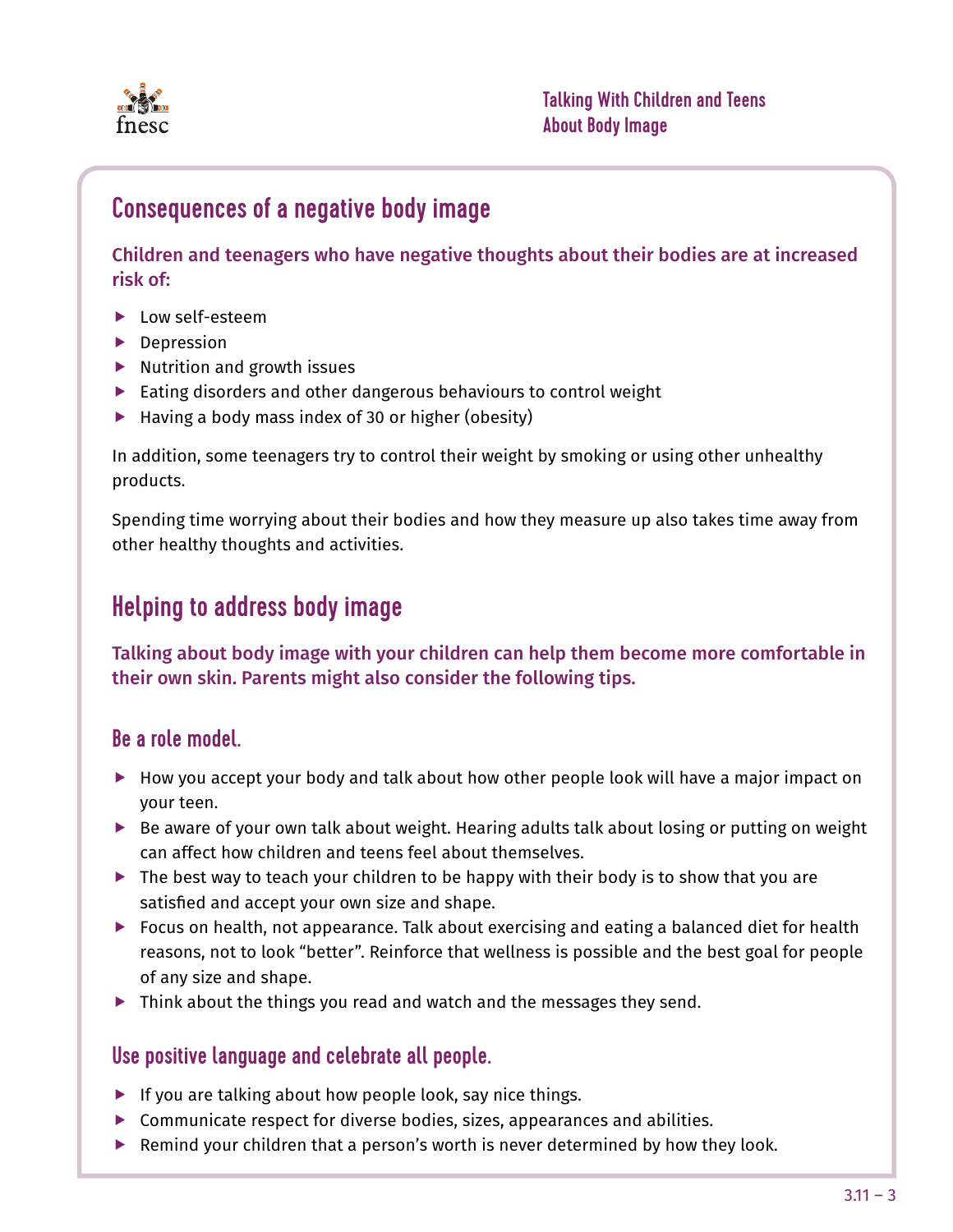

## Consequences of a negative body image

Children and teenagers who have negative thoughts about their bodies are at increased risk of:

- $\blacktriangleright$  Low self-esteem
- $\blacktriangleright$  Depression
- $\blacktriangleright$  Nutrition and growth issues
- $\blacktriangleright$  Eating disorders and other dangerous behaviours to control weight
- $\blacktriangleright$  Having a body mass index of 30 or higher (obesity)

In addition, some teenagers try to control their weight by smoking or using other unhealthy products.

Spending time worrying about their bodies and how they measure up also takes time away from other healthy thoughts and activities.

# Helping to address body image

Talking about body image with your children can help them become more comfortable in their own skin. Parents might also consider the following tips.

#### Be a role model.

- $\blacktriangleright$  How you accept your body and talk about how other people look will have a major impact on your teen.
- $\blacktriangleright$  Be aware of your own talk about weight. Hearing adults talk about losing or putting on weight can affect how children and teens feel about themselves.
- $\blacktriangleright$  The best way to teach your children to be happy with their body is to show that you are satisfied and accept your own size and shape.
- $\triangleright$  Focus on health, not appearance. Talk about exercising and eating a balanced diet for health reasons, not to look "better". Reinforce that wellness is possible and the best goal for people of any size and shape.
- $\blacktriangleright$  Think about the things you read and watch and the messages they send.

#### Use positive language and celebrate all people.

- $\blacktriangleright$  If you are talking about how people look, say nice things.
- $\triangleright$  Communicate respect for diverse bodies, sizes, appearances and abilities.
- $\blacktriangleright$  Remind your children that a person's worth is never determined by how they look.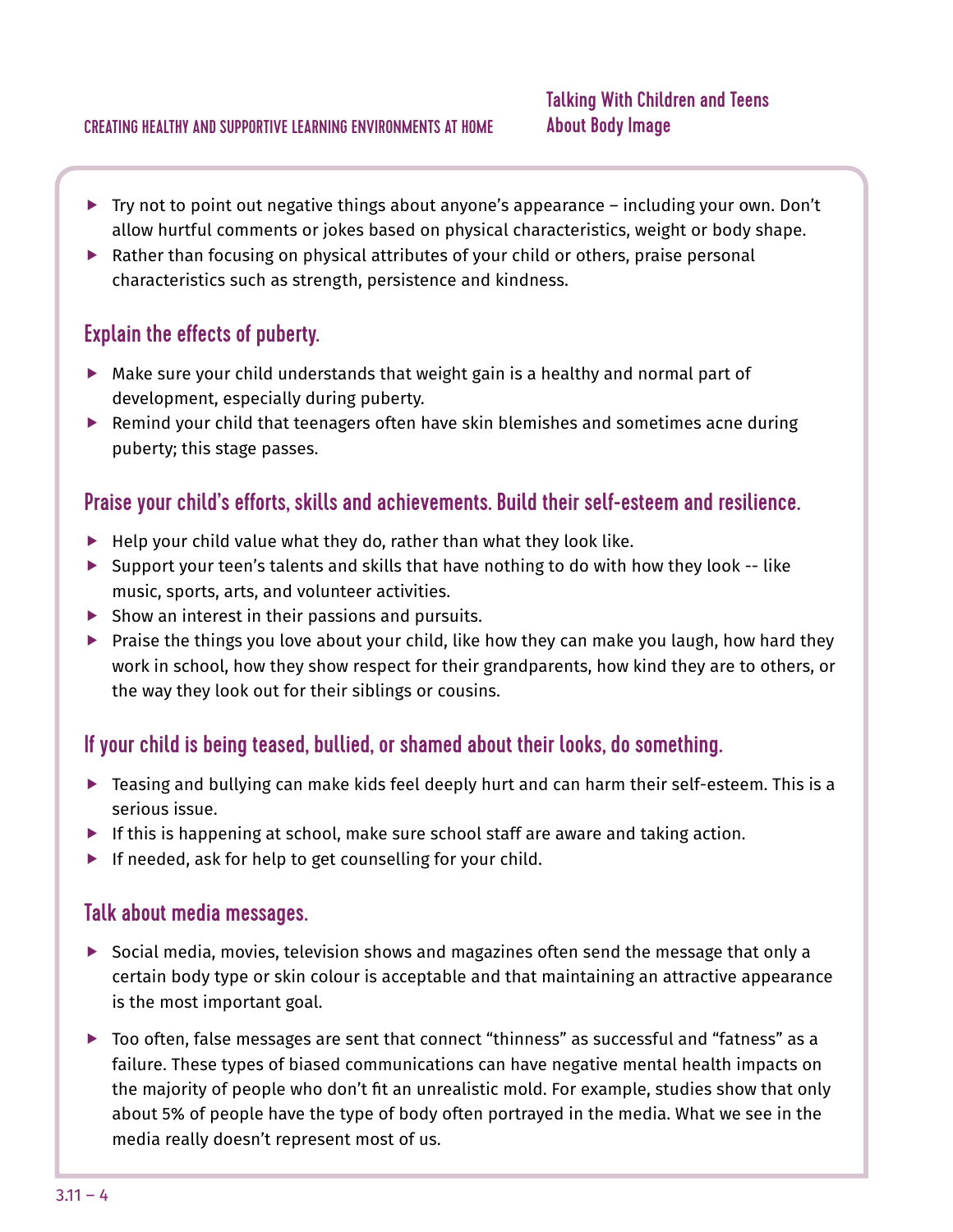#### CREATING HEALTHY AND SUPPORTIVE LEARNING ENVIRONMENTS AT HOME

- $\blacktriangleright$  Try not to point out negative things about anyone's appearance including your own. Don't allow hurtful comments or jokes based on physical characteristics, weight or body shape.
- $\blacktriangleright$  Rather than focusing on physical attributes of your child or others, praise personal characteristics such as strength, persistence and kindness.

#### Explain the effects of puberty.

- $\blacktriangleright$  Make sure your child understands that weight gain is a healthy and normal part of development, especially during puberty.
- $\blacktriangleright$  Remind your child that teenagers often have skin blemishes and sometimes acne during puberty; this stage passes.

#### Praise your child's efforts, skills and achievements. Build their self-esteem and resilience.

- $\blacktriangleright$  Help your child value what they do, rather than what they look like.
- $\triangleright$  Support your teen's talents and skills that have nothing to do with how they look -- like music, sports, arts, and volunteer activities.
- $\triangleright$  Show an interest in their passions and pursuits.
- $\blacktriangleright$  Praise the things you love about your child, like how they can make you laugh, how hard they work in school, how they show respect for their grandparents, how kind they are to others, or the way they look out for their siblings or cousins.

#### If your child is being teased, bullied, or shamed about their looks, do something.

- $\blacktriangleright$  Teasing and bullying can make kids feel deeply hurt and can harm their self-esteem. This is a serious issue.
- $\blacktriangleright$  If this is happening at school, make sure school staff are aware and taking action.
- $\blacktriangleright$  If needed, ask for help to get counselling for your child.

#### Talk about media messages.

- $\triangleright$  Social media, movies, television shows and magazines often send the message that only a certain body type or skin colour is acceptable and that maintaining an attractive appearance is the most important goal.
- ▶ Too often, false messages are sent that connect "thinness" as successful and "fatness" as a failure. These types of biased communications can have negative mental health impacts on the majority of people who don't fit an unrealistic mold. For example, studies show that only about 5% of people have the type of body often portrayed in the media. What we see in the media really doesn't represent most of us.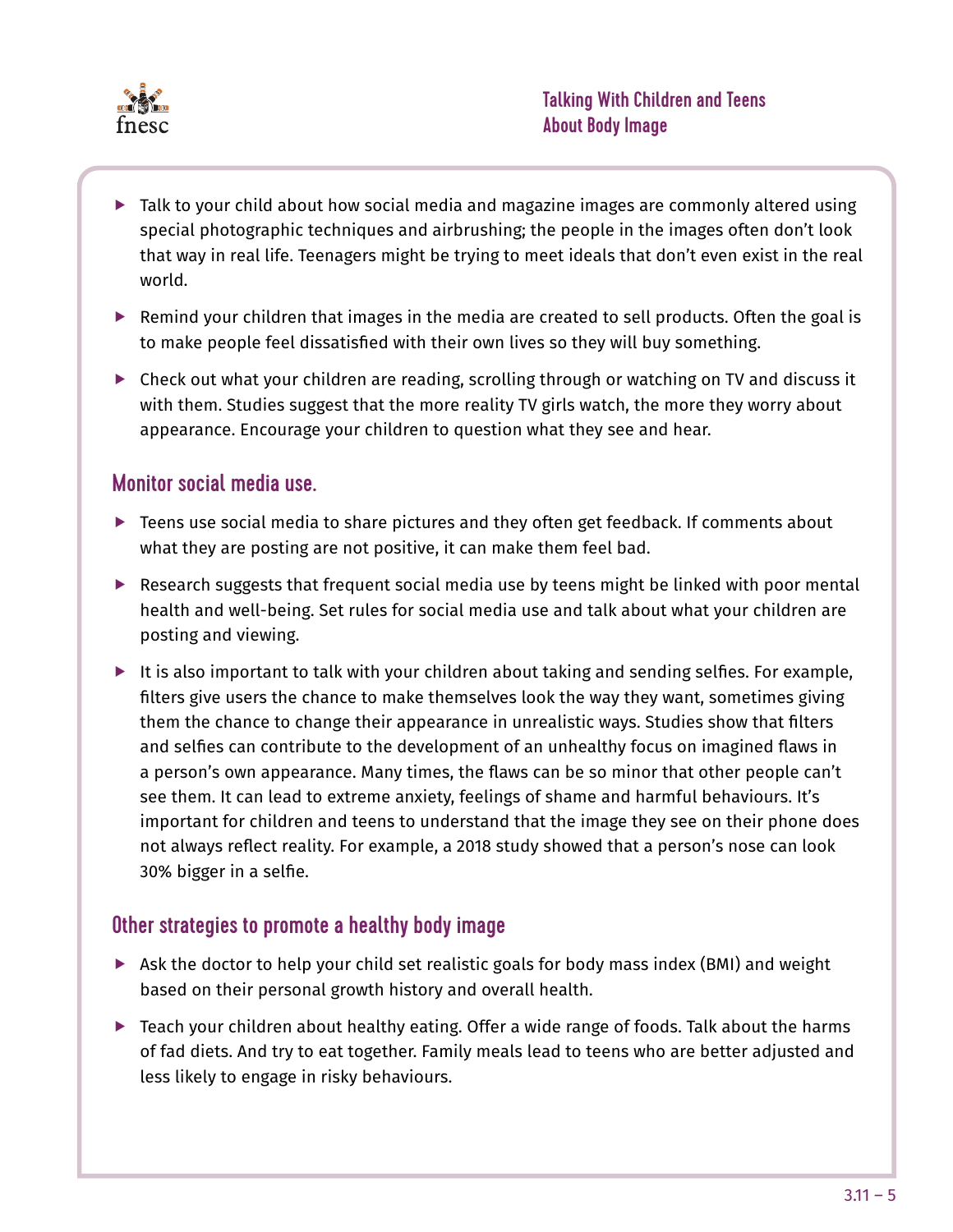

- $\blacktriangleright$  Talk to your child about how social media and magazine images are commonly altered using special photographic techniques and airbrushing; the people in the images often don't look that way in real life. Teenagers might be trying to meet ideals that don't even exist in the real world.
- $\blacktriangleright$  Remind your children that images in the media are created to sell products. Often the goal is to make people feel dissatisfied with their own lives so they will buy something.
- $\triangleright$  Check out what your children are reading, scrolling through or watching on TV and discuss it with them. Studies suggest that the more reality TV girls watch, the more they worry about appearance. Encourage your children to question what they see and hear.

#### Monitor social media use.

- $\blacktriangleright$  Teens use social media to share pictures and they often get feedback. If comments about what they are posting are not positive, it can make them feel bad.
- $\blacktriangleright$  Research suggests that frequent social media use by teens might be linked with poor mental health and well-being. Set rules for social media use and talk about what your children are posting and viewing.
- $\blacktriangleright$  It is also important to talk with your children about taking and sending selfies. For example, filters give users the chance to make themselves look the way they want, sometimes giving them the chance to change their appearance in unrealistic ways. Studies show that filters and selfies can contribute to the development of an unhealthy focus on imagined flaws in a person's own appearance. Many times, the flaws can be so minor that other people can't see them. It can lead to extreme anxiety, feelings of shame and harmful behaviours. It's important for children and teens to understand that the image they see on their phone does not always reflect reality. For example, a 2018 study showed that a person's nose can look 30% bigger in a selfie.

#### Other strategies to promote a healthy body image

- $\blacktriangleright$  Ask the doctor to help your child set realistic goals for body mass index (BMI) and weight based on their personal growth history and overall health.
- $\blacktriangleright$  Teach your children about healthy eating. Offer a wide range of foods. Talk about the harms of fad diets. And try to eat together. Family meals lead to teens who are better adjusted and less likely to engage in risky behaviours.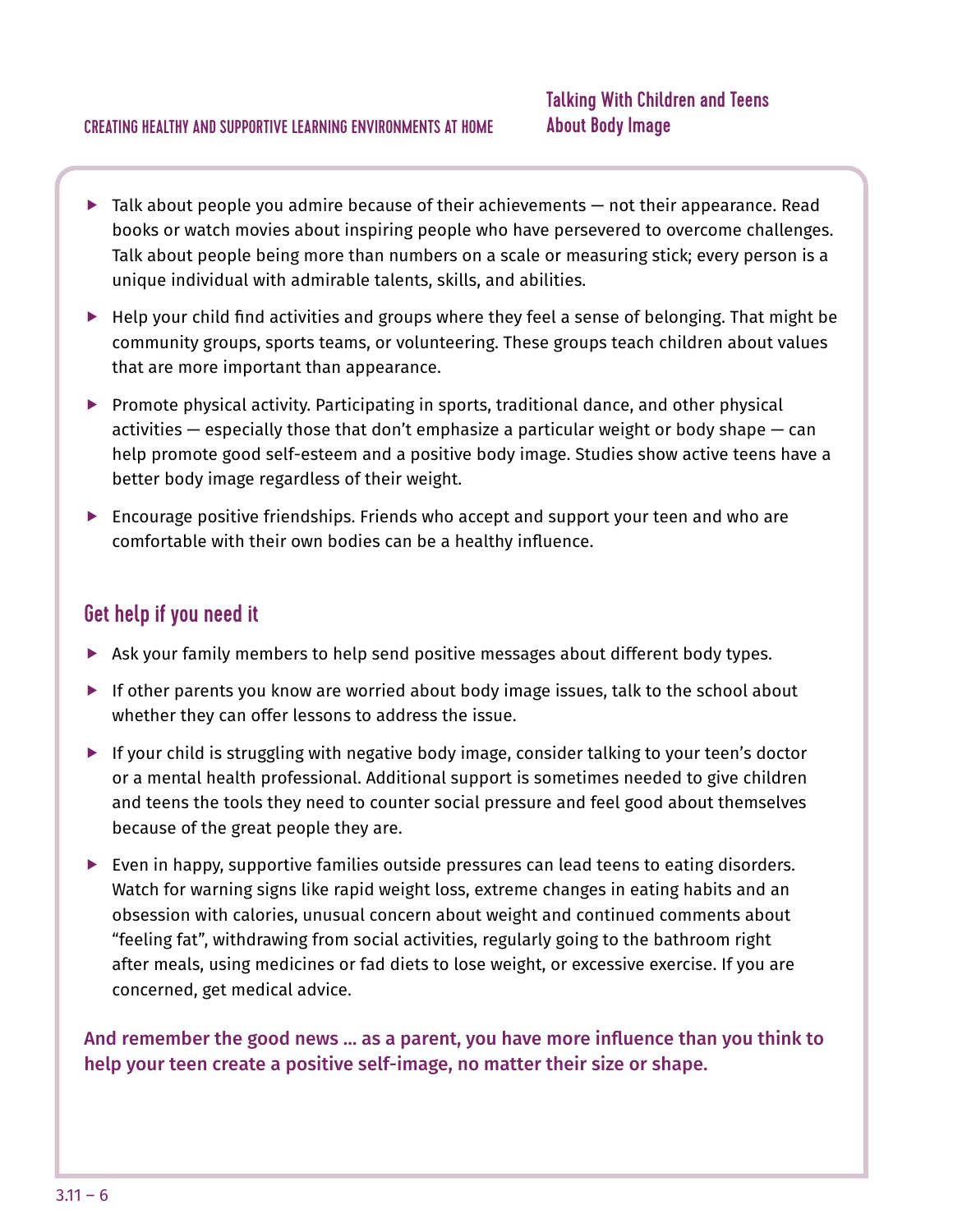- $\blacktriangleright$  Talk about people you admire because of their achievements  $-$  not their appearance. Read books or watch movies about inspiring people who have persevered to overcome challenges. Talk about people being more than numbers on a scale or measuring stick; every person is a unique individual with admirable talents, skills, and abilities.
- $\blacktriangleright$  Help your child find activities and groups where they feel a sense of belonging. That might be community groups, sports teams, or volunteering. These groups teach children about values that are more important than appearance.
- $\triangleright$  Promote physical activity. Participating in sports, traditional dance, and other physical activities — especially those that don't emphasize a particular weight or body shape — can help promote good self-esteem and a positive body image. Studies show active teens have a better body image regardless of their weight.
- $\blacktriangleright$  Encourage positive friendships. Friends who accept and support your teen and who are comfortable with their own bodies can be a healthy influence.

#### Get help if you need it

- $\triangleright$  Ask your family members to help send positive messages about different body types.
- $\blacktriangleright$  If other parents you know are worried about body image issues, talk to the school about whether they can offer lessons to address the issue.
- $\blacktriangleright$  If your child is struggling with negative body image, consider talking to your teen's doctor or a mental health professional. Additional support is sometimes needed to give children and teens the tools they need to counter social pressure and feel good about themselves because of the great people they are.
- $\blacktriangleright$  Even in happy, supportive families outside pressures can lead teens to eating disorders. Watch for warning signs like rapid weight loss, extreme changes in eating habits and an obsession with calories, unusual concern about weight and continued comments about "feeling fat", withdrawing from social activities, regularly going to the bathroom right after meals, using medicines or fad diets to lose weight, or excessive exercise. If you are concerned, get medical advice.

And remember the good news … as a parent, you have more influence than you think to help your teen create a positive self-image, no matter their size or shape.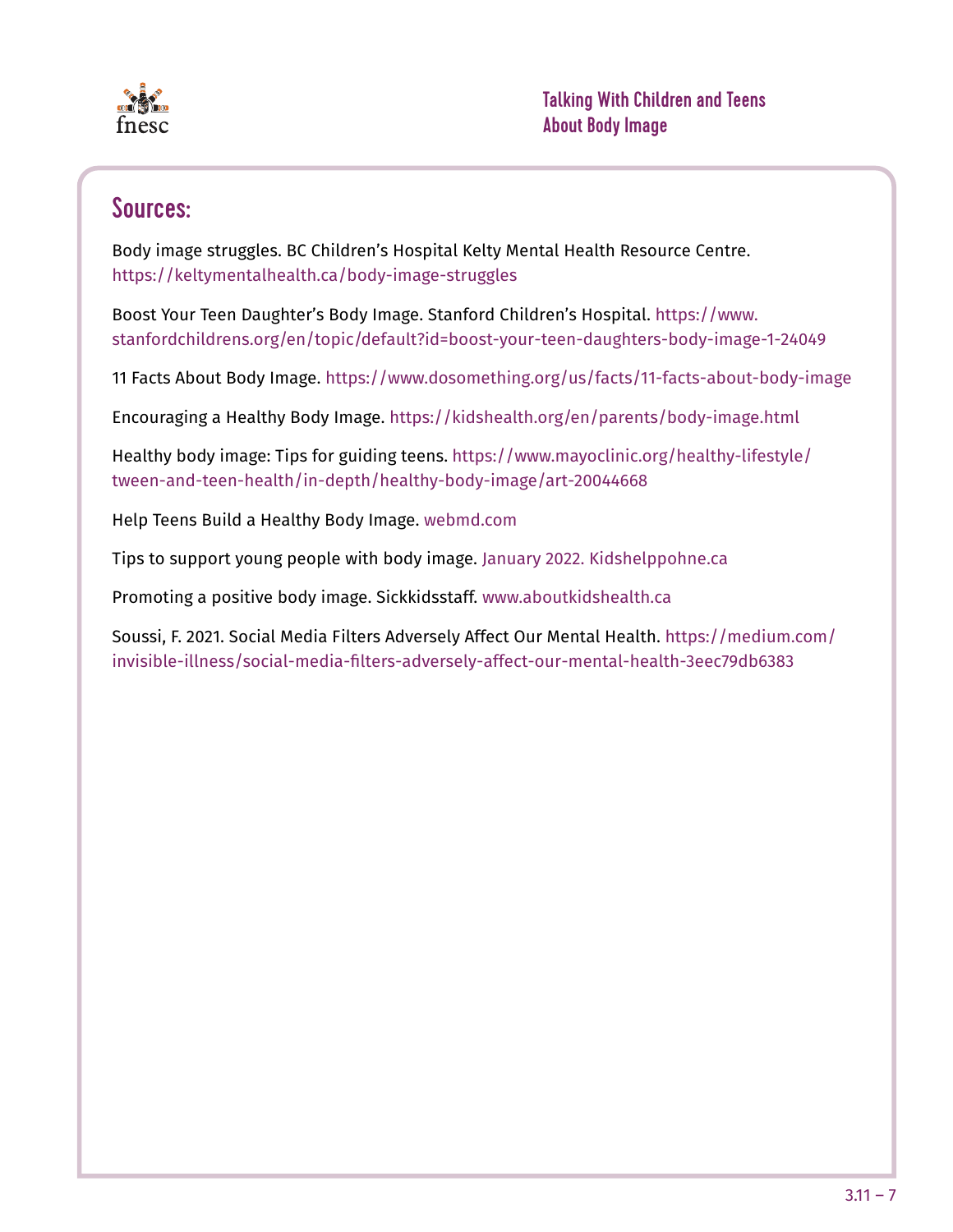

#### Sources:

Body image struggles. BC Children's Hospital Kelty Mental Health Resource Centre. https://keltymentalhealth.ca/body-image-struggles

Boost Your Teen Daughter's Body Image. Stanford Children's Hospital. https://www. stanfordchildrens.org/en/topic/default?id=boost-your-teen-daughters-body-image-1-24049

11 Facts About Body Image. https://www.dosomething.org/us/facts/11-facts-about-body-image

Encouraging a Healthy Body Image. https://kidshealth.org/en/parents/body-image.html

Healthy body image: Tips for guiding teens. [https://www.mayoclinic.org/healthy-lifestyle/](https://www.mayoclinic.org/healthy-lifestyle/tween-and-teen-health/in-depth/healthy-body-image/art-20044668) [tween-and-teen-health/in-depth/healthy-body-image/art-20044668](https://www.mayoclinic.org/healthy-lifestyle/tween-and-teen-health/in-depth/healthy-body-image/art-20044668)

Help Teens Build a Healthy Body Image. webmd.com

Tips to support young people with body image. January 2022. Kidshelppohne.ca

Promoting a positive body image. Sickkidsstaff. [www.aboutkidshealth.ca](http://www.aboutkidshealth.ca)

Soussi, F. 2021. Social Media Filters Adversely Affect Our Mental Health. https://medium.com/ invisible-illness/social-media-filters-adversely-affect-our-mental-health-3eec79db6383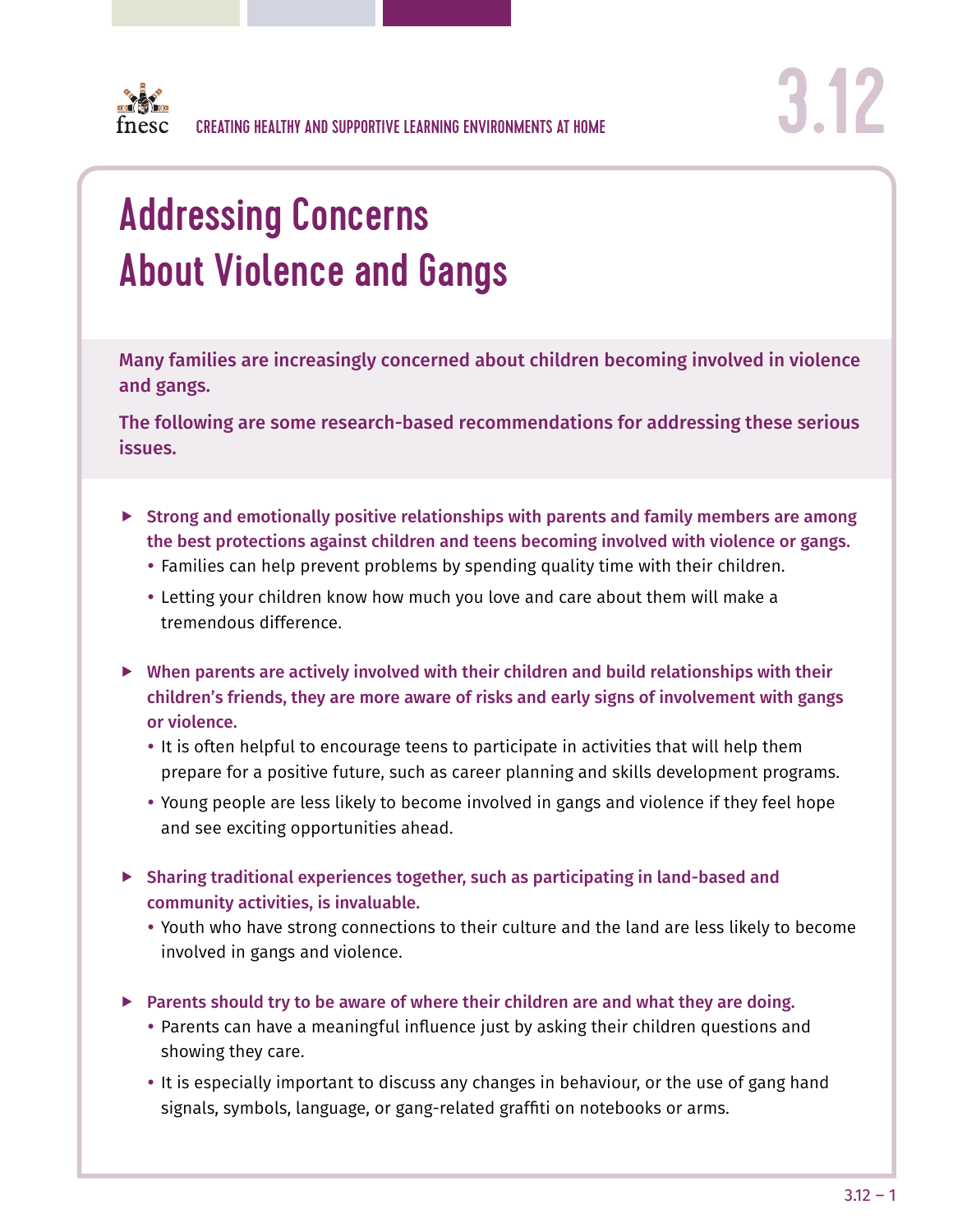

# Addressing Concerns About Violence and Gangs

Many families are increasingly concerned about children becoming involved in violence and gangs.

The following are some research-based recommendations for addressing these serious issues.

- $\triangleright$  Strong and emotionally positive relationships with parents and family members are among the best protections against children and teens becoming involved with violence or gangs.
	- Families can help prevent problems by spending quality time with their children.
	- Letting your children know how much you love and care about them will make a tremendous difference.
- $\triangleright$  When parents are actively involved with their children and build relationships with their children's friends, they are more aware of risks and early signs of involvement with gangs or violence.
	- It is often helpful to encourage teens to participate in activities that will help them prepare for a positive future, such as career planning and skills development programs.
	- Young people are less likely to become involved in gangs and violence if they feel hope and see exciting opportunities ahead.
- $\triangleright$  Sharing traditional experiences together, such as participating in land-based and community activities, is invaluable.
	- Youth who have strong connections to their culture and the land are less likely to become involved in gangs and violence.
- $\triangleright$  Parents should try to be aware of where their children are and what they are doing.
	- Parents can have a meaningful influence just by asking their children questions and showing they care.
	- It is especially important to discuss any changes in behaviour, or the use of gang hand signals, symbols, language, or gang-related graffiti on notebooks or arms.